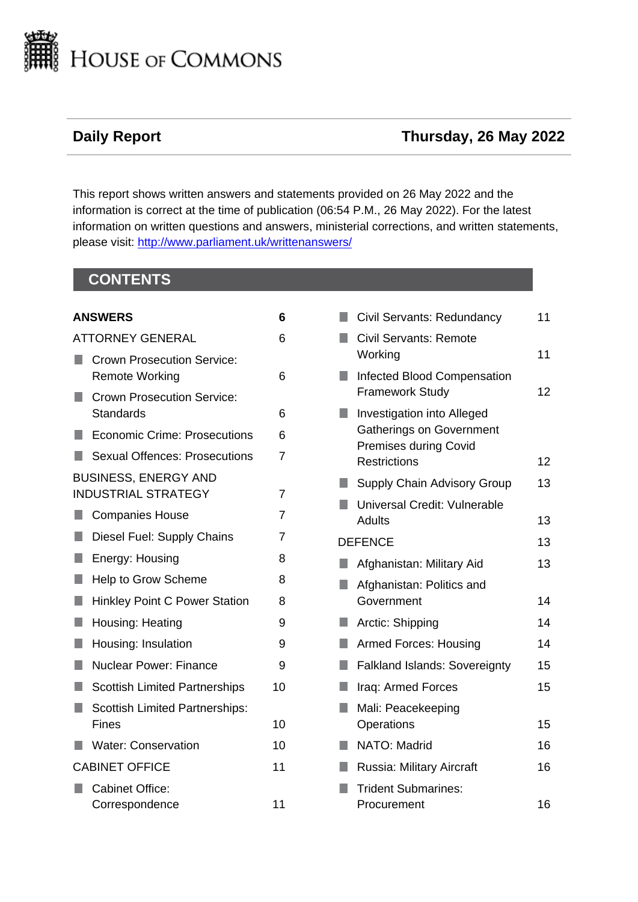

# **Daily Report Thursday, 26 May 2022**

This report shows written answers and statements provided on 26 May 2022 and the information is correct at the time of publication (06:54 P.M., 26 May 2022). For the latest information on written questions and answers, ministerial corrections, and written statements, please visit: [http://www.parliament.uk/writtenanswers/](http://www.parliament.uk/writtenanswers)

# **CONTENTS**

|                       | <b>ANSWERS</b>                                             | 6              |
|-----------------------|------------------------------------------------------------|----------------|
|                       | <b>ATTORNEY GENERAL</b>                                    | 6              |
| ٠                     | <b>Crown Prosecution Service:</b><br><b>Remote Working</b> | 6              |
|                       | <b>Crown Prosecution Service:</b><br>Standards             | 6              |
|                       | <b>Economic Crime: Prosecutions</b>                        | 6              |
| ٠                     | <b>Sexual Offences: Prosecutions</b>                       | 7              |
|                       | <b>BUSINESS, ENERGY AND</b><br><b>INDUSTRIAL STRATEGY</b>  | 7              |
| l I                   | <b>Companies House</b>                                     | $\overline{7}$ |
| H                     | Diesel Fuel: Supply Chains                                 | 7              |
| ۰                     | Energy: Housing                                            | 8              |
| П                     | Help to Grow Scheme                                        | 8              |
| П                     | <b>Hinkley Point C Power Station</b>                       | 8              |
| П                     | Housing: Heating                                           | 9              |
| ٠                     | Housing: Insulation                                        | 9              |
| H.                    | Nuclear Power: Finance                                     | 9              |
| ٠                     | <b>Scottish Limited Partnerships</b>                       | 10             |
| ۰                     | <b>Scottish Limited Partnerships:</b><br>Fines             | 10             |
|                       | <b>Water: Conservation</b>                                 | 10             |
| <b>CABINET OFFICE</b> |                                                            | 11             |
|                       | <b>Cabinet Office:</b><br>Correspondence                   | 11             |

|   | Civil Servants: Redundancy                                                                                                  | 11 |
|---|-----------------------------------------------------------------------------------------------------------------------------|----|
|   | <b>Civil Servants: Remote</b><br>Working                                                                                    | 11 |
|   | <b>Infected Blood Compensation</b><br><b>Framework Study</b>                                                                | 12 |
|   | <b>Investigation into Alleged</b><br><b>Gatherings on Government</b><br><b>Premises during Covid</b><br><b>Restrictions</b> | 12 |
|   | Supply Chain Advisory Group                                                                                                 | 13 |
|   | Universal Credit: Vulnerable                                                                                                |    |
|   | <b>Adults</b>                                                                                                               | 13 |
|   | <b>DEFENCE</b>                                                                                                              | 13 |
|   | Afghanistan: Military Aid                                                                                                   | 13 |
|   | Afghanistan: Politics and<br>Government                                                                                     | 14 |
|   | Arctic: Shipping                                                                                                            | 14 |
|   | <b>Armed Forces: Housing</b>                                                                                                | 14 |
|   | <b>Falkland Islands: Sovereignty</b>                                                                                        | 15 |
|   | Iraq: Armed Forces                                                                                                          | 15 |
| ٠ | Mali: Peacekeeping<br>Operations                                                                                            | 15 |
|   | NATO: Madrid                                                                                                                | 16 |
|   | Russia: Military Aircraft                                                                                                   | 16 |
|   | <b>Trident Submarines:</b><br>Procurement                                                                                   | 16 |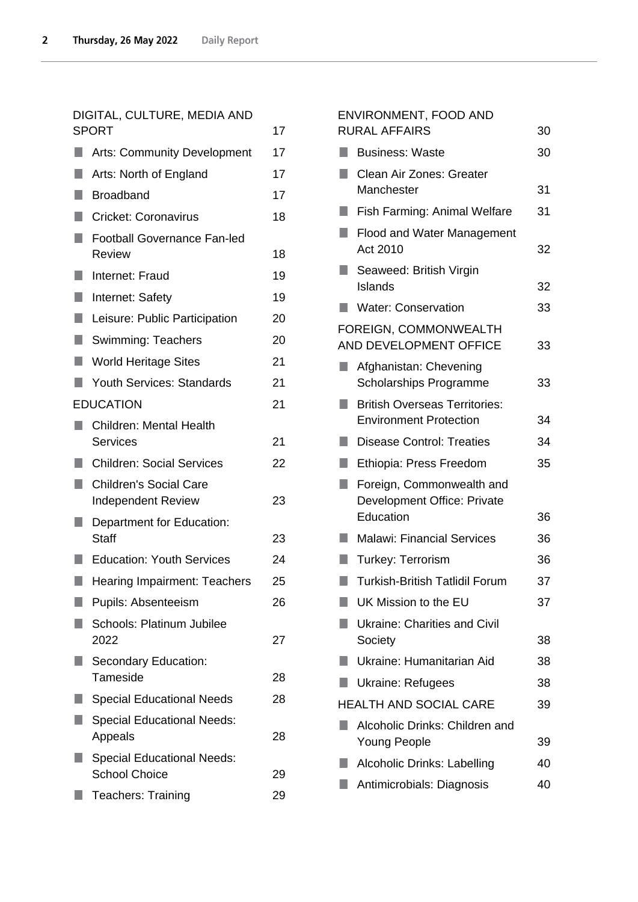# [DIGITAL, CULTURE, MEDIA AND](#page-16-0)  [SPORT](#page-16-0) 17

|    | <b>Arts: Community Development</b>                         | 17 |
|----|------------------------------------------------------------|----|
|    | Arts: North of England                                     | 17 |
|    | <b>Broadband</b>                                           | 17 |
|    | <b>Cricket: Coronavirus</b>                                | 18 |
|    | <b>Football Governance Fan-led</b><br><b>Review</b>        | 18 |
|    | Internet: Fraud                                            | 19 |
| ×. | Internet: Safety                                           | 19 |
| n  | Leisure: Public Participation                              | 20 |
| ٠  | <b>Swimming: Teachers</b>                                  | 20 |
|    | <b>World Heritage Sites</b>                                | 21 |
|    | <b>Youth Services: Standards</b>                           | 21 |
|    | <b>EDUCATION</b>                                           | 21 |
|    | <b>Children: Mental Health</b><br><b>Services</b>          | 21 |
|    | <b>Children: Social Services</b>                           | 22 |
|    | <b>Children's Social Care</b><br><b>Independent Review</b> | 23 |
|    | Department for Education:<br><b>Staff</b>                  | 23 |
|    | <b>Education: Youth Services</b>                           | 24 |
|    | <b>Hearing Impairment: Teachers</b>                        | 25 |
|    | Pupils: Absenteeism                                        | 26 |
|    | <b>Schools: Platinum Jubilee</b><br>2022                   | 27 |
|    | Secondary Education:<br>Tameside                           | 28 |
|    | <b>Special Educational Needs</b>                           | 28 |
|    | <b>Special Educational Needs:</b><br>Appeals               | 28 |
|    | <b>Special Educational Needs:</b><br><b>School Choice</b>  | 29 |
|    | <b>Teachers: Training</b>                                  | 29 |
|    |                                                            |    |

# [ENVIRONMENT, FOOD AND](#page-29-0)  [RURAL AFFAIRS](#page-29-0) 30 **[Business: Waste](#page-29-1) [30](#page-29-1)** Clean Air Zones: Greater [Manchester](#page-30-0) 31 **[Fish Farming: Animal Welfare](#page-30-1)** [31](#page-30-1) Flood and Water Management [Act 2010](#page-31-0) 32 Seaweed: British Virgin [Islands](#page-31-1) 32 **Nater: Conservation** [33](#page-32-0) [FOREIGN, COMMONWEALTH](#page-32-1)  [AND DEVELOPMENT OFFICE](#page-32-1) 33 **Afghanistan: Chevening** [Scholarships Programme](#page-32-2) 33 **British Overseas Territories:** [Environment Protection](#page-33-0) 34 **[Disease Control: Treaties](#page-33-1)** [34](#page-33-1) [Ethiopia: Press Freedom](#page-34-0) [35](#page-34-0) **Foreign, Commonwealth and** [Development Office: Private](#page-35-0)  [Education](#page-35-0) 36 ■ [Malawi: Financial Services](#page-35-1) [36](#page-35-1) ■ [Turkey: Terrorism](#page-35-2) [36](#page-35-2) ■ [Turkish-British Tatlidil Forum](#page-36-0) [37](#page-36-0) [UK Mission to the EU](#page-36-1) [37](#page-36-1) **Ukraine: Charities and Civil** [Society](#page-37-0) 38 **[Ukraine: Humanitarian Aid](#page-37-1)** [38](#page-37-1) ■ [Ukraine: Refugees](#page-37-2) [38](#page-37-2) [HEALTH AND SOCIAL CARE](#page-38-0) 39 **Alcoholic Drinks: Children and** [Young People](#page-38-1) 39 [Alcoholic Drinks: Labelling](#page-39-0) [40](#page-39-0) [Antimicrobials: Diagnosis](#page-39-1) [40](#page-39-1)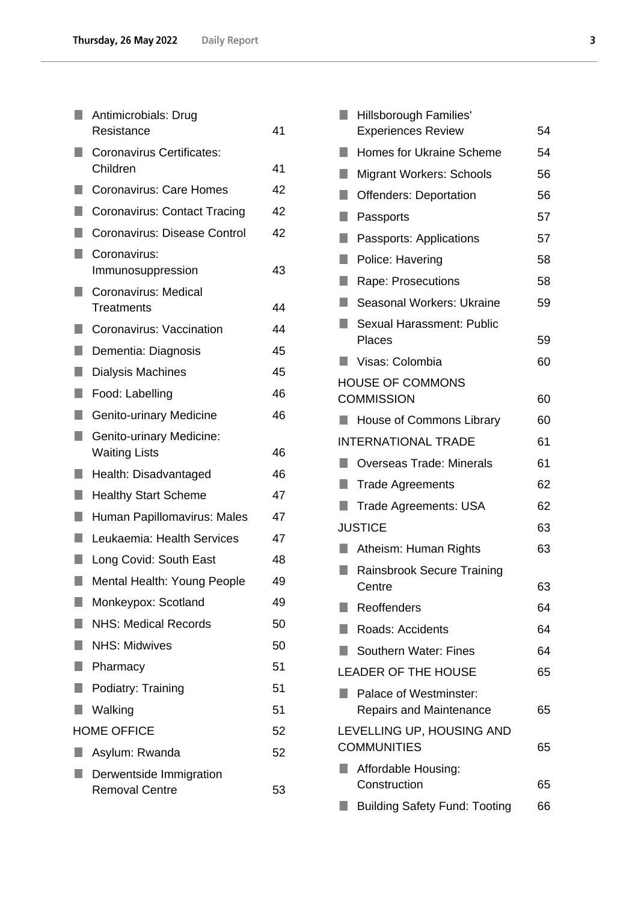|                   | Antimicrobials: Drug<br>Resistance               | 41 |
|-------------------|--------------------------------------------------|----|
|                   | <b>Coronavirus Certificates:</b>                 |    |
|                   | Children                                         | 41 |
|                   | <b>Coronavirus: Care Homes</b>                   | 42 |
|                   | <b>Coronavirus: Contact Tracing</b>              | 42 |
|                   | Coronavirus: Disease Control                     | 42 |
| <b>CONTRACTOR</b> | Coronavirus:<br>Immunosuppression                | 43 |
|                   | Coronavirus: Medical<br><b>Treatments</b>        | 44 |
|                   | Coronavirus: Vaccination                         | 44 |
| ×.                | Dementia: Diagnosis                              | 45 |
|                   | Dialysis Machines                                | 45 |
| ٠                 | Food: Labelling                                  | 46 |
| n                 | Genito-urinary Medicine                          | 46 |
|                   | Genito-urinary Medicine:<br><b>Waiting Lists</b> | 46 |
|                   | Health: Disadvantaged                            | 46 |
| n                 | <b>Healthy Start Scheme</b>                      | 47 |
| ×.                | Human Papillomavirus: Males                      | 47 |
|                   | Leukaemia: Health Services                       | 47 |
|                   | Long Covid: South East                           | 48 |
| ٠                 | Mental Health: Young People                      | 49 |
|                   | Monkeypox: Scotland                              | 49 |
|                   | <b>NHS: Medical Records</b>                      | 50 |
| ٠                 | <b>NHS: Midwives</b>                             | 50 |
|                   | Pharmacy                                         | 51 |
|                   | Podiatry: Training                               | 51 |
|                   | Walking                                          | 51 |
|                   | <b>HOME OFFICE</b>                               | 52 |
|                   | Asylum: Rwanda                                   | 52 |
|                   | Derwentside Immigration<br><b>Removal Centre</b> | 53 |

|     | <b>Hillsborough Families'</b>                            |    |
|-----|----------------------------------------------------------|----|
|     | <b>Experiences Review</b>                                | 54 |
|     | <b>Homes for Ukraine Scheme</b>                          | 54 |
| ٠   | <b>Migrant Workers: Schools</b>                          | 56 |
| п   | <b>Offenders: Deportation</b>                            | 56 |
| F.  | Passports                                                | 57 |
| H   | Passports: Applications                                  | 57 |
| п   | Police: Havering                                         | 58 |
| n   | Rape: Prosecutions                                       | 58 |
| ×.  | Seasonal Workers: Ukraine                                | 59 |
|     | Sexual Harassment: Public<br>Places                      | 59 |
|     | Visas: Colombia                                          | 60 |
|     | <b>HOUSE OF COMMONS</b>                                  |    |
|     | <b>COMMISSION</b>                                        | 60 |
|     | House of Commons Library                                 | 60 |
|     | <b>INTERNATIONAL TRADE</b>                               | 61 |
| H.  | <b>Overseas Trade: Minerals</b>                          | 61 |
| l I | <b>Trade Agreements</b>                                  | 62 |
|     | <b>Trade Agreements: USA</b>                             | 62 |
|     | <b>JUSTICE</b>                                           | 63 |
|     | Atheism: Human Rights                                    | 63 |
|     | <b>Rainsbrook Secure Training</b>                        |    |
|     | Centre                                                   | 63 |
|     | Reoffenders                                              | 64 |
|     | Roads: Accidents                                         | 64 |
|     | <b>Southern Water: Fines</b>                             | 64 |
|     | <b>LEADER OF THE HOUSE</b>                               | 65 |
|     | Palace of Westminster:<br><b>Repairs and Maintenance</b> | 65 |
|     | LEVELLING UP, HOUSING AND<br><b>COMMUNITIES</b>          | 65 |
|     | Affordable Housing:                                      |    |
|     | Construction                                             | 65 |
|     | <b>Building Safety Fund: Tooting</b>                     | 66 |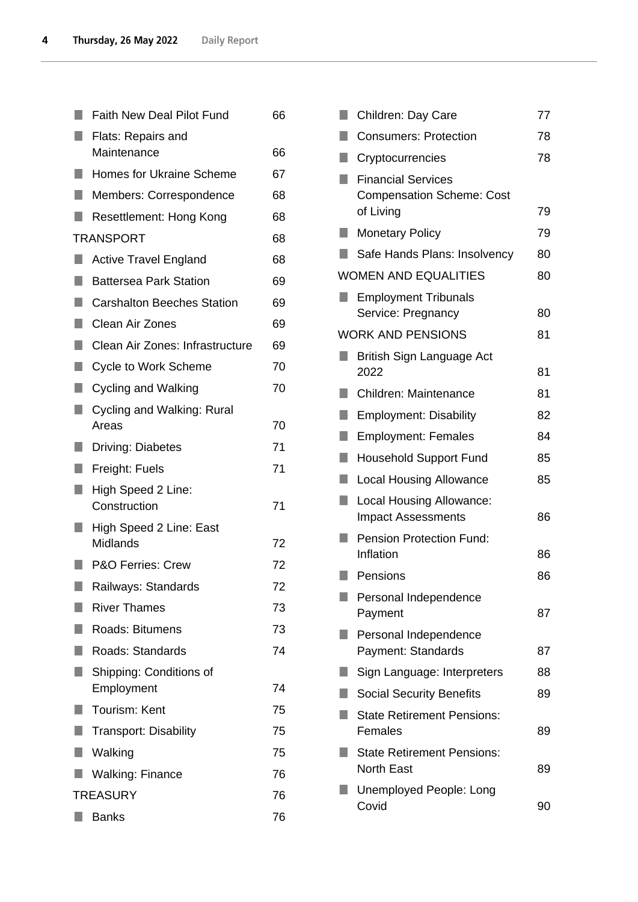|                 | <b>Faith New Deal Pilot Fund</b>    | 66 |
|-----------------|-------------------------------------|----|
|                 | Flats: Repairs and                  |    |
|                 | Maintenance                         | 66 |
| ٠               | <b>Homes for Ukraine Scheme</b>     | 67 |
|                 | Members: Correspondence             | 68 |
|                 | Resettlement: Hong Kong             | 68 |
|                 | <b>TRANSPORT</b>                    | 68 |
|                 | <b>Active Travel England</b>        | 68 |
| ٠               | <b>Battersea Park Station</b>       | 69 |
| ٠               | <b>Carshalton Beeches Station</b>   | 69 |
| H               | Clean Air Zones                     | 69 |
| F.              | Clean Air Zones: Infrastructure     | 69 |
| ٠               | <b>Cycle to Work Scheme</b>         | 70 |
| M.              | Cycling and Walking                 | 70 |
| ٠               | Cycling and Walking: Rural<br>Areas | 70 |
|                 | <b>Driving: Diabetes</b>            | 71 |
| ×.              | Freight: Fuels                      | 71 |
|                 | High Speed 2 Line:                  |    |
|                 | Construction                        | 71 |
|                 | High Speed 2 Line: East<br>Midlands | 72 |
|                 | <b>P&amp;O Ferries: Crew</b>        | 72 |
|                 | Railways: Standards                 | 72 |
|                 | <b>River Thames</b>                 | 73 |
| ٠               | <b>Roads: Bitumens</b>              | 73 |
|                 | Roads: Standards                    | 74 |
|                 | Shipping: Conditions of             |    |
|                 | Employment                          | 74 |
|                 | <b>Tourism: Kent</b>                | 75 |
| ۹               | <b>Transport: Disability</b>        | 75 |
|                 | Walking                             | 75 |
|                 | <b>Walking: Finance</b>             | 76 |
| <b>TREASURY</b> |                                     | 76 |
|                 | <b>Banks</b>                        | 76 |

| ×. | Children: Day Care                                                         | 77 |
|----|----------------------------------------------------------------------------|----|
|    | <b>Consumers: Protection</b>                                               | 78 |
|    | Cryptocurrencies                                                           | 78 |
| ٠  | <b>Financial Services</b><br><b>Compensation Scheme: Cost</b><br>of Living | 79 |
|    | <b>Monetary Policy</b>                                                     | 79 |
|    | Safe Hands Plans: Insolvency                                               | 80 |
|    | <b>WOMEN AND EQUALITIES</b>                                                | 80 |
|    | <b>Employment Tribunals</b><br>Service: Pregnancy                          | 80 |
|    | <b>WORK AND PENSIONS</b>                                                   | 81 |
|    | British Sign Language Act<br>2022                                          | 81 |
|    | Children: Maintenance                                                      | 81 |
| ŋ  | <b>Employment: Disability</b>                                              | 82 |
| ٠  | <b>Employment: Females</b>                                                 | 84 |
|    | <b>Household Support Fund</b>                                              | 85 |
| ٠  | <b>Local Housing Allowance</b>                                             | 85 |
| ×. | Local Housing Allowance:<br><b>Impact Assessments</b>                      | 86 |
|    | <b>Pension Protection Fund:</b><br>Inflation                               | 86 |
|    | Pensions                                                                   | 86 |
|    | Personal Independence<br>Payment                                           | 87 |
|    | Personal Independence<br>Payment: Standards                                | 87 |
|    | Sign Language: Interpreters                                                | 88 |
|    | <b>Social Security Benefits</b>                                            | 89 |
|    | <b>State Retirement Pensions:</b><br>Females                               | 89 |
|    | <b>State Retirement Pensions:</b><br><b>North East</b>                     | 89 |
|    | Unemployed People: Long<br>Covid                                           | 90 |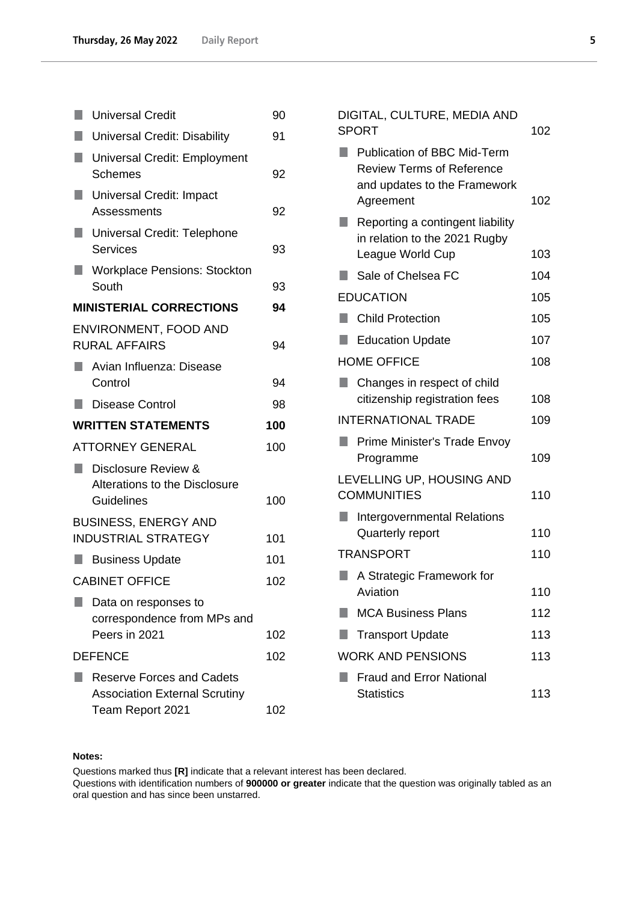|                           | <b>Universal Credit</b>                                                                      | 90  |
|---------------------------|----------------------------------------------------------------------------------------------|-----|
|                           | <b>Universal Credit: Disability</b>                                                          | 91  |
|                           | <b>Universal Credit: Employment</b><br><b>Schemes</b>                                        | 92  |
|                           | Universal Credit: Impact<br>Assessments                                                      | 92  |
| $\blacksquare$            | Universal Credit: Telephone<br>Services                                                      | 93  |
|                           | <b>Workplace Pensions: Stockton</b><br>South                                                 | 93  |
|                           | <b>MINISTERIAL CORRECTIONS</b>                                                               | 94  |
|                           | ENVIRONMENT, FOOD AND<br><b>RURAL AFFAIRS</b>                                                | 94  |
|                           | Avian Influenza: Disease<br>Control                                                          | 94  |
| ш                         | <b>Disease Control</b>                                                                       | 98  |
| <b>WRITTEN STATEMENTS</b> |                                                                                              |     |
|                           |                                                                                              | 100 |
|                           | <b>ATTORNEY GENERAL</b>                                                                      | 100 |
| a a                       | Disclosure Review &<br>Alterations to the Disclosure<br><b>Guidelines</b>                    | 100 |
|                           |                                                                                              |     |
|                           | <b>BUSINESS, ENERGY AND</b><br><b>INDUSTRIAL STRATEGY</b>                                    | 101 |
| L.                        | <b>Business Update</b>                                                                       | 101 |
|                           | <b>CABINET OFFICE</b>                                                                        | 102 |
|                           | Data on responses to<br>correspondence from MPs and<br>Peers in 2021                         | 102 |
|                           | <b>DEFENCE</b>                                                                               | 102 |
|                           | <b>Reserve Forces and Cadets</b><br><b>Association External Scrutiny</b><br>Team Report 2021 | 102 |

| DIGITAL, CULTURE, MEDIA AND<br><b>SPORT</b> |                                                                                                                     | 102 |
|---------------------------------------------|---------------------------------------------------------------------------------------------------------------------|-----|
|                                             | <b>Publication of BBC Mid-Term</b><br><b>Review Terms of Reference</b><br>and updates to the Framework<br>Agreement | 102 |
| 0                                           | Reporting a contingent liability<br>in relation to the 2021 Rugby<br>League World Cup                               | 103 |
|                                             | Sale of Chelsea FC                                                                                                  | 104 |
|                                             | <b>EDUCATION</b>                                                                                                    | 105 |
| L.                                          | <b>Child Protection</b>                                                                                             | 105 |
| $\blacksquare$                              | <b>Education Update</b>                                                                                             | 107 |
|                                             | <b>HOME OFFICE</b>                                                                                                  | 108 |
|                                             | Changes in respect of child<br>citizenship registration fees                                                        | 108 |
|                                             | <b>INTERNATIONAL TRADE</b>                                                                                          |     |
| ٠                                           | Prime Minister's Trade Envoy<br>Programme                                                                           | 109 |
|                                             | LEVELLING UP, HOUSING AND<br><b>COMMUNITIES</b>                                                                     | 110 |
|                                             | Intergovernmental Relations<br>Quarterly report                                                                     | 110 |
|                                             | <b>TRANSPORT</b>                                                                                                    | 110 |
|                                             | A Strategic Framework for<br>Aviation                                                                               | 110 |
|                                             | <b>MCA Business Plans</b>                                                                                           | 112 |
|                                             | <b>Transport Update</b>                                                                                             | 113 |
|                                             | <b>WORK AND PENSIONS</b>                                                                                            | 113 |
|                                             | <b>Fraud and Error National</b><br><b>Statistics</b>                                                                | 113 |

# **Notes:**

Questions marked thus **[R]** indicate that a relevant interest has been declared.

Questions with identification numbers of **900000 or greater** indicate that the question was originally tabled as an oral question and has since been unstarred.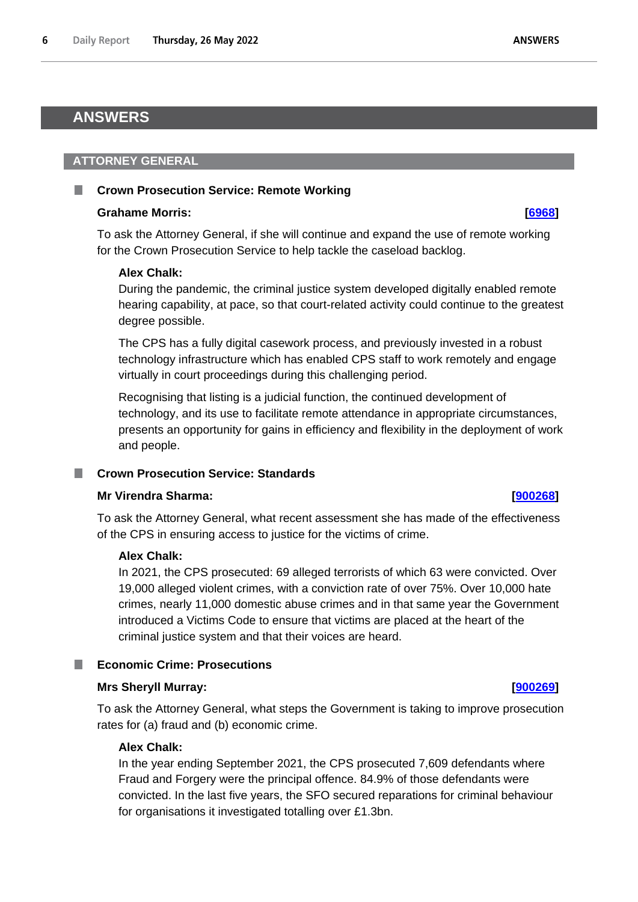# <span id="page-5-0"></span>**ANSWERS**

# <span id="page-5-1"></span>**ATTORNEY GENERAL**

# <span id="page-5-2"></span>**Crown Prosecution Service: Remote Working**

## **Grahame Morris: [\[6968\]](http://www.parliament.uk/business/publications/written-questions-answers-statements/written-question/Commons/2022-05-23/6968)**

To ask the Attorney General, if she will continue and expand the use of remote working for the Crown Prosecution Service to help tackle the caseload backlog.

# **Alex Chalk:**

During the pandemic, the criminal justice system developed digitally enabled remote hearing capability, at pace, so that court-related activity could continue to the greatest degree possible.

The CPS has a fully digital casework process, and previously invested in a robust technology infrastructure which has enabled CPS staff to work remotely and engage virtually in court proceedings during this challenging period.

Recognising that listing is a judicial function, the continued development of technology, and its use to facilitate remote attendance in appropriate circumstances, presents an opportunity for gains in efficiency and flexibility in the deployment of work and people.

# <span id="page-5-3"></span>**Crown Prosecution Service: Standards**

## **Mr Virendra Sharma: [\[900268\]](http://www.parliament.uk/business/publications/written-questions-answers-statements/written-question/Commons/2022-05-26/900268)**

To ask the Attorney General, what recent assessment she has made of the effectiveness of the CPS in ensuring access to justice for the victims of crime.

# **Alex Chalk:**

In 2021, the CPS prosecuted: 69 alleged terrorists of which 63 were convicted. Over 19,000 alleged violent crimes, with a conviction rate of over 75%. Over 10,000 hate crimes, nearly 11,000 domestic abuse crimes and in that same year the Government introduced a Victims Code to ensure that victims are placed at the heart of the criminal justice system and that their voices are heard.

# <span id="page-5-4"></span>**Economic Crime: Prosecutions**

## **Mrs Sheryll Murray: [\[900269\]](http://www.parliament.uk/business/publications/written-questions-answers-statements/written-question/Commons/2022-05-26/900269)**

To ask the Attorney General, what steps the Government is taking to improve prosecution rates for (a) fraud and (b) economic crime.

# **Alex Chalk:**

In the year ending September 2021, the CPS prosecuted 7,609 defendants where Fraud and Forgery were the principal offence. 84.9% of those defendants were convicted. In the last five years, the SFO secured reparations for criminal behaviour for organisations it investigated totalling over £1.3bn.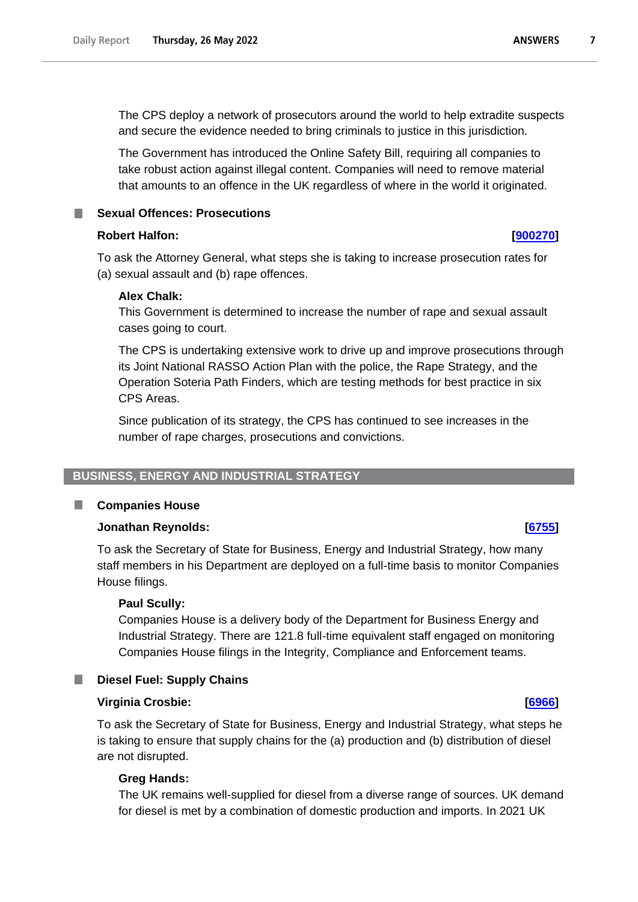The CPS deploy a network of prosecutors around the world to help extradite suspects and secure the evidence needed to bring criminals to justice in this jurisdiction.

The Government has introduced the Online Safety Bill, requiring all companies to take robust action against illegal content. Companies will need to remove material that amounts to an offence in the UK regardless of where in the world it originated.

<span id="page-6-0"></span>**Sexual Offences: Prosecutions**

## **Robert Halfon: [\[900270\]](http://www.parliament.uk/business/publications/written-questions-answers-statements/written-question/Commons/2022-05-26/900270)**

To ask the Attorney General, what steps she is taking to increase prosecution rates for (a) sexual assault and (b) rape offences.

## **Alex Chalk:**

This Government is determined to increase the number of rape and sexual assault cases going to court.

The CPS is undertaking extensive work to drive up and improve prosecutions through its Joint National RASSO Action Plan with the police, the Rape Strategy, and the Operation Soteria Path Finders, which are testing methods for best practice in six CPS Areas.

Since publication of its strategy, the CPS has continued to see increases in the number of rape charges, prosecutions and convictions.

# <span id="page-6-1"></span>**BUSINESS, ENERGY AND INDUSTRIAL STRATEGY**

#### <span id="page-6-2"></span>T. **Companies House**

# **Jonathan Reynolds: [\[6755\]](http://www.parliament.uk/business/publications/written-questions-answers-statements/written-question/Commons/2022-05-23/6755)**

To ask the Secretary of State for Business, Energy and Industrial Strategy, how many staff members in his Department are deployed on a full-time basis to monitor Companies House filings.

## **Paul Scully:**

Companies House is a delivery body of the Department for Business Energy and Industrial Strategy. There are 121.8 full-time equivalent staff engaged on monitoring Companies House filings in the Integrity, Compliance and Enforcement teams.

# <span id="page-6-3"></span>**Diesel Fuel: Supply Chains**

## **Virginia Crosbie: [\[6966\]](http://www.parliament.uk/business/publications/written-questions-answers-statements/written-question/Commons/2022-05-23/6966)**

To ask the Secretary of State for Business, Energy and Industrial Strategy, what steps he is taking to ensure that supply chains for the (a) production and (b) distribution of diesel are not disrupted.

## **Greg Hands:**

The UK remains well-supplied for diesel from a diverse range of sources. UK demand for diesel is met by a combination of domestic production and imports. In 2021 UK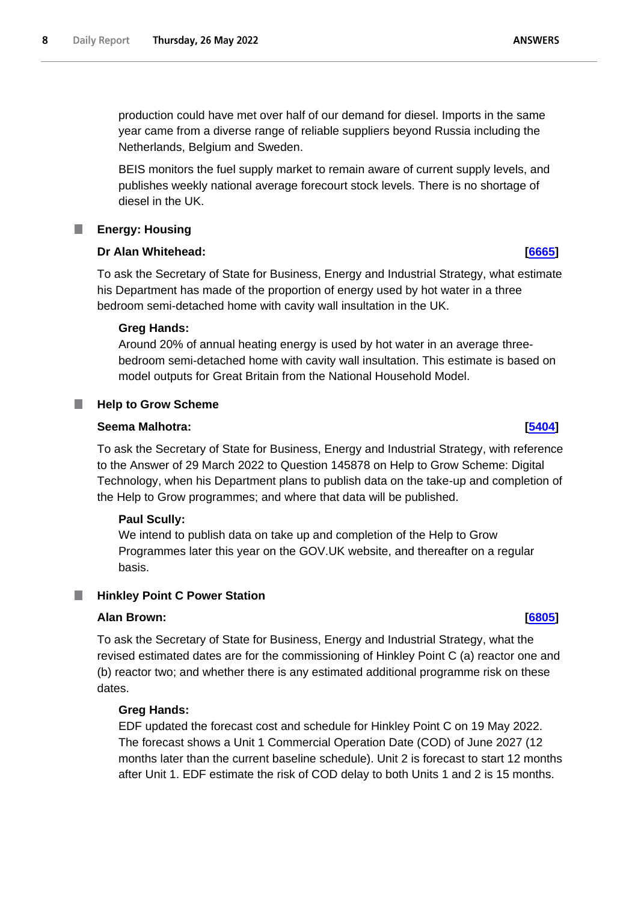production could have met over half of our demand for diesel. Imports in the same year came from a diverse range of reliable suppliers beyond Russia including the Netherlands, Belgium and Sweden.

BEIS monitors the fuel supply market to remain aware of current supply levels, and publishes weekly national average forecourt stock levels. There is no shortage of diesel in the UK.

# <span id="page-7-0"></span>**Energy: Housing**

# **Dr Alan Whitehead: [\[6665\]](http://www.parliament.uk/business/publications/written-questions-answers-statements/written-question/Commons/2022-05-23/6665)**

To ask the Secretary of State for Business, Energy and Industrial Strategy, what estimate his Department has made of the proportion of energy used by hot water in a three bedroom semi-detached home with cavity wall insultation in the UK.

# **Greg Hands:**

Around 20% of annual heating energy is used by hot water in an average threebedroom semi-detached home with cavity wall insultation. This estimate is based on model outputs for Great Britain from the National Household Model.

#### <span id="page-7-1"></span>ш **Help to Grow Scheme**

## **Seema Malhotra: [\[5404\]](http://www.parliament.uk/business/publications/written-questions-answers-statements/written-question/Commons/2022-05-19/5404)**

To ask the Secretary of State for Business, Energy and Industrial Strategy, with reference to the Answer of 29 March 2022 to Question 145878 on Help to Grow Scheme: Digital Technology, when his Department plans to publish data on the take-up and completion of the Help to Grow programmes; and where that data will be published.

## **Paul Scully:**

We intend to publish data on take up and completion of the Help to Grow Programmes later this year on the GOV.UK website, and thereafter on a regular basis.

# <span id="page-7-2"></span>**Hinkley Point C Power Station**

## **Alan Brown: [\[6805\]](http://www.parliament.uk/business/publications/written-questions-answers-statements/written-question/Commons/2022-05-23/6805)**

To ask the Secretary of State for Business, Energy and Industrial Strategy, what the revised estimated dates are for the commissioning of Hinkley Point C (a) reactor one and (b) reactor two; and whether there is any estimated additional programme risk on these dates.

## **Greg Hands:**

EDF updated the forecast cost and schedule for Hinkley Point C on 19 May 2022. The forecast shows a Unit 1 Commercial Operation Date (COD) of June 2027 (12 months later than the current baseline schedule). Unit 2 is forecast to start 12 months after Unit 1. EDF estimate the risk of COD delay to both Units 1 and 2 is 15 months.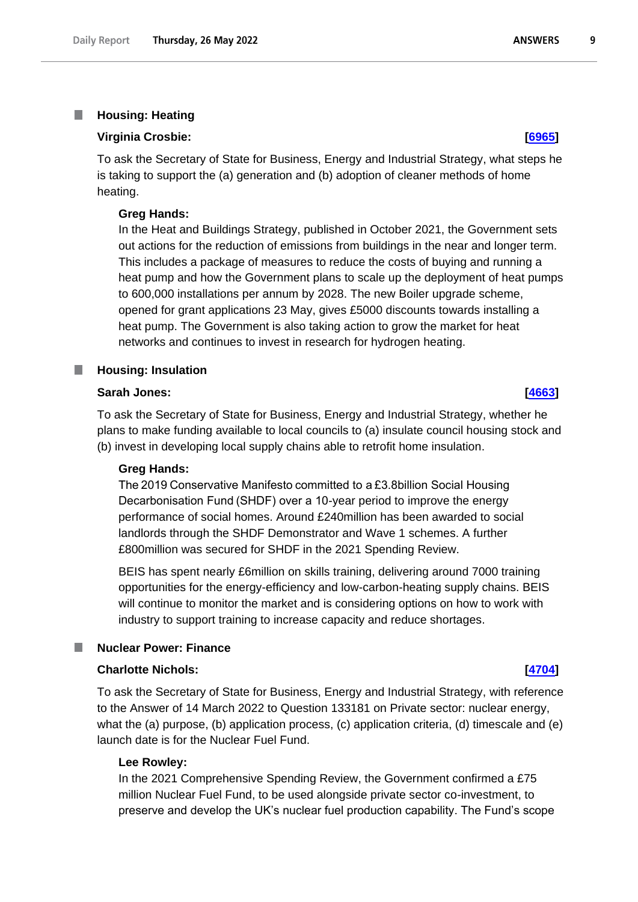#### <span id="page-8-0"></span>T. **Housing: Heating**

### **Virginia Crosbie: [\[6965\]](http://www.parliament.uk/business/publications/written-questions-answers-statements/written-question/Commons/2022-05-23/6965)**

To ask the Secretary of State for Business, Energy and Industrial Strategy, what steps he is taking to support the (a) generation and (b) adoption of cleaner methods of home heating.

### **Greg Hands:**

In the Heat and Buildings Strategy, published in October 2021, the Government sets out actions for the reduction of emissions from buildings in the near and longer term. This includes a package of measures to reduce the costs of buying and running a heat pump and how the Government plans to scale up the deployment of heat pumps to 600,000 installations per annum by 2028. The new Boiler upgrade scheme, opened for grant applications 23 May, gives £5000 discounts towards installing a heat pump. The Government is also taking action to grow the market for heat networks and continues to invest in research for hydrogen heating.

#### <span id="page-8-1"></span>**Housing: Insulation** П

# **Sarah Jones: [\[4663\]](http://www.parliament.uk/business/publications/written-questions-answers-statements/written-question/Commons/2022-05-18/4663)**

To ask the Secretary of State for Business, Energy and Industrial Strategy, whether he plans to make funding available to local councils to (a) insulate council housing stock and (b) invest in developing local supply chains able to retrofit home insulation.

#### **Greg Hands:**

The 2019 Conservative Manifesto committed to a £3.8billion Social Housing Decarbonisation Fund (SHDF) over a 10-year period to improve the energy performance of social homes. Around £240million has been awarded to social landlords through the SHDF Demonstrator and Wave 1 schemes. A further £800million was secured for SHDF in the 2021 Spending Review.

BEIS has spent nearly £6million on skills training, delivering around 7000 training opportunities for the energy-efficiency and low-carbon-heating supply chains. BEIS will continue to monitor the market and is considering options on how to work with industry to support training to increase capacity and reduce shortages.

#### <span id="page-8-2"></span>П **Nuclear Power: Finance**

#### **Charlotte Nichols: [\[4704\]](http://www.parliament.uk/business/publications/written-questions-answers-statements/written-question/Commons/2022-05-18/4704)**

To ask the Secretary of State for Business, Energy and Industrial Strategy, with reference to the Answer of 14 March 2022 to Question 133181 on Private sector: nuclear energy, what the (a) purpose, (b) application process, (c) application criteria, (d) timescale and (e) launch date is for the Nuclear Fuel Fund.

#### **Lee Rowley:**

In the 2021 Comprehensive Spending Review, the Government confirmed a £75 million Nuclear Fuel Fund, to be used alongside private sector co-investment, to preserve and develop the UK's nuclear fuel production capability. The Fund's scope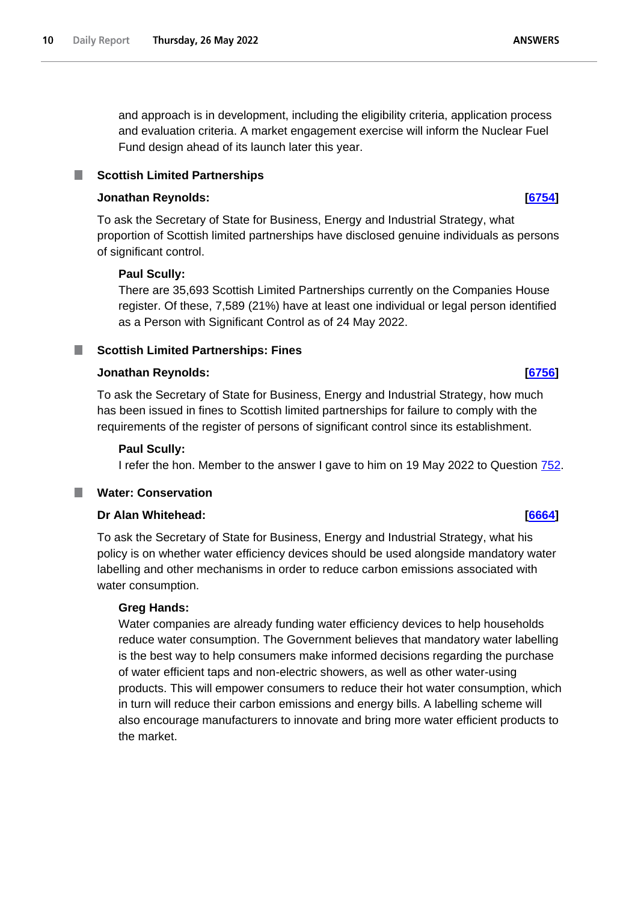and approach is in development, including the eligibility criteria, application process and evaluation criteria. A market engagement exercise will inform the Nuclear Fuel Fund design ahead of its launch later this year.

#### <span id="page-9-0"></span>**Scottish Limited Partnerships** .

# **Jonathan Reynolds: [\[6754\]](http://www.parliament.uk/business/publications/written-questions-answers-statements/written-question/Commons/2022-05-23/6754)**

To ask the Secretary of State for Business, Energy and Industrial Strategy, what proportion of Scottish limited partnerships have disclosed genuine individuals as persons of significant control.

# **Paul Scully:**

There are 35,693 Scottish Limited Partnerships currently on the Companies House register. Of these, 7,589 (21%) have at least one individual or legal person identified as a Person with Significant Control as of 24 May 2022.

# <span id="page-9-1"></span>**Nullective Scottish Limited Partnerships: Fines**

# **Jonathan Reynolds: [\[6756\]](http://www.parliament.uk/business/publications/written-questions-answers-statements/written-question/Commons/2022-05-23/6756)**

To ask the Secretary of State for Business, Energy and Industrial Strategy, how much has been issued in fines to Scottish limited partnerships for failure to comply with the requirements of the register of persons of significant control since its establishment.

## **Paul Scully:**

I refer the hon. Member to the answer I gave to him on 19 May 2022 to Question 752.

# <span id="page-9-2"></span>**Water: Conservation**

# **Dr Alan Whitehead: [\[6664\]](http://www.parliament.uk/business/publications/written-questions-answers-statements/written-question/Commons/2022-05-23/6664)**

To ask the Secretary of State for Business, Energy and Industrial Strategy, what his policy is on whether water efficiency devices should be used alongside mandatory water labelling and other mechanisms in order to reduce carbon emissions associated with water consumption.

## **Greg Hands:**

Water companies are already funding water efficiency devices to help households reduce water consumption. The Government believes that mandatory water labelling is the best way to help consumers make informed decisions regarding the purchase of water efficient taps and non-electric showers, as well as other water-using products. This will empower consumers to reduce their hot water consumption, which in turn will reduce their carbon emissions and energy bills. A labelling scheme will also encourage manufacturers to innovate and bring more water efficient products to the market.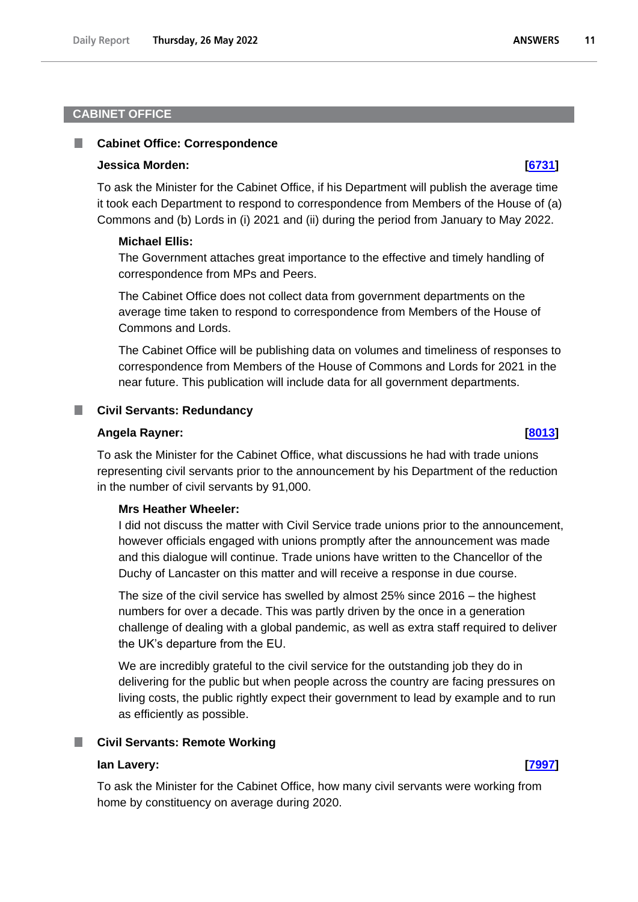# <span id="page-10-0"></span>**CABINET OFFICE**

#### <span id="page-10-1"></span>**Cabinet Office: Correspondence** ш

#### **Jessica Morden: [\[6731\]](http://www.parliament.uk/business/publications/written-questions-answers-statements/written-question/Commons/2022-05-23/6731)**

To ask the Minister for the Cabinet Office, if his Department will publish the average time it took each Department to respond to correspondence from Members of the House of (a) Commons and (b) Lords in (i) 2021 and (ii) during the period from January to May 2022.

#### **Michael Ellis:**

The Government attaches great importance to the effective and timely handling of correspondence from MPs and Peers.

The Cabinet Office does not collect data from government departments on the average time taken to respond to correspondence from Members of the House of Commons and Lords.

The Cabinet Office will be publishing data on volumes and timeliness of responses to correspondence from Members of the House of Commons and Lords for 2021 in the near future. This publication will include data for all government departments.

#### <span id="page-10-2"></span>**Civil Servants: Redundancy**

#### **Angela Rayner: [\[8013\]](http://www.parliament.uk/business/publications/written-questions-answers-statements/written-question/Commons/2022-05-24/8013)**

To ask the Minister for the Cabinet Office, what discussions he had with trade unions representing civil servants prior to the announcement by his Department of the reduction in the number of civil servants by 91,000.

### **Mrs Heather Wheeler:**

I did not discuss the matter with Civil Service trade unions prior to the announcement, however officials engaged with unions promptly after the announcement was made and this dialogue will continue. Trade unions have written to the Chancellor of the Duchy of Lancaster on this matter and will receive a response in due course.

The size of the civil service has swelled by almost 25% since 2016 – the highest numbers for over a decade. This was partly driven by the once in a generation challenge of dealing with a global pandemic, as well as extra staff required to deliver the UK's departure from the EU.

We are incredibly grateful to the civil service for the outstanding job they do in delivering for the public but when people across the country are facing pressures on living costs, the public rightly expect their government to lead by example and to run as efficiently as possible.

#### <span id="page-10-3"></span>**Civil Servants: Remote Working**

#### **Ian Lavery: [\[7997\]](http://www.parliament.uk/business/publications/written-questions-answers-statements/written-question/Commons/2022-05-24/7997)**

To ask the Minister for the Cabinet Office, how many civil servants were working from home by constituency on average during 2020.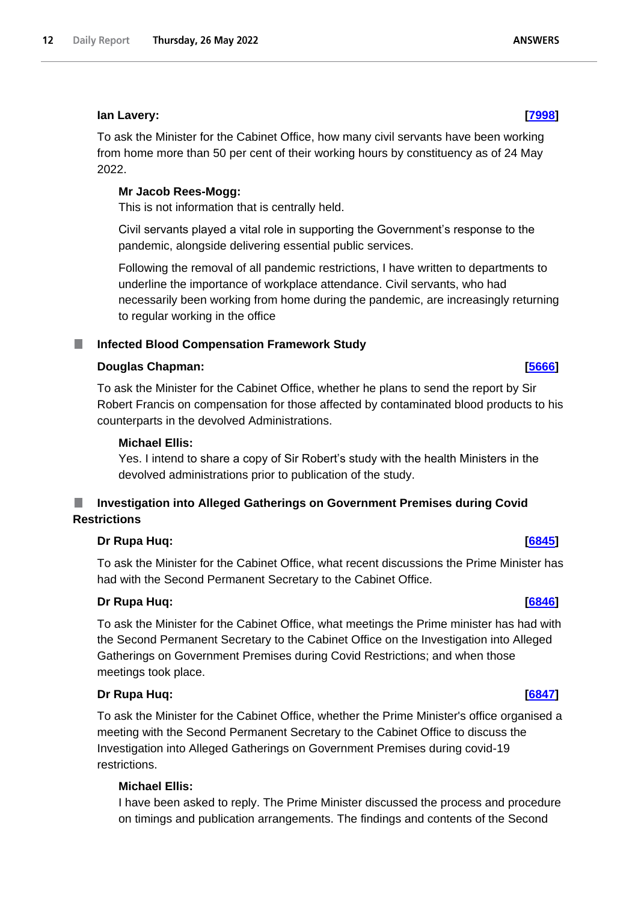## **Ian Lavery: [\[7998\]](http://www.parliament.uk/business/publications/written-questions-answers-statements/written-question/Commons/2022-05-24/7998)**

To ask the Minister for the Cabinet Office, how many civil servants have been working from home more than 50 per cent of their working hours by constituency as of 24 May 2022.

# **Mr Jacob Rees-Mogg:**

This is not information that is centrally held.

Civil servants played a vital role in supporting the Government's response to the pandemic, alongside delivering essential public services.

Following the removal of all pandemic restrictions, I have written to departments to underline the importance of workplace attendance. Civil servants, who had necessarily been working from home during the pandemic, are increasingly returning to regular working in the office

#### <span id="page-11-0"></span>**Infected Blood Compensation Framework Study** ш

## **Douglas Chapman: [\[5666\]](http://www.parliament.uk/business/publications/written-questions-answers-statements/written-question/Commons/2022-05-20/5666)**

To ask the Minister for the Cabinet Office, whether he plans to send the report by Sir Robert Francis on compensation for those affected by contaminated blood products to his counterparts in the devolved Administrations.

## **Michael Ellis:**

Yes. I intend to share a copy of Sir Robert's study with the health Ministers in the devolved administrations prior to publication of the study.

# <span id="page-11-1"></span>**Investigation into Alleged Gatherings on Government Premises during Covid Restrictions**

## **Dr Rupa Huq: [\[6845\]](http://www.parliament.uk/business/publications/written-questions-answers-statements/written-question/Commons/2022-05-23/6845)**

To ask the Minister for the Cabinet Office, what recent discussions the Prime Minister has had with the Second Permanent Secretary to the Cabinet Office.

# **Dr Rupa Huq: [\[6846\]](http://www.parliament.uk/business/publications/written-questions-answers-statements/written-question/Commons/2022-05-23/6846)**

To ask the Minister for the Cabinet Office, what meetings the Prime minister has had with the Second Permanent Secretary to the Cabinet Office on the Investigation into Alleged Gatherings on Government Premises during Covid Restrictions; and when those meetings took place.

## **Dr Rupa Huq: [\[6847\]](http://www.parliament.uk/business/publications/written-questions-answers-statements/written-question/Commons/2022-05-23/6847)**

To ask the Minister for the Cabinet Office, whether the Prime Minister's office organised a meeting with the Second Permanent Secretary to the Cabinet Office to discuss the Investigation into Alleged Gatherings on Government Premises during covid-19 restrictions.

# **Michael Ellis:**

I have been asked to reply. The Prime Minister discussed the process and procedure on timings and publication arrangements. The findings and contents of the Second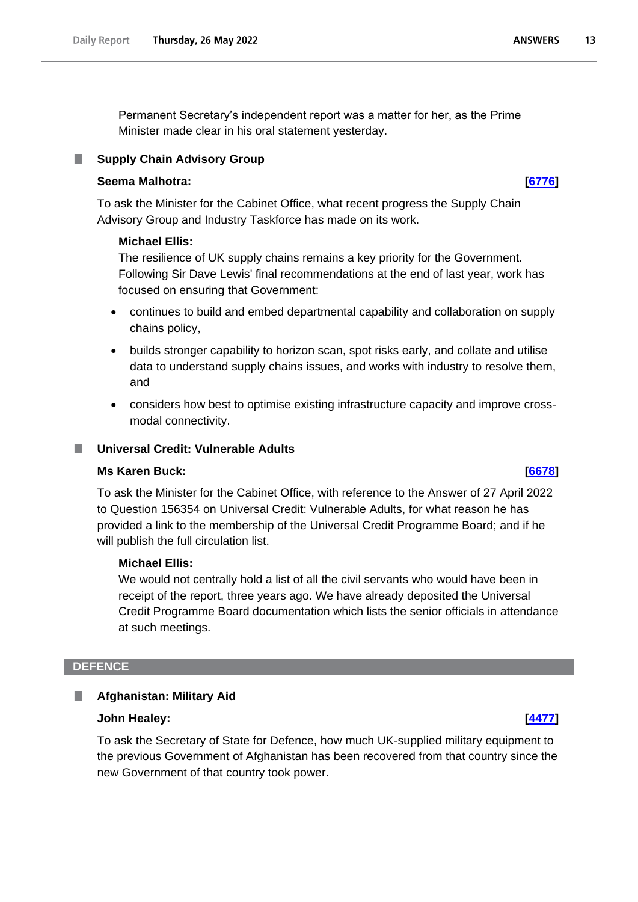Permanent Secretary's independent report was a matter for her, as the Prime Minister made clear in his oral statement yesterday.

# <span id="page-12-0"></span>**Supply Chain Advisory Group**

## **Seema Malhotra: [\[6776\]](http://www.parliament.uk/business/publications/written-questions-answers-statements/written-question/Commons/2022-05-23/6776)**

To ask the Minister for the Cabinet Office, what recent progress the Supply Chain Advisory Group and Industry Taskforce has made on its work.

## **Michael Ellis:**

The resilience of UK supply chains remains a key priority for the Government. Following Sir Dave Lewis' final recommendations at the end of last year, work has focused on ensuring that Government:

- continues to build and embed departmental capability and collaboration on supply chains policy,
- builds stronger capability to horizon scan, spot risks early, and collate and utilise data to understand supply chains issues, and works with industry to resolve them, and
- considers how best to optimise existing infrastructure capacity and improve crossmodal connectivity.

## <span id="page-12-1"></span>**Universal Credit: Vulnerable Adults**

## **Ms Karen Buck: [\[6678\]](http://www.parliament.uk/business/publications/written-questions-answers-statements/written-question/Commons/2022-05-23/6678)**

To ask the Minister for the Cabinet Office, with reference to the Answer of 27 April 2022 to Question 156354 on Universal Credit: Vulnerable Adults, for what reason he has provided a link to the membership of the Universal Credit Programme Board; and if he will publish the full circulation list.

## **Michael Ellis:**

We would not centrally hold a list of all the civil servants who would have been in receipt of the report, three years ago. We have already deposited the Universal Credit Programme Board documentation which lists the senior officials in attendance at such meetings.

#### <span id="page-12-2"></span>**DEFENCE**

#### <span id="page-12-3"></span>**Afghanistan: Military Aid** П

#### **John Healey: [\[4477\]](http://www.parliament.uk/business/publications/written-questions-answers-statements/written-question/Commons/2022-05-18/4477)**

To ask the Secretary of State for Defence, how much UK-supplied military equipment to the previous Government of Afghanistan has been recovered from that country since the new Government of that country took power.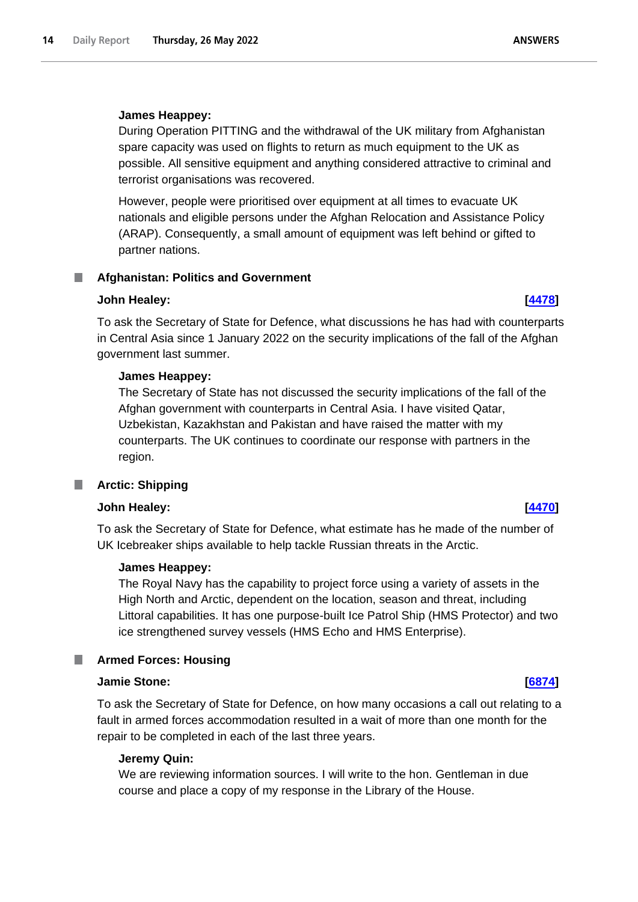## **James Heappey:**

During Operation PITTING and the withdrawal of the UK military from Afghanistan spare capacity was used on flights to return as much equipment to the UK as possible. All sensitive equipment and anything considered attractive to criminal and terrorist organisations was recovered.

However, people were prioritised over equipment at all times to evacuate UK nationals and eligible persons under the Afghan Relocation and Assistance Policy (ARAP). Consequently, a small amount of equipment was left behind or gifted to partner nations.

#### <span id="page-13-0"></span>**Afghanistan: Politics and Government** .

## **John Healey: [\[4478\]](http://www.parliament.uk/business/publications/written-questions-answers-statements/written-question/Commons/2022-05-18/4478)**

To ask the Secretary of State for Defence, what discussions he has had with counterparts in Central Asia since 1 January 2022 on the security implications of the fall of the Afghan government last summer.

## **James Heappey:**

The Secretary of State has not discussed the security implications of the fall of the Afghan government with counterparts in Central Asia. I have visited Qatar, Uzbekistan, Kazakhstan and Pakistan and have raised the matter with my counterparts. The UK continues to coordinate our response with partners in the region.

#### <span id="page-13-1"></span>n. **Arctic: Shipping**

## **John Healey: [\[4470\]](http://www.parliament.uk/business/publications/written-questions-answers-statements/written-question/Commons/2022-05-18/4470)**

To ask the Secretary of State for Defence, what estimate has he made of the number of UK Icebreaker ships available to help tackle Russian threats in the Arctic.

## **James Heappey:**

The Royal Navy has the capability to project force using a variety of assets in the High North and Arctic, dependent on the location, season and threat, including Littoral capabilities. It has one purpose-built Ice Patrol Ship (HMS Protector) and two ice strengthened survey vessels (HMS Echo and HMS Enterprise).

## <span id="page-13-2"></span>**Armed Forces: Housing**

#### **Jamie Stone: [\[6874\]](http://www.parliament.uk/business/publications/written-questions-answers-statements/written-question/Commons/2022-05-23/6874)**

To ask the Secretary of State for Defence, on how many occasions a call out relating to a fault in armed forces accommodation resulted in a wait of more than one month for the repair to be completed in each of the last three years.

## **Jeremy Quin:**

We are reviewing information sources. I will write to the hon. Gentleman in due course and place a copy of my response in the Library of the House.

**ANSWERS**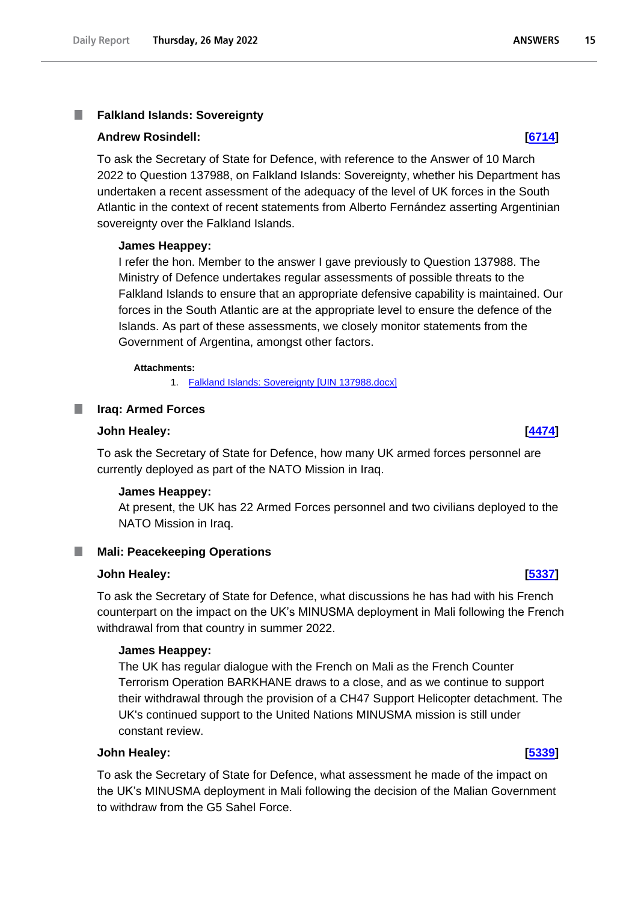## <span id="page-14-0"></span>**Falkland Islands: Sovereignty**

#### **Andrew Rosindell: [\[6714\]](http://www.parliament.uk/business/publications/written-questions-answers-statements/written-question/Commons/2022-05-23/6714)**

To ask the Secretary of State for Defence, with reference to the Answer of 10 March 2022 to Question 137988, on Falkland Islands: Sovereignty, whether his Department has undertaken a recent assessment of the adequacy of the level of UK forces in the South Atlantic in the context of recent statements from Alberto Fernández asserting Argentinian sovereignty over the Falkland Islands.

#### **James Heappey:**

I refer the hon. Member to the answer I gave previously to Question 137988. The Ministry of Defence undertakes regular assessments of possible threats to the Falkland Islands to ensure that an appropriate defensive capability is maintained. Our forces in the South Atlantic are at the appropriate level to ensure the defence of the Islands. As part of these assessments, we closely monitor statements from the Government of Argentina, amongst other factors.

#### **Attachments:**

1. [Falkland Islands: Sovereignty \[UIN 137988.docx\]](https://qna.files.parliament.uk/qna-attachments/1465005/original/UIN%20137988.docx)

#### <span id="page-14-1"></span>**Iraq: Armed Forces**

# **John Healey: [\[4474\]](http://www.parliament.uk/business/publications/written-questions-answers-statements/written-question/Commons/2022-05-18/4474)**

To ask the Secretary of State for Defence, how many UK armed forces personnel are currently deployed as part of the NATO Mission in Iraq.

#### **James Heappey:**

At present, the UK has 22 Armed Forces personnel and two civilians deployed to the NATO Mission in Iraq.

# <span id="page-14-2"></span>**Mali: Peacekeeping Operations**

#### **John Healey: [\[5337\]](http://www.parliament.uk/business/publications/written-questions-answers-statements/written-question/Commons/2022-05-19/5337)**

To ask the Secretary of State for Defence, what discussions he has had with his French counterpart on the impact on the UK's MINUSMA deployment in Mali following the French withdrawal from that country in summer 2022.

#### **James Heappey:**

The UK has regular dialogue with the French on Mali as the French Counter Terrorism Operation BARKHANE draws to a close, and as we continue to support their withdrawal through the provision of a CH47 Support Helicopter detachment. The UK's continued support to the United Nations MINUSMA mission is still under constant review.

#### **John Healey: [\[5339\]](http://www.parliament.uk/business/publications/written-questions-answers-statements/written-question/Commons/2022-05-19/5339)**

To ask the Secretary of State for Defence, what assessment he made of the impact on the UK's MINUSMA deployment in Mali following the decision of the Malian Government to withdraw from the G5 Sahel Force.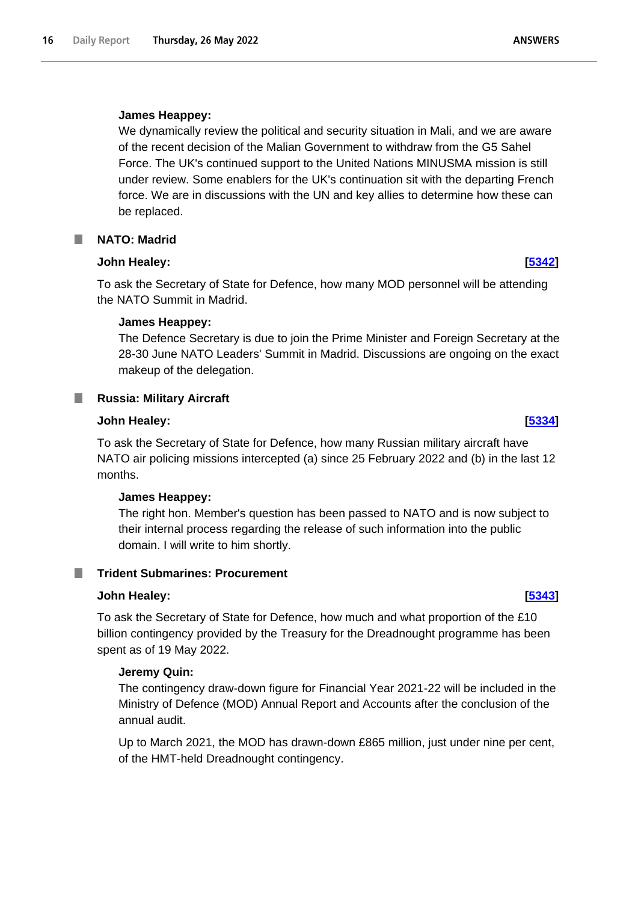# **James Heappey:**

We dynamically review the political and security situation in Mali, and we are aware of the recent decision of the Malian Government to withdraw from the G5 Sahel Force. The UK's continued support to the United Nations MINUSMA mission is still under review. Some enablers for the UK's continuation sit with the departing French force. We are in discussions with the UN and key allies to determine how these can be replaced.

# <span id="page-15-0"></span>**NATO: Madrid**

# **John Healey: [\[5342\]](http://www.parliament.uk/business/publications/written-questions-answers-statements/written-question/Commons/2022-05-19/5342)**

To ask the Secretary of State for Defence, how many MOD personnel will be attending the NATO Summit in Madrid.

# **James Heappey:**

The Defence Secretary is due to join the Prime Minister and Foreign Secretary at the 28-30 June NATO Leaders' Summit in Madrid. Discussions are ongoing on the exact makeup of the delegation.

# <span id="page-15-1"></span>**Russia: Military Aircraft**

## **John Healey: [\[5334\]](http://www.parliament.uk/business/publications/written-questions-answers-statements/written-question/Commons/2022-05-19/5334)**

To ask the Secretary of State for Defence, how many Russian military aircraft have NATO air policing missions intercepted (a) since 25 February 2022 and (b) in the last 12 months.

## **James Heappey:**

The right hon. Member's question has been passed to NATO and is now subject to their internal process regarding the release of such information into the public domain. I will write to him shortly.

# <span id="page-15-2"></span>**Trident Submarines: Procurement**

## **John Healey: [\[5343\]](http://www.parliament.uk/business/publications/written-questions-answers-statements/written-question/Commons/2022-05-19/5343)**

To ask the Secretary of State for Defence, how much and what proportion of the £10 billion contingency provided by the Treasury for the Dreadnought programme has been spent as of 19 May 2022.

## **Jeremy Quin:**

The contingency draw-down figure for Financial Year 2021-22 will be included in the Ministry of Defence (MOD) Annual Report and Accounts after the conclusion of the annual audit.

Up to March 2021, the MOD has drawn-down £865 million, just under nine per cent, of the HMT-held Dreadnought contingency.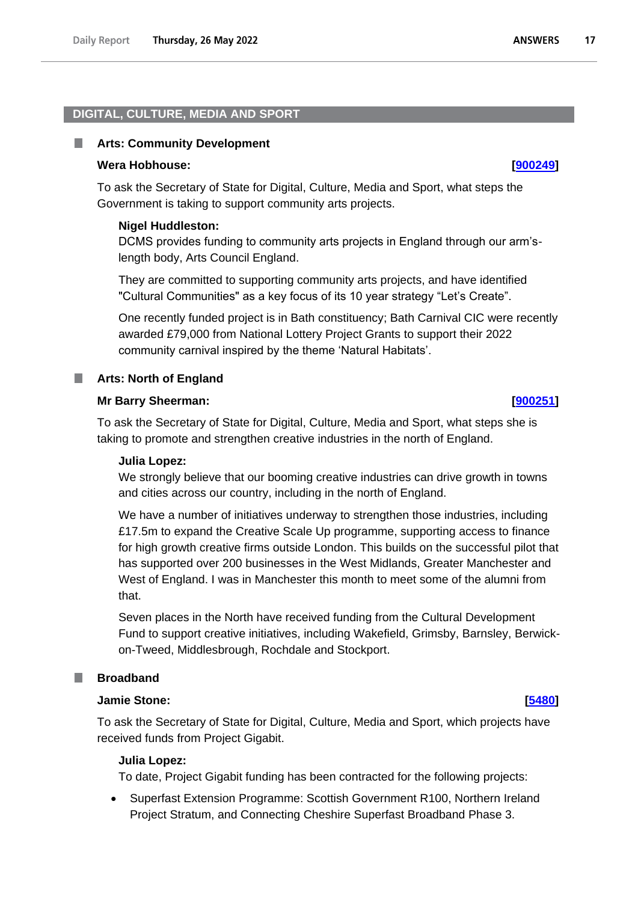#### <span id="page-16-0"></span>**DIGITAL, CULTURE, MEDIA AND SPORT**

#### <span id="page-16-1"></span>ш **Arts: Community Development**

#### **Wera Hobhouse: [\[900249\]](http://www.parliament.uk/business/publications/written-questions-answers-statements/written-question/Commons/2022-05-26/900249)**

To ask the Secretary of State for Digital, Culture, Media and Sport, what steps the Government is taking to support community arts projects.

#### **Nigel Huddleston:**

DCMS provides funding to community arts projects in England through our arm'slength body, Arts Council England.

They are committed to supporting community arts projects, and have identified "Cultural Communities" as a key focus of its 10 year strategy "Let's Create".

One recently funded project is in Bath constituency; Bath Carnival CIC were recently awarded £79,000 from National Lottery Project Grants to support their 2022 community carnival inspired by the theme 'Natural Habitats'.

#### <span id="page-16-2"></span>**Arts: North of England**

#### **Mr Barry Sheerman: [\[900251\]](http://www.parliament.uk/business/publications/written-questions-answers-statements/written-question/Commons/2022-05-26/900251)**

To ask the Secretary of State for Digital, Culture, Media and Sport, what steps she is taking to promote and strengthen creative industries in the north of England.

#### **Julia Lopez:**

We strongly believe that our booming creative industries can drive growth in towns and cities across our country, including in the north of England.

We have a number of initiatives underway to strengthen those industries, including £17.5m to expand the Creative Scale Up programme, supporting access to finance for high growth creative firms outside London. This builds on the successful pilot that has supported over 200 businesses in the West Midlands, Greater Manchester and West of England. I was in Manchester this month to meet some of the alumni from that.

Seven places in the North have received funding from the Cultural Development Fund to support creative initiatives, including Wakefield, Grimsby, Barnsley, Berwickon-Tweed, Middlesbrough, Rochdale and Stockport.

### <span id="page-16-3"></span>**Broadband**

#### **Jamie Stone: [\[5480\]](http://www.parliament.uk/business/publications/written-questions-answers-statements/written-question/Commons/2022-05-19/5480)**

To ask the Secretary of State for Digital, Culture, Media and Sport, which projects have received funds from Project Gigabit.

#### **Julia Lopez:**

To date, Project Gigabit funding has been contracted for the following projects:

• Superfast Extension Programme: Scottish Government R100, Northern Ireland Project Stratum, and Connecting Cheshire Superfast Broadband Phase 3.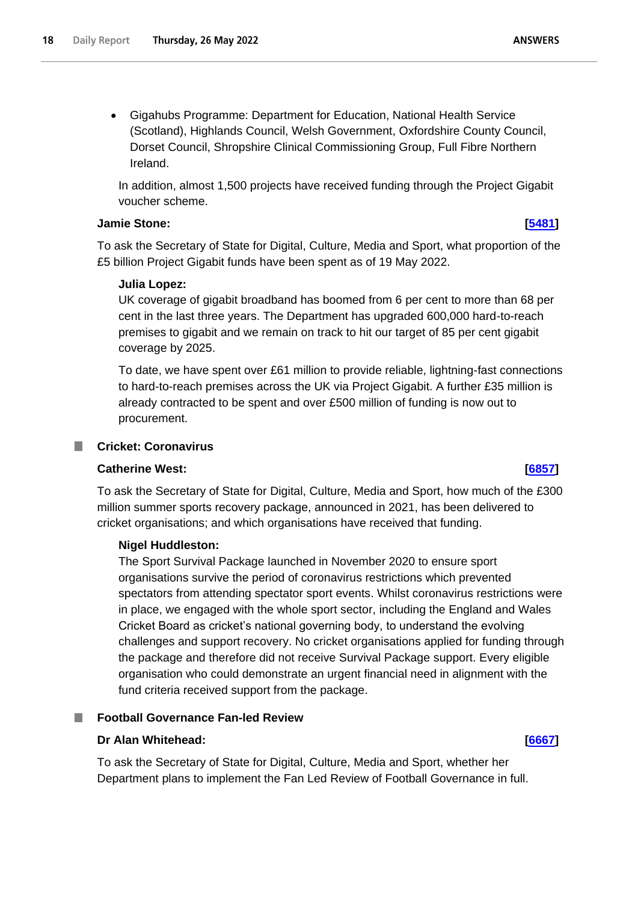• Gigahubs Programme: Department for Education, National Health Service (Scotland), Highlands Council, Welsh Government, Oxfordshire County Council, Dorset Council, Shropshire Clinical Commissioning Group, Full Fibre Northern Ireland.

In addition, almost 1,500 projects have received funding through the Project Gigabit voucher scheme.

## **Jamie Stone: [\[5481\]](http://www.parliament.uk/business/publications/written-questions-answers-statements/written-question/Commons/2022-05-19/5481)**

To ask the Secretary of State for Digital, Culture, Media and Sport, what proportion of the £5 billion Project Gigabit funds have been spent as of 19 May 2022.

# **Julia Lopez:**

UK coverage of gigabit broadband has boomed from 6 per cent to more than 68 per cent in the last three years. The Department has upgraded 600,000 hard-to-reach premises to gigabit and we remain on track to hit our target of 85 per cent gigabit coverage by 2025.

To date, we have spent over £61 million to provide reliable, lightning-fast connections to hard-to-reach premises across the UK via Project Gigabit. A further £35 million is already contracted to be spent and over £500 million of funding is now out to procurement.

## <span id="page-17-0"></span>**Cricket: Coronavirus**

## **Catherine West: [\[6857\]](http://www.parliament.uk/business/publications/written-questions-answers-statements/written-question/Commons/2022-05-23/6857)**

To ask the Secretary of State for Digital, Culture, Media and Sport, how much of the £300 million summer sports recovery package, announced in 2021, has been delivered to cricket organisations; and which organisations have received that funding.

# **Nigel Huddleston:**

The Sport Survival Package launched in November 2020 to ensure sport organisations survive the period of coronavirus restrictions which prevented spectators from attending spectator sport events. Whilst coronavirus restrictions were in place, we engaged with the whole sport sector, including the England and Wales Cricket Board as cricket's national governing body, to understand the evolving challenges and support recovery. No cricket organisations applied for funding through the package and therefore did not receive Survival Package support. Every eligible organisation who could demonstrate an urgent financial need in alignment with the fund criteria received support from the package.

# <span id="page-17-1"></span>**Football Governance Fan-led Review**

## **Dr Alan Whitehead: [\[6667\]](http://www.parliament.uk/business/publications/written-questions-answers-statements/written-question/Commons/2022-05-23/6667)**

To ask the Secretary of State for Digital, Culture, Media and Sport, whether her Department plans to implement the Fan Led Review of Football Governance in full.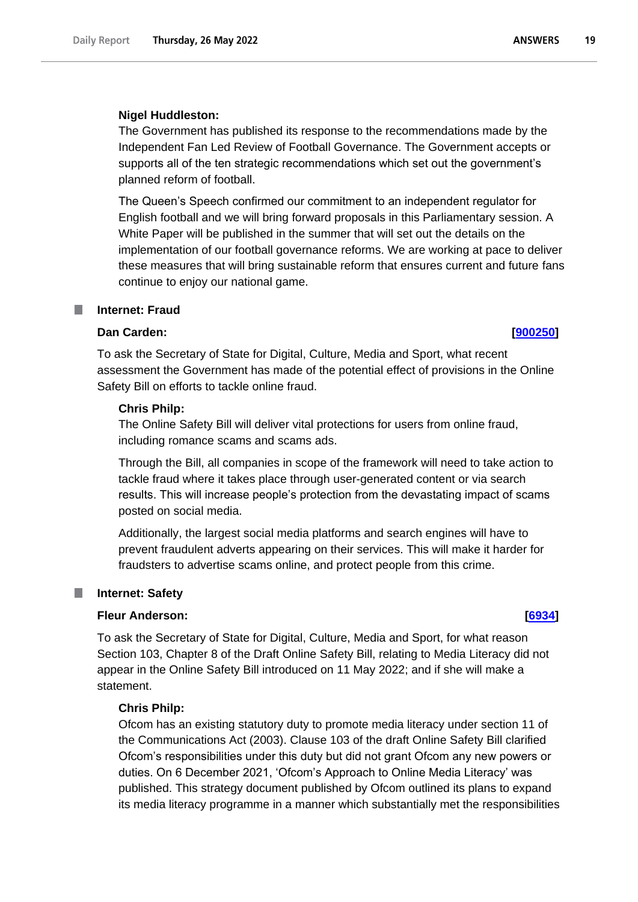#### **Nigel Huddleston:**

The Government has published its response to the recommendations made by the Independent Fan Led Review of Football Governance. The Government accepts or supports all of the ten strategic recommendations which set out the government's planned reform of football.

The Queen's Speech confirmed our commitment to an independent regulator for English football and we will bring forward proposals in this Parliamentary session. A White Paper will be published in the summer that will set out the details on the implementation of our football governance reforms. We are working at pace to deliver these measures that will bring sustainable reform that ensures current and future fans continue to enjoy our national game.

## <span id="page-18-0"></span>**Internet: Fraud**

#### **Dan Carden: [\[900250\]](http://www.parliament.uk/business/publications/written-questions-answers-statements/written-question/Commons/2022-05-19/900250)**

To ask the Secretary of State for Digital, Culture, Media and Sport, what recent assessment the Government has made of the potential effect of provisions in the Online Safety Bill on efforts to tackle online fraud.

#### **Chris Philp:**

The Online Safety Bill will deliver vital protections for users from online fraud, including romance scams and scams ads.

Through the Bill, all companies in scope of the framework will need to take action to tackle fraud where it takes place through user-generated content or via search results. This will increase people's protection from the devastating impact of scams posted on social media.

Additionally, the largest social media platforms and search engines will have to prevent fraudulent adverts appearing on their services. This will make it harder for fraudsters to advertise scams online, and protect people from this crime.

#### <span id="page-18-1"></span>ш **Internet: Safety**

#### **Fleur Anderson: [\[6934\]](http://www.parliament.uk/business/publications/written-questions-answers-statements/written-question/Commons/2022-05-23/6934)**

To ask the Secretary of State for Digital, Culture, Media and Sport, for what reason Section 103, Chapter 8 of the Draft Online Safety Bill, relating to Media Literacy did not appear in the Online Safety Bill introduced on 11 May 2022; and if she will make a statement.

#### **Chris Philp:**

Ofcom has an existing statutory duty to promote media literacy under section 11 of the Communications Act (2003). Clause 103 of the draft Online Safety Bill clarified Ofcom's responsibilities under this duty but did not grant Ofcom any new powers or duties. On 6 December 2021, 'Ofcom's Approach to Online Media Literacy' was published. This strategy document published by Ofcom outlined its plans to expand its media literacy programme in a manner which substantially met the responsibilities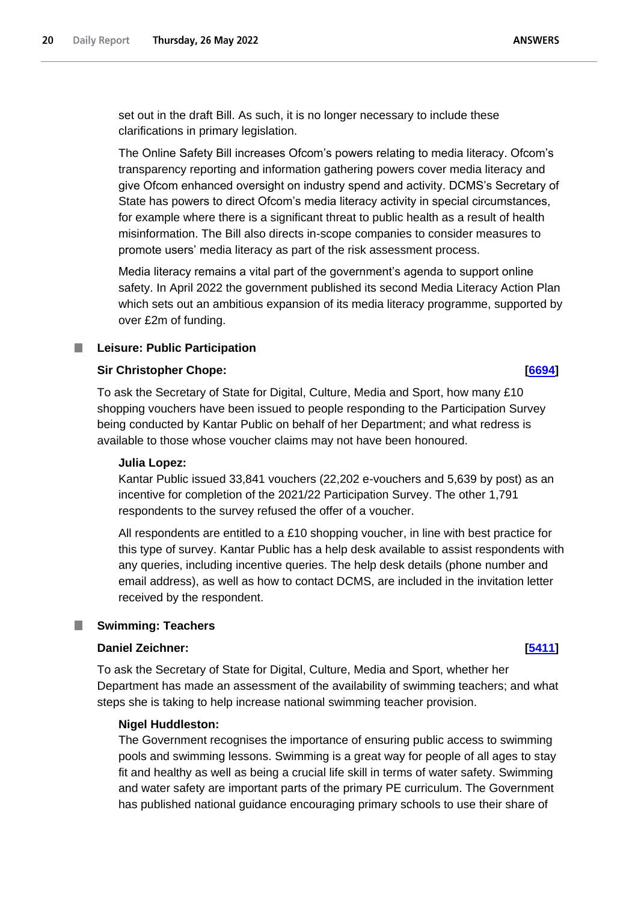set out in the draft Bill. As such, it is no longer necessary to include these clarifications in primary legislation.

The Online Safety Bill increases Ofcom's powers relating to media literacy. Ofcom's transparency reporting and information gathering powers cover media literacy and give Ofcom enhanced oversight on industry spend and activity. DCMS's Secretary of State has powers to direct Ofcom's media literacy activity in special circumstances, for example where there is a significant threat to public health as a result of health misinformation. The Bill also directs in-scope companies to consider measures to promote users' media literacy as part of the risk assessment process.

Media literacy remains a vital part of the government's agenda to support online safety. In April 2022 the government published its second Media Literacy Action Plan which sets out an ambitious expansion of its media literacy programme, supported by over £2m of funding.

# <span id="page-19-0"></span>**Leisure: Public Participation**

## **Sir Christopher Chope: [\[6694\]](http://www.parliament.uk/business/publications/written-questions-answers-statements/written-question/Commons/2022-05-23/6694)**

To ask the Secretary of State for Digital, Culture, Media and Sport, how many £10 shopping vouchers have been issued to people responding to the Participation Survey being conducted by Kantar Public on behalf of her Department; and what redress is available to those whose voucher claims may not have been honoured.

## **Julia Lopez:**

Kantar Public issued 33,841 vouchers (22,202 e-vouchers and 5,639 by post) as an incentive for completion of the 2021/22 Participation Survey. The other 1,791 respondents to the survey refused the offer of a voucher.

All respondents are entitled to a £10 shopping voucher, in line with best practice for this type of survey. Kantar Public has a help desk available to assist respondents with any queries, including incentive queries. The help desk details (phone number and email address), as well as how to contact DCMS, are included in the invitation letter received by the respondent.

# <span id="page-19-1"></span>**Swimming: Teachers**

## **Daniel Zeichner: [\[5411\]](http://www.parliament.uk/business/publications/written-questions-answers-statements/written-question/Commons/2022-05-19/5411)**

To ask the Secretary of State for Digital, Culture, Media and Sport, whether her Department has made an assessment of the availability of swimming teachers; and what steps she is taking to help increase national swimming teacher provision.

## **Nigel Huddleston:**

The Government recognises the importance of ensuring public access to swimming pools and swimming lessons. Swimming is a great way for people of all ages to stay fit and healthy as well as being a crucial life skill in terms of water safety. Swimming and water safety are important parts of the primary PE curriculum. The Government has published national guidance encouraging primary schools to use their share of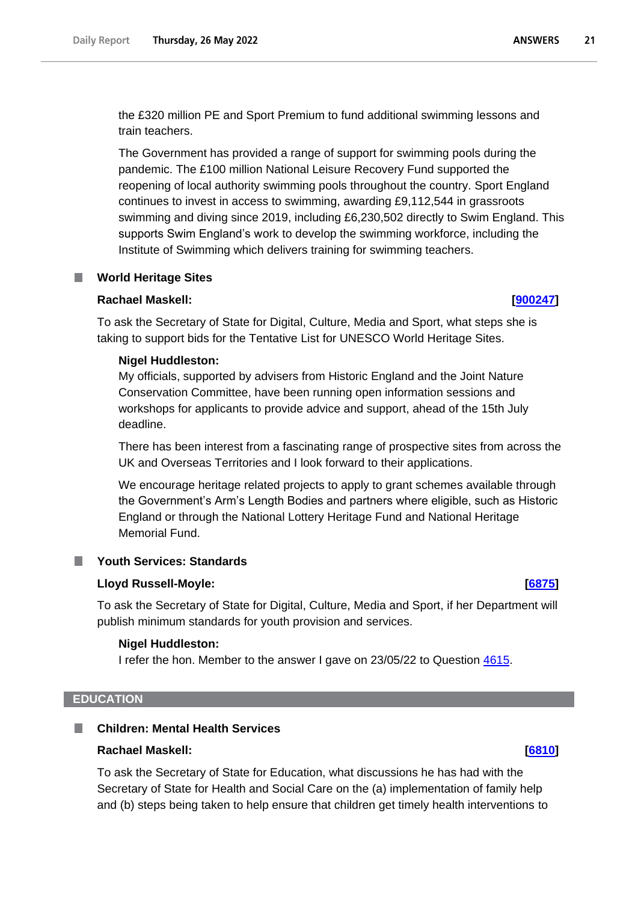the £320 million PE and Sport Premium to fund additional swimming lessons and train teachers.

The Government has provided a range of support for swimming pools during the pandemic. The £100 million National Leisure Recovery Fund supported the reopening of local authority swimming pools throughout the country. Sport England continues to invest in access to swimming, awarding £9,112,544 in grassroots swimming and diving since 2019, including £6,230,502 directly to Swim England. This supports Swim England's work to develop the swimming workforce, including the Institute of Swimming which delivers training for swimming teachers.

## <span id="page-20-0"></span>**World Heritage Sites**

#### **Rachael Maskell: [\[900247\]](http://www.parliament.uk/business/publications/written-questions-answers-statements/written-question/Commons/2022-05-26/900247)**

To ask the Secretary of State for Digital, Culture, Media and Sport, what steps she is taking to support bids for the Tentative List for UNESCO World Heritage Sites.

#### **Nigel Huddleston:**

My officials, supported by advisers from Historic England and the Joint Nature Conservation Committee, have been running open information sessions and workshops for applicants to provide advice and support, ahead of the 15th July deadline.

There has been interest from a fascinating range of prospective sites from across the UK and Overseas Territories and I look forward to their applications.

We encourage heritage related projects to apply to grant schemes available through the Government's Arm's Length Bodies and partners where eligible, such as Historic England or through the National Lottery Heritage Fund and National Heritage Memorial Fund.

# <span id="page-20-1"></span>**Youth Services: Standards**

## **Lloyd Russell-Moyle: [\[6875\]](http://www.parliament.uk/business/publications/written-questions-answers-statements/written-question/Commons/2022-05-23/6875)**

To ask the Secretary of State for Digital, Culture, Media and Sport, if her Department will publish minimum standards for youth provision and services.

#### **Nigel Huddleston:**

I refer the hon. Member to the answer I gave on 23/05/22 to Question 4615.

#### <span id="page-20-2"></span>**EDUCATION**

#### <span id="page-20-3"></span>**Children: Mental Health Services**

#### **Rachael Maskell: [\[6810\]](http://www.parliament.uk/business/publications/written-questions-answers-statements/written-question/Commons/2022-05-23/6810)**

To ask the Secretary of State for Education, what discussions he has had with the Secretary of State for Health and Social Care on the (a) implementation of family help and (b) steps being taken to help ensure that children get timely health interventions to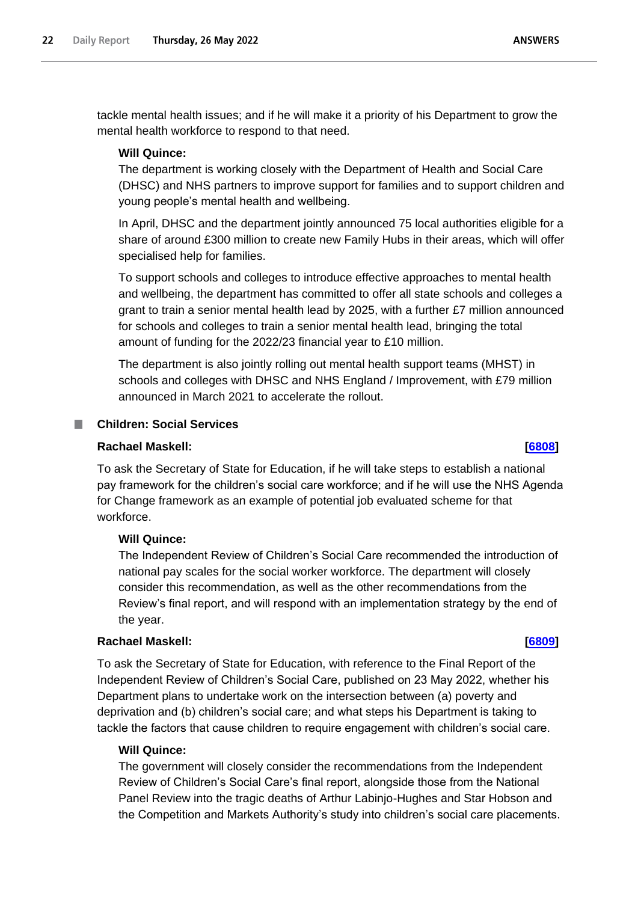tackle mental health issues; and if he will make it a priority of his Department to grow the mental health workforce to respond to that need.

# **Will Quince:**

The department is working closely with the Department of Health and Social Care (DHSC) and NHS partners to improve support for families and to support children and young people's mental health and wellbeing.

In April, DHSC and the department jointly announced 75 local authorities eligible for a share of around £300 million to create new Family Hubs in their areas, which will offer specialised help for families.

To support schools and colleges to introduce effective approaches to mental health and wellbeing, the department has committed to offer all state schools and colleges a grant to train a senior mental health lead by 2025, with a further £7 million announced for schools and colleges to train a senior mental health lead, bringing the total amount of funding for the 2022/23 financial year to £10 million.

The department is also jointly rolling out mental health support teams (MHST) in schools and colleges with DHSC and NHS England / Improvement, with £79 million announced in March 2021 to accelerate the rollout.

# <span id="page-21-0"></span>**Children: Social Services**

## **Rachael Maskell: [\[6808\]](http://www.parliament.uk/business/publications/written-questions-answers-statements/written-question/Commons/2022-05-23/6808)**

To ask the Secretary of State for Education, if he will take steps to establish a national pay framework for the children's social care workforce; and if he will use the NHS Agenda for Change framework as an example of potential job evaluated scheme for that workforce.

## **Will Quince:**

The Independent Review of Children's Social Care recommended the introduction of national pay scales for the social worker workforce. The department will closely consider this recommendation, as well as the other recommendations from the Review's final report, and will respond with an implementation strategy by the end of the year.

# **Rachael Maskell: [\[6809\]](http://www.parliament.uk/business/publications/written-questions-answers-statements/written-question/Commons/2022-05-23/6809)**

To ask the Secretary of State for Education, with reference to the Final Report of the Independent Review of Children's Social Care, published on 23 May 2022, whether his Department plans to undertake work on the intersection between (a) poverty and deprivation and (b) children's social care; and what steps his Department is taking to tackle the factors that cause children to require engagement with children's social care.

### **Will Quince:**

The government will closely consider the recommendations from the Independent Review of Children's Social Care's final report, alongside those from the National Panel Review into the tragic deaths of Arthur Labinjo-Hughes and Star Hobson and the Competition and Markets Authority's study into children's social care placements.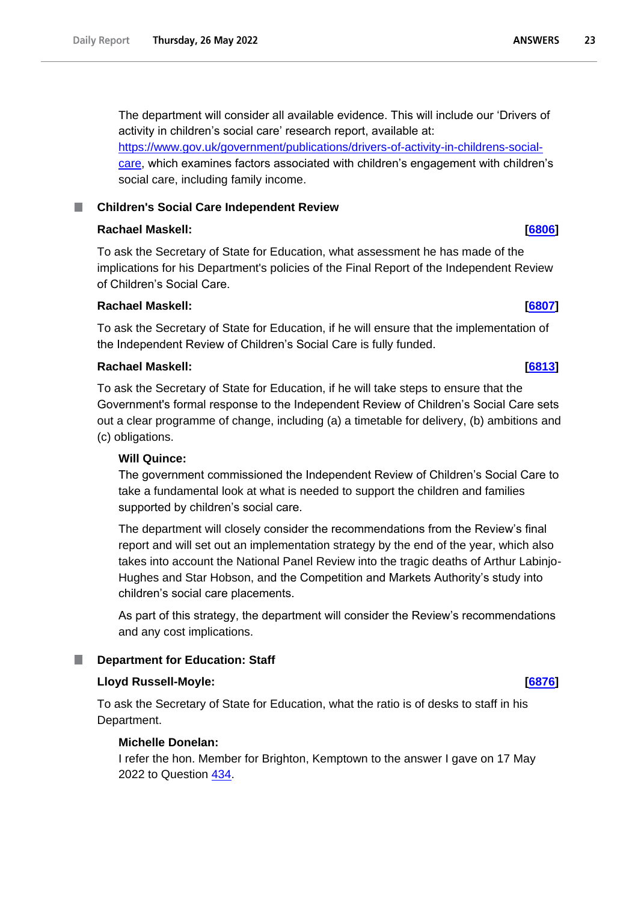The department will consider all available evidence. This will include our 'Drivers of activity in children's social care' research report, available at: [https://www.gov.uk/government/publications/drivers-of-activity-in-childrens-social](https://www.gov.uk/government/publications/drivers-of-activity-in-childrens-social-care)[care,](https://www.gov.uk/government/publications/drivers-of-activity-in-childrens-social-care) which examines factors associated with children's engagement with children's social care, including family income.

# <span id="page-22-0"></span>**Children's Social Care Independent Review**

# **Rachael Maskell: [\[6806\]](http://www.parliament.uk/business/publications/written-questions-answers-statements/written-question/Commons/2022-05-23/6806)**

To ask the Secretary of State for Education, what assessment he has made of the implications for his Department's policies of the Final Report of the Independent Review of Children's Social Care.

# **Rachael Maskell: [\[6807\]](http://www.parliament.uk/business/publications/written-questions-answers-statements/written-question/Commons/2022-05-23/6807)**

To ask the Secretary of State for Education, if he will ensure that the implementation of the Independent Review of Children's Social Care is fully funded.

## **Rachael Maskell: [\[6813\]](http://www.parliament.uk/business/publications/written-questions-answers-statements/written-question/Commons/2022-05-23/6813)**

To ask the Secretary of State for Education, if he will take steps to ensure that the Government's formal response to the Independent Review of Children's Social Care sets out a clear programme of change, including (a) a timetable for delivery, (b) ambitions and (c) obligations.

## **Will Quince:**

The government commissioned the Independent Review of Children's Social Care to take a fundamental look at what is needed to support the children and families supported by children's social care.

The department will closely consider the recommendations from the Review's final report and will set out an implementation strategy by the end of the year, which also takes into account the National Panel Review into the tragic deaths of Arthur Labinjo-Hughes and Star Hobson, and the Competition and Markets Authority's study into children's social care placements.

As part of this strategy, the department will consider the Review's recommendations and any cost implications.

## <span id="page-22-1"></span>**Department for Education: Staff**

## **Lloyd Russell-Moyle: [\[6876\]](http://www.parliament.uk/business/publications/written-questions-answers-statements/written-question/Commons/2022-05-23/6876)**

To ask the Secretary of State for Education, what the ratio is of desks to staff in his Department.

## **Michelle Donelan:**

I refer the hon. Member for Brighton, Kemptown to the answer I gave on 17 May 2022 to Question [434.](https://questions-statements.parliament.uk/written-questions?SearchTerm=434&DateFrom=10%2F05%2F2022&DateTo=28%2F04%2F2023&AnsweredFrom=&AnsweredTo=&House=Bicameral&Answered=Any&Expanded=False)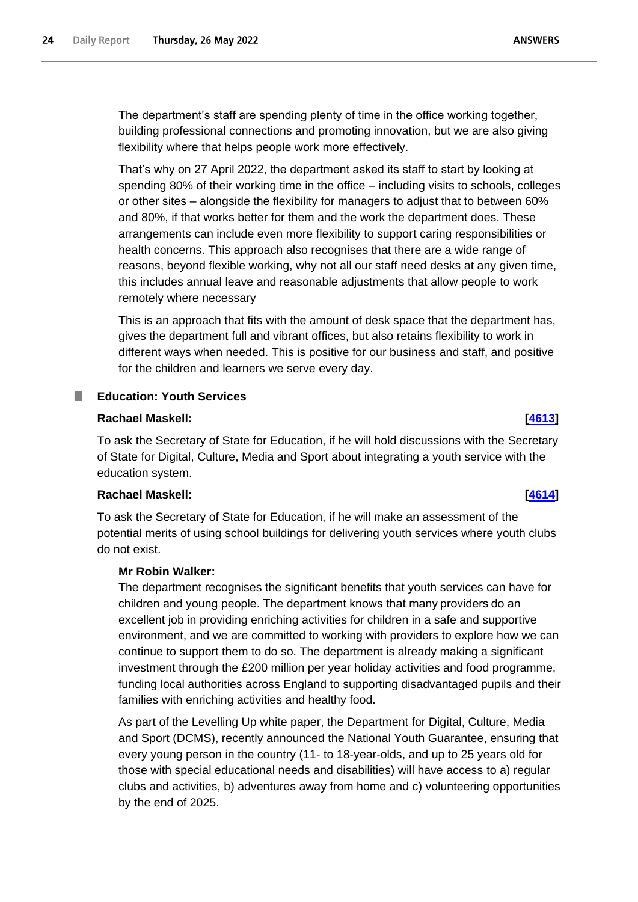The department's staff are spending plenty of time in the office working together, building professional connections and promoting innovation, but we are also giving flexibility where that helps people work more effectively.

That's why on 27 April 2022, the department asked its staff to start by looking at spending 80% of their working time in the office – including visits to schools, colleges or other sites – alongside the flexibility for managers to adjust that to between 60% and 80%, if that works better for them and the work the department does. These arrangements can include even more flexibility to support caring responsibilities or health concerns. This approach also recognises that there are a wide range of reasons, beyond flexible working, why not all our staff need desks at any given time, this includes annual leave and reasonable adjustments that allow people to work remotely where necessary

This is an approach that fits with the amount of desk space that the department has, gives the department full and vibrant offices, but also retains flexibility to work in different ways when needed. This is positive for our business and staff, and positive for the children and learners we serve every day.

#### <span id="page-23-0"></span>**I Education: Youth Services**

## **Rachael Maskell: [\[4613\]](http://www.parliament.uk/business/publications/written-questions-answers-statements/written-question/Commons/2022-05-18/4613)**

To ask the Secretary of State for Education, if he will hold discussions with the Secretary of State for Digital, Culture, Media and Sport about integrating a youth service with the education system.

## **Rachael Maskell: [\[4614\]](http://www.parliament.uk/business/publications/written-questions-answers-statements/written-question/Commons/2022-05-18/4614)**

To ask the Secretary of State for Education, if he will make an assessment of the potential merits of using school buildings for delivering youth services where youth clubs do not exist.

## **Mr Robin Walker:**

The department recognises the significant benefits that youth services can have for children and young people. The department knows that many providers do an excellent job in providing enriching activities for children in a safe and supportive environment, and we are committed to working with providers to explore how we can continue to support them to do so. The department is already making a significant investment through the £200 million per year holiday activities and food programme, funding local authorities across England to supporting disadvantaged pupils and their families with enriching activities and healthy food.

As part of the Levelling Up white paper, the Department for Digital, Culture, Media and Sport (DCMS), recently announced the National Youth Guarantee, ensuring that every young person in the country (11- to 18-year-olds, and up to 25 years old for those with special educational needs and disabilities) will have access to a) regular clubs and activities, b) adventures away from home and c) volunteering opportunities by the end of 2025.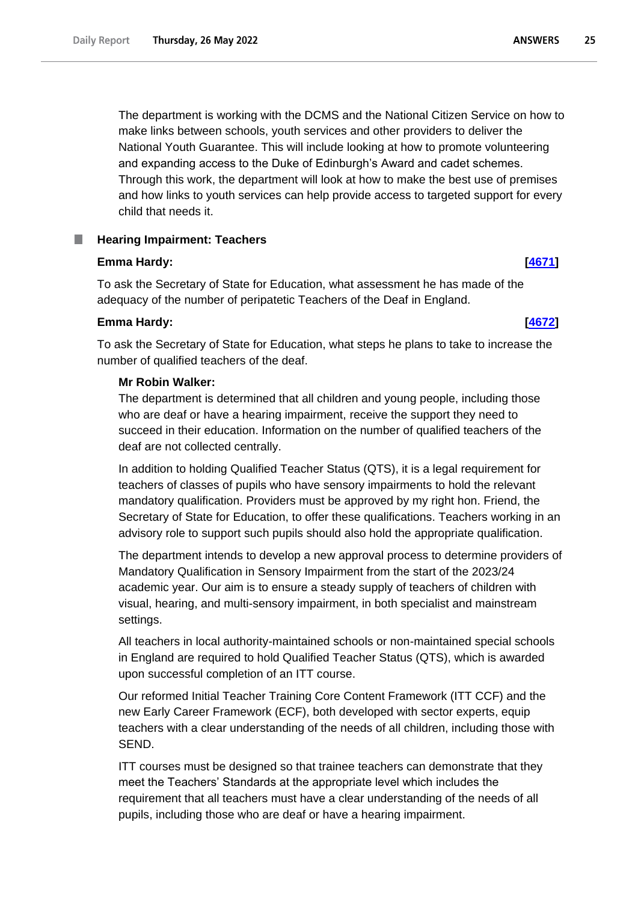The department is working with the DCMS and the National Citizen Service on how to make links between schools, youth services and other providers to deliver the National Youth Guarantee. This will include looking at how to promote volunteering and expanding access to the Duke of Edinburgh's Award and cadet schemes. Through this work, the department will look at how to make the best use of premises and how links to youth services can help provide access to targeted support for every child that needs it.

# <span id="page-24-0"></span>**Hearing Impairment: Teachers**

# **Emma Hardy: [\[4671\]](http://www.parliament.uk/business/publications/written-questions-answers-statements/written-question/Commons/2022-05-18/4671)**

To ask the Secretary of State for Education, what assessment he has made of the adequacy of the number of peripatetic Teachers of the Deaf in England.

# **Emma Hardy: [\[4672\]](http://www.parliament.uk/business/publications/written-questions-answers-statements/written-question/Commons/2022-05-18/4672)**

To ask the Secretary of State for Education, what steps he plans to take to increase the number of qualified teachers of the deaf.

# **Mr Robin Walker:**

The department is determined that all children and young people, including those who are deaf or have a hearing impairment, receive the support they need to succeed in their education. Information on the number of qualified teachers of the deaf are not collected centrally.

In addition to holding Qualified Teacher Status (QTS), it is a legal requirement for teachers of classes of pupils who have sensory impairments to hold the relevant mandatory qualification. Providers must be approved by my right hon. Friend, the Secretary of State for Education, to offer these qualifications. Teachers working in an advisory role to support such pupils should also hold the appropriate qualification.

The department intends to develop a new approval process to determine providers of Mandatory Qualification in Sensory Impairment from the start of the 2023/24 academic year. Our aim is to ensure a steady supply of teachers of children with visual, hearing, and multi-sensory impairment, in both specialist and mainstream settings.

All teachers in local authority-maintained schools or non-maintained special schools in England are required to hold Qualified Teacher Status (QTS), which is awarded upon successful completion of an ITT course.

Our reformed Initial Teacher Training Core Content Framework (ITT CCF) and the new Early Career Framework (ECF), both developed with sector experts, equip teachers with a clear understanding of the needs of all children, including those with SEND.

ITT courses must be designed so that trainee teachers can demonstrate that they meet the Teachers' Standards at the appropriate level which includes the requirement that all teachers must have a clear understanding of the needs of all pupils, including those who are deaf or have a hearing impairment.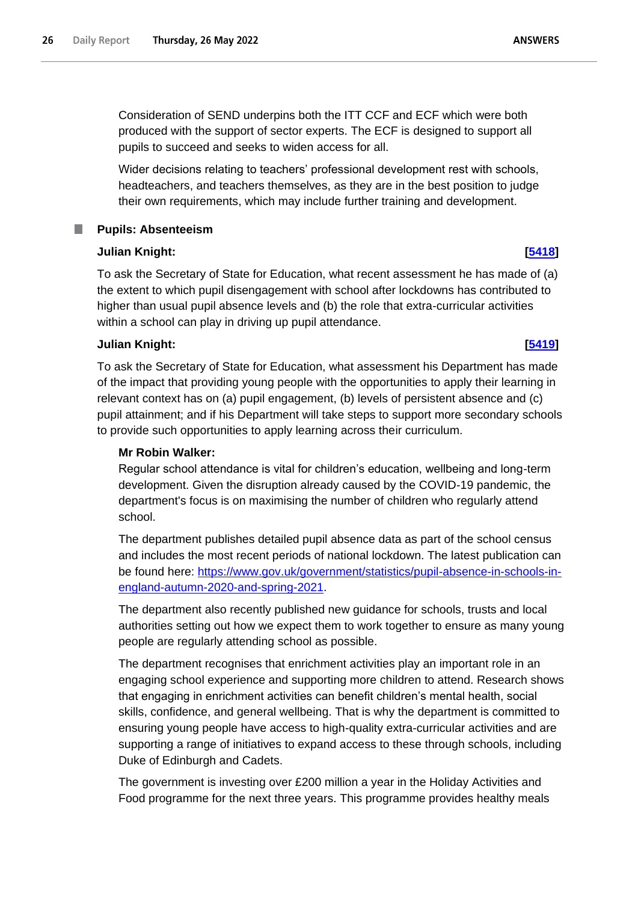Wider decisions relating to teachers' professional development rest with schools, headteachers, and teachers themselves, as they are in the best position to judge their own requirements, which may include further training and development.

# **Pupils: Absenteeism**

# **Julian Knight: [\[5418\]](http://www.parliament.uk/business/publications/written-questions-answers-statements/written-question/Commons/2022-05-19/5418)**

<span id="page-25-0"></span>.

To ask the Secretary of State for Education, what recent assessment he has made of (a) the extent to which pupil disengagement with school after lockdowns has contributed to higher than usual pupil absence levels and (b) the role that extra-curricular activities within a school can play in driving up pupil attendance.

# **Julian Knight: [\[5419\]](http://www.parliament.uk/business/publications/written-questions-answers-statements/written-question/Commons/2022-05-19/5419)**

To ask the Secretary of State for Education, what assessment his Department has made of the impact that providing young people with the opportunities to apply their learning in relevant context has on (a) pupil engagement, (b) levels of persistent absence and (c) pupil attainment; and if his Department will take steps to support more secondary schools to provide such opportunities to apply learning across their curriculum.

# **Mr Robin Walker:**

Regular school attendance is vital for children's education, wellbeing and long-term development. Given the disruption already caused by the COVID-19 pandemic, the department's focus is on maximising the number of children who regularly attend school.

The department publishes detailed pupil absence data as part of the school census and includes the most recent periods of national lockdown. The latest publication can be found here: [https://www.gov.uk/government/statistics/pupil-absence-in-schools-in](https://www.gov.uk/government/statistics/pupil-absence-in-schools-in-england-autumn-2020-and-spring-2021)[england-autumn-2020-and-spring-2021.](https://www.gov.uk/government/statistics/pupil-absence-in-schools-in-england-autumn-2020-and-spring-2021)

The department also recently published new guidance for schools, trusts and local authorities setting out how we expect them to work together to ensure as many young people are regularly attending school as possible.

The department recognises that enrichment activities play an important role in an engaging school experience and supporting more children to attend. Research shows that engaging in enrichment activities can benefit children's mental health, social skills, confidence, and general wellbeing. That is why the department is committed to ensuring young people have access to high-quality extra-curricular activities and are supporting a range of initiatives to expand access to these through schools, including Duke of Edinburgh and Cadets.

The government is investing over £200 million a year in the Holiday Activities and Food programme for the next three years. This programme provides healthy meals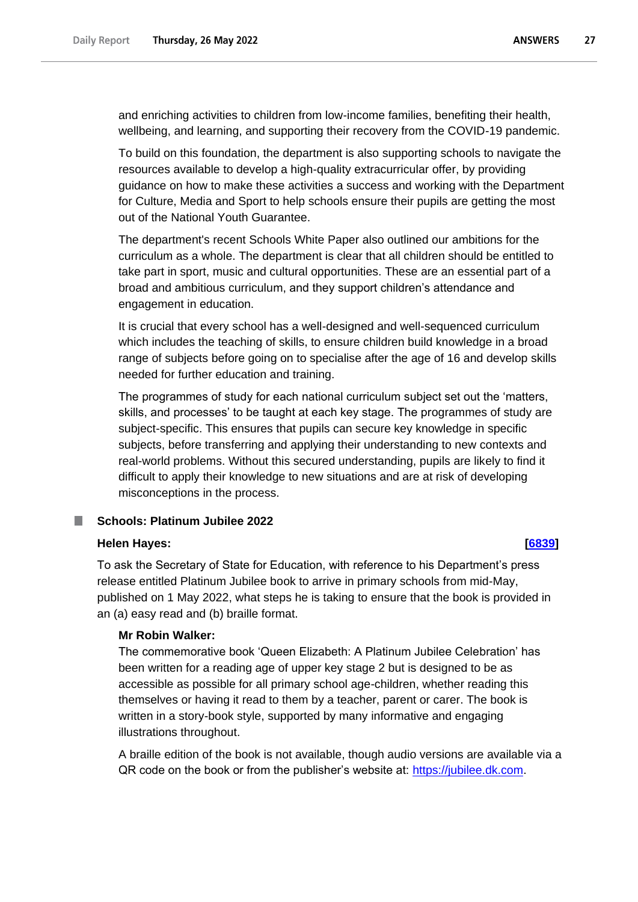and enriching activities to children from low-income families, benefiting their health, wellbeing, and learning, and supporting their recovery from the COVID-19 pandemic.

To build on this foundation, the department is also supporting schools to navigate the resources available to develop a high-quality extracurricular offer, by providing guidance on how to make these activities a success and working with the Department for Culture, Media and Sport to help schools ensure their pupils are getting the most out of the National Youth Guarantee.

The department's recent Schools White Paper also outlined our ambitions for the curriculum as a whole. The department is clear that all children should be entitled to take part in sport, music and cultural opportunities. These are an essential part of a broad and ambitious curriculum, and they support children's attendance and engagement in education.

It is crucial that every school has a well-designed and well-sequenced curriculum which includes the teaching of skills, to ensure children build knowledge in a broad range of subjects before going on to specialise after the age of 16 and develop skills needed for further education and training.

The programmes of study for each national curriculum subject set out the 'matters, skills, and processes' to be taught at each key stage. The programmes of study are subject-specific. This ensures that pupils can secure key knowledge in specific subjects, before transferring and applying their understanding to new contexts and real-world problems. Without this secured understanding, pupils are likely to find it difficult to apply their knowledge to new situations and are at risk of developing misconceptions in the process.

#### <span id="page-26-0"></span>**Schools: Platinum Jubilee 2022** ш

#### **Helen Hayes: [\[6839\]](http://www.parliament.uk/business/publications/written-questions-answers-statements/written-question/Commons/2022-05-23/6839)**

To ask the Secretary of State for Education, with reference to his Department's press release entitled Platinum Jubilee book to arrive in primary schools from mid-May, published on 1 May 2022, what steps he is taking to ensure that the book is provided in an (a) easy read and (b) braille format.

## **Mr Robin Walker:**

The commemorative book 'Queen Elizabeth: A Platinum Jubilee Celebration' has been written for a reading age of upper key stage 2 but is designed to be as accessible as possible for all primary school age-children, whether reading this themselves or having it read to them by a teacher, parent or carer. The book is written in a story-book style, supported by many informative and engaging illustrations throughout.

A braille edition of the book is not available, though audio versions are available via a QR code on the book or from the publisher's website at: [https://jubilee.dk.com.](https://jubilee.dk.com/)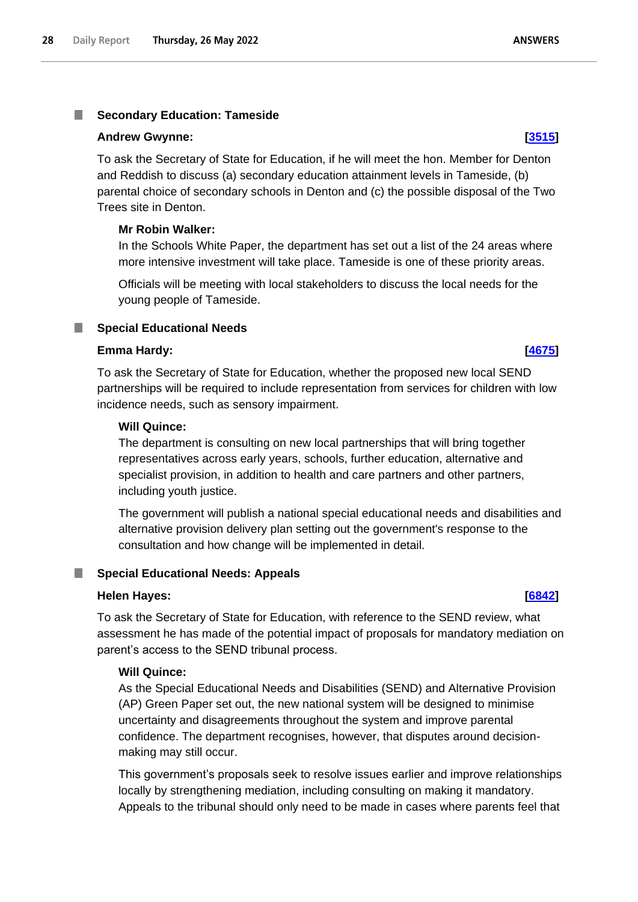#### <span id="page-27-0"></span>**Secondary Education: Tameside** T.

### **Andrew Gwynne: [\[3515\]](http://www.parliament.uk/business/publications/written-questions-answers-statements/written-question/Commons/2022-05-17/3515)**

To ask the Secretary of State for Education, if he will meet the hon. Member for Denton and Reddish to discuss (a) secondary education attainment levels in Tameside, (b) parental choice of secondary schools in Denton and (c) the possible disposal of the Two Trees site in Denton.

# **Mr Robin Walker:**

In the Schools White Paper, the department has set out a list of the 24 areas where more intensive investment will take place. Tameside is one of these priority areas.

Officials will be meeting with local stakeholders to discuss the local needs for the young people of Tameside.

# <span id="page-27-1"></span>**Special Educational Needs**

## **Emma Hardy: [\[4675\]](http://www.parliament.uk/business/publications/written-questions-answers-statements/written-question/Commons/2022-05-18/4675)**

To ask the Secretary of State for Education, whether the proposed new local SEND partnerships will be required to include representation from services for children with low incidence needs, such as sensory impairment.

## **Will Quince:**

The department is consulting on new local partnerships that will bring together representatives across early years, schools, further education, alternative and specialist provision, in addition to health and care partners and other partners, including youth justice.

The government will publish a national special educational needs and disabilities and alternative provision delivery plan setting out the government's response to the consultation and how change will be implemented in detail.

## <span id="page-27-2"></span>**Special Educational Needs: Appeals**

#### **Helen Hayes: [\[6842\]](http://www.parliament.uk/business/publications/written-questions-answers-statements/written-question/Commons/2022-05-23/6842)**

To ask the Secretary of State for Education, with reference to the SEND review, what assessment he has made of the potential impact of proposals for mandatory mediation on parent's access to the SEND tribunal process.

## **Will Quince:**

As the Special Educational Needs and Disabilities (SEND) and Alternative Provision (AP) Green Paper set out, the new national system will be designed to minimise uncertainty and disagreements throughout the system and improve parental confidence. The department recognises, however, that disputes around decisionmaking may still occur.

This government's proposals seek to resolve issues earlier and improve relationships locally by strengthening mediation, including consulting on making it mandatory. Appeals to the tribunal should only need to be made in cases where parents feel that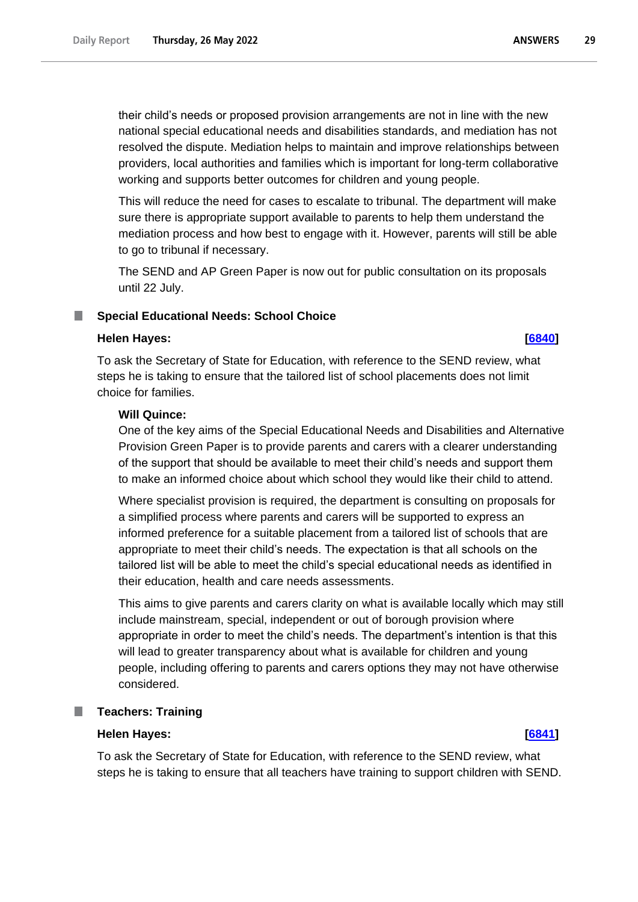their child's needs or proposed provision arrangements are not in line with the new national special educational needs and disabilities standards, and mediation has not resolved the dispute. Mediation helps to maintain and improve relationships between providers, local authorities and families which is important for long-term collaborative working and supports better outcomes for children and young people.

This will reduce the need for cases to escalate to tribunal. The department will make sure there is appropriate support available to parents to help them understand the mediation process and how best to engage with it. However, parents will still be able to go to tribunal if necessary.

The SEND and AP Green Paper is now out for public consultation on its proposals until 22 July.

#### <span id="page-28-0"></span>**Special Educational Needs: School Choice**

## **Helen Hayes: [\[6840\]](http://www.parliament.uk/business/publications/written-questions-answers-statements/written-question/Commons/2022-05-23/6840)**

To ask the Secretary of State for Education, with reference to the SEND review, what steps he is taking to ensure that the tailored list of school placements does not limit choice for families.

#### **Will Quince:**

One of the key aims of the Special Educational Needs and Disabilities and Alternative Provision Green Paper is to provide parents and carers with a clearer understanding of the support that should be available to meet their child's needs and support them to make an informed choice about which school they would like their child to attend.

Where specialist provision is required, the department is consulting on proposals for a simplified process where parents and carers will be supported to express an informed preference for a suitable placement from a tailored list of schools that are appropriate to meet their child's needs. The expectation is that all schools on the tailored list will be able to meet the child's special educational needs as identified in their education, health and care needs assessments.

This aims to give parents and carers clarity on what is available locally which may still include mainstream, special, independent or out of borough provision where appropriate in order to meet the child's needs. The department's intention is that this will lead to greater transparency about what is available for children and young people, including offering to parents and carers options they may not have otherwise considered.

## <span id="page-28-1"></span>**Teachers: Training**

#### **Helen Hayes: [\[6841\]](http://www.parliament.uk/business/publications/written-questions-answers-statements/written-question/Commons/2022-05-23/6841)**

To ask the Secretary of State for Education, with reference to the SEND review, what steps he is taking to ensure that all teachers have training to support children with SEND.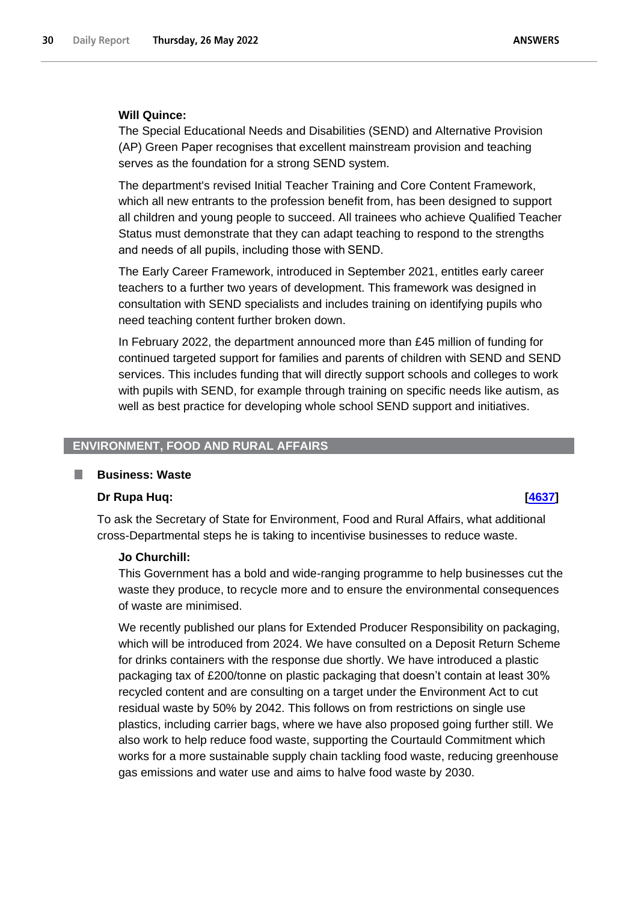### **Will Quince:**

The Special Educational Needs and Disabilities (SEND) and Alternative Provision (AP) Green Paper recognises that excellent mainstream provision and teaching serves as the foundation for a strong SEND system.

The department's revised Initial Teacher Training and Core Content Framework, which all new entrants to the profession benefit from, has been designed to support all children and young people to succeed. All trainees who achieve Qualified Teacher Status must demonstrate that they can adapt teaching to respond to the strengths and needs of all pupils, including those with SEND.

The Early Career Framework, introduced in September 2021, entitles early career teachers to a further two years of development. This framework was designed in consultation with SEND specialists and includes training on identifying pupils who need teaching content further broken down.

In February 2022, the department announced more than £45 million of funding for continued targeted support for families and parents of children with SEND and SEND services. This includes funding that will directly support schools and colleges to work with pupils with SEND, for example through training on specific needs like autism, as well as best practice for developing whole school SEND support and initiatives.

# <span id="page-29-0"></span>**ENVIRONMENT, FOOD AND RURAL AFFAIRS**

## <span id="page-29-1"></span>**Business: Waste**

#### **Dr Rupa Huq: [\[4637\]](http://www.parliament.uk/business/publications/written-questions-answers-statements/written-question/Commons/2022-05-18/4637)**

To ask the Secretary of State for Environment, Food and Rural Affairs, what additional cross-Departmental steps he is taking to incentivise businesses to reduce waste.

## **Jo Churchill:**

This Government has a bold and wide-ranging programme to help businesses cut the waste they produce, to recycle more and to ensure the environmental consequences of waste are minimised.

We recently published our plans for Extended Producer Responsibility on packaging, which will be introduced from 2024. We have consulted on a Deposit Return Scheme for drinks containers with the response due shortly. We have introduced a plastic packaging tax of £200/tonne on plastic packaging that doesn't contain at least 30% recycled content and are consulting on a target under the Environment Act to cut residual waste by 50% by 2042. This follows on from restrictions on single use plastics, including carrier bags, where we have also proposed going further still. We also work to help reduce food waste, supporting the Courtauld Commitment which works for a more sustainable supply chain tackling food waste, reducing greenhouse gas emissions and water use and aims to halve food waste by 2030.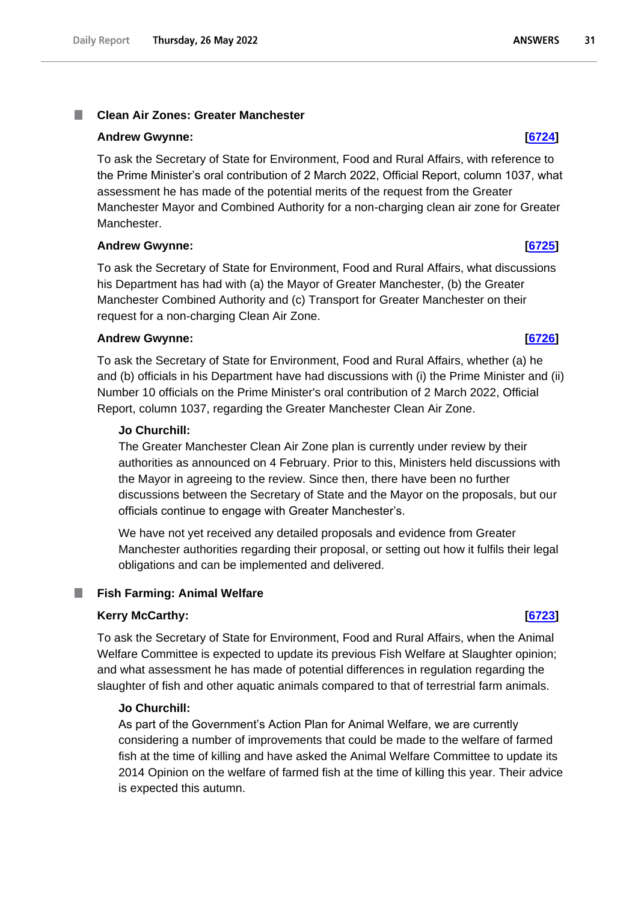#### <span id="page-30-0"></span>**Clean Air Zones: Greater Manchester** T.

### **Andrew Gwynne: [\[6724\]](http://www.parliament.uk/business/publications/written-questions-answers-statements/written-question/Commons/2022-05-23/6724)**

To ask the Secretary of State for Environment, Food and Rural Affairs, with reference to the Prime Minister's oral contribution of 2 March 2022, Official Report, column 1037, what assessment he has made of the potential merits of the request from the Greater Manchester Mayor and Combined Authority for a non-charging clean air zone for Greater Manchester.

## **Andrew Gwynne: [\[6725\]](http://www.parliament.uk/business/publications/written-questions-answers-statements/written-question/Commons/2022-05-23/6725)**

To ask the Secretary of State for Environment, Food and Rural Affairs, what discussions his Department has had with (a) the Mayor of Greater Manchester, (b) the Greater Manchester Combined Authority and (c) Transport for Greater Manchester on their request for a non-charging Clean Air Zone.

## **Andrew Gwynne: [\[6726\]](http://www.parliament.uk/business/publications/written-questions-answers-statements/written-question/Commons/2022-05-23/6726)**

To ask the Secretary of State for Environment, Food and Rural Affairs, whether (a) he and (b) officials in his Department have had discussions with (i) the Prime Minister and (ii) Number 10 officials on the Prime Minister's oral contribution of 2 March 2022, Official Report, column 1037, regarding the Greater Manchester Clean Air Zone.

# **Jo Churchill:**

The Greater Manchester Clean Air Zone plan is currently under review by their authorities as announced on 4 February. Prior to this, Ministers held discussions with the Mayor in agreeing to the review. Since then, there have been no further discussions between the Secretary of State and the Mayor on the proposals, but our officials continue to engage with Greater Manchester's.

We have not yet received any detailed proposals and evidence from Greater Manchester authorities regarding their proposal, or setting out how it fulfils their legal obligations and can be implemented and delivered.

#### <span id="page-30-1"></span>**Fish Farming: Animal Welfare** .

## **Kerry McCarthy: [\[6723\]](http://www.parliament.uk/business/publications/written-questions-answers-statements/written-question/Commons/2022-05-23/6723)**

To ask the Secretary of State for Environment, Food and Rural Affairs, when the Animal Welfare Committee is expected to update its previous Fish Welfare at Slaughter opinion; and what assessment he has made of potential differences in regulation regarding the slaughter of fish and other aquatic animals compared to that of terrestrial farm animals.

## **Jo Churchill:**

As part of the Government's Action Plan for Animal Welfare, we are currently considering a number of improvements that could be made to the welfare of farmed fish at the time of killing and have asked the Animal Welfare Committee to update its 2014 Opinion on the welfare of farmed fish at the time of killing this year. Their advice is expected this autumn.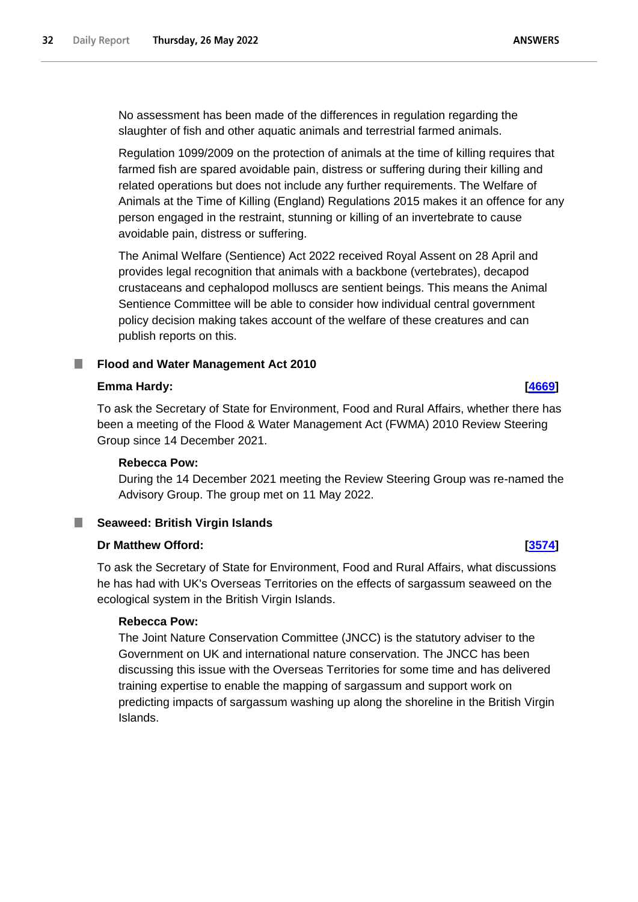No assessment has been made of the differences in regulation regarding the slaughter of fish and other aquatic animals and terrestrial farmed animals.

Regulation 1099/2009 on the protection of animals at the time of killing requires that farmed fish are spared avoidable pain, distress or suffering during their killing and related operations but does not include any further requirements. The Welfare of Animals at the Time of Killing (England) Regulations 2015 makes it an offence for any person engaged in the restraint, stunning or killing of an invertebrate to cause avoidable pain, distress or suffering.

The Animal Welfare (Sentience) Act 2022 received Royal Assent on 28 April and provides legal recognition that animals with a backbone (vertebrates), decapod crustaceans and cephalopod molluscs are sentient beings. This means the Animal Sentience Committee will be able to consider how individual central government policy decision making takes account of the welfare of these creatures and can publish reports on this.

#### <span id="page-31-0"></span>**Flood and Water Management Act 2010** ш

# **Emma Hardy: [\[4669\]](http://www.parliament.uk/business/publications/written-questions-answers-statements/written-question/Commons/2022-05-18/4669)**

To ask the Secretary of State for Environment, Food and Rural Affairs, whether there has been a meeting of the Flood & Water Management Act (FWMA) 2010 Review Steering Group since 14 December 2021.

# **Rebecca Pow:**

During the 14 December 2021 meeting the Review Steering Group was re-named the Advisory Group. The group met on 11 May 2022.

# <span id="page-31-1"></span>**Seaweed: British Virgin Islands**

# **Dr Matthew Offord: [\[3574\]](http://www.parliament.uk/business/publications/written-questions-answers-statements/written-question/Commons/2022-05-17/3574)**

To ask the Secretary of State for Environment, Food and Rural Affairs, what discussions he has had with UK's Overseas Territories on the effects of sargassum seaweed on the ecological system in the British Virgin Islands.

## **Rebecca Pow:**

The Joint Nature Conservation Committee (JNCC) is the statutory adviser to the Government on UK and international nature conservation. The JNCC has been discussing this issue with the Overseas Territories for some time and has delivered training expertise to enable the mapping of sargassum and support work on predicting impacts of sargassum washing up along the shoreline in the British Virgin Islands.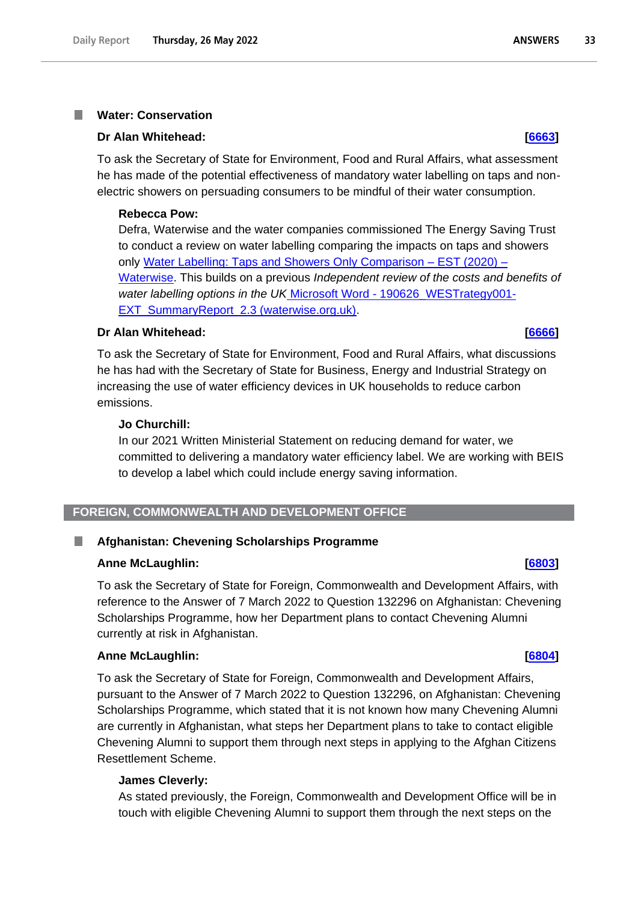#### <span id="page-32-0"></span>**Water: Conservation** T.

#### **Dr Alan Whitehead: [\[6663\]](http://www.parliament.uk/business/publications/written-questions-answers-statements/written-question/Commons/2022-05-23/6663)**

To ask the Secretary of State for Environment, Food and Rural Affairs, what assessment he has made of the potential effectiveness of mandatory water labelling on taps and nonelectric showers on persuading consumers to be mindful of their water consumption.

#### **Rebecca Pow:**

Defra, Waterwise and the water companies commissioned The Energy Saving Trust to conduct a review on water labelling comparing the impacts on taps and showers only [Water Labelling: Taps and Showers Only Comparison –](https://www.waterwise.org.uk/knowledge-base/water-labelling-taps-and-showers-only-comparison-est-2020/) EST (2020) – [Waterwise.](https://www.waterwise.org.uk/knowledge-base/water-labelling-taps-and-showers-only-comparison-est-2020/) This builds on a previous *Independent review of the costs and benefits of water labelling options in the UK* Microsoft Word - [190626\\_WESTrategy001-](https://waterwise.org.uk/wp-content/uploads/2019/10/WESTrategy001-EXT_SummaryReport_2.3-1.pdf#:~:text=In%202018%2C%20the%20Energy%20Saving%20Trust%20produced%20an,label%20linked%20to%20building%20regulations%20and%20minimum%20standards.) [EXT\\_SummaryReport\\_2.3 \(waterwise.org.uk\).](https://waterwise.org.uk/wp-content/uploads/2019/10/WESTrategy001-EXT_SummaryReport_2.3-1.pdf#:~:text=In%202018%2C%20the%20Energy%20Saving%20Trust%20produced%20an,label%20linked%20to%20building%20regulations%20and%20minimum%20standards.)

#### **Dr Alan Whitehead: [\[6666\]](http://www.parliament.uk/business/publications/written-questions-answers-statements/written-question/Commons/2022-05-23/6666)**

To ask the Secretary of State for Environment, Food and Rural Affairs, what discussions he has had with the Secretary of State for Business, Energy and Industrial Strategy on increasing the use of water efficiency devices in UK households to reduce carbon emissions.

#### **Jo Churchill:**

In our 2021 Written Ministerial Statement on reducing demand for water, we committed to delivering a mandatory water efficiency label. We are working with BEIS to develop a label which could include energy saving information.

# <span id="page-32-1"></span>**FOREIGN, COMMONWEALTH AND DEVELOPMENT OFFICE**

## <span id="page-32-2"></span>**Afghanistan: Chevening Scholarships Programme**

### **Anne McLaughlin: [\[6803\]](http://www.parliament.uk/business/publications/written-questions-answers-statements/written-question/Commons/2022-05-23/6803)**

To ask the Secretary of State for Foreign, Commonwealth and Development Affairs, with reference to the Answer of 7 March 2022 to Question 132296 on Afghanistan: Chevening Scholarships Programme, how her Department plans to contact Chevening Alumni currently at risk in Afghanistan.

## **Anne McLaughlin: [\[6804\]](http://www.parliament.uk/business/publications/written-questions-answers-statements/written-question/Commons/2022-05-23/6804)**

To ask the Secretary of State for Foreign, Commonwealth and Development Affairs, pursuant to the Answer of 7 March 2022 to Question 132296, on Afghanistan: Chevening Scholarships Programme, which stated that it is not known how many Chevening Alumni are currently in Afghanistan, what steps her Department plans to take to contact eligible Chevening Alumni to support them through next steps in applying to the Afghan Citizens Resettlement Scheme.

## **James Cleverly:**

As stated previously, the Foreign, Commonwealth and Development Office will be in touch with eligible Chevening Alumni to support them through the next steps on the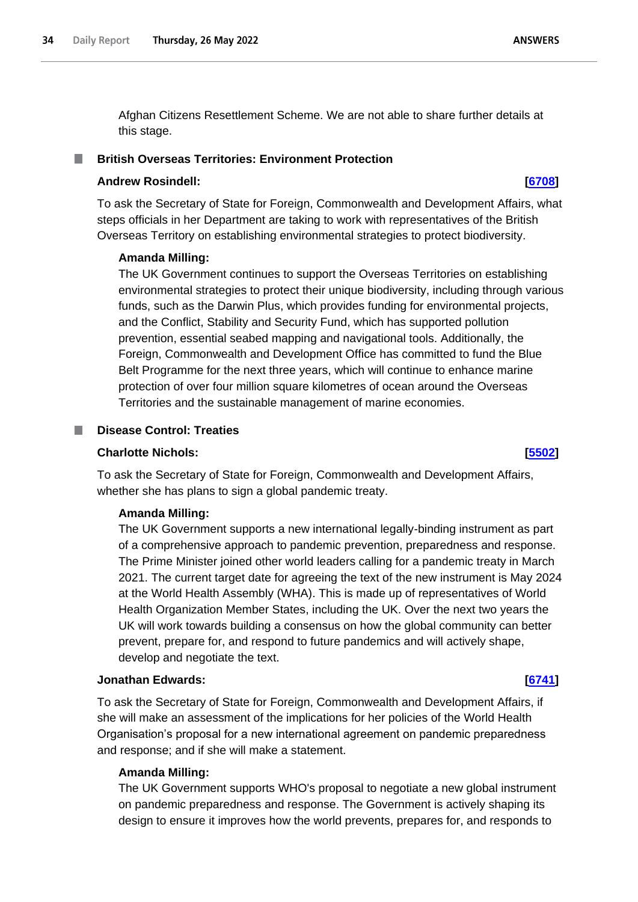Afghan Citizens Resettlement Scheme. We are not able to share further details at this stage.

## <span id="page-33-0"></span>**British Overseas Territories: Environment Protection**

### **Andrew Rosindell: [\[6708\]](http://www.parliament.uk/business/publications/written-questions-answers-statements/written-question/Commons/2022-05-23/6708)**

To ask the Secretary of State for Foreign, Commonwealth and Development Affairs, what steps officials in her Department are taking to work with representatives of the British Overseas Territory on establishing environmental strategies to protect biodiversity.

## **Amanda Milling:**

The UK Government continues to support the Overseas Territories on establishing environmental strategies to protect their unique biodiversity, including through various funds, such as the Darwin Plus, which provides funding for environmental projects, and the Conflict, Stability and Security Fund, which has supported pollution prevention, essential seabed mapping and navigational tools. Additionally, the Foreign, Commonwealth and Development Office has committed to fund the Blue Belt Programme for the next three years, which will continue to enhance marine protection of over four million square kilometres of ocean around the Overseas Territories and the sustainable management of marine economies.

## <span id="page-33-1"></span>**Disease Control: Treaties**

# **Charlotte Nichols: [\[5502\]](http://www.parliament.uk/business/publications/written-questions-answers-statements/written-question/Commons/2022-05-19/5502)**

To ask the Secretary of State for Foreign, Commonwealth and Development Affairs, whether she has plans to sign a global pandemic treaty.

## **Amanda Milling:**

The UK Government supports a new international legally-binding instrument as part of a comprehensive approach to pandemic prevention, preparedness and response. The Prime Minister joined other world leaders calling for a pandemic treaty in March 2021. The current target date for agreeing the text of the new instrument is May 2024 at the World Health Assembly (WHA). This is made up of representatives of World Health Organization Member States, including the UK. Over the next two years the UK will work towards building a consensus on how the global community can better prevent, prepare for, and respond to future pandemics and will actively shape, develop and negotiate the text.

## **Jonathan Edwards: [\[6741\]](http://www.parliament.uk/business/publications/written-questions-answers-statements/written-question/Commons/2022-05-23/6741)**

To ask the Secretary of State for Foreign, Commonwealth and Development Affairs, if she will make an assessment of the implications for her policies of the World Health Organisation's proposal for a new international agreement on pandemic preparedness and response; and if she will make a statement.

## **Amanda Milling:**

The UK Government supports WHO's proposal to negotiate a new global instrument on pandemic preparedness and response. The Government is actively shaping its design to ensure it improves how the world prevents, prepares for, and responds to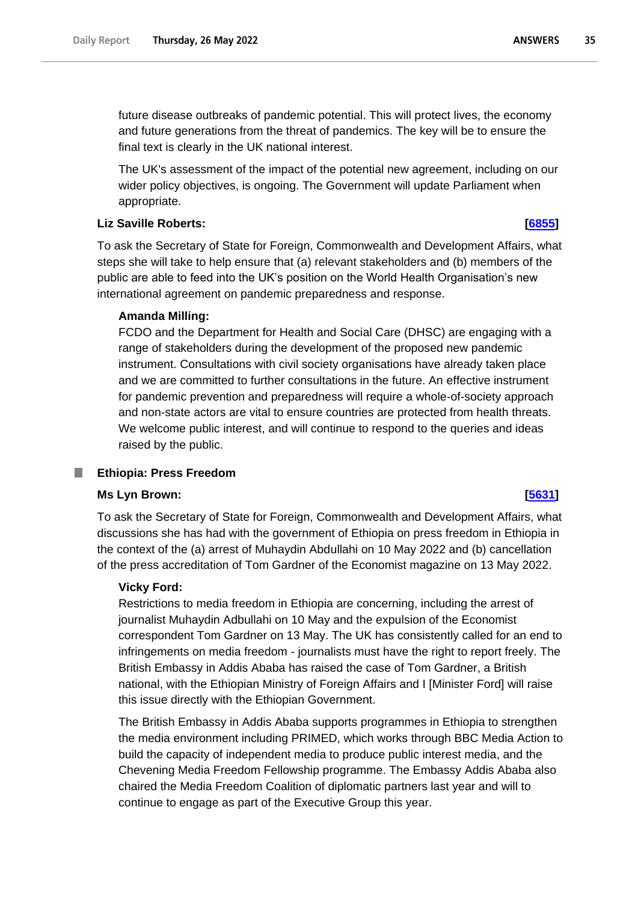future disease outbreaks of pandemic potential. This will protect lives, the economy and future generations from the threat of pandemics. The key will be to ensure the final text is clearly in the UK national interest.

The UK's assessment of the impact of the potential new agreement, including on our wider policy objectives, is ongoing. The Government will update Parliament when appropriate.

# **Liz Saville Roberts: [\[6855\]](http://www.parliament.uk/business/publications/written-questions-answers-statements/written-question/Commons/2022-05-23/6855)**

To ask the Secretary of State for Foreign, Commonwealth and Development Affairs, what steps she will take to help ensure that (a) relevant stakeholders and (b) members of the public are able to feed into the UK's position on the World Health Organisation's new international agreement on pandemic preparedness and response.

# **Amanda Milling:**

FCDO and the Department for Health and Social Care (DHSC) are engaging with a range of stakeholders during the development of the proposed new pandemic instrument. Consultations with civil society organisations have already taken place and we are committed to further consultations in the future. An effective instrument for pandemic prevention and preparedness will require a whole-of-society approach and non-state actors are vital to ensure countries are protected from health threats. We welcome public interest, and will continue to respond to the queries and ideas raised by the public.

#### <span id="page-34-0"></span>ш **Ethiopia: Press Freedom**

## **Ms Lyn Brown: [\[5631\]](http://www.parliament.uk/business/publications/written-questions-answers-statements/written-question/Commons/2022-05-20/5631)**

To ask the Secretary of State for Foreign, Commonwealth and Development Affairs, what discussions she has had with the government of Ethiopia on press freedom in Ethiopia in the context of the (a) arrest of Muhaydin Abdullahi on 10 May 2022 and (b) cancellation of the press accreditation of Tom Gardner of the Economist magazine on 13 May 2022.

## **Vicky Ford:**

Restrictions to media freedom in Ethiopia are concerning, including the arrest of journalist Muhaydin Adbullahi on 10 May and the expulsion of the Economist correspondent Tom Gardner on 13 May. The UK has consistently called for an end to infringements on media freedom - journalists must have the right to report freely. The British Embassy in Addis Ababa has raised the case of Tom Gardner, a British national, with the Ethiopian Ministry of Foreign Affairs and I [Minister Ford] will raise this issue directly with the Ethiopian Government.

The British Embassy in Addis Ababa supports programmes in Ethiopia to strengthen the media environment including PRIMED, which works through BBC Media Action to build the capacity of independent media to produce public interest media, and the Chevening Media Freedom Fellowship programme. The Embassy Addis Ababa also chaired the Media Freedom Coalition of diplomatic partners last year and will to continue to engage as part of the Executive Group this year.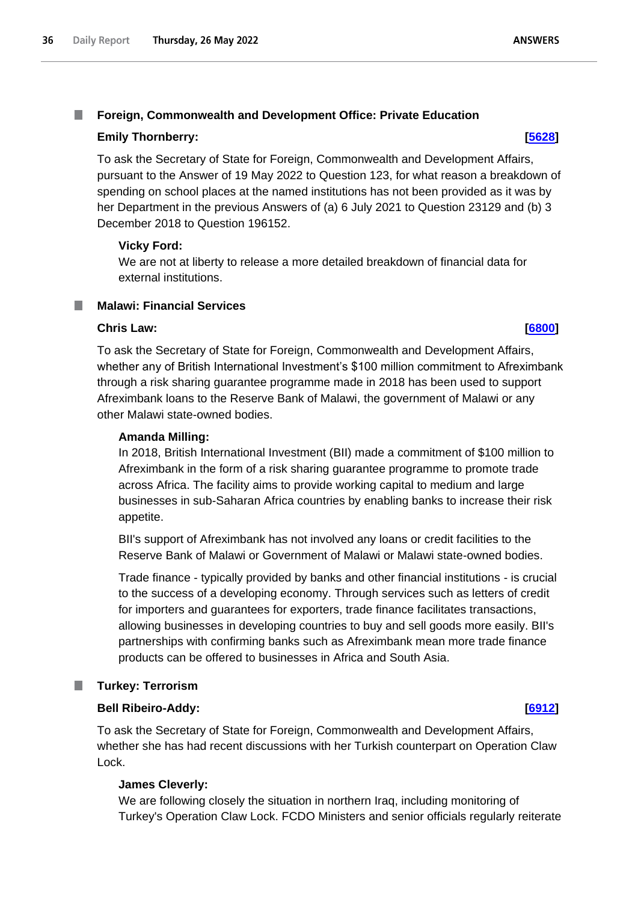# <span id="page-35-0"></span>**Emily Thornberry: [\[5628\]](http://www.parliament.uk/business/publications/written-questions-answers-statements/written-question/Commons/2022-05-20/5628)**

To ask the Secretary of State for Foreign, Commonwealth and Development Affairs, pursuant to the Answer of 19 May 2022 to Question 123, for what reason a breakdown of spending on school places at the named institutions has not been provided as it was by her Department in the previous Answers of (a) 6 July 2021 to Question 23129 and (b) 3 December 2018 to Question 196152.

# **Vicky Ford:**

We are not at liberty to release a more detailed breakdown of financial data for external institutions.

# <span id="page-35-1"></span>**Malawi: Financial Services**

# **Chris Law: [\[6800\]](http://www.parliament.uk/business/publications/written-questions-answers-statements/written-question/Commons/2022-05-23/6800)**

To ask the Secretary of State for Foreign, Commonwealth and Development Affairs, whether any of British International Investment's \$100 million commitment to Afreximbank through a risk sharing guarantee programme made in 2018 has been used to support Afreximbank loans to the Reserve Bank of Malawi, the government of Malawi or any other Malawi state-owned bodies.

# **Amanda Milling:**

In 2018, British International Investment (BII) made a commitment of \$100 million to Afreximbank in the form of a risk sharing guarantee programme to promote trade across Africa. The facility aims to provide working capital to medium and large businesses in sub-Saharan Africa countries by enabling banks to increase their risk appetite.

BII's support of Afreximbank has not involved any loans or credit facilities to the Reserve Bank of Malawi or Government of Malawi or Malawi state-owned bodies.

Trade finance - typically provided by banks and other financial institutions - is crucial to the success of a developing economy. Through services such as letters of credit for importers and guarantees for exporters, trade finance facilitates transactions, allowing businesses in developing countries to buy and sell goods more easily. BII's partnerships with confirming banks such as Afreximbank mean more trade finance products can be offered to businesses in Africa and South Asia.

# <span id="page-35-2"></span>**Turkey: Terrorism**

# **Bell Ribeiro-Addy: [\[6912\]](http://www.parliament.uk/business/publications/written-questions-answers-statements/written-question/Commons/2022-05-23/6912)**

To ask the Secretary of State for Foreign, Commonwealth and Development Affairs, whether she has had recent discussions with her Turkish counterpart on Operation Claw Lock.

# **James Cleverly:**

We are following closely the situation in northern Iraq, including monitoring of Turkey's Operation Claw Lock. FCDO Ministers and senior officials regularly reiterate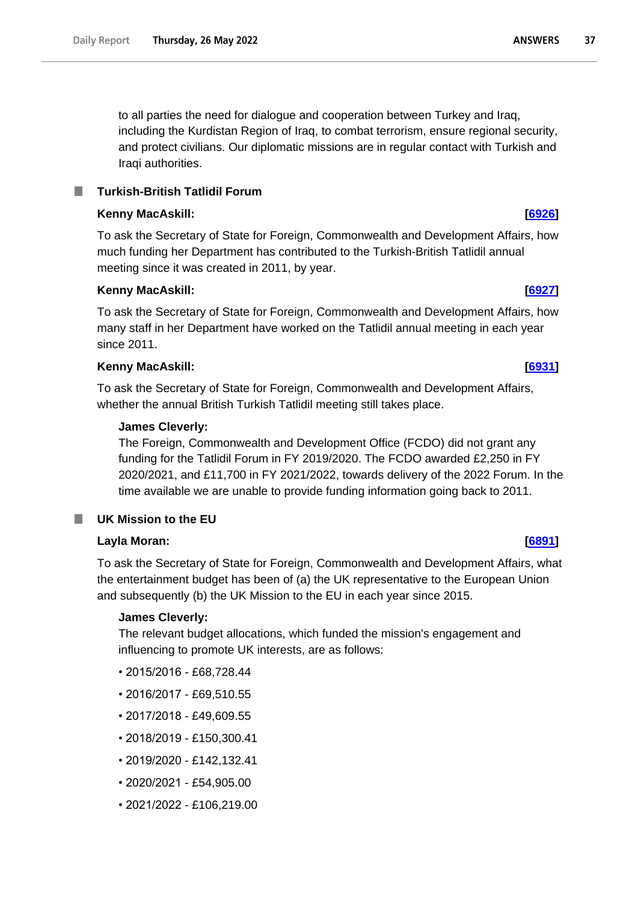to all parties the need for dialogue and cooperation between Turkey and Iraq, including the Kurdistan Region of Iraq, to combat terrorism, ensure regional security, and protect civilians. Our diplomatic missions are in regular contact with Turkish and Iraqi authorities.

# **Kenny MacAskill: [\[6926\]](http://www.parliament.uk/business/publications/written-questions-answers-statements/written-question/Commons/2022-05-23/6926)**

To ask the Secretary of State for Foreign, Commonwealth and Development Affairs, how much funding her Department has contributed to the Turkish-British Tatlidil annual meeting since it was created in 2011, by year.

# **Kenny MacAskill: [\[6927\]](http://www.parliament.uk/business/publications/written-questions-answers-statements/written-question/Commons/2022-05-23/6927)**

To ask the Secretary of State for Foreign, Commonwealth and Development Affairs, how many staff in her Department have worked on the Tatlidil annual meeting in each year since 2011.

# **Kenny MacAskill: [\[6931\]](http://www.parliament.uk/business/publications/written-questions-answers-statements/written-question/Commons/2022-05-23/6931)**

To ask the Secretary of State for Foreign, Commonwealth and Development Affairs, whether the annual British Turkish Tatlidil meeting still takes place.

# **James Cleverly:**

The Foreign, Commonwealth and Development Office (FCDO) did not grant any funding for the Tatlidil Forum in FY 2019/2020. The FCDO awarded £2,250 in FY 2020/2021, and £11,700 in FY 2021/2022, towards delivery of the 2022 Forum. In the time available we are unable to provide funding information going back to 2011.

### m. **UK Mission to the EU**

# **Layla Moran: [\[6891\]](http://www.parliament.uk/business/publications/written-questions-answers-statements/written-question/Commons/2022-05-23/6891)**

To ask the Secretary of State for Foreign, Commonwealth and Development Affairs, what the entertainment budget has been of (a) the UK representative to the European Union and subsequently (b) the UK Mission to the EU in each year since 2015.

# **James Cleverly:**

The relevant budget allocations, which funded the mission's engagement and influencing to promote UK interests, are as follows:

- 2015/2016 £68,728.44
- 2016/2017 £69,510.55
- 2017/2018 £49,609.55
- 2018/2019 £150,300.41
- 2019/2020 £142,132.41
- 2020/2021 £54,905.00
- 2021/2022 £106,219.00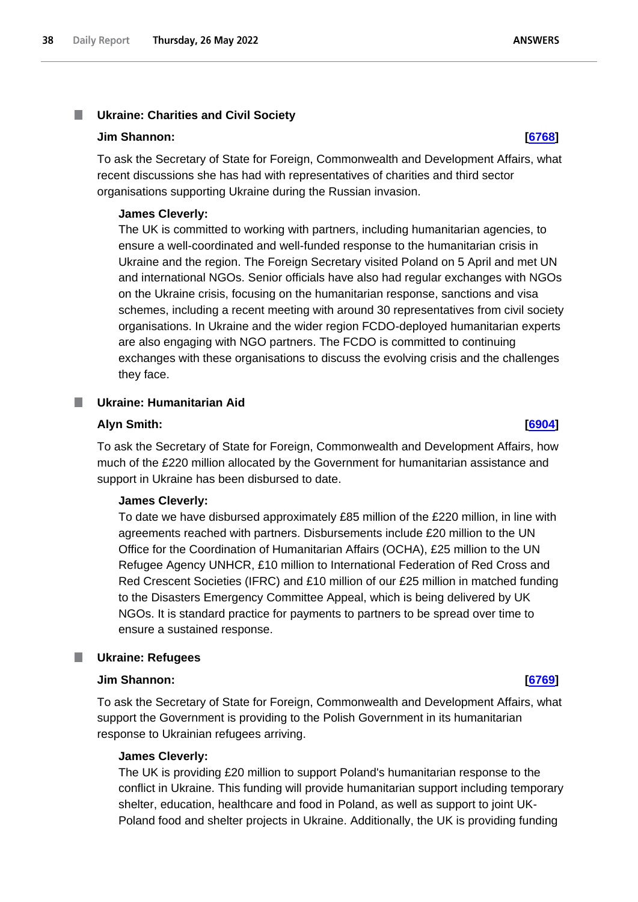### T. **Ukraine: Charities and Civil Society**

### **Jim Shannon: [\[6768\]](http://www.parliament.uk/business/publications/written-questions-answers-statements/written-question/Commons/2022-05-23/6768)**

To ask the Secretary of State for Foreign, Commonwealth and Development Affairs, what recent discussions she has had with representatives of charities and third sector organisations supporting Ukraine during the Russian invasion.

### **James Cleverly:**

The UK is committed to working with partners, including humanitarian agencies, to ensure a well-coordinated and well-funded response to the humanitarian crisis in Ukraine and the region. The Foreign Secretary visited Poland on 5 April and met UN and international NGOs. Senior officials have also had regular exchanges with NGOs on the Ukraine crisis, focusing on the humanitarian response, sanctions and visa schemes, including a recent meeting with around 30 representatives from civil society organisations. In Ukraine and the wider region FCDO-deployed humanitarian experts are also engaging with NGO partners. The FCDO is committed to continuing exchanges with these organisations to discuss the evolving crisis and the challenges they face.

### **Ukraine: Humanitarian Aid**

### **Alyn Smith: [\[6904\]](http://www.parliament.uk/business/publications/written-questions-answers-statements/written-question/Commons/2022-05-23/6904)**

To ask the Secretary of State for Foreign, Commonwealth and Development Affairs, how much of the £220 million allocated by the Government for humanitarian assistance and support in Ukraine has been disbursed to date.

## **James Cleverly:**

To date we have disbursed approximately £85 million of the £220 million, in line with agreements reached with partners. Disbursements include £20 million to the UN Office for the Coordination of Humanitarian Affairs (OCHA), £25 million to the UN Refugee Agency UNHCR, £10 million to International Federation of Red Cross and Red Crescent Societies (IFRC) and £10 million of our £25 million in matched funding to the Disasters Emergency Committee Appeal, which is being delivered by UK NGOs. It is standard practice for payments to partners to be spread over time to ensure a sustained response.

### **Ukraine: Refugees**

## **Jim Shannon: [\[6769\]](http://www.parliament.uk/business/publications/written-questions-answers-statements/written-question/Commons/2022-05-23/6769)**

To ask the Secretary of State for Foreign, Commonwealth and Development Affairs, what support the Government is providing to the Polish Government in its humanitarian response to Ukrainian refugees arriving.

# **James Cleverly:**

The UK is providing £20 million to support Poland's humanitarian response to the conflict in Ukraine. This funding will provide humanitarian support including temporary shelter, education, healthcare and food in Poland, as well as support to joint UK-Poland food and shelter projects in Ukraine. Additionally, the UK is providing funding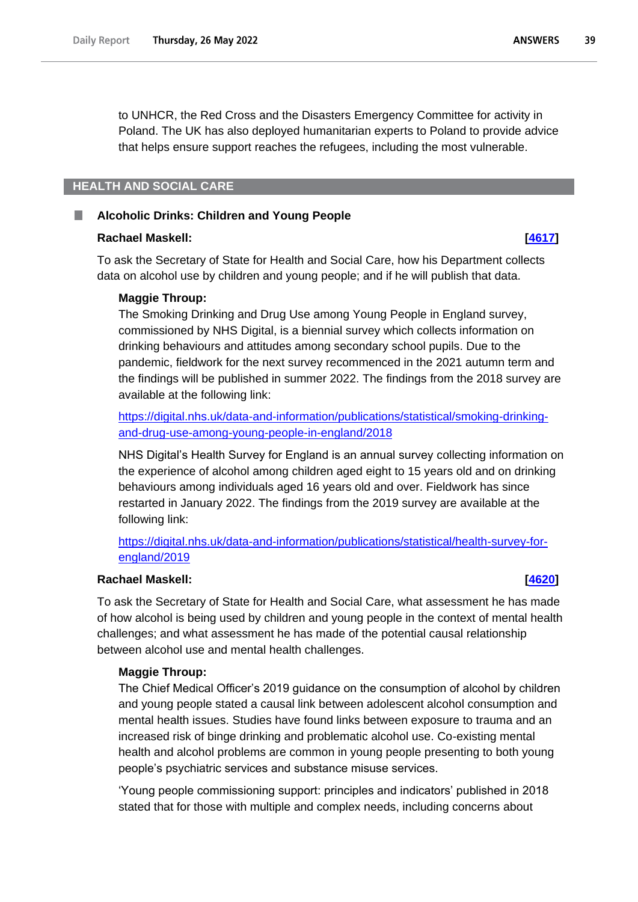**ANSWERS** 39

to UNHCR, the Red Cross and the Disasters Emergency Committee for activity in Poland. The UK has also deployed humanitarian experts to Poland to provide advice that helps ensure support reaches the refugees, including the most vulnerable.

# **HEALTH AND SOCIAL CARE**

### **Alcoholic Drinks: Children and Young People**

### **Rachael Maskell: [\[4617\]](http://www.parliament.uk/business/publications/written-questions-answers-statements/written-question/Commons/2022-05-18/4617)**

To ask the Secretary of State for Health and Social Care, how his Department collects data on alcohol use by children and young people; and if he will publish that data.

## **Maggie Throup:**

The Smoking Drinking and Drug Use among Young People in England survey, commissioned by NHS Digital, is a biennial survey which collects information on drinking behaviours and attitudes among secondary school pupils. Due to the pandemic, fieldwork for the next survey recommenced in the 2021 autumn term and the findings will be published in summer 2022. The findings from the 2018 survey are available at the following link:

[https://digital.nhs.uk/data-and-information/publications/statistical/smoking-drinking](https://eur03.safelinks.protection.outlook.com/?url=https%3A%2F%2Fdigital.nhs.uk%2Fdata-and-information%2Fpublications%2Fstatistical%2Fsmoking-drinking-and-drug-use-among-young-people-in-england%2F2018&data=05%7C01%7COliver.Susoy%40dhsc.gov.uk%7Cd833e5cd3c0540c5314c08da39bbe89b%7C61278c3091a84c318c1fef4de8973a1c%7C1%7C0%7C637885776459042791%7CUnknown%7CTWFpbGZsb3d8eyJWIjoiMC4wLjAwMDAiLCJQIjoiV2luMzIiLCJBTiI6Ik1haWwiLCJXVCI6Mn0%3D%7C3000%7C%7C%7C&sdata=wX7YYdOG0Oz70HogCIbQFOHSOG7%2BmJJZ21M68vwtpvc%3D&reserved=0)[and-drug-use-among-young-people-in-england/2018](https://eur03.safelinks.protection.outlook.com/?url=https%3A%2F%2Fdigital.nhs.uk%2Fdata-and-information%2Fpublications%2Fstatistical%2Fsmoking-drinking-and-drug-use-among-young-people-in-england%2F2018&data=05%7C01%7COliver.Susoy%40dhsc.gov.uk%7Cd833e5cd3c0540c5314c08da39bbe89b%7C61278c3091a84c318c1fef4de8973a1c%7C1%7C0%7C637885776459042791%7CUnknown%7CTWFpbGZsb3d8eyJWIjoiMC4wLjAwMDAiLCJQIjoiV2luMzIiLCJBTiI6Ik1haWwiLCJXVCI6Mn0%3D%7C3000%7C%7C%7C&sdata=wX7YYdOG0Oz70HogCIbQFOHSOG7%2BmJJZ21M68vwtpvc%3D&reserved=0)

NHS Digital's Health Survey for England is an annual survey collecting information on the experience of alcohol among children aged eight to 15 years old and on drinking behaviours among individuals aged 16 years old and over. Fieldwork has since restarted in January 2022. The findings from the 2019 survey are available at the following link:

[https://digital.nhs.uk/data-and-information/publications/statistical/health-survey-for](https://eur03.safelinks.protection.outlook.com/?url=https%3A%2F%2Fdigital.nhs.uk%2Fdata-and-information%2Fpublications%2Fstatistical%2Fhealth-survey-for-england%2F2019&data=05%7C01%7COliver.Susoy%40dhsc.gov.uk%7Cd833e5cd3c0540c5314c08da39bbe89b%7C61278c3091a84c318c1fef4de8973a1c%7C1%7C0%7C637885776459042791%7CUnknown%7CTWFpbGZsb3d8eyJWIjoiMC4wLjAwMDAiLCJQIjoiV2luMzIiLCJBTiI6Ik1haWwiLCJXVCI6Mn0%3D%7C3000%7C%7C%7C&sdata=BzoBkZwNTufdQfvTHnqcJMQJtxAO8KEjnWRdTfXkgHQ%3D&reserved=0)[england/2019](https://eur03.safelinks.protection.outlook.com/?url=https%3A%2F%2Fdigital.nhs.uk%2Fdata-and-information%2Fpublications%2Fstatistical%2Fhealth-survey-for-england%2F2019&data=05%7C01%7COliver.Susoy%40dhsc.gov.uk%7Cd833e5cd3c0540c5314c08da39bbe89b%7C61278c3091a84c318c1fef4de8973a1c%7C1%7C0%7C637885776459042791%7CUnknown%7CTWFpbGZsb3d8eyJWIjoiMC4wLjAwMDAiLCJQIjoiV2luMzIiLCJBTiI6Ik1haWwiLCJXVCI6Mn0%3D%7C3000%7C%7C%7C&sdata=BzoBkZwNTufdQfvTHnqcJMQJtxAO8KEjnWRdTfXkgHQ%3D&reserved=0)

## **Rachael Maskell: [\[4620\]](http://www.parliament.uk/business/publications/written-questions-answers-statements/written-question/Commons/2022-05-18/4620)**

To ask the Secretary of State for Health and Social Care, what assessment he has made of how alcohol is being used by children and young people in the context of mental health challenges; and what assessment he has made of the potential causal relationship between alcohol use and mental health challenges.

## **Maggie Throup:**

The Chief Medical Officer's 2019 guidance on the consumption of alcohol by children and young people stated a causal link between adolescent alcohol consumption and mental health issues. Studies have found links between exposure to trauma and an increased risk of binge drinking and problematic alcohol use. Co-existing mental health and alcohol problems are common in young people presenting to both young people's psychiatric services and substance misuse services.

'Young people commissioning support: principles and indicators' published in 2018 stated that for those with multiple and complex needs, including concerns about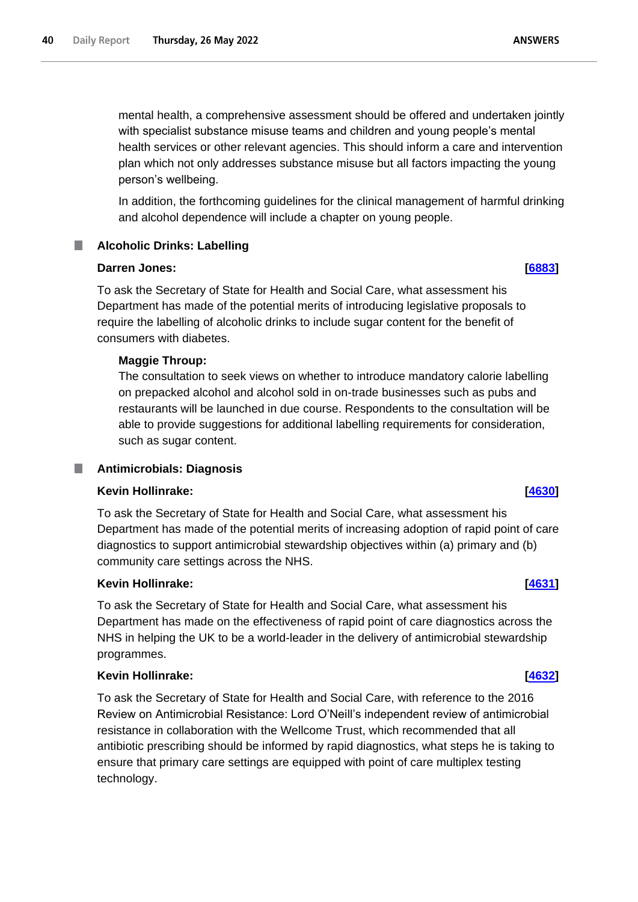mental health, a comprehensive assessment should be offered and undertaken jointly with specialist substance misuse teams and children and young people's mental

health services or other relevant agencies. This should inform a care and intervention plan which not only addresses substance misuse but all factors impacting the young person's wellbeing.

In addition, the forthcoming guidelines for the clinical management of harmful drinking and alcohol dependence will include a chapter on young people.

### . **Alcoholic Drinks: Labelling**

# **Darren Jones: [\[6883\]](http://www.parliament.uk/business/publications/written-questions-answers-statements/written-question/Commons/2022-05-23/6883)**

To ask the Secretary of State for Health and Social Care, what assessment his Department has made of the potential merits of introducing legislative proposals to require the labelling of alcoholic drinks to include sugar content for the benefit of consumers with diabetes.

# **Maggie Throup:**

The consultation to seek views on whether to introduce mandatory calorie labelling on prepacked alcohol and alcohol sold in on-trade businesses such as pubs and restaurants will be launched in due course. Respondents to the consultation will be able to provide suggestions for additional labelling requirements for consideration, such as sugar content.

# **Antimicrobials: Diagnosis**

# **Kevin Hollinrake: [\[4630\]](http://www.parliament.uk/business/publications/written-questions-answers-statements/written-question/Commons/2022-05-18/4630)**

To ask the Secretary of State for Health and Social Care, what assessment his Department has made of the potential merits of increasing adoption of rapid point of care diagnostics to support antimicrobial stewardship objectives within (a) primary and (b) community care settings across the NHS.

# **Kevin Hollinrake: [\[4631\]](http://www.parliament.uk/business/publications/written-questions-answers-statements/written-question/Commons/2022-05-18/4631)**

To ask the Secretary of State for Health and Social Care, what assessment his Department has made on the effectiveness of rapid point of care diagnostics across the NHS in helping the UK to be a world-leader in the delivery of antimicrobial stewardship programmes.

# **Kevin Hollinrake: [\[4632\]](http://www.parliament.uk/business/publications/written-questions-answers-statements/written-question/Commons/2022-05-18/4632)**

To ask the Secretary of State for Health and Social Care, with reference to the 2016 Review on Antimicrobial Resistance: Lord O'Neill's independent review of antimicrobial resistance in collaboration with the Wellcome Trust, which recommended that all antibiotic prescribing should be informed by rapid diagnostics, what steps he is taking to ensure that primary care settings are equipped with point of care multiplex testing technology.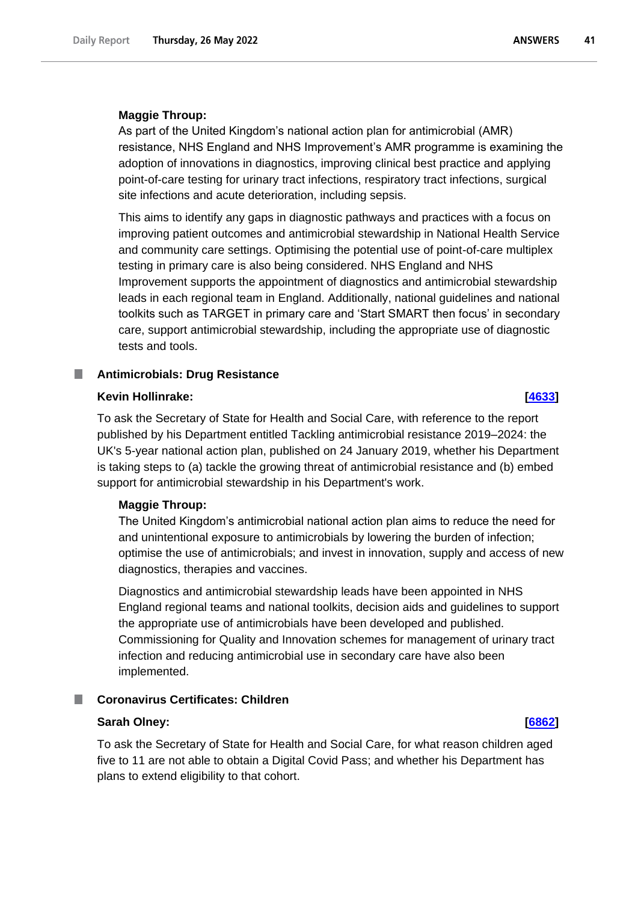### **Maggie Throup:**

As part of the United Kingdom's national action plan for antimicrobial (AMR) resistance, NHS England and NHS Improvement's AMR programme is examining the adoption of innovations in diagnostics, improving clinical best practice and applying point-of-care testing for urinary tract infections, respiratory tract infections, surgical site infections and acute deterioration, including sepsis.

This aims to identify any gaps in diagnostic pathways and practices with a focus on improving patient outcomes and antimicrobial stewardship in National Health Service and community care settings. Optimising the potential use of point-of-care multiplex testing in primary care is also being considered. NHS England and NHS Improvement supports the appointment of diagnostics and antimicrobial stewardship leads in each regional team in England. Additionally, national guidelines and national toolkits such as TARGET in primary care and 'Start SMART then focus' in secondary care, support antimicrobial stewardship, including the appropriate use of diagnostic tests and tools.

## **Antimicrobials: Drug Resistance**

### **Kevin Hollinrake: [\[4633\]](http://www.parliament.uk/business/publications/written-questions-answers-statements/written-question/Commons/2022-05-18/4633)**

To ask the Secretary of State for Health and Social Care, with reference to the report published by his Department entitled Tackling antimicrobial resistance 2019–2024: the UK's 5-year national action plan, published on 24 January 2019, whether his Department is taking steps to (a) tackle the growing threat of antimicrobial resistance and (b) embed support for antimicrobial stewardship in his Department's work.

### **Maggie Throup:**

The United Kingdom's antimicrobial national action plan aims to reduce the need for and unintentional exposure to antimicrobials by lowering the burden of infection; optimise the use of antimicrobials; and invest in innovation, supply and access of new diagnostics, therapies and vaccines.

Diagnostics and antimicrobial stewardship leads have been appointed in NHS England regional teams and national toolkits, decision aids and guidelines to support the appropriate use of antimicrobials have been developed and published. Commissioning for Quality and Innovation schemes for management of urinary tract infection and reducing antimicrobial use in secondary care have also been implemented.

## **Coronavirus Certificates: Children**

# **Sarah Olney: [\[6862\]](http://www.parliament.uk/business/publications/written-questions-answers-statements/written-question/Commons/2022-05-23/6862)**

To ask the Secretary of State for Health and Social Care, for what reason children aged five to 11 are not able to obtain a Digital Covid Pass; and whether his Department has plans to extend eligibility to that cohort.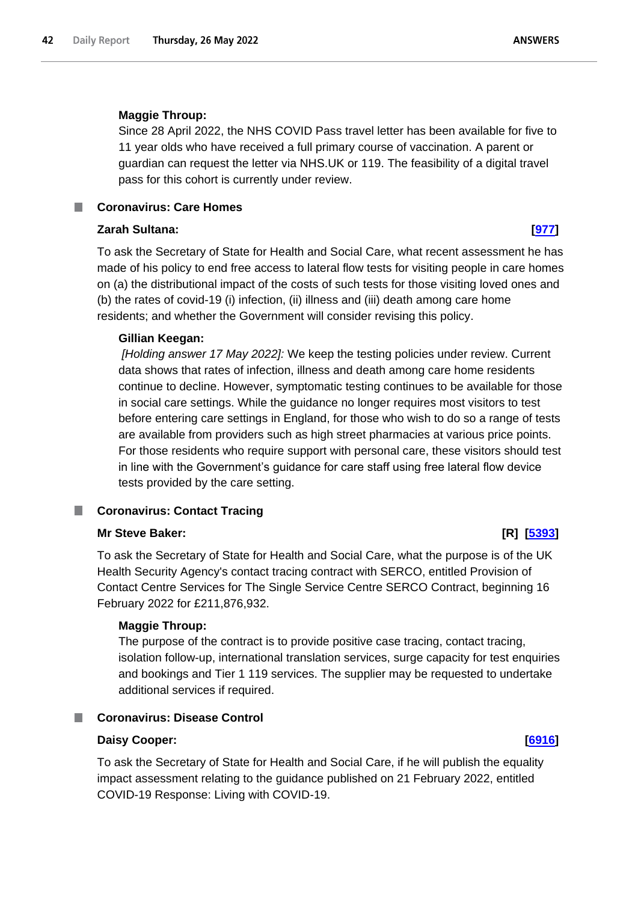**ANSWERS** 

# **Maggie Throup:**

Since 28 April 2022, the NHS COVID Pass travel letter has been available for five to 11 year olds who have received a full primary course of vaccination. A parent or guardian can request the letter via NHS.UK or 119. The feasibility of a digital travel pass for this cohort is currently under review.

# **Coronavirus: Care Homes**

# **Zarah Sultana: [\[977\]](http://www.parliament.uk/business/publications/written-questions-answers-statements/written-question/Commons/2022-05-11/977)**

To ask the Secretary of State for Health and Social Care, what recent assessment he has made of his policy to end free access to lateral flow tests for visiting people in care homes on (a) the distributional impact of the costs of such tests for those visiting loved ones and (b) the rates of covid-19 (i) infection, (ii) illness and (iii) death among care home residents; and whether the Government will consider revising this policy.

# **Gillian Keegan:**

*[Holding answer 17 May 2022]:* We keep the testing policies under review. Current data shows that rates of infection, illness and death among care home residents continue to decline. However, symptomatic testing continues to be available for those in social care settings. While the guidance no longer requires most visitors to test before entering care settings in England, for those who wish to do so a range of tests are available from providers such as high street pharmacies at various price points. For those residents who require support with personal care, these visitors should test in line with the Government's guidance for care staff using free lateral flow device tests provided by the care setting.

# **Coronavirus: Contact Tracing**

# **Mr Steve Baker: [R] [\[5393\]](http://www.parliament.uk/business/publications/written-questions-answers-statements/written-question/Commons/2022-05-19/5393)**

To ask the Secretary of State for Health and Social Care, what the purpose is of the UK Health Security Agency's contact tracing contract with SERCO, entitled Provision of Contact Centre Services for The Single Service Centre SERCO Contract, beginning 16 February 2022 for £211,876,932.

# **Maggie Throup:**

The purpose of the contract is to provide positive case tracing, contact tracing, isolation follow-up, international translation services, surge capacity for test enquiries and bookings and Tier 1 119 services. The supplier may be requested to undertake additional services if required.

# **Coronavirus: Disease Control**

# **Daisy Cooper: [\[6916\]](http://www.parliament.uk/business/publications/written-questions-answers-statements/written-question/Commons/2022-05-23/6916)**

To ask the Secretary of State for Health and Social Care, if he will publish the equality impact assessment relating to the guidance published on 21 February 2022, entitled COVID-19 Response: Living with COVID-19.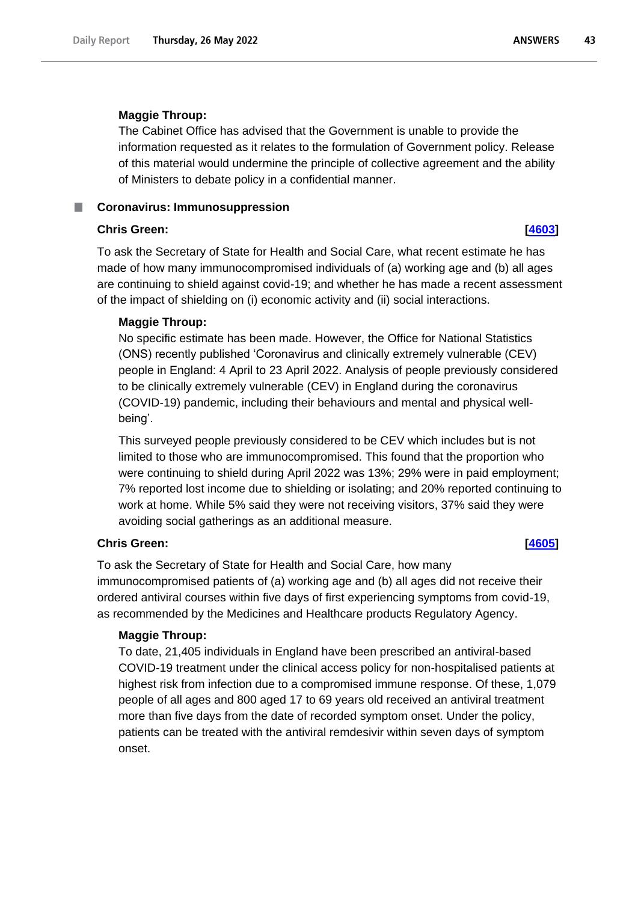### **ANSWERS** 43

## **Maggie Throup:**

The Cabinet Office has advised that the Government is unable to provide the information requested as it relates to the formulation of Government policy. Release of this material would undermine the principle of collective agreement and the ability of Ministers to debate policy in a confidential manner.

**Coronavirus: Immunosuppression** 

# **Chris Green: [\[4603\]](http://www.parliament.uk/business/publications/written-questions-answers-statements/written-question/Commons/2022-05-18/4603)**

To ask the Secretary of State for Health and Social Care, what recent estimate he has made of how many immunocompromised individuals of (a) working age and (b) all ages are continuing to shield against covid-19; and whether he has made a recent assessment of the impact of shielding on (i) economic activity and (ii) social interactions.

# **Maggie Throup:**

No specific estimate has been made. However, the Office for National Statistics (ONS) recently published 'Coronavirus and clinically extremely vulnerable (CEV) people in England: 4 April to 23 April 2022. Analysis of people previously considered to be clinically extremely vulnerable (CEV) in England during the coronavirus (COVID-19) pandemic, including their behaviours and mental and physical wellbeing'.

This surveyed people previously considered to be CEV which includes but is not limited to those who are immunocompromised. This found that the proportion who were continuing to shield during April 2022 was 13%; 29% were in paid employment; 7% reported lost income due to shielding or isolating; and 20% reported continuing to work at home. While 5% said they were not receiving visitors, 37% said they were avoiding social gatherings as an additional measure.

# **Chris Green: [\[4605\]](http://www.parliament.uk/business/publications/written-questions-answers-statements/written-question/Commons/2022-05-18/4605)**

To ask the Secretary of State for Health and Social Care, how many immunocompromised patients of (a) working age and (b) all ages did not receive their ordered antiviral courses within five days of first experiencing symptoms from covid-19, as recommended by the Medicines and Healthcare products Regulatory Agency.

### **Maggie Throup:**

To date, 21,405 individuals in England have been prescribed an antiviral-based COVID-19 treatment under the clinical access policy for non-hospitalised patients at highest risk from infection due to a compromised immune response. Of these, 1,079 people of all ages and 800 aged 17 to 69 years old received an antiviral treatment more than five days from the date of recorded symptom onset. Under the policy, patients can be treated with the antiviral remdesivir within seven days of symptom onset.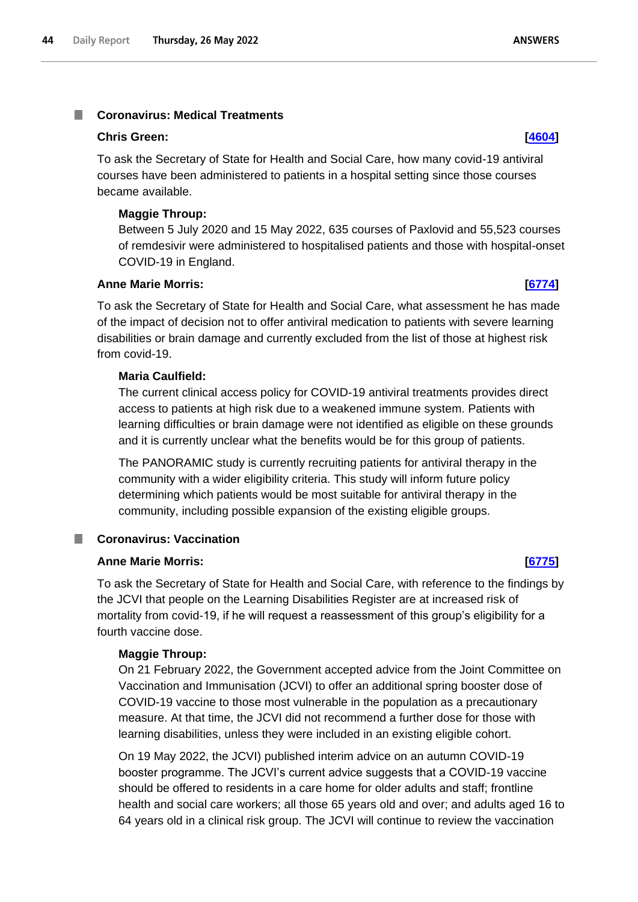### **Coronavirus: Medical Treatments** I.

### **Chris Green: [\[4604\]](http://www.parliament.uk/business/publications/written-questions-answers-statements/written-question/Commons/2022-05-18/4604)**

To ask the Secretary of State for Health and Social Care, how many covid-19 antiviral courses have been administered to patients in a hospital setting since those courses became available.

## **Maggie Throup:**

Between 5 July 2020 and 15 May 2022, 635 courses of Paxlovid and 55,523 courses of remdesivir were administered to hospitalised patients and those with hospital-onset COVID-19 in England.

### **Anne Marie Morris: [\[6774\]](http://www.parliament.uk/business/publications/written-questions-answers-statements/written-question/Commons/2022-05-23/6774)**

To ask the Secretary of State for Health and Social Care, what assessment he has made of the impact of decision not to offer antiviral medication to patients with severe learning disabilities or brain damage and currently excluded from the list of those at highest risk from covid-19.

# **Maria Caulfield:**

The current clinical access policy for COVID-19 antiviral treatments provides direct access to patients at high risk due to a weakened immune system. Patients with learning difficulties or brain damage were not identified as eligible on these grounds and it is currently unclear what the benefits would be for this group of patients.

The PANORAMIC study is currently recruiting patients for antiviral therapy in the community with a wider eligibility criteria. This study will inform future policy determining which patients would be most suitable for antiviral therapy in the community, including possible expansion of the existing eligible groups.

# **Coronavirus: Vaccination**

# **Anne Marie Morris: [\[6775\]](http://www.parliament.uk/business/publications/written-questions-answers-statements/written-question/Commons/2022-05-23/6775)**

To ask the Secretary of State for Health and Social Care, with reference to the findings by the JCVI that people on the Learning Disabilities Register are at increased risk of mortality from covid-19, if he will request a reassessment of this group's eligibility for a fourth vaccine dose.

### **Maggie Throup:**

On 21 February 2022, the Government accepted advice from the Joint Committee on Vaccination and Immunisation (JCVI) to offer an additional spring booster dose of COVID-19 vaccine to those most vulnerable in the population as a precautionary measure. At that time, the JCVI did not recommend a further dose for those with learning disabilities, unless they were included in an existing eligible cohort.

On 19 May 2022, the JCVI) published interim advice on an autumn COVID-19 booster programme. The JCVI's current advice suggests that a COVID-19 vaccine should be offered to residents in a care home for older adults and staff; frontline health and social care workers; all those 65 years old and over; and adults aged 16 to 64 years old in a clinical risk group. The JCVI will continue to review the vaccination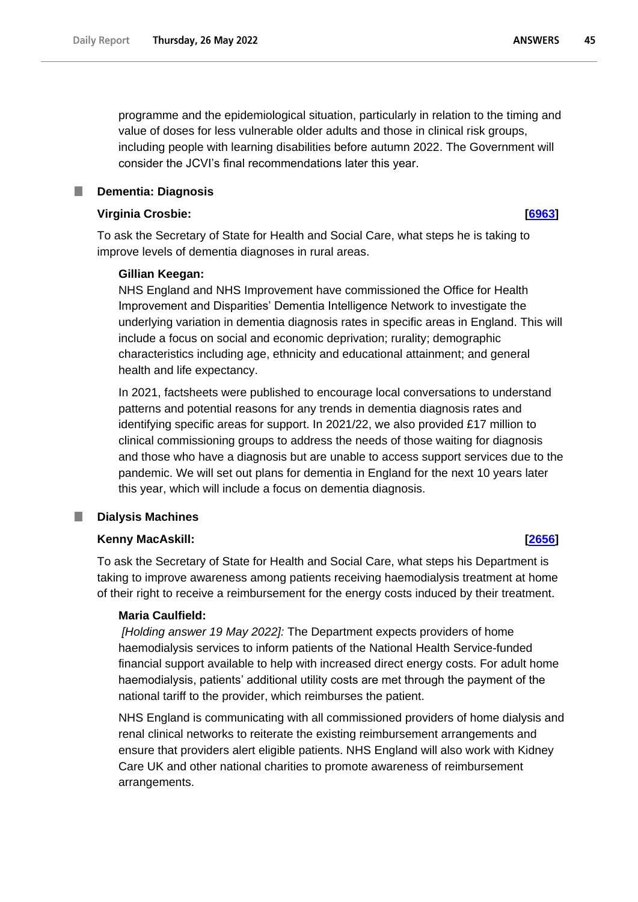programme and the epidemiological situation, particularly in relation to the timing and value of doses for less vulnerable older adults and those in clinical risk groups, including people with learning disabilities before autumn 2022. The Government will consider the JCVI's final recommendations later this year.

# **Dementia: Diagnosis**

# **Virginia Crosbie: [\[6963\]](http://www.parliament.uk/business/publications/written-questions-answers-statements/written-question/Commons/2022-05-23/6963)**

To ask the Secretary of State for Health and Social Care, what steps he is taking to improve levels of dementia diagnoses in rural areas.

### **Gillian Keegan:**

NHS England and NHS Improvement have commissioned the Office for Health Improvement and Disparities' Dementia Intelligence Network to investigate the underlying variation in dementia diagnosis rates in specific areas in England. This will include a focus on social and economic deprivation; rurality; demographic characteristics including age, ethnicity and educational attainment; and general health and life expectancy.

In 2021, factsheets were published to encourage local conversations to understand patterns and potential reasons for any trends in dementia diagnosis rates and identifying specific areas for support. In 2021/22, we also provided £17 million to clinical commissioning groups to address the needs of those waiting for diagnosis and those who have a diagnosis but are unable to access support services due to the pandemic. We will set out plans for dementia in England for the next 10 years later this year, which will include a focus on dementia diagnosis.

# **Dialysis Machines**

## **Kenny MacAskill: [\[2656\]](http://www.parliament.uk/business/publications/written-questions-answers-statements/written-question/Commons/2022-05-16/2656)**

To ask the Secretary of State for Health and Social Care, what steps his Department is taking to improve awareness among patients receiving haemodialysis treatment at home of their right to receive a reimbursement for the energy costs induced by their treatment.

### **Maria Caulfield:**

*[Holding answer 19 May 2022]:* The Department expects providers of home haemodialysis services to inform patients of the National Health Service-funded financial support available to help with increased direct energy costs. For adult home haemodialysis, patients' additional utility costs are met through the payment of the national tariff to the provider, which reimburses the patient.

NHS England is communicating with all commissioned providers of home dialysis and renal clinical networks to reiterate the existing reimbursement arrangements and ensure that providers alert eligible patients. NHS England will also work with Kidney Care UK and other national charities to promote awareness of reimbursement arrangements.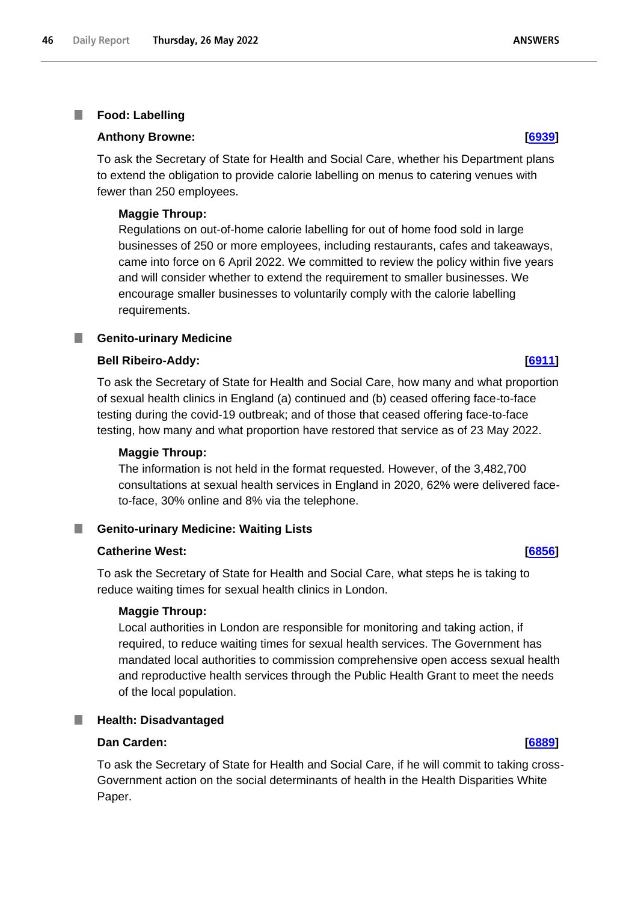### T. **Food: Labelling**

### **Anthony Browne: [\[6939\]](http://www.parliament.uk/business/publications/written-questions-answers-statements/written-question/Commons/2022-05-23/6939)**

To ask the Secretary of State for Health and Social Care, whether his Department plans to extend the obligation to provide calorie labelling on menus to catering venues with fewer than 250 employees.

### **Maggie Throup:**

Regulations on out-of-home calorie labelling for out of home food sold in large businesses of 250 or more employees, including restaurants, cafes and takeaways, came into force on 6 April 2022. We committed to review the policy within five years and will consider whether to extend the requirement to smaller businesses. We encourage smaller businesses to voluntarily comply with the calorie labelling requirements.

## **E** Genito-urinary Medicine

### **Bell Ribeiro-Addy: [\[6911\]](http://www.parliament.uk/business/publications/written-questions-answers-statements/written-question/Commons/2022-05-23/6911)**

To ask the Secretary of State for Health and Social Care, how many and what proportion of sexual health clinics in England (a) continued and (b) ceased offering face-to-face testing during the covid-19 outbreak; and of those that ceased offering face-to-face testing, how many and what proportion have restored that service as of 23 May 2022.

### **Maggie Throup:**

The information is not held in the format requested. However, of the 3,482,700 consultations at sexual health services in England in 2020, 62% were delivered faceto-face, 30% online and 8% via the telephone.

**Genito-urinary Medicine: Waiting Lists**

## **Catherine West: [\[6856\]](http://www.parliament.uk/business/publications/written-questions-answers-statements/written-question/Commons/2022-05-23/6856)**

To ask the Secretary of State for Health and Social Care, what steps he is taking to reduce waiting times for sexual health clinics in London.

### **Maggie Throup:**

Local authorities in London are responsible for monitoring and taking action, if required, to reduce waiting times for sexual health services. The Government has mandated local authorities to commission comprehensive open access sexual health and reproductive health services through the Public Health Grant to meet the needs of the local population.

### ш **Health: Disadvantaged**

### **Dan Carden: [\[6889\]](http://www.parliament.uk/business/publications/written-questions-answers-statements/written-question/Commons/2022-05-23/6889)**

To ask the Secretary of State for Health and Social Care, if he will commit to taking cross-Government action on the social determinants of health in the Health Disparities White Paper.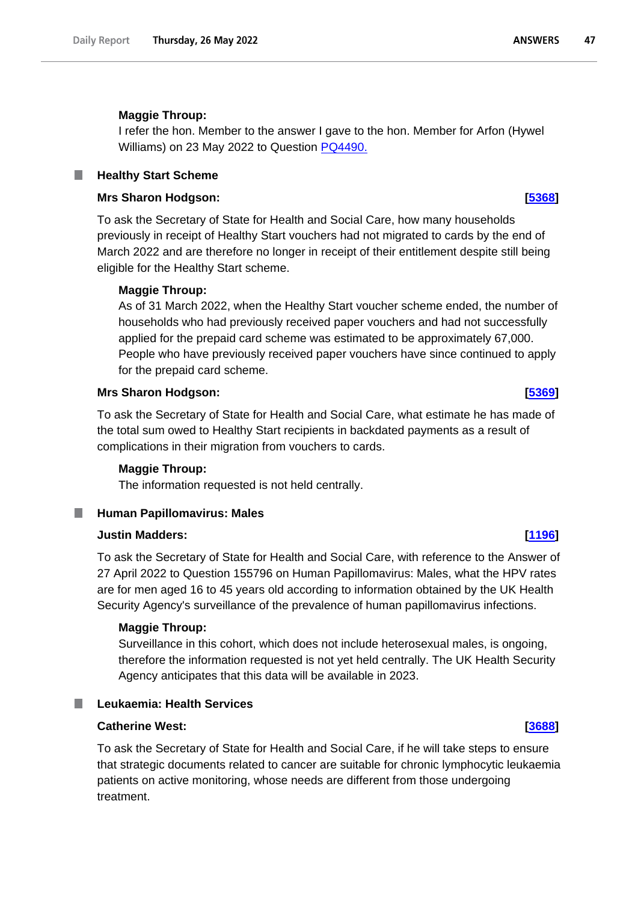# **Maggie Throup:**

I refer the hon. Member to the answer I gave to the hon. Member for Arfon (Hywel Williams) on 23 May 2022 to Question [PQ4490.](https://questions-statements.parliament.uk/written-questions/detail/2022-05-18/4490)

### **Healthy Start Scheme** ш

### **Mrs Sharon Hodgson: [\[5368\]](http://www.parliament.uk/business/publications/written-questions-answers-statements/written-question/Commons/2022-05-19/5368)**

To ask the Secretary of State for Health and Social Care, how many households previously in receipt of Healthy Start vouchers had not migrated to cards by the end of March 2022 and are therefore no longer in receipt of their entitlement despite still being eligible for the Healthy Start scheme.

# **Maggie Throup:**

As of 31 March 2022, when the Healthy Start voucher scheme ended, the number of households who had previously received paper vouchers and had not successfully applied for the prepaid card scheme was estimated to be approximately 67,000. People who have previously received paper vouchers have since continued to apply for the prepaid card scheme.

## **Mrs Sharon Hodgson: [\[5369\]](http://www.parliament.uk/business/publications/written-questions-answers-statements/written-question/Commons/2022-05-19/5369)**

To ask the Secretary of State for Health and Social Care, what estimate he has made of the total sum owed to Healthy Start recipients in backdated payments as a result of complications in their migration from vouchers to cards.

# **Maggie Throup:**

The information requested is not held centrally.

# **Human Papillomavirus: Males**

## **Justin Madders: [\[1196\]](http://www.parliament.uk/business/publications/written-questions-answers-statements/written-question/Commons/2022-05-12/1196)**

To ask the Secretary of State for Health and Social Care, with reference to the Answer of 27 April 2022 to Question 155796 on Human Papillomavirus: Males, what the HPV rates are for men aged 16 to 45 years old according to information obtained by the UK Health Security Agency's surveillance of the prevalence of human papillomavirus infections.

### **Maggie Throup:**

Surveillance in this cohort, which does not include heterosexual males, is ongoing, therefore the information requested is not yet held centrally. The UK Health Security Agency anticipates that this data will be available in 2023.

ш

# **Leukaemia: Health Services**

# **Catherine West: [\[3688\]](http://www.parliament.uk/business/publications/written-questions-answers-statements/written-question/Commons/2022-05-17/3688)**

To ask the Secretary of State for Health and Social Care, if he will take steps to ensure that strategic documents related to cancer are suitable for chronic lymphocytic leukaemia patients on active monitoring, whose needs are different from those undergoing treatment.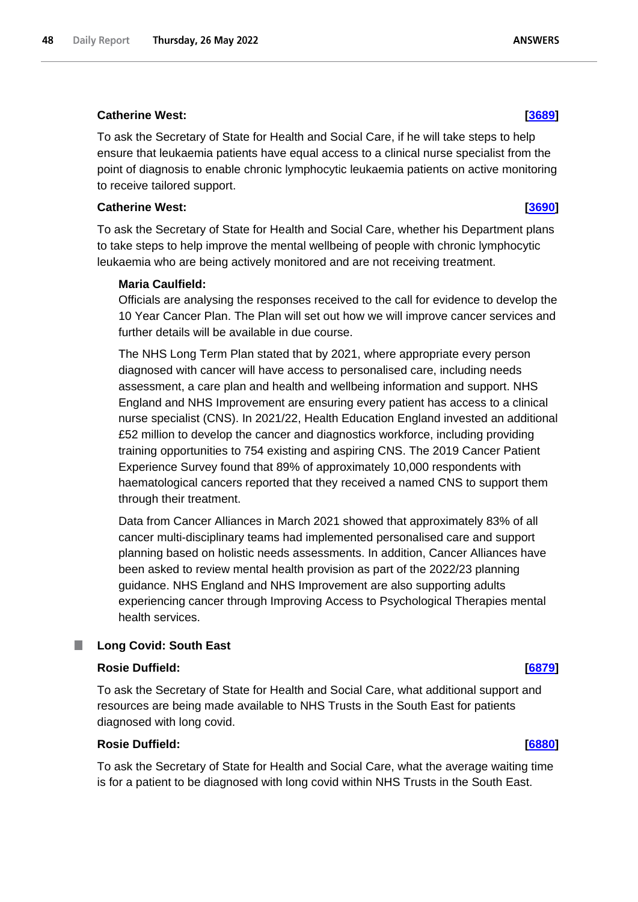## **Catherine West: [\[3689\]](http://www.parliament.uk/business/publications/written-questions-answers-statements/written-question/Commons/2022-05-17/3689)**

To ask the Secretary of State for Health and Social Care, if he will take steps to help ensure that leukaemia patients have equal access to a clinical nurse specialist from the point of diagnosis to enable chronic lymphocytic leukaemia patients on active monitoring to receive tailored support.

### **Catherine West: [\[3690\]](http://www.parliament.uk/business/publications/written-questions-answers-statements/written-question/Commons/2022-05-17/3690)**

To ask the Secretary of State for Health and Social Care, whether his Department plans to take steps to help improve the mental wellbeing of people with chronic lymphocytic leukaemia who are being actively monitored and are not receiving treatment.

## **Maria Caulfield:**

Officials are analysing the responses received to the call for evidence to develop the 10 Year Cancer Plan. The Plan will set out how we will improve cancer services and further details will be available in due course.

The NHS Long Term Plan stated that by 2021, where appropriate every person diagnosed with cancer will have access to personalised care, including needs assessment, a care plan and health and wellbeing information and support. NHS England and NHS Improvement are ensuring every patient has access to a clinical nurse specialist (CNS). In 2021/22, Health Education England invested an additional £52 million to develop the cancer and diagnostics workforce, including providing training opportunities to 754 existing and aspiring CNS. The 2019 Cancer Patient Experience Survey found that 89% of approximately 10,000 respondents with haematological cancers reported that they received a named CNS to support them through their treatment.

Data from Cancer Alliances in March 2021 showed that approximately 83% of all cancer multi-disciplinary teams had implemented personalised care and support planning based on holistic needs assessments. In addition, Cancer Alliances have been asked to review mental health provision as part of the 2022/23 planning guidance. NHS England and NHS Improvement are also supporting adults experiencing cancer through Improving Access to Psychological Therapies mental health services.

### **Long Covid: South East** ш

### **Rosie Duffield: [\[6879\]](http://www.parliament.uk/business/publications/written-questions-answers-statements/written-question/Commons/2022-05-23/6879)**

To ask the Secretary of State for Health and Social Care, what additional support and resources are being made available to NHS Trusts in the South East for patients diagnosed with long covid.

# **Rosie Duffield: [\[6880\]](http://www.parliament.uk/business/publications/written-questions-answers-statements/written-question/Commons/2022-05-23/6880)**

To ask the Secretary of State for Health and Social Care, what the average waiting time is for a patient to be diagnosed with long covid within NHS Trusts in the South East.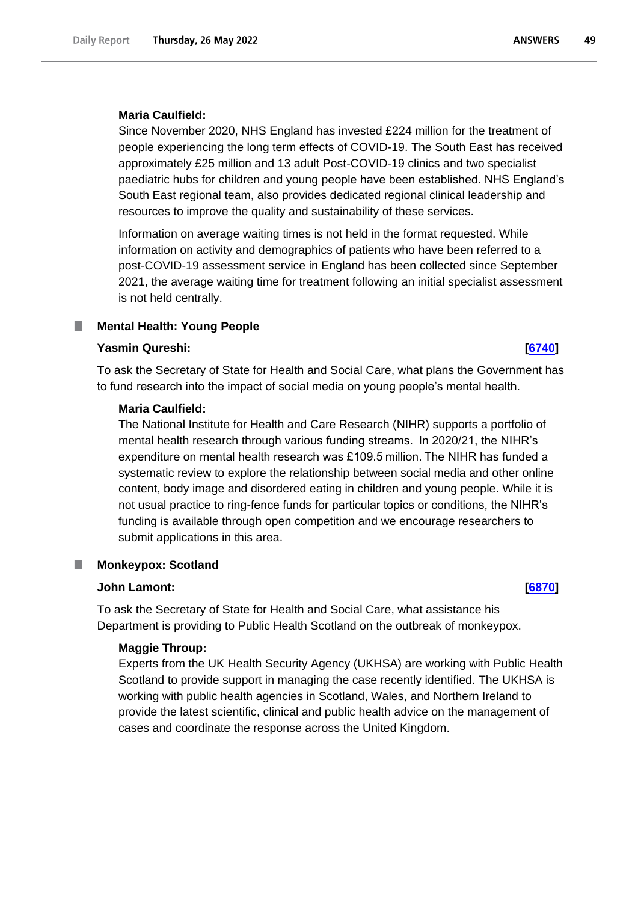Since November 2020, NHS England has invested £224 million for the treatment of people experiencing the long term effects of COVID-19. The South East has received approximately £25 million and 13 adult Post-COVID-19 clinics and two specialist paediatric hubs for children and young people have been established. NHS England's South East regional team, also provides dedicated regional clinical leadership and resources to improve the quality and sustainability of these services.

Information on average waiting times is not held in the format requested. While information on activity and demographics of patients who have been referred to a post-COVID-19 assessment service in England has been collected since September 2021, the average waiting time for treatment following an initial specialist assessment is not held centrally.

### **Mental Health: Young People** ш

### **Yasmin Qureshi: [\[6740\]](http://www.parliament.uk/business/publications/written-questions-answers-statements/written-question/Commons/2022-05-23/6740)**

To ask the Secretary of State for Health and Social Care, what plans the Government has to fund research into the impact of social media on young people's mental health.

### **Maria Caulfield:**

The National Institute for Health and Care Research (NIHR) supports a portfolio of mental health research through various funding streams.  In 2020/21, the NIHR's expenditure on mental health research was £109.5 million. The NIHR has funded a systematic review to explore the relationship between social media and other online content, body image and disordered eating in children and young people. While it is not usual practice to ring-fence funds for particular topics or conditions, the NIHR's funding is available through open competition and we encourage researchers to submit applications in this area.

### **Monkeypox: Scotland**

### **John Lamont: [\[6870\]](http://www.parliament.uk/business/publications/written-questions-answers-statements/written-question/Commons/2022-05-23/6870)**

To ask the Secretary of State for Health and Social Care, what assistance his Department is providing to Public Health Scotland on the outbreak of monkeypox.

### **Maggie Throup:**

Experts from the UK Health Security Agency (UKHSA) are working with Public Health Scotland to provide support in managing the case recently identified. The UKHSA is working with public health agencies in Scotland, Wales, and Northern Ireland to provide the latest scientific, clinical and public health advice on the management of cases and coordinate the response across the United Kingdom.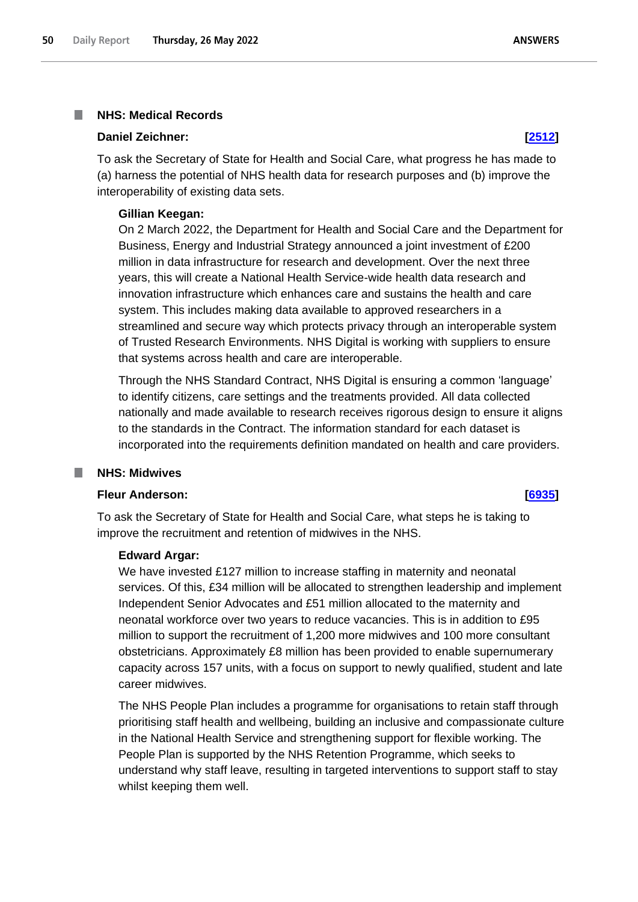## **NHS: Medical Records**

### **Daniel Zeichner: [\[2512\]](http://www.parliament.uk/business/publications/written-questions-answers-statements/written-question/Commons/2022-05-16/2512)**

To ask the Secretary of State for Health and Social Care, what progress he has made to (a) harness the potential of NHS health data for research purposes and (b) improve the interoperability of existing data sets.

### **Gillian Keegan:**

On 2 March 2022, the Department for Health and Social Care and the Department for Business, Energy and Industrial Strategy announced a joint investment of £200 million in data infrastructure for research and development. Over the next three years, this will create a National Health Service-wide health data research and innovation infrastructure which enhances care and sustains the health and care system. This includes making data available to approved researchers in a streamlined and secure way which protects privacy through an interoperable system of Trusted Research Environments. NHS Digital is working with suppliers to ensure that systems across health and care are interoperable.

Through the NHS Standard Contract, NHS Digital is ensuring a common 'language' to identify citizens, care settings and the treatments provided. All data collected nationally and made available to research receives rigorous design to ensure it aligns to the standards in the Contract. The information standard for each dataset is incorporated into the requirements definition mandated on health and care providers.

### **NHS: Midwives**

## **Fleur Anderson: [\[6935\]](http://www.parliament.uk/business/publications/written-questions-answers-statements/written-question/Commons/2022-05-23/6935)**

To ask the Secretary of State for Health and Social Care, what steps he is taking to improve the recruitment and retention of midwives in the NHS.

### **Edward Argar:**

We have invested £127 million to increase staffing in maternity and neonatal services. Of this, £34 million will be allocated to strengthen leadership and implement Independent Senior Advocates and £51 million allocated to the maternity and neonatal workforce over two years to reduce vacancies. This is in addition to £95 million to support the recruitment of 1,200 more midwives and 100 more consultant obstetricians. Approximately £8 million has been provided to enable supernumerary capacity across 157 units, with a focus on support to newly qualified, student and late career midwives.

The NHS People Plan includes a programme for organisations to retain staff through prioritising staff health and wellbeing, building an inclusive and compassionate culture in the National Health Service and strengthening support for flexible working. The People Plan is supported by the NHS Retention Programme, which seeks to understand why staff leave, resulting in targeted interventions to support staff to stay whilst keeping them well.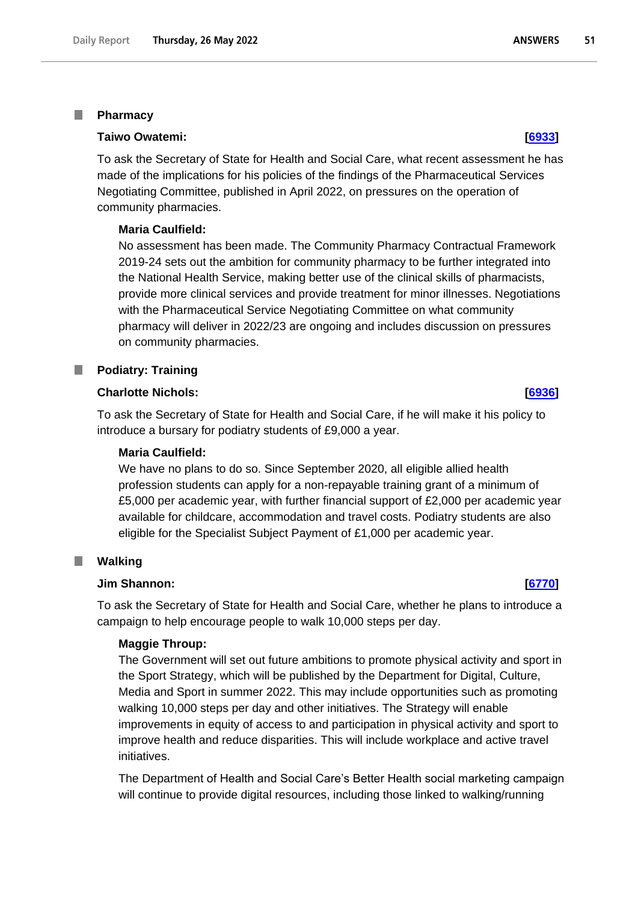### I. **Pharmacy**

### **Taiwo Owatemi: [\[6933\]](http://www.parliament.uk/business/publications/written-questions-answers-statements/written-question/Commons/2022-05-23/6933)**

To ask the Secretary of State for Health and Social Care, what recent assessment he has made of the implications for his policies of the findings of the Pharmaceutical Services Negotiating Committee, published in April 2022, on pressures on the operation of community pharmacies.

# **Maria Caulfield:**

No assessment has been made. The Community Pharmacy Contractual Framework 2019-24 sets out the ambition for community pharmacy to be further integrated into the National Health Service, making better use of the clinical skills of pharmacists, provide more clinical services and provide treatment for minor illnesses. Negotiations with the Pharmaceutical Service Negotiating Committee on what community pharmacy will deliver in 2022/23 are ongoing and includes discussion on pressures on community pharmacies.

# **Podiatry: Training**

# **Charlotte Nichols: [\[6936\]](http://www.parliament.uk/business/publications/written-questions-answers-statements/written-question/Commons/2022-05-20/6936)**

To ask the Secretary of State for Health and Social Care, if he will make it his policy to introduce a bursary for podiatry students of £9,000 a year.

## **Maria Caulfield:**

We have no plans to do so. Since September 2020, all eligible allied health profession students can apply for a non-repayable training grant of a minimum of £5,000 per academic year, with further financial support of £2,000 per academic year available for childcare, accommodation and travel costs. Podiatry students are also eligible for the Specialist Subject Payment of £1,000 per academic year.

### **Walking** L.

# **Jim Shannon: [\[6770\]](http://www.parliament.uk/business/publications/written-questions-answers-statements/written-question/Commons/2022-05-23/6770)**

To ask the Secretary of State for Health and Social Care, whether he plans to introduce a campaign to help encourage people to walk 10,000 steps per day.

# **Maggie Throup:**

The Government will set out future ambitions to promote physical activity and sport in the Sport Strategy, which will be published by the Department for Digital, Culture, Media and Sport in summer 2022. This may include opportunities such as promoting walking 10,000 steps per day and other initiatives. The Strategy will enable improvements in equity of access to and participation in physical activity and sport to improve health and reduce disparities. This will include workplace and active travel initiatives.

The Department of Health and Social Care's Better Health social marketing campaign will continue to provide digital resources, including those linked to walking/running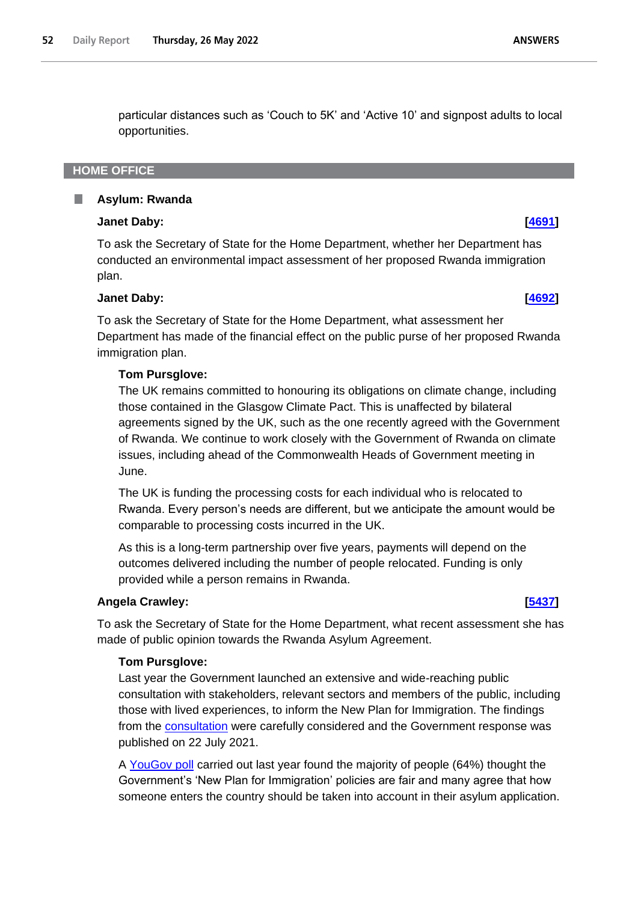particular distances such as 'Couch to 5K' and 'Active 10' and signpost adults to local opportunities.

# **HOME OFFICE**

### **Asylum: Rwanda** ٠

# **Janet Daby: [\[4691\]](http://www.parliament.uk/business/publications/written-questions-answers-statements/written-question/Commons/2022-05-18/4691)**

To ask the Secretary of State for the Home Department, whether her Department has conducted an environmental impact assessment of her proposed Rwanda immigration plan.

# **Janet Daby: [\[4692\]](http://www.parliament.uk/business/publications/written-questions-answers-statements/written-question/Commons/2022-05-18/4692)**

To ask the Secretary of State for the Home Department, what assessment her Department has made of the financial effect on the public purse of her proposed Rwanda immigration plan.

# **Tom Pursglove:**

The UK remains committed to honouring its obligations on climate change, including those contained in the Glasgow Climate Pact. This is unaffected by bilateral agreements signed by the UK, such as the one recently agreed with the Government of Rwanda. We continue to work closely with the Government of Rwanda on climate issues, including ahead of the Commonwealth Heads of Government meeting in June.

The UK is funding the processing costs for each individual who is relocated to Rwanda. Every person's needs are different, but we anticipate the amount would be comparable to processing costs incurred in the UK.

As this is a long-term partnership over five years, payments will depend on the outcomes delivered including the number of people relocated. Funding is only provided while a person remains in Rwanda.

# **Angela Crawley: [\[5437\]](http://www.parliament.uk/business/publications/written-questions-answers-statements/written-question/Commons/2022-05-19/5437)**

To ask the Secretary of State for the Home Department, what recent assessment she has made of public opinion towards the Rwanda Asylum Agreement.

# **Tom Pursglove:**

Last year the Government launched an extensive and wide-reaching public consultation with stakeholders, relevant sectors and members of the public, including those with lived experiences, to inform the New Plan for Immigration. The findings from the consultation were carefully considered and the Government response was published on 22 July 2021.

A [YouGov poll](https://gbr01.safelinks.protection.outlook.com/?url=https%3A%2F%2Fyougov.co.uk%2Ftopics%2Fpolitics%2Farticles-reports%2F2021%2F06%2F09%2Fbritons-tend-think-governments-new-plan-immigratio&data=05%7C01%7CLucy.Tuson%40homeoffice.gov.uk%7C5a81d931a4df41d0b83108da3a5e480e%7Cf24d93ecb2914192a08af182245945c2%7C0%7C0%7C637886473847064302%7CUnknown%7CTWFpbGZsb3d8eyJWIjoiMC4wLjAwMDAiLCJQIjoiV2luMzIiLCJBTiI6Ik1haWwiLCJXVCI6Mn0%3D%7C3000%7C%7C%7C&sdata=ToaNrjrLsOc5DUrAUAEO6VeMOklNLp%2F3IMhz%2F3VDuHw%3D&reserved=0) carried out last year found the majority of people (64%) thought the Government's 'New Plan for Immigration' policies are fair and many agree that how someone enters the country should be taken into account in their asylum application.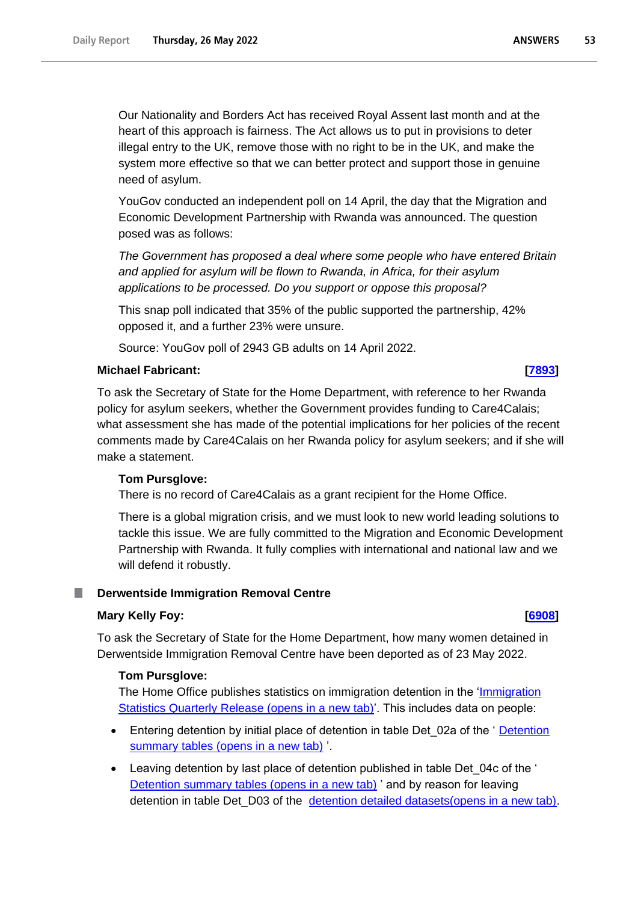Our Nationality and Borders Act has received Royal Assent last month and at the heart of this approach is fairness. The Act allows us to put in provisions to deter illegal entry to the UK, remove those with no right to be in the UK, and make the system more effective so that we can better protect and support those in genuine need of asylum.

YouGov conducted an independent poll on 14 April, the day that the Migration and Economic Development Partnership with Rwanda was announced. The question posed was as follows:

*The Government has proposed a deal where some people who have entered Britain and applied for asylum will be flown to Rwanda, in Africa, for their asylum applications to be processed. Do you support or oppose this proposal?*

This snap poll indicated that 35% of the public supported the partnership, 42% opposed it, and a further 23% were unsure.

Source: YouGov poll of 2943 GB adults on 14 April 2022.

# **Michael Fabricant: [\[7893\]](http://www.parliament.uk/business/publications/written-questions-answers-statements/written-question/Commons/2022-05-24/7893)**

To ask the Secretary of State for the Home Department, with reference to her Rwanda policy for asylum seekers, whether the Government provides funding to Care4Calais; what assessment she has made of the potential implications for her policies of the recent comments made by Care4Calais on her Rwanda policy for asylum seekers; and if she will make a statement.

# **Tom Pursglove:**

There is no record of Care4Calais as a grant recipient for the Home Office.

There is a global migration crisis, and we must look to new world leading solutions to tackle this issue. We are fully committed to the Migration and Economic Development Partnership with Rwanda. It fully complies with international and national law and we will defend it robustly.

### **Derwentside Immigration Removal Centre** n.

# **Mary Kelly Foy: [\[6908\]](http://www.parliament.uk/business/publications/written-questions-answers-statements/written-question/Commons/2022-05-23/6908)**

To ask the Secretary of State for the Home Department, how many women detained in Derwentside Immigration Removal Centre have been deported as of 23 May 2022.

# **Tom Pursglove:**

The Home Office publishes statistics on immigration detention in the ['Immigration](https://gbr01.safelinks.protection.outlook.com/?url=https%3A%2F%2Fwww.gov.uk%2Fgovernment%2Fcollections%2Fimmigration-statistics-quarterly-release&data=05%7C01%7CAlison.Murrell%40homeoffice.gov.uk%7Ceff6e51a35964e567fd808da3d82d30d%7Cf24d93ecb2914192a08af182245945c2%7C0%7C0%7C637889929332817829%7CUnknown%7CTWFpbGZsb3d8eyJWIjoiMC4wLjAwMDAiLCJQIjoiV2luMzIiLCJBTiI6Ik1haWwiLCJXVCI6Mn0%3D%7C3000%7C%7C%7C&sdata=Rowi6t5mQMvMfc5fpFo3DAtaZseTElCBfueDKYK70hI%3D&reserved=0) [Statistics Quarterly Release \(opens in a new tab\)'](https://gbr01.safelinks.protection.outlook.com/?url=https%3A%2F%2Fwww.gov.uk%2Fgovernment%2Fcollections%2Fimmigration-statistics-quarterly-release&data=05%7C01%7CAlison.Murrell%40homeoffice.gov.uk%7Ceff6e51a35964e567fd808da3d82d30d%7Cf24d93ecb2914192a08af182245945c2%7C0%7C0%7C637889929332817829%7CUnknown%7CTWFpbGZsb3d8eyJWIjoiMC4wLjAwMDAiLCJQIjoiV2luMzIiLCJBTiI6Ik1haWwiLCJXVCI6Mn0%3D%7C3000%7C%7C%7C&sdata=Rowi6t5mQMvMfc5fpFo3DAtaZseTElCBfueDKYK70hI%3D&reserved=0). This includes data on people:

- Entering detention by initial place of detention in table Det 02a of the ' Detention [summary tables \(opens in a new tab\)](https://gbr01.safelinks.protection.outlook.com/?url=https%3A%2F%2Fassets.publishing.service.gov.uk%2Fgovernment%2Fuploads%2Fsystem%2Fuploads%2Fattachment_data%2Ffile%2F1054673%2Fdetention-summary-dec-2021-tables.ods&data=05%7C01%7CAlison.Murrell%40homeoffice.gov.uk%7Ceff6e51a35964e567fd808da3d82d30d%7Cf24d93ecb2914192a08af182245945c2%7C0%7C0%7C637889929332817829%7CUnknown%7CTWFpbGZsb3d8eyJWIjoiMC4wLjAwMDAiLCJQIjoiV2luMzIiLCJBTiI6Ik1haWwiLCJXVCI6Mn0%3D%7C3000%7C%7C%7C&sdata=Y%2BA4GEQaVMIsbCtYgIn74d2eIHgXKOicFJaMD2uAJoY%3D&reserved=0) '.
- Leaving detention by last place of detention published in table Det 04c of the ' [Detention summary tables \(opens in a new tab\)](https://gbr01.safelinks.protection.outlook.com/?url=https%3A%2F%2Fassets.publishing.service.gov.uk%2Fgovernment%2Fuploads%2Fsystem%2Fuploads%2Fattachment_data%2Ffile%2F1054673%2Fdetention-summary-dec-2021-tables.ods&data=05%7C01%7CAlison.Murrell%40homeoffice.gov.uk%7Ceff6e51a35964e567fd808da3d82d30d%7Cf24d93ecb2914192a08af182245945c2%7C0%7C0%7C637889929332817829%7CUnknown%7CTWFpbGZsb3d8eyJWIjoiMC4wLjAwMDAiLCJQIjoiV2luMzIiLCJBTiI6Ik1haWwiLCJXVCI6Mn0%3D%7C3000%7C%7C%7C&sdata=Y%2BA4GEQaVMIsbCtYgIn74d2eIHgXKOicFJaMD2uAJoY%3D&reserved=0) ' and by reason for leaving detention in table Det\_D03 of the [detention detailed datasets\(opens in a new tab\).](https://gbr01.safelinks.protection.outlook.com/?url=https%3A%2F%2Fwww.gov.uk%2Fgovernment%2Fstatistical-data-sets%2Freturns-and-detention-datasets%23immigration-detention&data=05%7C01%7CAlison.Murrell%40homeoffice.gov.uk%7Ceff6e51a35964e567fd808da3d82d30d%7Cf24d93ecb2914192a08af182245945c2%7C0%7C0%7C637889929332817829%7CUnknown%7CTWFpbGZsb3d8eyJWIjoiMC4wLjAwMDAiLCJQIjoiV2luMzIiLCJBTiI6Ik1haWwiLCJXVCI6Mn0%3D%7C3000%7C%7C%7C&sdata=40IQFZhc1132W71ZU33xnVu%2FWQ%2B23hUUsfYm7%2BFeGpE%3D&reserved=0)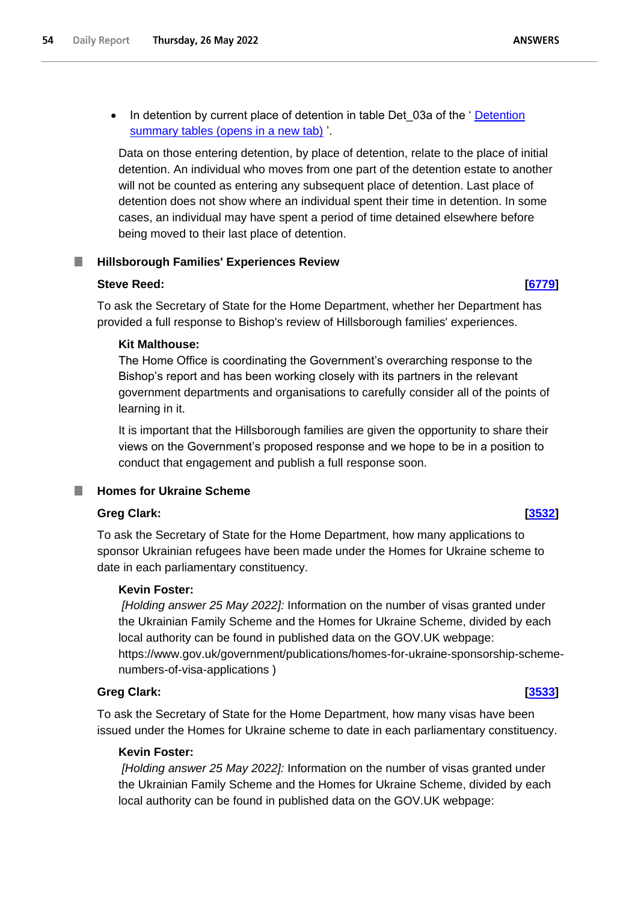Data on those entering detention, by place of detention, relate to the place of initial detention. An individual who moves from one part of the detention estate to another will not be counted as entering any subsequent place of detention. Last place of detention does not show where an individual spent their time in detention. In some cases, an individual may have spent a period of time detained elsewhere before being moved to their last place of detention.

# **Hillsborough Families' Experiences Review**

# **Steve Reed: [\[6779\]](http://www.parliament.uk/business/publications/written-questions-answers-statements/written-question/Commons/2022-05-23/6779)**

To ask the Secretary of State for the Home Department, whether her Department has provided a full response to Bishop's review of Hillsborough families' experiences.

# **Kit Malthouse:**

The Home Office is coordinating the Government's overarching response to the Bishop's report and has been working closely with its partners in the relevant government departments and organisations to carefully consider all of the points of learning in it.

It is important that the Hillsborough families are given the opportunity to share their views on the Government's proposed response and we hope to be in a position to conduct that engagement and publish a full response soon.

# **Homes for Ukraine Scheme**

# **Greg Clark: [\[3532\]](http://www.parliament.uk/business/publications/written-questions-answers-statements/written-question/Commons/2022-05-17/3532)**

To ask the Secretary of State for the Home Department, how many applications to sponsor Ukrainian refugees have been made under the Homes for Ukraine scheme to date in each parliamentary constituency.

# **Kevin Foster:**

*[Holding answer 25 May 2022]:* Information on the number of visas granted under the Ukrainian Family Scheme and the Homes for Ukraine Scheme, divided by each local authority can be found in published data on the GOV.UK webpage: https://www.gov.uk/government/publications/homes-for-ukraine-sponsorship-schemenumbers-of-visa-applications )

# **Greg Clark: [\[3533\]](http://www.parliament.uk/business/publications/written-questions-answers-statements/written-question/Commons/2022-05-17/3533)**

To ask the Secretary of State for the Home Department, how many visas have been issued under the Homes for Ukraine scheme to date in each parliamentary constituency.

# **Kevin Foster:**

*[Holding answer 25 May 2022]:* Information on the number of visas granted under the Ukrainian Family Scheme and the Homes for Ukraine Scheme, divided by each local authority can be found in published data on the GOV.UK webpage: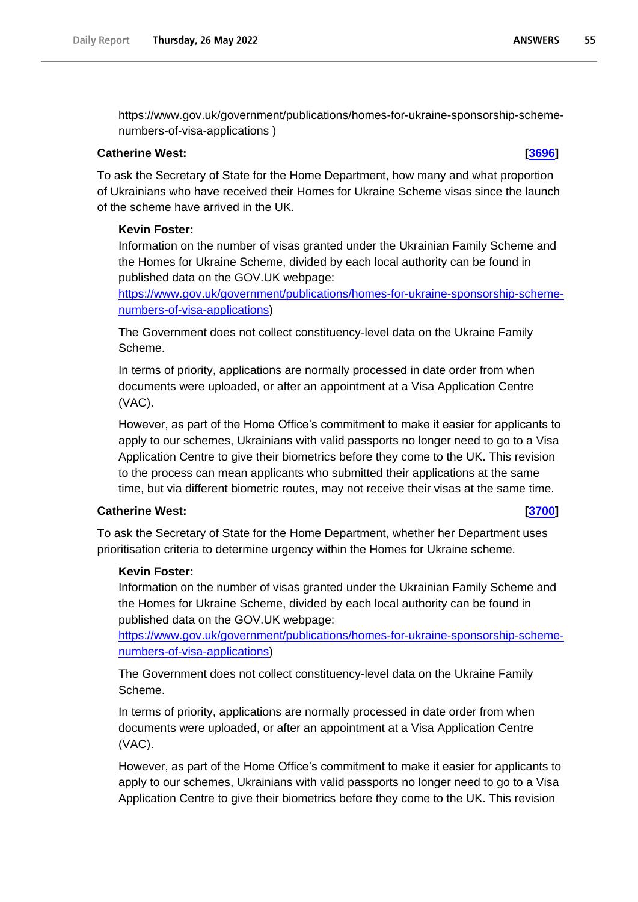https://www.gov.uk/government/publications/homes-for-ukraine-sponsorship-schemenumbers-of-visa-applications )

# **Catherine West: [\[3696\]](http://www.parliament.uk/business/publications/written-questions-answers-statements/written-question/Commons/2022-05-17/3696)**

To ask the Secretary of State for the Home Department, how many and what proportion of Ukrainians who have received their Homes for Ukraine Scheme visas since the launch of the scheme have arrived in the UK.

# **Kevin Foster:**

Information on the number of visas granted under the Ukrainian Family Scheme and the Homes for Ukraine Scheme, divided by each local authority can be found in published data on the GOV.UK webpage:

https://www.gov.uk/government/publications/homes-for-ukraine-sponsorship-schemenumbers-of-visa-applications)

The Government does not collect constituency-level data on the Ukraine Family Scheme.

In terms of priority, applications are normally processed in date order from when documents were uploaded, or after an appointment at a Visa Application Centre (VAC).

However, as part of the Home Office's commitment to make it easier for applicants to apply to our schemes, Ukrainians with valid passports no longer need to go to a Visa Application Centre to give their biometrics before they come to the UK. This revision to the process can mean applicants who submitted their applications at the same time, but via different biometric routes, may not receive their visas at the same time.

# **Catherine West: [\[3700\]](http://www.parliament.uk/business/publications/written-questions-answers-statements/written-question/Commons/2022-05-17/3700)**

To ask the Secretary of State for the Home Department, whether her Department uses prioritisation criteria to determine urgency within the Homes for Ukraine scheme.

# **Kevin Foster:**

Information on the number of visas granted under the Ukrainian Family Scheme and the Homes for Ukraine Scheme, divided by each local authority can be found in published data on the GOV.UK webpage:

https://www.gov.uk/government/publications/homes-for-ukraine-sponsorship-schemenumbers-of-visa-applications)

The Government does not collect constituency-level data on the Ukraine Family Scheme.

In terms of priority, applications are normally processed in date order from when documents were uploaded, or after an appointment at a Visa Application Centre (VAC).

However, as part of the Home Office's commitment to make it easier for applicants to apply to our schemes, Ukrainians with valid passports no longer need to go to a Visa Application Centre to give their biometrics before they come to the UK. This revision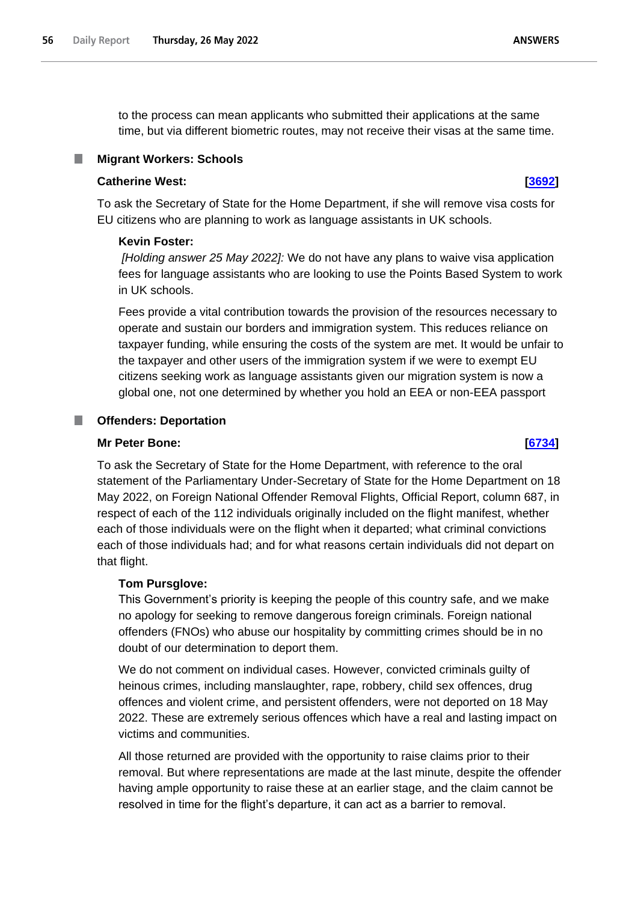to the process can mean applicants who submitted their applications at the same time, but via different biometric routes, may not receive their visas at the same time.

# **Migrant Workers: Schools**

# **Catherine West: [\[3692\]](http://www.parliament.uk/business/publications/written-questions-answers-statements/written-question/Commons/2022-05-17/3692)**

To ask the Secretary of State for the Home Department, if she will remove visa costs for EU citizens who are planning to work as language assistants in UK schools.

# **Kevin Foster:**

*[Holding answer 25 May 2022]:* We do not have any plans to waive visa application fees for language assistants who are looking to use the Points Based System to work in UK schools.

Fees provide a vital contribution towards the provision of the resources necessary to operate and sustain our borders and immigration system. This reduces reliance on taxpayer funding, while ensuring the costs of the system are met. It would be unfair to the taxpayer and other users of the immigration system if we were to exempt EU citizens seeking work as language assistants given our migration system is now a global one, not one determined by whether you hold an EEA or non-EEA passport

# **Offenders: Deportation**

# **Mr Peter Bone: [\[6734\]](http://www.parliament.uk/business/publications/written-questions-answers-statements/written-question/Commons/2022-05-23/6734)**

To ask the Secretary of State for the Home Department, with reference to the oral statement of the Parliamentary Under-Secretary of State for the Home Department on 18 May 2022, on Foreign National Offender Removal Flights, Official Report, column 687, in respect of each of the 112 individuals originally included on the flight manifest, whether each of those individuals were on the flight when it departed; what criminal convictions each of those individuals had; and for what reasons certain individuals did not depart on that flight.

# **Tom Pursglove:**

This Government's priority is keeping the people of this country safe, and we make no apology for seeking to remove dangerous foreign criminals. Foreign national offenders (FNOs) who abuse our hospitality by committing crimes should be in no doubt of our determination to deport them.

We do not comment on individual cases. However, convicted criminals guilty of heinous crimes, including manslaughter, rape, robbery, child sex offences, drug offences and violent crime, and persistent offenders, were not deported on 18 May 2022. These are extremely serious offences which have a real and lasting impact on victims and communities.

All those returned are provided with the opportunity to raise claims prior to their removal. But where representations are made at the last minute, despite the offender having ample opportunity to raise these at an earlier stage, and the claim cannot be resolved in time for the flight's departure, it can act as a barrier to removal.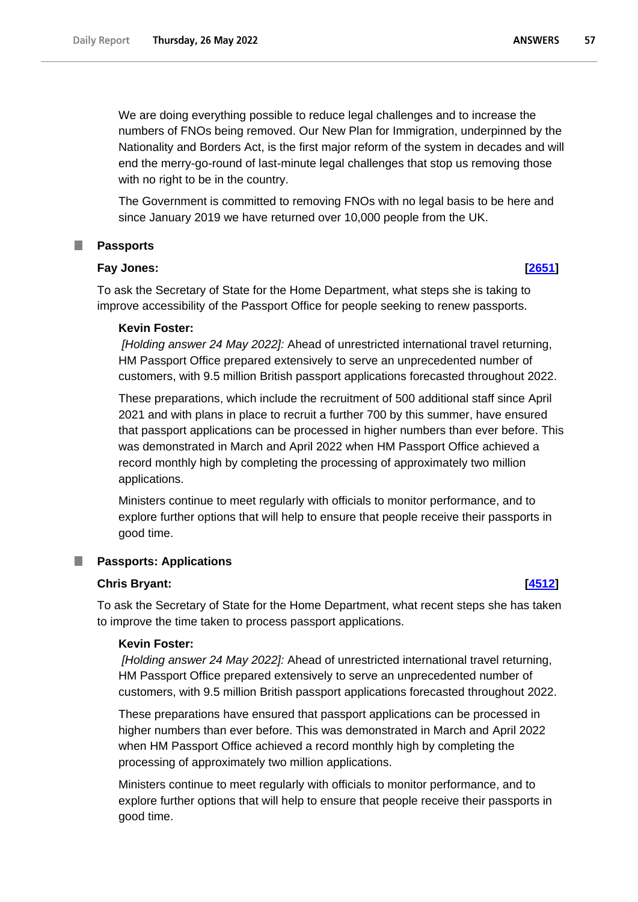We are doing everything possible to reduce legal challenges and to increase the numbers of FNOs being removed. Our New Plan for Immigration, underpinned by the Nationality and Borders Act, is the first major reform of the system in decades and will end the merry-go-round of last-minute legal challenges that stop us removing those with no right to be in the country.

The Government is committed to removing FNOs with no legal basis to be here and since January 2019 we have returned over 10,000 people from the UK.

## **Passports**

# **Fay Jones: [\[2651\]](http://www.parliament.uk/business/publications/written-questions-answers-statements/written-question/Commons/2022-05-16/2651)**

To ask the Secretary of State for the Home Department, what steps she is taking to improve accessibility of the Passport Office for people seeking to renew passports.

### **Kevin Foster:**

*[Holding answer 24 May 2022]:* Ahead of unrestricted international travel returning, HM Passport Office prepared extensively to serve an unprecedented number of customers, with 9.5 million British passport applications forecasted throughout 2022.

These preparations, which include the recruitment of 500 additional staff since April 2021 and with plans in place to recruit a further 700 by this summer, have ensured that passport applications can be processed in higher numbers than ever before. This was demonstrated in March and April 2022 when HM Passport Office achieved a record monthly high by completing the processing of approximately two million applications.

Ministers continue to meet regularly with officials to monitor performance, and to explore further options that will help to ensure that people receive their passports in good time.

### **Passports: Applications**

## **Chris Bryant: [\[4512\]](http://www.parliament.uk/business/publications/written-questions-answers-statements/written-question/Commons/2022-05-18/4512)**

To ask the Secretary of State for the Home Department, what recent steps she has taken to improve the time taken to process passport applications.

### **Kevin Foster:**

*[Holding answer 24 May 2022]:* Ahead of unrestricted international travel returning, HM Passport Office prepared extensively to serve an unprecedented number of customers, with 9.5 million British passport applications forecasted throughout 2022.

These preparations have ensured that passport applications can be processed in higher numbers than ever before. This was demonstrated in March and April 2022 when HM Passport Office achieved a record monthly high by completing the processing of approximately two million applications.

Ministers continue to meet regularly with officials to monitor performance, and to explore further options that will help to ensure that people receive their passports in good time.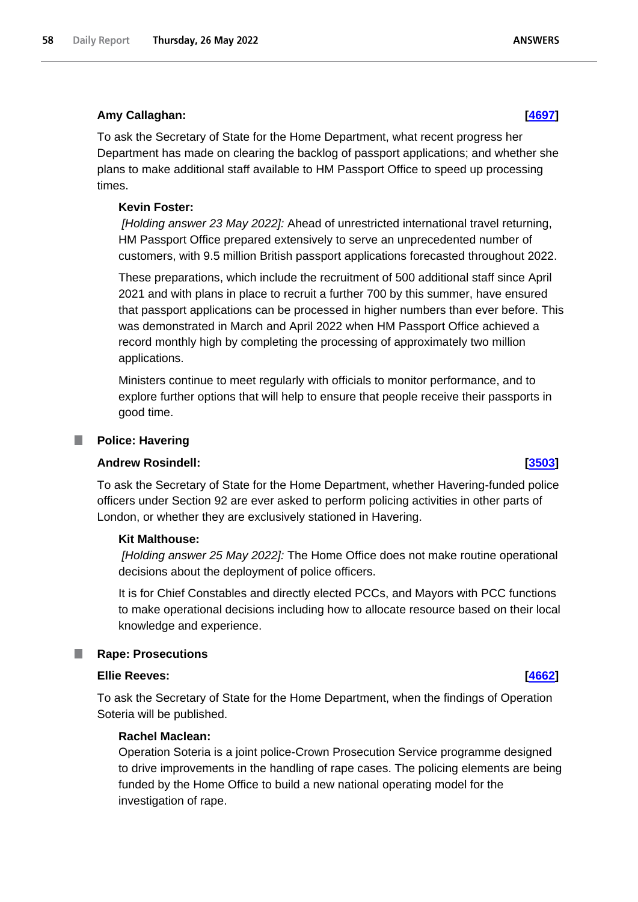## **Amy Callaghan: [\[4697\]](http://www.parliament.uk/business/publications/written-questions-answers-statements/written-question/Commons/2022-05-18/4697)**

To ask the Secretary of State for the Home Department, what recent progress her Department has made on clearing the backlog of passport applications; and whether she plans to make additional staff available to HM Passport Office to speed up processing times.

## **Kevin Foster:**

*[Holding answer 23 May 2022]:* Ahead of unrestricted international travel returning, HM Passport Office prepared extensively to serve an unprecedented number of customers, with 9.5 million British passport applications forecasted throughout 2022.

These preparations, which include the recruitment of 500 additional staff since April 2021 and with plans in place to recruit a further 700 by this summer, have ensured that passport applications can be processed in higher numbers than ever before. This was demonstrated in March and April 2022 when HM Passport Office achieved a record monthly high by completing the processing of approximately two million applications.

Ministers continue to meet regularly with officials to monitor performance, and to explore further options that will help to ensure that people receive their passports in good time.

### **Police: Havering** L.

### **Andrew Rosindell: [\[3503\]](http://www.parliament.uk/business/publications/written-questions-answers-statements/written-question/Commons/2022-05-17/3503)**

To ask the Secretary of State for the Home Department, whether Havering-funded police officers under Section 92 are ever asked to perform policing activities in other parts of London, or whether they are exclusively stationed in Havering.

### **Kit Malthouse:**

*[Holding answer 25 May 2022]:* The Home Office does not make routine operational decisions about the deployment of police officers.

It is for Chief Constables and directly elected PCCs, and Mayors with PCC functions to make operational decisions including how to allocate resource based on their local knowledge and experience.

### **Rape: Prosecutions**

## **Ellie Reeves: [\[4662\]](http://www.parliament.uk/business/publications/written-questions-answers-statements/written-question/Commons/2022-05-18/4662)**

To ask the Secretary of State for the Home Department, when the findings of Operation Soteria will be published.

## **Rachel Maclean:**

Operation Soteria is a joint police-Crown Prosecution Service programme designed to drive improvements in the handling of rape cases. The policing elements are being funded by the Home Office to build a new national operating model for the investigation of rape.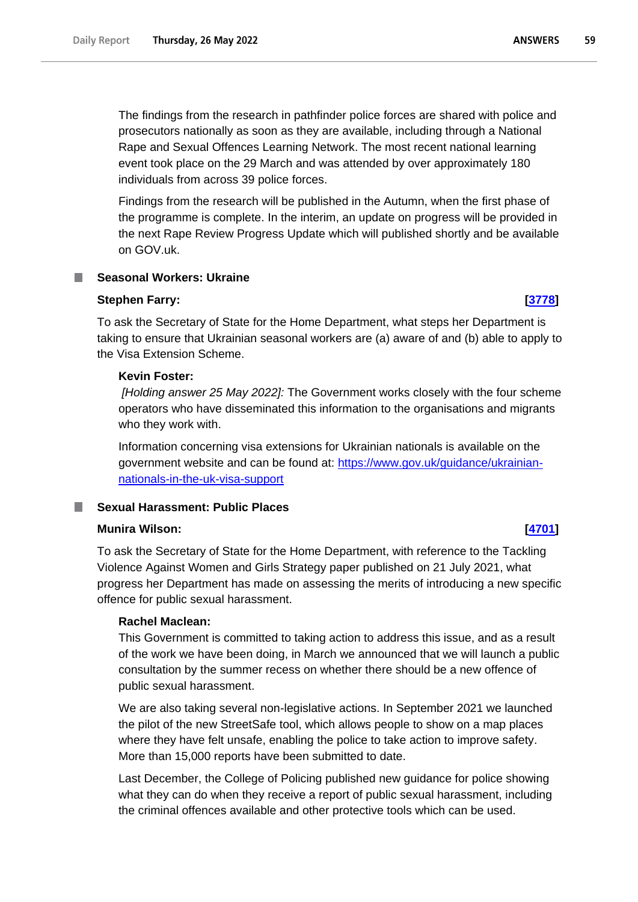The findings from the research in pathfinder police forces are shared with police and prosecutors nationally as soon as they are available, including through a National Rape and Sexual Offences Learning Network. The most recent national learning event took place on the 29 March and was attended by over approximately 180 individuals from across 39 police forces.

Findings from the research will be published in the Autumn, when the first phase of the programme is complete. In the interim, an update on progress will be provided in the next Rape Review Progress Update which will published shortly and be available on GOV.uk.

# **Seasonal Workers: Ukraine**

## **Stephen Farry: [\[3778\]](http://www.parliament.uk/business/publications/written-questions-answers-statements/written-question/Commons/2022-05-17/3778)**

To ask the Secretary of State for the Home Department, what steps her Department is taking to ensure that Ukrainian seasonal workers are (a) aware of and (b) able to apply to the Visa Extension Scheme.

## **Kevin Foster:**

*[Holding answer 25 May 2022]:* The Government works closely with the four scheme operators who have disseminated this information to the organisations and migrants who they work with.

Information concerning visa extensions for Ukrainian nationals is available on the government website and can be found at: [https://www.gov.uk/guidance/ukrainian](https://www.gov.uk/guidance/ukrainian-nationals-in-the-uk-visa-support)[nationals-in-the-uk-visa-support](https://www.gov.uk/guidance/ukrainian-nationals-in-the-uk-visa-support)

# **Sexual Harassment: Public Places**

# **Munira Wilson: [\[4701\]](http://www.parliament.uk/business/publications/written-questions-answers-statements/written-question/Commons/2022-05-18/4701)**

To ask the Secretary of State for the Home Department, with reference to the Tackling Violence Against Women and Girls Strategy paper published on 21 July 2021, what progress her Department has made on assessing the merits of introducing a new specific offence for public sexual harassment.

# **Rachel Maclean:**

This Government is committed to taking action to address this issue, and as a result of the work we have been doing, in March we announced that we will launch a public consultation by the summer recess on whether there should be a new offence of public sexual harassment.

We are also taking several non-legislative actions. In September 2021 we launched the pilot of the new StreetSafe tool, which allows people to show on a map places where they have felt unsafe, enabling the police to take action to improve safety. More than 15,000 reports have been submitted to date.

Last December, the College of Policing published new guidance for police showing what they can do when they receive a report of public sexual harassment, including the criminal offences available and other protective tools which can be used.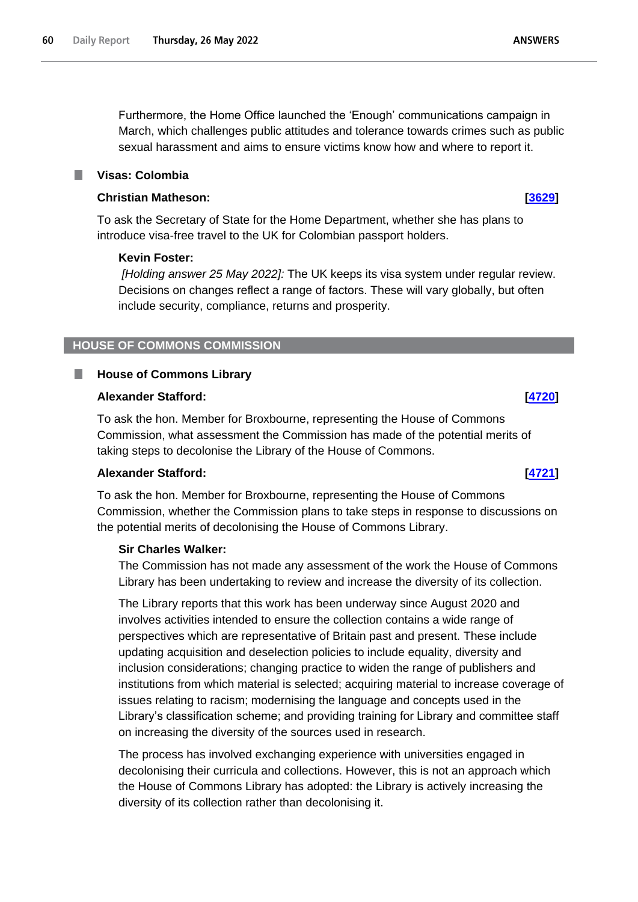Furthermore, the Home Office launched the 'Enough' communications campaign in March, which challenges public attitudes and tolerance towards crimes such as public sexual harassment and aims to ensure victims know how and where to report it.

# **Visas: Colombia**

# **Christian Matheson: [\[3629\]](http://www.parliament.uk/business/publications/written-questions-answers-statements/written-question/Commons/2022-05-17/3629)**

To ask the Secretary of State for the Home Department, whether she has plans to introduce visa-free travel to the UK for Colombian passport holders.

# **Kevin Foster:**

*[Holding answer 25 May 2022]:* The UK keeps its visa system under regular review. Decisions on changes reflect a range of factors. These will vary globally, but often include security, compliance, returns and prosperity.

# **HOUSE OF COMMONS COMMISSION**

### **House of Commons Library** T.

# **Alexander Stafford: [\[4720\]](http://www.parliament.uk/business/publications/written-questions-answers-statements/written-question/Commons/2022-05-18/4720)**

To ask the hon. Member for Broxbourne, representing the House of Commons Commission, what assessment the Commission has made of the potential merits of taking steps to decolonise the Library of the House of Commons.

# **Alexander Stafford: [\[4721\]](http://www.parliament.uk/business/publications/written-questions-answers-statements/written-question/Commons/2022-05-18/4721)**

To ask the hon. Member for Broxbourne, representing the House of Commons Commission, whether the Commission plans to take steps in response to discussions on the potential merits of decolonising the House of Commons Library.

# **Sir Charles Walker:**

The Commission has not made any assessment of the work the House of Commons Library has been undertaking to review and increase the diversity of its collection.

The Library reports that this work has been underway since August 2020 and involves activities intended to ensure the collection contains a wide range of perspectives which are representative of Britain past and present. These include updating acquisition and deselection policies to include equality, diversity and inclusion considerations; changing practice to widen the range of publishers and institutions from which material is selected; acquiring material to increase coverage of issues relating to racism; modernising the language and concepts used in the Library's classification scheme; and providing training for Library and committee staff on increasing the diversity of the sources used in research.

The process has involved exchanging experience with universities engaged in decolonising their curricula and collections. However, this is not an approach which the House of Commons Library has adopted: the Library is actively increasing the diversity of its collection rather than decolonising it.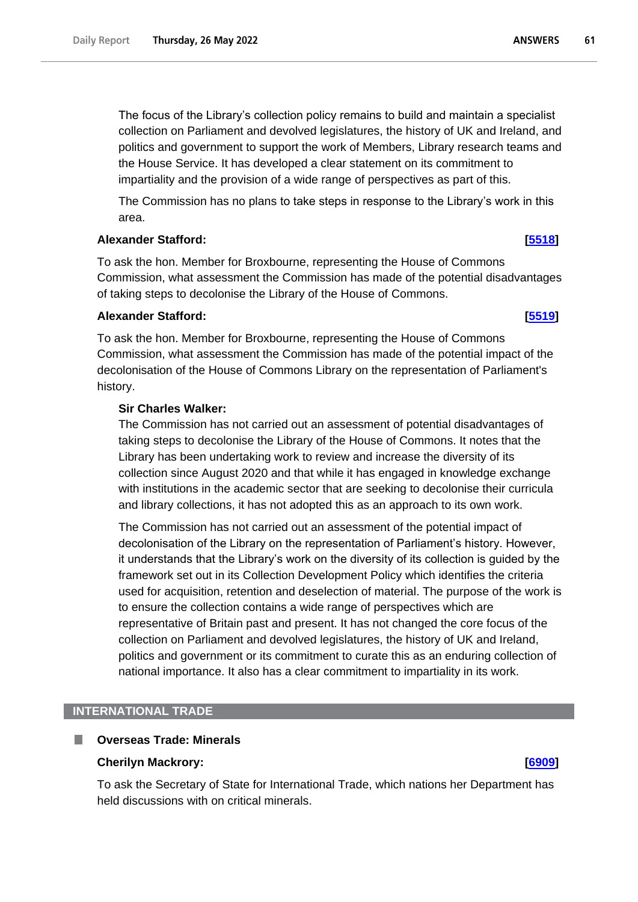The focus of the Library's collection policy remains to build and maintain a specialist collection on Parliament and devolved legislatures, the history of UK and Ireland, and politics and government to support the work of Members, Library research teams and the House Service. It has developed a clear statement on its commitment to impartiality and the provision of a wide range of perspectives as part of this.

The Commission has no plans to take steps in response to the Library's work in this area.

# **Alexander Stafford: [\[5518\]](http://www.parliament.uk/business/publications/written-questions-answers-statements/written-question/Commons/2022-05-19/5518)**

To ask the hon. Member for Broxbourne, representing the House of Commons Commission, what assessment the Commission has made of the potential disadvantages of taking steps to decolonise the Library of the House of Commons.

# **Alexander Stafford: [\[5519\]](http://www.parliament.uk/business/publications/written-questions-answers-statements/written-question/Commons/2022-05-19/5519)**

# To ask the hon. Member for Broxbourne, representing the House of Commons Commission, what assessment the Commission has made of the potential impact of the decolonisation of the House of Commons Library on the representation of Parliament's history.

# **Sir Charles Walker:**

The Commission has not carried out an assessment of potential disadvantages of taking steps to decolonise the Library of the House of Commons. It notes that the Library has been undertaking work to review and increase the diversity of its collection since August 2020 and that while it has engaged in knowledge exchange with institutions in the academic sector that are seeking to decolonise their curricula and library collections, it has not adopted this as an approach to its own work.

The Commission has not carried out an assessment of the potential impact of decolonisation of the Library on the representation of Parliament's history. However, it understands that the Library's work on the diversity of its collection is guided by the framework set out in its Collection Development Policy which identifies the criteria used for acquisition, retention and deselection of material. The purpose of the work is to ensure the collection contains a wide range of perspectives which are representative of Britain past and present. It has not changed the core focus of the collection on Parliament and devolved legislatures, the history of UK and Ireland, politics and government or its commitment to curate this as an enduring collection of national importance. It also has a clear commitment to impartiality in its work.

# **INTERNATIONAL TRADE**

# **Overseas Trade: Minerals**

# **Cherilyn Mackrory: [\[6909\]](http://www.parliament.uk/business/publications/written-questions-answers-statements/written-question/Commons/2022-05-23/6909)**

To ask the Secretary of State for International Trade, which nations her Department has held discussions with on critical minerals.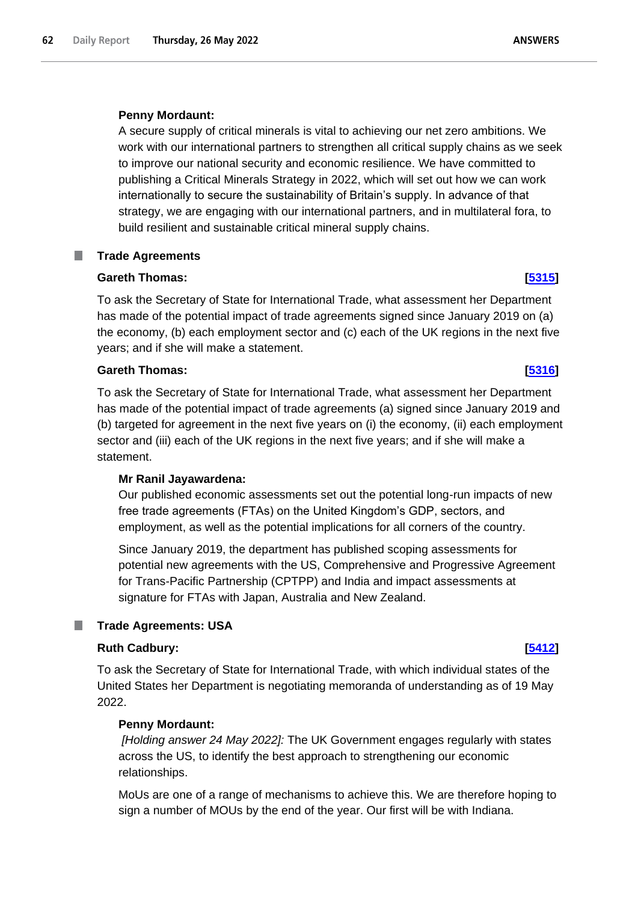# **Penny Mordaunt:**

A secure supply of critical minerals is vital to achieving our net zero ambitions. We work with our international partners to strengthen all critical supply chains as we seek to improve our national security and economic resilience. We have committed to publishing a Critical Minerals Strategy in 2022, which will set out how we can work internationally to secure the sustainability of Britain's supply. In advance of that strategy, we are engaging with our international partners, and in multilateral fora, to build resilient and sustainable critical mineral supply chains.

# **Trade Agreements**

# **Gareth Thomas: [\[5315\]](http://www.parliament.uk/business/publications/written-questions-answers-statements/written-question/Commons/2022-05-19/5315)**

To ask the Secretary of State for International Trade, what assessment her Department has made of the potential impact of trade agreements signed since January 2019 on (a) the economy, (b) each employment sector and (c) each of the UK regions in the next five years; and if she will make a statement.

# **Gareth Thomas: [\[5316\]](http://www.parliament.uk/business/publications/written-questions-answers-statements/written-question/Commons/2022-05-19/5316)**

To ask the Secretary of State for International Trade, what assessment her Department has made of the potential impact of trade agreements (a) signed since January 2019 and (b) targeted for agreement in the next five years on (i) the economy, (ii) each employment sector and (iii) each of the UK regions in the next five years; and if she will make a statement.

# **Mr Ranil Jayawardena:**

Our published economic assessments set out the potential long-run impacts of new free trade agreements (FTAs) on the United Kingdom's GDP, sectors, and employment, as well as the potential implications for all corners of the country.

Since January 2019, the department has published scoping assessments for potential new agreements with the US, Comprehensive and Progressive Agreement for Trans-Pacific Partnership (CPTPP) and India and impact assessments at signature for FTAs with Japan, Australia and New Zealand.

# **Trade Agreements: USA**

# **Ruth Cadbury: [\[5412\]](http://www.parliament.uk/business/publications/written-questions-answers-statements/written-question/Commons/2022-05-19/5412)**

To ask the Secretary of State for International Trade, with which individual states of the United States her Department is negotiating memoranda of understanding as of 19 May 2022.

# **Penny Mordaunt:**

*[Holding answer 24 May 2022]:* The UK Government engages regularly with states across the US, to identify the best approach to strengthening our economic relationships.

MoUs are one of a range of mechanisms to achieve this. We are therefore hoping to sign a number of MOUs by the end of the year. Our first will be with Indiana.

### **ANSWERS**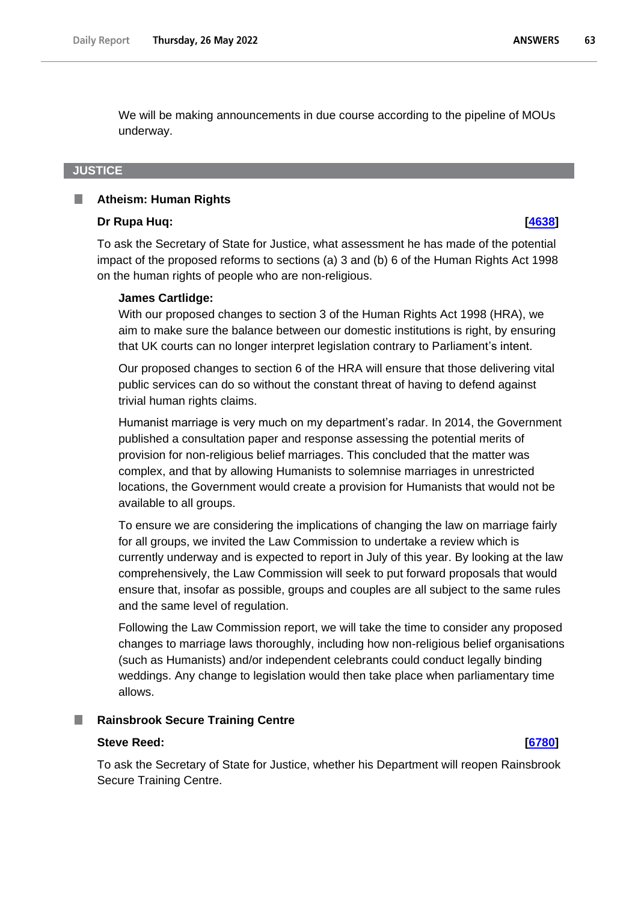We will be making announcements in due course according to the pipeline of MOUs underway.

## **JUSTICE**

### H **Atheism: Human Rights**

### **Dr Rupa Huq: [\[4638\]](http://www.parliament.uk/business/publications/written-questions-answers-statements/written-question/Commons/2022-05-18/4638)**

To ask the Secretary of State for Justice, what assessment he has made of the potential impact of the proposed reforms to sections (a) 3 and (b) 6 of the Human Rights Act 1998 on the human rights of people who are non-religious.

### **James Cartlidge:**

With our proposed changes to section 3 of the Human Rights Act 1998 (HRA), we aim to make sure the balance between our domestic institutions is right, by ensuring that UK courts can no longer interpret legislation contrary to Parliament's intent.

Our proposed changes to section 6 of the HRA will ensure that those delivering vital public services can do so without the constant threat of having to defend against trivial human rights claims.

Humanist marriage is very much on my department's radar. In 2014, the Government published a consultation paper and response assessing the potential merits of provision for non-religious belief marriages. This concluded that the matter was complex, and that by allowing Humanists to solemnise marriages in unrestricted locations, the Government would create a provision for Humanists that would not be available to all groups.

To ensure we are considering the implications of changing the law on marriage fairly for all groups, we invited the Law Commission to undertake a review which is currently underway and is expected to report in July of this year. By looking at the law comprehensively, the Law Commission will seek to put forward proposals that would ensure that, insofar as possible, groups and couples are all subject to the same rules and the same level of regulation.

Following the Law Commission report, we will take the time to consider any proposed changes to marriage laws thoroughly, including how non-religious belief organisations (such as Humanists) and/or independent celebrants could conduct legally binding weddings. Any change to legislation would then take place when parliamentary time allows.

## **Rainsbrook Secure Training Centre**

### **Steve Reed: [\[6780\]](http://www.parliament.uk/business/publications/written-questions-answers-statements/written-question/Commons/2022-05-23/6780)**

To ask the Secretary of State for Justice, whether his Department will reopen Rainsbrook Secure Training Centre.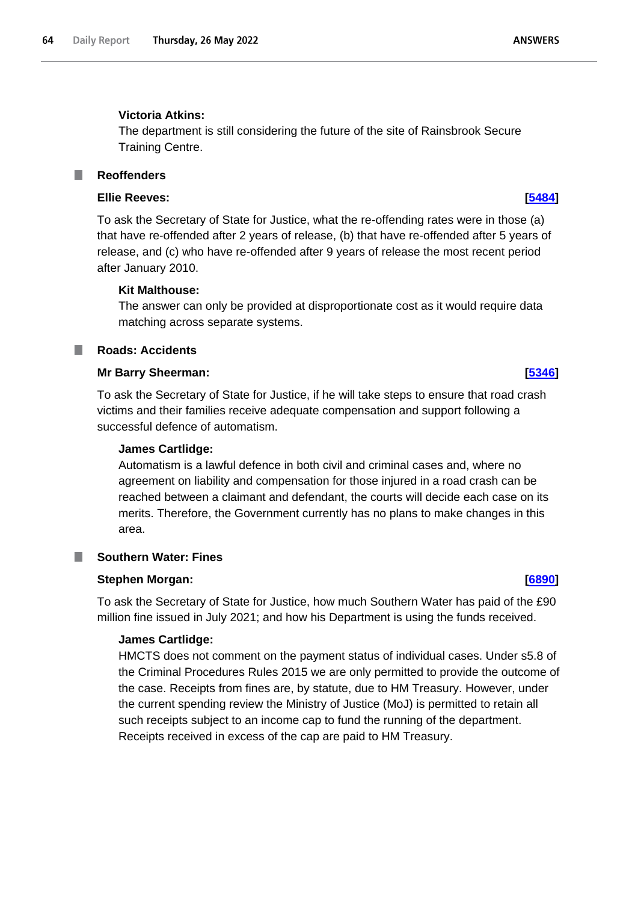# **Victoria Atkins:**

The department is still considering the future of the site of Rainsbrook Secure Training Centre.

### **Reoffenders** F.

# **Ellie Reeves: [\[5484\]](http://www.parliament.uk/business/publications/written-questions-answers-statements/written-question/Commons/2022-05-19/5484)**

To ask the Secretary of State for Justice, what the re-offending rates were in those (a) that have re-offended after 2 years of release, (b) that have re-offended after 5 years of release, and (c) who have re-offended after 9 years of release the most recent period after January 2010.

# **Kit Malthouse:**

The answer can only be provided at disproportionate cost as it would require data matching across separate systems.

### **Roads: Accidents** T.

# **Mr Barry Sheerman: [\[5346\]](http://www.parliament.uk/business/publications/written-questions-answers-statements/written-question/Commons/2022-05-19/5346)**

To ask the Secretary of State for Justice, if he will take steps to ensure that road crash victims and their families receive adequate compensation and support following a successful defence of automatism.

# **James Cartlidge:**

Automatism is a lawful defence in both civil and criminal cases and, where no agreement on liability and compensation for those injured in a road crash can be reached between a claimant and defendant, the courts will decide each case on its merits. Therefore, the Government currently has no plans to make changes in this area.

# **Southern Water: Fines**

# **Stephen Morgan: [\[6890\]](http://www.parliament.uk/business/publications/written-questions-answers-statements/written-question/Commons/2022-05-23/6890)**

To ask the Secretary of State for Justice, how much Southern Water has paid of the £90 million fine issued in July 2021; and how his Department is using the funds received.

# **James Cartlidge:**

HMCTS does not comment on the payment status of individual cases. Under s5.8 of the Criminal Procedures Rules 2015 we are only permitted to provide the outcome of the case. Receipts from fines are, by statute, due to HM Treasury. However, under the current spending review the Ministry of Justice (MoJ) is permitted to retain all such receipts subject to an income cap to fund the running of the department. Receipts received in excess of the cap are paid to HM Treasury.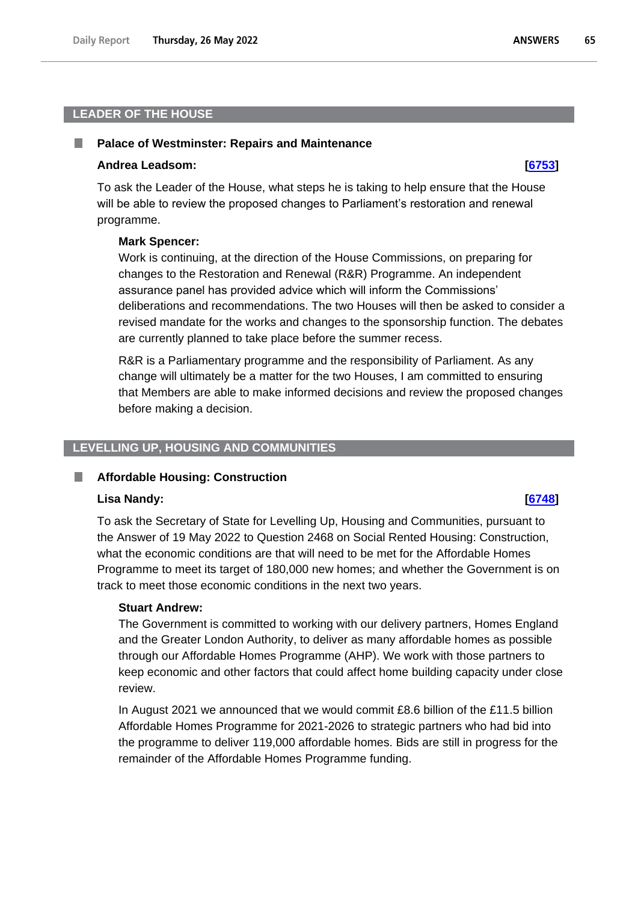# **LEADER OF THE HOUSE**

### **Palace of Westminster: Repairs and Maintenance**

### **Andrea Leadsom: [\[6753\]](http://www.parliament.uk/business/publications/written-questions-answers-statements/written-question/Commons/2022-05-23/6753)**

To ask the Leader of the House, what steps he is taking to help ensure that the House will be able to review the proposed changes to Parliament's restoration and renewal programme.

### **Mark Spencer:**

Work is continuing, at the direction of the House Commissions, on preparing for changes to the Restoration and Renewal (R&R) Programme. An independent assurance panel has provided advice which will inform the Commissions' deliberations and recommendations. The two Houses will then be asked to consider a revised mandate for the works and changes to the sponsorship function. The debates are currently planned to take place before the summer recess.

R&R is a Parliamentary programme and the responsibility of Parliament. As any change will ultimately be a matter for the two Houses, I am committed to ensuring that Members are able to make informed decisions and review the proposed changes before making a decision.

# **LEVELLING UP, HOUSING AND COMMUNITIES**

### **Affordable Housing: Construction**

### **Lisa Nandy: [\[6748\]](http://www.parliament.uk/business/publications/written-questions-answers-statements/written-question/Commons/2022-05-23/6748)**

To ask the Secretary of State for Levelling Up, Housing and Communities, pursuant to the Answer of 19 May 2022 to Question 2468 on Social Rented Housing: Construction, what the economic conditions are that will need to be met for the Affordable Homes Programme to meet its target of 180,000 new homes; and whether the Government is on track to meet those economic conditions in the next two years.

# **Stuart Andrew:**

The Government is committed to working with our delivery partners, Homes England and the Greater London Authority, to deliver as many affordable homes as possible through our Affordable Homes Programme (AHP). We work with those partners to keep economic and other factors that could affect home building capacity under close review.

In August 2021 we announced that we would commit £8.6 billion of the £11.5 billion Affordable Homes Programme for 2021-2026 to strategic partners who had bid into the programme to deliver 119,000 affordable homes. Bids are still in progress for the remainder of the Affordable Homes Programme funding.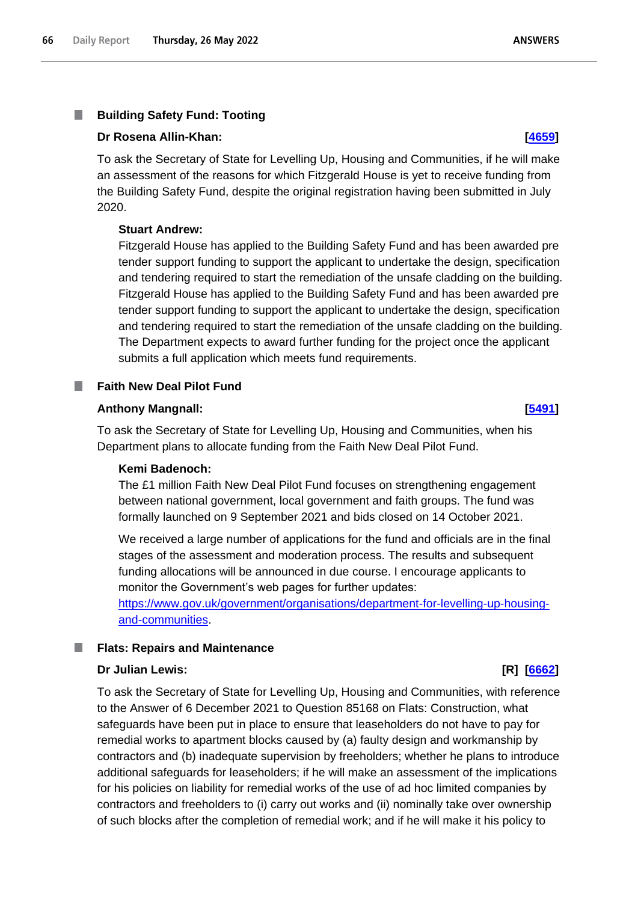### T. **Building Safety Fund: Tooting**

## **Dr Rosena Allin-Khan: [\[4659\]](http://www.parliament.uk/business/publications/written-questions-answers-statements/written-question/Commons/2022-05-18/4659)**

To ask the Secretary of State for Levelling Up, Housing and Communities, if he will make an assessment of the reasons for which Fitzgerald House is yet to receive funding from the Building Safety Fund, despite the original registration having been submitted in July 2020.

# **Stuart Andrew:**

Fitzgerald House has applied to the Building Safety Fund and has been awarded pre tender support funding to support the applicant to undertake the design, specification and tendering required to start the remediation of the unsafe cladding on the building. Fitzgerald House has applied to the Building Safety Fund and has been awarded pre tender support funding to support the applicant to undertake the design, specification and tendering required to start the remediation of the unsafe cladding on the building. The Department expects to award further funding for the project once the applicant submits a full application which meets fund requirements.

### **Faith New Deal Pilot Fund** a a

## **Anthony Mangnall: [\[5491\]](http://www.parliament.uk/business/publications/written-questions-answers-statements/written-question/Commons/2022-05-19/5491)**

To ask the Secretary of State for Levelling Up, Housing and Communities, when his Department plans to allocate funding from the Faith New Deal Pilot Fund.

### **Kemi Badenoch:**

The £1 million Faith New Deal Pilot Fund focuses on strengthening engagement between national government, local government and faith groups. The fund was formally launched on 9 September 2021 and bids closed on 14 October 2021.

We received a large number of applications for the fund and officials are in the final stages of the assessment and moderation process. The results and subsequent funding allocations will be announced in due course. I encourage applicants to monitor the Government's web pages for further updates:

[https://www.gov.uk/government/organisations/department-for-levelling-up-housing](https://www.gov.uk/government/organisations/department-for-levelling-up-housing-and-communities)[and-communities.](https://www.gov.uk/government/organisations/department-for-levelling-up-housing-and-communities)

### ш **Flats: Repairs and Maintenance**

### **Dr Julian Lewis: [R] [\[6662\]](http://www.parliament.uk/business/publications/written-questions-answers-statements/written-question/Commons/2022-05-23/6662)**

To ask the Secretary of State for Levelling Up, Housing and Communities, with reference to the Answer of 6 December 2021 to Question 85168 on Flats: Construction, what safeguards have been put in place to ensure that leaseholders do not have to pay for remedial works to apartment blocks caused by (a) faulty design and workmanship by contractors and (b) inadequate supervision by freeholders; whether he plans to introduce additional safeguards for leaseholders; if he will make an assessment of the implications for his policies on liability for remedial works of the use of ad hoc limited companies by contractors and freeholders to (i) carry out works and (ii) nominally take over ownership of such blocks after the completion of remedial work; and if he will make it his policy to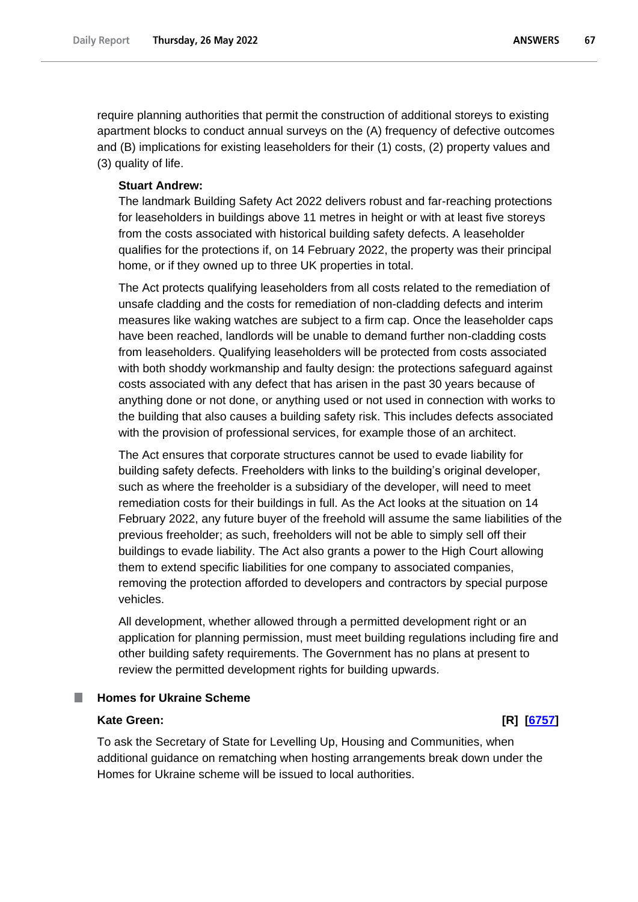require planning authorities that permit the construction of additional storeys to existing apartment blocks to conduct annual surveys on the (A) frequency of defective outcomes and (B) implications for existing leaseholders for their (1) costs, (2) property values and (3) quality of life.

### **Stuart Andrew:**

The landmark Building Safety Act 2022 delivers robust and far-reaching protections for leaseholders in buildings above 11 metres in height or with at least five storeys from the costs associated with historical building safety defects. A leaseholder qualifies for the protections if, on 14 February 2022, the property was their principal home, or if they owned up to three UK properties in total.

The Act protects qualifying leaseholders from all costs related to the remediation of unsafe cladding and the costs for remediation of non-cladding defects and interim measures like waking watches are subject to a firm cap. Once the leaseholder caps have been reached, landlords will be unable to demand further non-cladding costs from leaseholders. Qualifying leaseholders will be protected from costs associated with both shoddy workmanship and faulty design: the protections safeguard against costs associated with any defect that has arisen in the past 30 years because of anything done or not done, or anything used or not used in connection with works to the building that also causes a building safety risk. This includes defects associated with the provision of professional services, for example those of an architect.

The Act ensures that corporate structures cannot be used to evade liability for building safety defects. Freeholders with links to the building's original developer, such as where the freeholder is a subsidiary of the developer, will need to meet remediation costs for their buildings in full. As the Act looks at the situation on 14 February 2022, any future buyer of the freehold will assume the same liabilities of the previous freeholder; as such, freeholders will not be able to simply sell off their buildings to evade liability. The Act also grants a power to the High Court allowing them to extend specific liabilities for one company to associated companies, removing the protection afforded to developers and contractors by special purpose vehicles.

All development, whether allowed through a permitted development right or an application for planning permission, must meet building regulations including fire and other building safety requirements. The Government has no plans at present to review the permitted development rights for building upwards.

# **Homes for Ukraine Scheme**

# **Kate Green: [R] [\[6757\]](http://www.parliament.uk/business/publications/written-questions-answers-statements/written-question/Commons/2022-05-23/6757)**

To ask the Secretary of State for Levelling Up, Housing and Communities, when additional guidance on rematching when hosting arrangements break down under the Homes for Ukraine scheme will be issued to local authorities.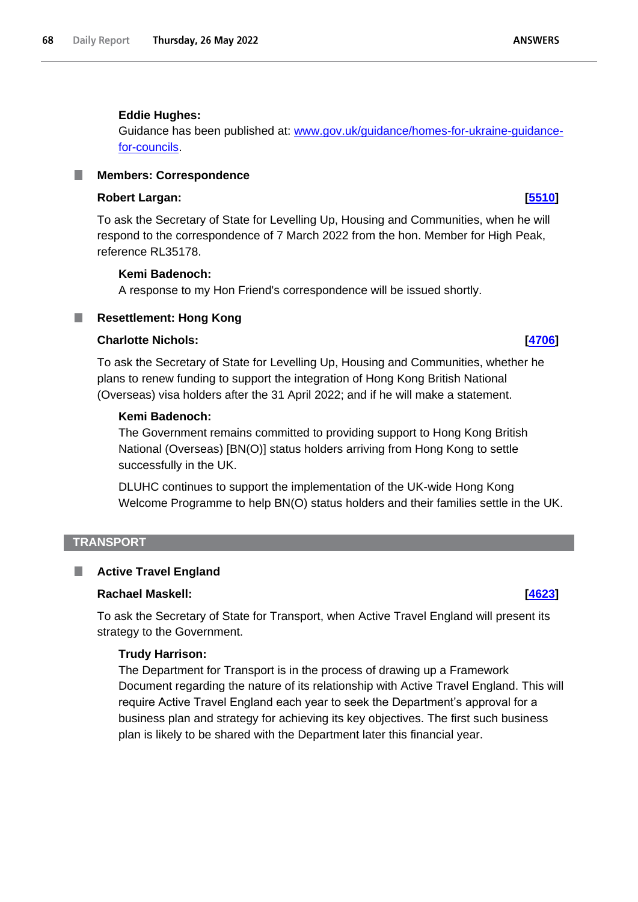## **Eddie Hughes:**

Guidance has been published at: www.gov.uk/guidance/homes-for-ukraine-guidancefor-councils.

### **Members: Correspondence** L.

# **Robert Largan: [\[5510\]](http://www.parliament.uk/business/publications/written-questions-answers-statements/written-question/Commons/2022-05-19/5510)**

To ask the Secretary of State for Levelling Up, Housing and Communities, when he will respond to the correspondence of 7 March 2022 from the hon. Member for High Peak, reference RL35178.

## **Kemi Badenoch:**

A response to my Hon Friend's correspondence will be issued shortly.

# **Resettlement: Hong Kong**

# **Charlotte Nichols: [\[4706\]](http://www.parliament.uk/business/publications/written-questions-answers-statements/written-question/Commons/2022-05-18/4706)**

To ask the Secretary of State for Levelling Up, Housing and Communities, whether he plans to renew funding to support the integration of Hong Kong British National (Overseas) visa holders after the 31 April 2022; and if he will make a statement.

# **Kemi Badenoch:**

The Government remains committed to providing support to Hong Kong British National (Overseas) [BN(O)] status holders arriving from Hong Kong to settle successfully in the UK.

DLUHC continues to support the implementation of the UK-wide Hong Kong Welcome Programme to help BN(O) status holders and their families settle in the UK.

## **TRANSPORT**

# **Active Travel England**

### **Rachael Maskell: [\[4623\]](http://www.parliament.uk/business/publications/written-questions-answers-statements/written-question/Commons/2022-05-18/4623)**

To ask the Secretary of State for Transport, when Active Travel England will present its strategy to the Government.

### **Trudy Harrison:**

The Department for Transport is in the process of drawing up a Framework Document regarding the nature of its relationship with Active Travel England. This will require Active Travel England each year to seek the Department's approval for a business plan and strategy for achieving its key objectives. The first such business plan is likely to be shared with the Department later this financial year.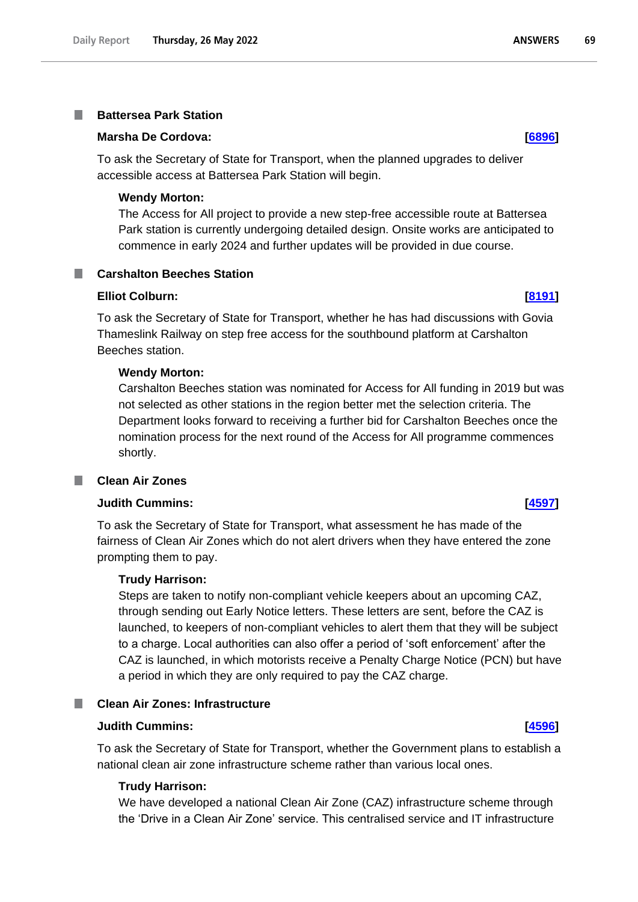### **Battersea Park Station** I.

# **Marsha De Cordova: [\[6896\]](http://www.parliament.uk/business/publications/written-questions-answers-statements/written-question/Commons/2022-05-23/6896)**

To ask the Secretary of State for Transport, when the planned upgrades to deliver accessible access at Battersea Park Station will begin.

## **Wendy Morton:**

The Access for All project to provide a new step-free accessible route at Battersea Park station is currently undergoing detailed design. Onsite works are anticipated to commence in early 2024 and further updates will be provided in due course.

# **Carshalton Beeches Station**

**Elliot Colburn: [\[8191\]](http://www.parliament.uk/business/publications/written-questions-answers-statements/written-question/Commons/2022-05-24/8191)**

To ask the Secretary of State for Transport, whether he has had discussions with Govia Thameslink Railway on step free access for the southbound platform at Carshalton Beeches station.

## **Wendy Morton:**

Carshalton Beeches station was nominated for Access for All funding in 2019 but was not selected as other stations in the region better met the selection criteria. The Department looks forward to receiving a further bid for Carshalton Beeches once the nomination process for the next round of the Access for All programme commences shortly.

# **Clean Air Zones**

# **Judith Cummins: [\[4597\]](http://www.parliament.uk/business/publications/written-questions-answers-statements/written-question/Commons/2022-05-18/4597)**

To ask the Secretary of State for Transport, what assessment he has made of the fairness of Clean Air Zones which do not alert drivers when they have entered the zone prompting them to pay.

### **Trudy Harrison:**

Steps are taken to notify non-compliant vehicle keepers about an upcoming CAZ, through sending out Early Notice letters. These letters are sent, before the CAZ is launched, to keepers of non-compliant vehicles to alert them that they will be subject to a charge. Local authorities can also offer a period of 'soft enforcement' after the CAZ is launched, in which motorists receive a Penalty Charge Notice (PCN) but have a period in which they are only required to pay the CAZ charge.

# **Clean Air Zones: Infrastructure**

# **Judith Cummins: [\[4596\]](http://www.parliament.uk/business/publications/written-questions-answers-statements/written-question/Commons/2022-05-18/4596)**

To ask the Secretary of State for Transport, whether the Government plans to establish a national clean air zone infrastructure scheme rather than various local ones.

### **Trudy Harrison:**

We have developed a national Clean Air Zone (CAZ) infrastructure scheme through the 'Drive in a Clean Air Zone' service. This centralised service and IT infrastructure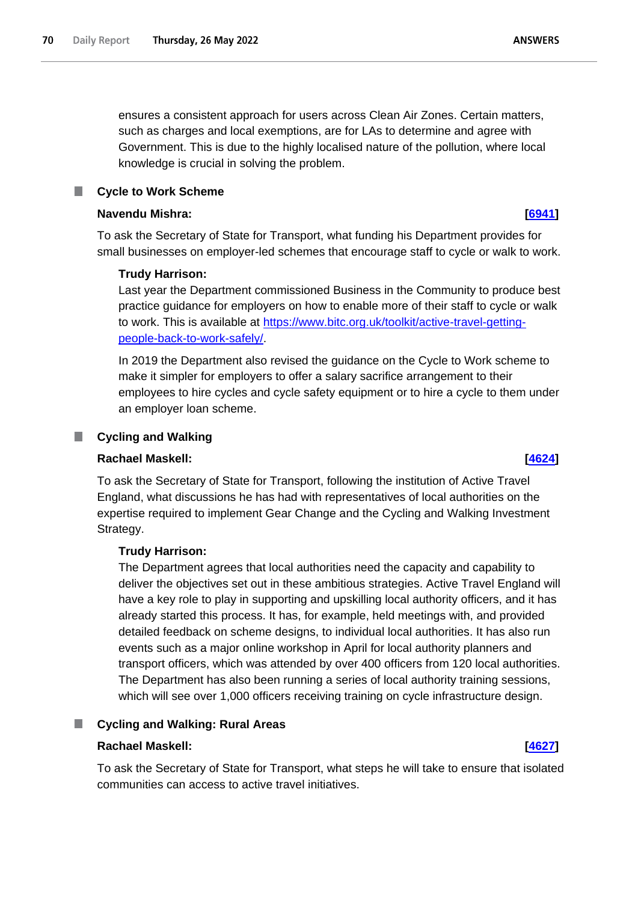ensures a consistent approach for users across Clean Air Zones. Certain matters, such as charges and local exemptions, are for LAs to determine and agree with Government. This is due to the highly localised nature of the pollution, where local knowledge is crucial in solving the problem.

# **Cycle to Work Scheme**

## **Navendu Mishra: [\[6941\]](http://www.parliament.uk/business/publications/written-questions-answers-statements/written-question/Commons/2022-05-23/6941)**

To ask the Secretary of State for Transport, what funding his Department provides for small businesses on employer-led schemes that encourage staff to cycle or walk to work.

# **Trudy Harrison:**

Last year the Department commissioned Business in the Community to produce best practice guidance for employers on how to enable more of their staff to cycle or walk to work. This is available at https://www.bitc.org.uk/toolkit/active-travel-gettingpeople-back-to-work-safely/.

In 2019 the Department also revised the guidance on the Cycle to Work scheme to make it simpler for employers to offer a salary sacrifice arrangement to their employees to hire cycles and cycle safety equipment or to hire a cycle to them under an employer loan scheme.

### **Cycling and Walking** ш

# **Rachael Maskell: [\[4624\]](http://www.parliament.uk/business/publications/written-questions-answers-statements/written-question/Commons/2022-05-18/4624)**

To ask the Secretary of State for Transport, following the institution of Active Travel England, what discussions he has had with representatives of local authorities on the expertise required to implement Gear Change and the Cycling and Walking Investment Strategy.

# **Trudy Harrison:**

The Department agrees that local authorities need the capacity and capability to deliver the objectives set out in these ambitious strategies. Active Travel England will have a key role to play in supporting and upskilling local authority officers, and it has already started this process. It has, for example, held meetings with, and provided detailed feedback on scheme designs, to individual local authorities. It has also run events such as a major online workshop in April for local authority planners and transport officers, which was attended by over 400 officers from 120 local authorities. The Department has also been running a series of local authority training sessions, which will see over 1,000 officers receiving training on cycle infrastructure design.

# **Cycling and Walking: Rural Areas**

# **Rachael Maskell: [\[4627\]](http://www.parliament.uk/business/publications/written-questions-answers-statements/written-question/Commons/2022-05-18/4627)**

To ask the Secretary of State for Transport, what steps he will take to ensure that isolated communities can access to active travel initiatives.

**ANSWERS**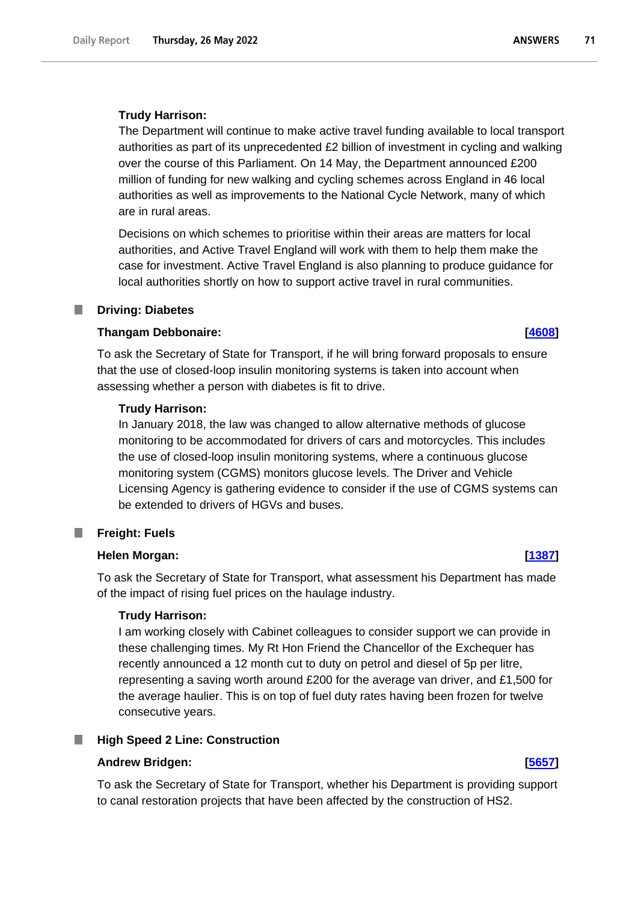The Department will continue to make active travel funding available to local transport authorities as part of its unprecedented £2 billion of investment in cycling and walking over the course of this Parliament. On 14 May, the Department announced £200 million of funding for new walking and cycling schemes across England in 46 local authorities as well as improvements to the National Cycle Network, many of which are in rural areas.

Decisions on which schemes to prioritise within their areas are matters for local authorities, and Active Travel England will work with them to help them make the case for investment. Active Travel England is also planning to produce guidance for local authorities shortly on how to support active travel in rural communities.

### **Driving: Diabetes**

## **Thangam Debbonaire: [\[4608\]](http://www.parliament.uk/business/publications/written-questions-answers-statements/written-question/Commons/2022-05-18/4608)**

To ask the Secretary of State for Transport, if he will bring forward proposals to ensure that the use of closed-loop insulin monitoring systems is taken into account when assessing whether a person with diabetes is fit to drive.

### **Trudy Harrison:**

In January 2018, the law was changed to allow alternative methods of glucose monitoring to be accommodated for drivers of cars and motorcycles. This includes the use of closed-loop insulin monitoring systems, where a continuous glucose monitoring system (CGMS) monitors glucose levels. The Driver and Vehicle Licensing Agency is gathering evidence to consider if the use of CGMS systems can be extended to drivers of HGVs and buses.

### **Freight: Fuels** .

# **Helen Morgan: [\[1387\]](http://www.parliament.uk/business/publications/written-questions-answers-statements/written-question/Commons/2022-05-12/1387)**

To ask the Secretary of State for Transport, what assessment his Department has made of the impact of rising fuel prices on the haulage industry.

### **Trudy Harrison:**

I am working closely with Cabinet colleagues to consider support we can provide in these challenging times. My Rt Hon Friend the Chancellor of the Exchequer has recently announced a 12 month cut to duty on petrol and diesel of 5p per litre, representing a saving worth around £200 for the average van driver, and £1,500 for the average haulier. This is on top of fuel duty rates having been frozen for twelve consecutive years.

## **High Speed 2 Line: Construction**

### **Andrew Bridgen: [\[5657\]](http://www.parliament.uk/business/publications/written-questions-answers-statements/written-question/Commons/2022-05-20/5657)**

To ask the Secretary of State for Transport, whether his Department is providing support to canal restoration projects that have been affected by the construction of HS2.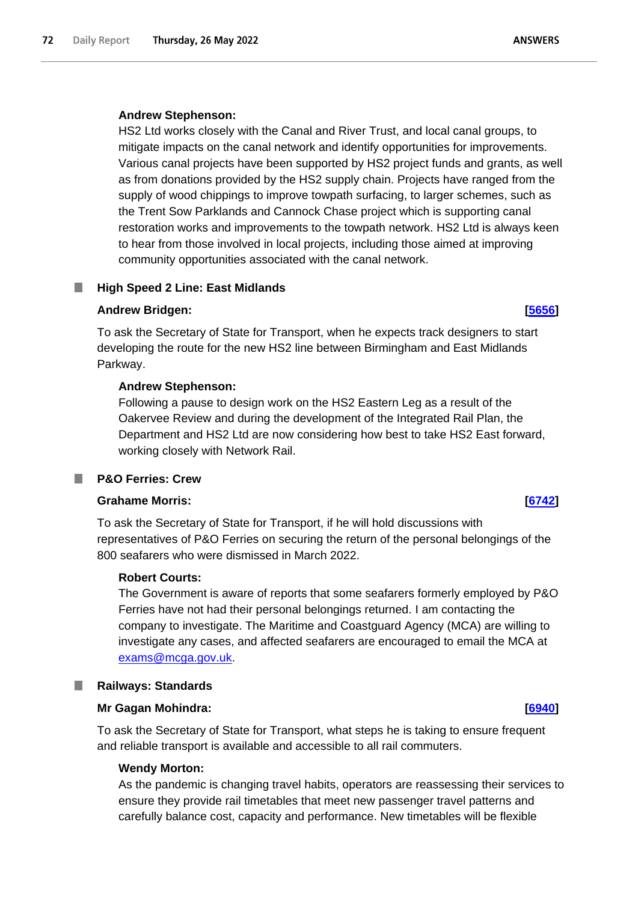# **Andrew Stephenson:**

HS2 Ltd works closely with the Canal and River Trust, and local canal groups, to mitigate impacts on the canal network and identify opportunities for improvements. Various canal projects have been supported by HS2 project funds and grants, as well as from donations provided by the HS2 supply chain. Projects have ranged from the supply of wood chippings to improve towpath surfacing, to larger schemes, such as the Trent Sow Parklands and Cannock Chase project which is supporting canal restoration works and improvements to the towpath network. HS2 Ltd is always keen to hear from those involved in local projects, including those aimed at improving community opportunities associated with the canal network.

# **High Speed 2 Line: East Midlands**

# **Andrew Bridgen: [\[5656\]](http://www.parliament.uk/business/publications/written-questions-answers-statements/written-question/Commons/2022-05-20/5656)**

To ask the Secretary of State for Transport, when he expects track designers to start developing the route for the new HS2 line between Birmingham and East Midlands Parkway.

# **Andrew Stephenson:**

Following a pause to design work on the HS2 Eastern Leg as a result of the Oakervee Review and during the development of the Integrated Rail Plan, the Department and HS2 Ltd are now considering how best to take HS2 East forward, working closely with Network Rail.

# **P&O Ferries: Crew**

# **Grahame Morris: [\[6742\]](http://www.parliament.uk/business/publications/written-questions-answers-statements/written-question/Commons/2022-05-23/6742)**

To ask the Secretary of State for Transport, if he will hold discussions with representatives of P&O Ferries on securing the return of the personal belongings of the 800 seafarers who were dismissed in March 2022.

### **Robert Courts:**

The Government is aware of reports that some seafarers formerly employed by P&O Ferries have not had their personal belongings returned. I am contacting the company to investigate. The Maritime and Coastguard Agency (MCA) are willing to investigate any cases, and affected seafarers are encouraged to email the MCA at exams@mcga.gov.uk.

# **Railways: Standards**

# **Mr Gagan Mohindra: [\[6940\]](http://www.parliament.uk/business/publications/written-questions-answers-statements/written-question/Commons/2022-05-23/6940)**

To ask the Secretary of State for Transport, what steps he is taking to ensure frequent and reliable transport is available and accessible to all rail commuters.

# **Wendy Morton:**

As the pandemic is changing travel habits, operators are reassessing their services to ensure they provide rail timetables that meet new passenger travel patterns and carefully balance cost, capacity and performance. New timetables will be flexible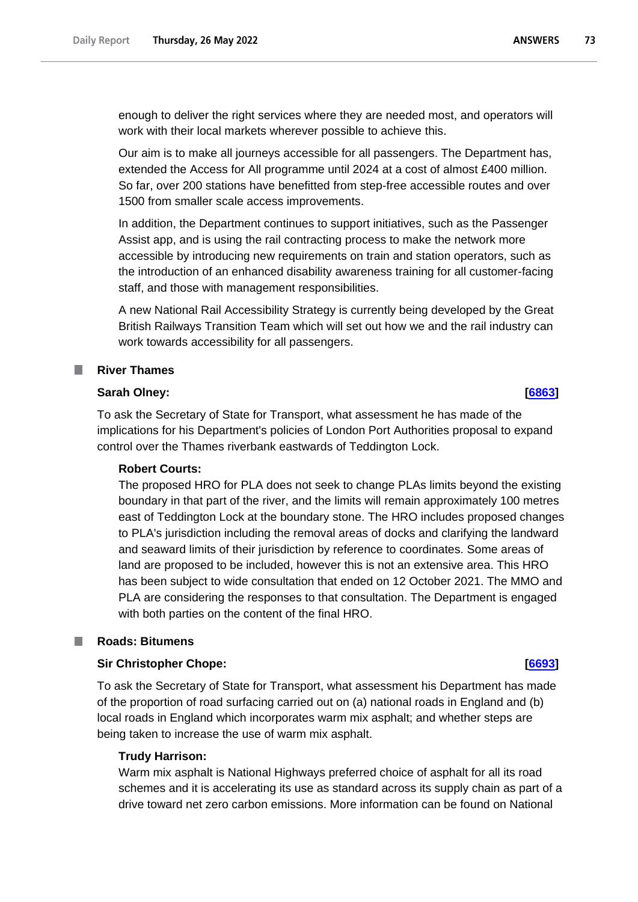enough to deliver the right services where they are needed most, and operators will work with their local markets wherever possible to achieve this.

Our aim is to make all journeys accessible for all passengers. The Department has, extended the Access for All programme until 2024 at a cost of almost £400 million. So far, over 200 stations have benefitted from step-free accessible routes and over 1500 from smaller scale access improvements.

In addition, the Department continues to support initiatives, such as the Passenger Assist app, and is using the rail contracting process to make the network more accessible by introducing new requirements on train and station operators, such as the introduction of an enhanced disability awareness training for all customer-facing staff, and those with management responsibilities.

A new National Rail Accessibility Strategy is currently being developed by the Great British Railways Transition Team which will set out how we and the rail industry can work towards accessibility for all passengers.

## **River Thames**

## **Sarah Olney: [\[6863\]](http://www.parliament.uk/business/publications/written-questions-answers-statements/written-question/Commons/2022-05-23/6863)**

To ask the Secretary of State for Transport, what assessment he has made of the implications for his Department's policies of London Port Authorities proposal to expand control over the Thames riverbank eastwards of Teddington Lock.

#### **Robert Courts:**

The proposed HRO for PLA does not seek to change PLAs limits beyond the existing boundary in that part of the river, and the limits will remain approximately 100 metres east of Teddington Lock at the boundary stone. The HRO includes proposed changes to PLA's jurisdiction including the removal areas of docks and clarifying the landward and seaward limits of their jurisdiction by reference to coordinates. Some areas of land are proposed to be included, however this is not an extensive area. This HRO has been subject to wide consultation that ended on 12 October 2021. The MMO and PLA are considering the responses to that consultation. The Department is engaged with both parties on the content of the final HRO.

### **Roads: Bitumens**

#### **Sir Christopher Chope: [\[6693\]](http://www.parliament.uk/business/publications/written-questions-answers-statements/written-question/Commons/2022-05-23/6693)**

To ask the Secretary of State for Transport, what assessment his Department has made of the proportion of road surfacing carried out on (a) national roads in England and (b) local roads in England which incorporates warm mix asphalt; and whether steps are being taken to increase the use of warm mix asphalt.

#### **Trudy Harrison:**

Warm mix asphalt is National Highways preferred choice of asphalt for all its road schemes and it is accelerating its use as standard across its supply chain as part of a drive toward net zero carbon emissions. More information can be found on National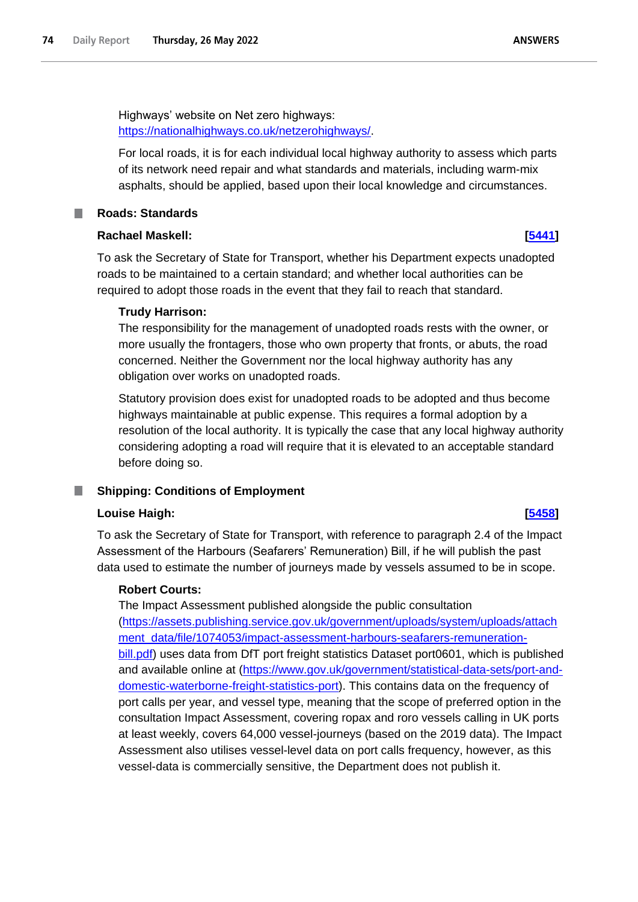Highways' website on Net zero highways: https://nationalhighways.co.uk/netzerohighways/.

For local roads, it is for each individual local highway authority to assess which parts of its network need repair and what standards and materials, including warm-mix asphalts, should be applied, based upon their local knowledge and circumstances.

## **Roads: Standards**

### **Rachael Maskell: [\[5441\]](http://www.parliament.uk/business/publications/written-questions-answers-statements/written-question/Commons/2022-05-19/5441)**

To ask the Secretary of State for Transport, whether his Department expects unadopted roads to be maintained to a certain standard; and whether local authorities can be required to adopt those roads in the event that they fail to reach that standard.

### **Trudy Harrison:**

The responsibility for the management of unadopted roads rests with the owner, or more usually the frontagers, those who own property that fronts, or abuts, the road concerned. Neither the Government nor the local highway authority has any obligation over works on unadopted roads.

Statutory provision does exist for unadopted roads to be adopted and thus become highways maintainable at public expense. This requires a formal adoption by a resolution of the local authority. It is typically the case that any local highway authority considering adopting a road will require that it is elevated to an acceptable standard before doing so.

# **Shipping: Conditions of Employment**

# **Louise Haigh: [\[5458\]](http://www.parliament.uk/business/publications/written-questions-answers-statements/written-question/Commons/2022-05-19/5458)**

To ask the Secretary of State for Transport, with reference to paragraph 2.4 of the Impact Assessment of the Harbours (Seafarers' Remuneration) Bill, if he will publish the past data used to estimate the number of journeys made by vessels assumed to be in scope.

# **Robert Courts:**

The Impact Assessment published alongside the public consultation (https://assets.publishing.service.gov.uk/government/uploads/system/uploads/attach ment\_data/file/1074053/impact-assessment-harbours-seafarers-remunerationbill.pdf) uses data from DfT port freight statistics Dataset port0601, which is published and available online at (https://www.gov.uk/government/statistical-data-sets/port-anddomestic-waterborne-freight-statistics-port). This contains data on the frequency of port calls per year, and vessel type, meaning that the scope of preferred option in the consultation Impact Assessment, covering ropax and roro vessels calling in UK ports at least weekly, covers 64,000 vessel-journeys (based on the 2019 data). The Impact Assessment also utilises vessel-level data on port calls frequency, however, as this vessel-data is commercially sensitive, the Department does not publish it.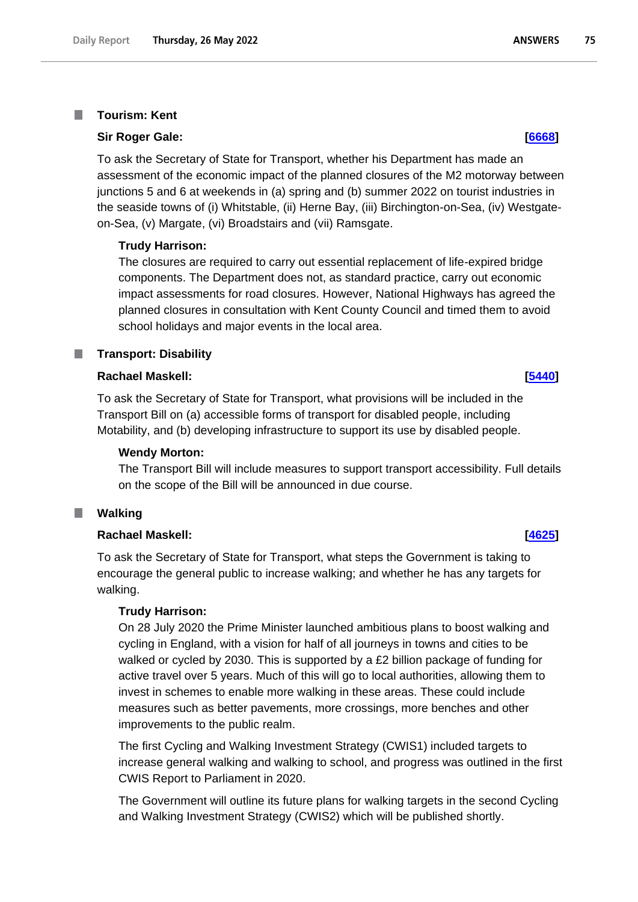#### **Tourism: Kent** T.

#### **Sir Roger Gale: [\[6668\]](http://www.parliament.uk/business/publications/written-questions-answers-statements/written-question/Commons/2022-05-23/6668)**

To ask the Secretary of State for Transport, whether his Department has made an assessment of the economic impact of the planned closures of the M2 motorway between junctions 5 and 6 at weekends in (a) spring and (b) summer 2022 on tourist industries in the seaside towns of (i) Whitstable, (ii) Herne Bay, (iii) Birchington-on-Sea, (iv) Westgateon-Sea, (v) Margate, (vi) Broadstairs and (vii) Ramsgate.

#### **Trudy Harrison:**

The closures are required to carry out essential replacement of life-expired bridge components. The Department does not, as standard practice, carry out economic impact assessments for road closures. However, National Highways has agreed the planned closures in consultation with Kent County Council and timed them to avoid school holidays and major events in the local area.

### **Transport: Disability**

#### **Rachael Maskell: [\[5440\]](http://www.parliament.uk/business/publications/written-questions-answers-statements/written-question/Commons/2022-05-19/5440)**

To ask the Secretary of State for Transport, what provisions will be included in the Transport Bill on (a) accessible forms of transport for disabled people, including Motability, and (b) developing infrastructure to support its use by disabled people.

#### **Wendy Morton:**

The Transport Bill will include measures to support transport accessibility. Full details on the scope of the Bill will be announced in due course.

#### **Walking** ш

#### **Rachael Maskell: [\[4625\]](http://www.parliament.uk/business/publications/written-questions-answers-statements/written-question/Commons/2022-05-18/4625)**

To ask the Secretary of State for Transport, what steps the Government is taking to encourage the general public to increase walking; and whether he has any targets for walking.

#### **Trudy Harrison:**

On 28 July 2020 the Prime Minister launched ambitious plans to boost walking and cycling in England, with a vision for half of all journeys in towns and cities to be walked or cycled by 2030. This is supported by a £2 billion package of funding for active travel over 5 years. Much of this will go to local authorities, allowing them to invest in schemes to enable more walking in these areas. These could include measures such as better pavements, more crossings, more benches and other improvements to the public realm.

The first Cycling and Walking Investment Strategy (CWIS1) included targets to increase general walking and walking to school, and progress was outlined in the first CWIS Report to Parliament in 2020.

The Government will outline its future plans for walking targets in the second Cycling and Walking Investment Strategy (CWIS2) which will be published shortly.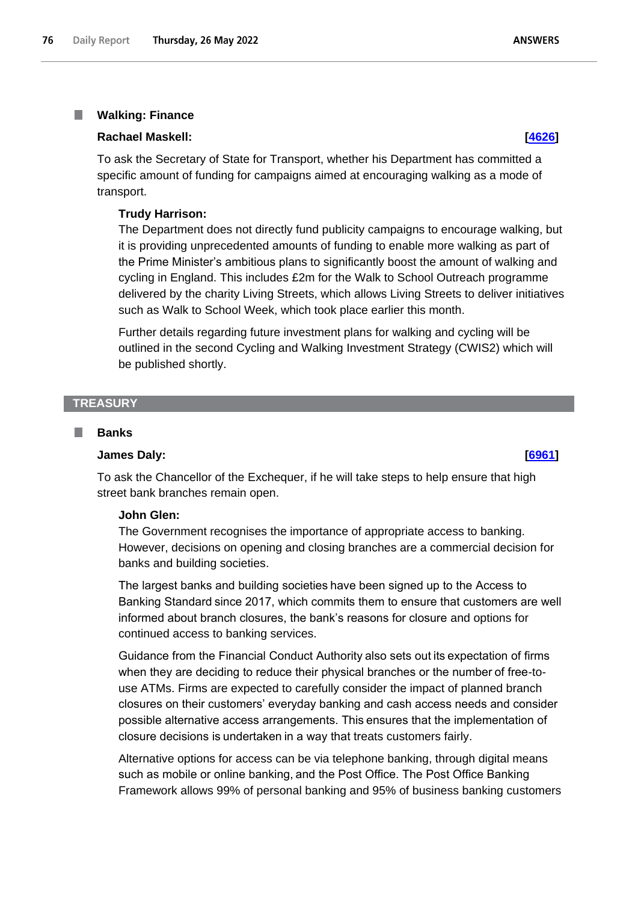#### T. **Walking: Finance**

### **Rachael Maskell: [\[4626\]](http://www.parliament.uk/business/publications/written-questions-answers-statements/written-question/Commons/2022-05-18/4626)**

To ask the Secretary of State for Transport, whether his Department has committed a specific amount of funding for campaigns aimed at encouraging walking as a mode of transport.

#### **Trudy Harrison:**

The Department does not directly fund publicity campaigns to encourage walking, but it is providing unprecedented amounts of funding to enable more walking as part of the Prime Minister's ambitious plans to significantly boost the amount of walking and cycling in England. This includes £2m for the Walk to School Outreach programme delivered by the charity Living Streets, which allows Living Streets to deliver initiatives such as Walk to School Week, which took place earlier this month.

Further details regarding future investment plans for walking and cycling will be outlined in the second Cycling and Walking Investment Strategy (CWIS2) which will be published shortly.

## **TREASURY**

#### T. **Banks**

#### **James Daly: [\[6961\]](http://www.parliament.uk/business/publications/written-questions-answers-statements/written-question/Commons/2022-05-23/6961)**

To ask the Chancellor of the Exchequer, if he will take steps to help ensure that high street bank branches remain open.

### **John Glen:**

The Government recognises the importance of appropriate access to banking. However, decisions on opening and closing branches are a commercial decision for banks and building societies.

The largest banks and building societies have been signed up to the Access to Banking Standard since 2017, which commits them to ensure that customers are well informed about branch closures, the bank's reasons for closure and options for continued access to banking services.

Guidance from the Financial Conduct Authority also sets out its expectation of firms when they are deciding to reduce their physical branches or the number of free-touse ATMs. Firms are expected to carefully consider the impact of planned branch closures on their customers' everyday banking and cash access needs and consider possible alternative access arrangements. This ensures that the implementation of closure decisions is undertaken in a way that treats customers fairly.

Alternative options for access can be via telephone banking, through digital means such as mobile or online banking, and the Post Office. The Post Office Banking Framework allows 99% of personal banking and 95% of business banking customers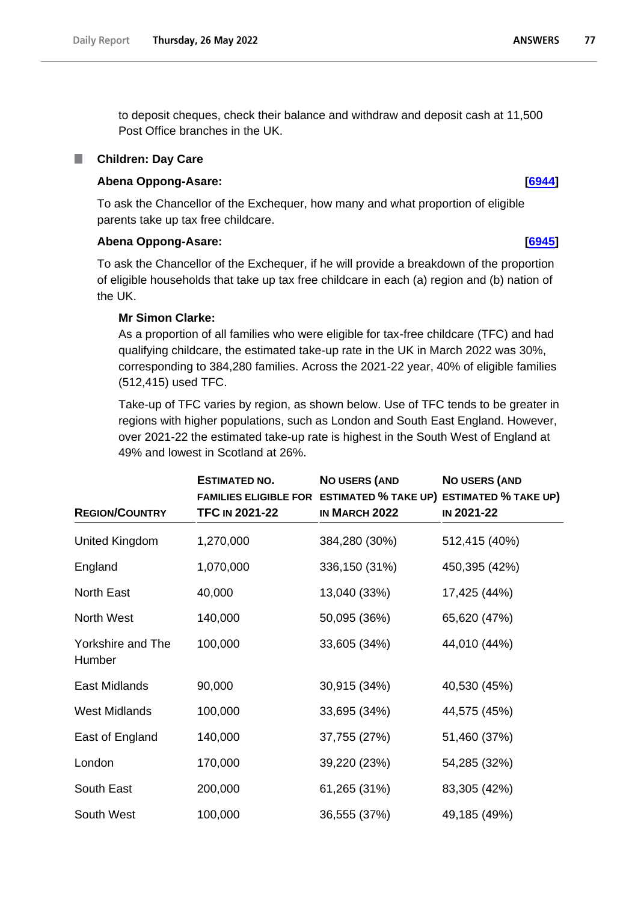to deposit cheques, check their balance and withdraw and deposit cash at 11,500 Post Office branches in the UK.

### **Children: Day Care**

### **Abena Oppong-Asare: [\[6944\]](http://www.parliament.uk/business/publications/written-questions-answers-statements/written-question/Commons/2022-05-23/6944)**

To ask the Chancellor of the Exchequer, how many and what proportion of eligible parents take up tax free childcare.

# **Abena Oppong-Asare: [\[6945\]](http://www.parliament.uk/business/publications/written-questions-answers-statements/written-question/Commons/2022-05-23/6945)**

To ask the Chancellor of the Exchequer, if he will provide a breakdown of the proportion of eligible households that take up tax free childcare in each (a) region and (b) nation of the UK.

### **Mr Simon Clarke:**

As a proportion of all families who were eligible for tax-free childcare (TFC) and had qualifying childcare, the estimated take-up rate in the UK in March 2022 was 30%, corresponding to 384,280 families. Across the 2021-22 year, 40% of eligible families (512,415) used TFC.

Take-up of TFC varies by region, as shown below. Use of TFC tends to be greater in regions with higher populations, such as London and South East England. However, over 2021-22 the estimated take-up rate is highest in the South West of England at 49% and lowest in Scotland at 26%.

| <b>REGION/COUNTRY</b>       | <b>ESTIMATED NO.</b><br><b>TFC IN 2021-22</b> | <b>NO USERS (AND</b><br>FAMILIES ELIGIBLE FOR ESTIMATED % TAKE UP) ESTIMATED % TAKE UP)<br>IN MARCH 2022 | NO USERS (AND<br>IN 2021-22 |
|-----------------------------|-----------------------------------------------|----------------------------------------------------------------------------------------------------------|-----------------------------|
| United Kingdom              | 1,270,000                                     | 384,280 (30%)                                                                                            | 512,415 (40%)               |
| England                     | 1,070,000                                     | 336,150 (31%)                                                                                            | 450,395 (42%)               |
| <b>North East</b>           | 40,000                                        | 13,040 (33%)                                                                                             | 17,425 (44%)                |
| North West                  | 140,000                                       | 50,095 (36%)                                                                                             | 65,620 (47%)                |
| Yorkshire and The<br>Humber | 100,000                                       | 33,605 (34%)                                                                                             | 44,010 (44%)                |
| East Midlands               | 90,000                                        | 30,915 (34%)                                                                                             | 40,530 (45%)                |
| <b>West Midlands</b>        | 100,000                                       | 33,695 (34%)                                                                                             | 44,575 (45%)                |
| East of England             | 140,000                                       | 37,755 (27%)                                                                                             | 51,460 (37%)                |
| London                      | 170,000                                       | 39,220 (23%)                                                                                             | 54,285 (32%)                |
| South East                  | 200,000                                       | 61,265 (31%)                                                                                             | 83,305 (42%)                |
| South West                  | 100,000                                       | 36,555 (37%)                                                                                             | 49,185 (49%)                |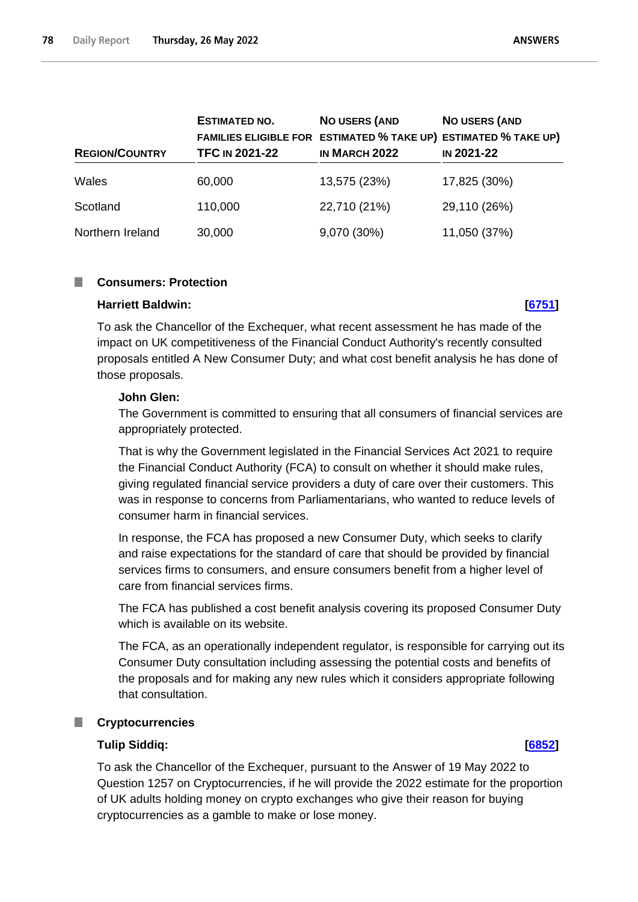| <b>REGION/COUNTRY</b> | <b>ESTIMATED NO.</b><br><b>TFC IN 2021-22</b> | <b>NO USERS (AND</b><br>FAMILIES ELIGIBLE FOR ESTIMATED % TAKE UP) ESTIMATED % TAKE UP)<br>IN MARCH 2022 | <b>NO USERS (AND</b><br><b>IN 2021-22</b> |
|-----------------------|-----------------------------------------------|----------------------------------------------------------------------------------------------------------|-------------------------------------------|
| Wales                 | 60,000                                        | 13,575 (23%)                                                                                             | 17,825 (30%)                              |
| Scotland              | 110,000                                       | 22,710 (21%)                                                                                             | 29,110 (26%)                              |
| Northern Ireland      | 30,000                                        | 9,070 (30%)                                                                                              | 11,050 (37%)                              |

### **Consumers: Protection**

#### **Harriett Baldwin: [\[6751\]](http://www.parliament.uk/business/publications/written-questions-answers-statements/written-question/Commons/2022-05-23/6751)**

To ask the Chancellor of the Exchequer, what recent assessment he has made of the impact on UK competitiveness of the Financial Conduct Authority's recently consulted proposals entitled A New Consumer Duty; and what cost benefit analysis he has done of those proposals.

### **John Glen:**

The Government is committed to ensuring that all consumers of financial services are appropriately protected.

That is why the Government legislated in the Financial Services Act 2021 to require the Financial Conduct Authority (FCA) to consult on whether it should make rules, giving regulated financial service providers a duty of care over their customers. This was in response to concerns from Parliamentarians, who wanted to reduce levels of consumer harm in financial services.

In response, the FCA has proposed a new Consumer Duty, which seeks to clarify and raise expectations for the standard of care that should be provided by financial services firms to consumers, and ensure consumers benefit from a higher level of care from financial services firms.

The FCA has published a cost benefit analysis covering its proposed Consumer Duty which is available on its website.

The FCA, as an operationally independent regulator, is responsible for carrying out its Consumer Duty consultation including assessing the potential costs and benefits of the proposals and for making any new rules which it considers appropriate following that consultation.

#### ш **Cryptocurrencies**

#### **Tulip Siddiq: [\[6852\]](http://www.parliament.uk/business/publications/written-questions-answers-statements/written-question/Commons/2022-05-23/6852)**

To ask the Chancellor of the Exchequer, pursuant to the Answer of 19 May 2022 to Question 1257 on Cryptocurrencies, if he will provide the 2022 estimate for the proportion of UK adults holding money on crypto exchanges who give their reason for buying cryptocurrencies as a gamble to make or lose money.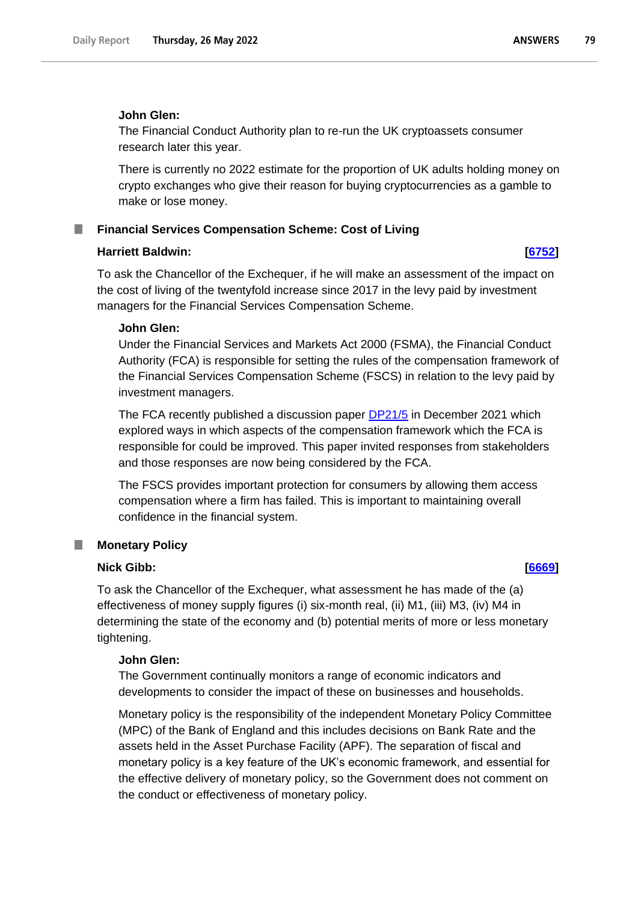#### **John Glen:**

The Financial Conduct Authority plan to re-run the UK cryptoassets consumer research later this year.

There is currently no 2022 estimate for the proportion of UK adults holding money on crypto exchanges who give their reason for buying cryptocurrencies as a gamble to make or lose money.

## **Financial Services Compensation Scheme: Cost of Living**

#### **Harriett Baldwin: [\[6752\]](http://www.parliament.uk/business/publications/written-questions-answers-statements/written-question/Commons/2022-05-23/6752)**

To ask the Chancellor of the Exchequer, if he will make an assessment of the impact on the cost of living of the twentyfold increase since 2017 in the levy paid by investment managers for the Financial Services Compensation Scheme.

#### **John Glen:**

Under the Financial Services and Markets Act 2000 (FSMA), the Financial Conduct Authority (FCA) is responsible for setting the rules of the compensation framework of the Financial Services Compensation Scheme (FSCS) in relation to the levy paid by investment managers.

The FCA recently published a discussion paper [DP21/5](https://www.fca.org.uk/publication/discussion/dp21-5.pdf) in December 2021 which explored ways in which aspects of the compensation framework which the FCA is responsible for could be improved. This paper invited responses from stakeholders and those responses are now being considered by the FCA.

The FSCS provides important protection for consumers by allowing them access compensation where a firm has failed. This is important to maintaining overall confidence in the financial system.

#### **Monetary Policy** T.

#### **Nick Gibb: [\[6669\]](http://www.parliament.uk/business/publications/written-questions-answers-statements/written-question/Commons/2022-05-23/6669)**

To ask the Chancellor of the Exchequer, what assessment he has made of the (a) effectiveness of money supply figures (i) six-month real, (ii) M1, (iii) M3, (iv) M4 in determining the state of the economy and (b) potential merits of more or less monetary tightening.

#### **John Glen:**

The Government continually monitors a range of economic indicators and developments to consider the impact of these on businesses and households.

Monetary policy is the responsibility of the independent Monetary Policy Committee (MPC) of the Bank of England and this includes decisions on Bank Rate and the assets held in the Asset Purchase Facility (APF). The separation of fiscal and monetary policy is a key feature of the UK's economic framework, and essential for the effective delivery of monetary policy, so the Government does not comment on the conduct or effectiveness of monetary policy.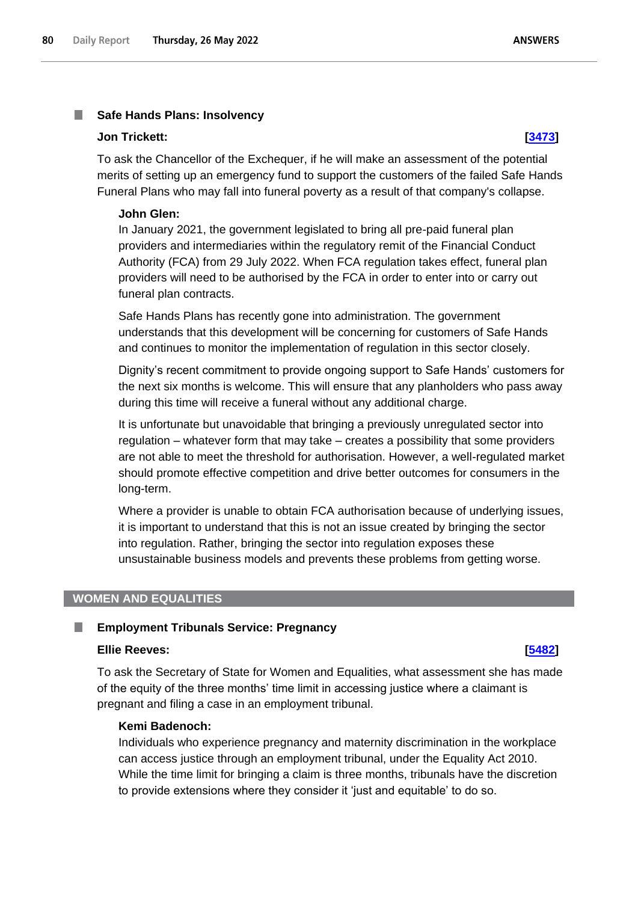#### m. **Safe Hands Plans: Insolvency**

#### **Jon Trickett: [\[3473\]](http://www.parliament.uk/business/publications/written-questions-answers-statements/written-question/Commons/2022-05-17/3473)**

To ask the Chancellor of the Exchequer, if he will make an assessment of the potential merits of setting up an emergency fund to support the customers of the failed Safe Hands Funeral Plans who may fall into funeral poverty as a result of that company's collapse.

#### **John Glen:**

In January 2021, the government legislated to bring all pre-paid funeral plan providers and intermediaries within the regulatory remit of the Financial Conduct Authority (FCA) from 29 July 2022. When FCA regulation takes effect, funeral plan providers will need to be authorised by the FCA in order to enter into or carry out funeral plan contracts.

Safe Hands Plans has recently gone into administration. The government understands that this development will be concerning for customers of Safe Hands and continues to monitor the implementation of regulation in this sector closely.

Dignity's recent commitment to provide ongoing support to Safe Hands' customers for the next six months is welcome. This will ensure that any planholders who pass away during this time will receive a funeral without any additional charge.

It is unfortunate but unavoidable that bringing a previously unregulated sector into regulation – whatever form that may take – creates a possibility that some providers are not able to meet the threshold for authorisation. However, a well-regulated market should promote effective competition and drive better outcomes for consumers in the long-term.

Where a provider is unable to obtain FCA authorisation because of underlying issues, it is important to understand that this is not an issue created by bringing the sector into regulation. Rather, bringing the sector into regulation exposes these unsustainable business models and prevents these problems from getting worse.

### **WOMEN AND EQUALITIES**

#### L. **Employment Tribunals Service: Pregnancy**

### **Ellie Reeves: [\[5482\]](http://www.parliament.uk/business/publications/written-questions-answers-statements/written-question/Commons/2022-05-19/5482)**

To ask the Secretary of State for Women and Equalities, what assessment she has made of the equity of the three months' time limit in accessing justice where a claimant is pregnant and filing a case in an employment tribunal.

### **Kemi Badenoch:**

Individuals who experience pregnancy and maternity discrimination in the workplace can access justice through an employment tribunal, under the Equality Act 2010. While the time limit for bringing a claim is three months, tribunals have the discretion to provide extensions where they consider it 'just and equitable' to do so.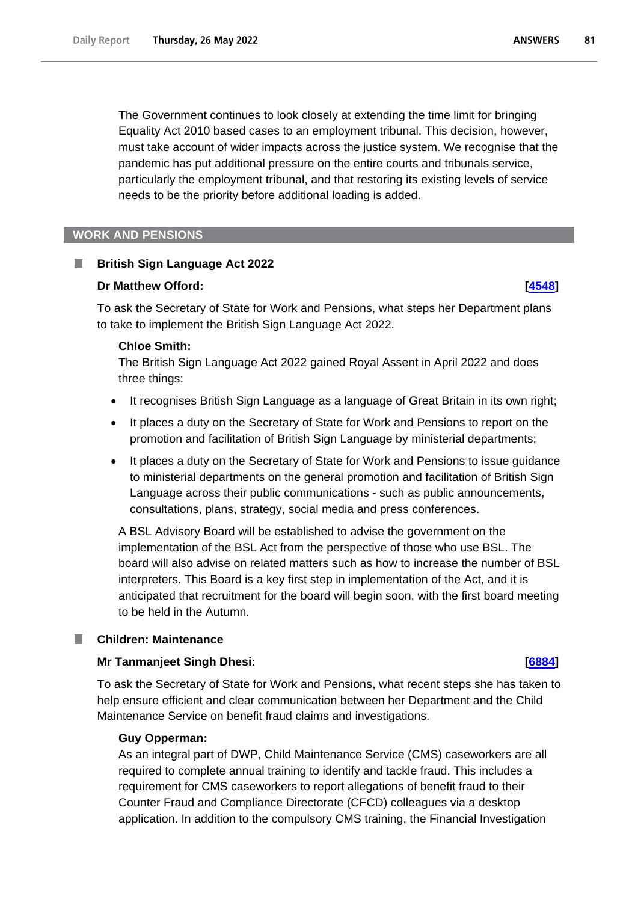The Government continues to look closely at extending the time limit for bringing Equality Act 2010 based cases to an employment tribunal. This decision, however, must take account of wider impacts across the justice system. We recognise that the pandemic has put additional pressure on the entire courts and tribunals service, particularly the employment tribunal, and that restoring its existing levels of service needs to be the priority before additional loading is added.

#### **WORK AND PENSIONS**

### **British Sign Language Act 2022**

#### **Dr Matthew Offord: [\[4548\]](http://www.parliament.uk/business/publications/written-questions-answers-statements/written-question/Commons/2022-05-18/4548)**

To ask the Secretary of State for Work and Pensions, what steps her Department plans to take to implement the British Sign Language Act 2022.

#### **Chloe Smith:**

The British Sign Language Act 2022 gained Royal Assent in April 2022 and does three things:

- It recognises British Sign Language as a language of Great Britain in its own right;
- It places a duty on the Secretary of State for Work and Pensions to report on the promotion and facilitation of British Sign Language by ministerial departments;
- It places a duty on the Secretary of State for Work and Pensions to issue guidance to ministerial departments on the general promotion and facilitation of British Sign Language across their public communications - such as public announcements, consultations, plans, strategy, social media and press conferences.

A BSL Advisory Board will be established to advise the government on the implementation of the BSL Act from the perspective of those who use BSL. The board will also advise on related matters such as how to increase the number of BSL interpreters. This Board is a key first step in implementation of the Act, and it is anticipated that recruitment for the board will begin soon, with the first board meeting to be held in the Autumn.

### **Children: Maintenance**

### **Mr Tanmanjeet Singh Dhesi: [\[6884\]](http://www.parliament.uk/business/publications/written-questions-answers-statements/written-question/Commons/2022-05-23/6884)**

To ask the Secretary of State for Work and Pensions, what recent steps she has taken to help ensure efficient and clear communication between her Department and the Child Maintenance Service on benefit fraud claims and investigations.

#### **Guy Opperman:**

As an integral part of DWP, Child Maintenance Service (CMS) caseworkers are all required to complete annual training to identify and tackle fraud. This includes a requirement for CMS caseworkers to report allegations of benefit fraud to their Counter Fraud and Compliance Directorate (CFCD) colleagues via a desktop application. In addition to the compulsory CMS training, the Financial Investigation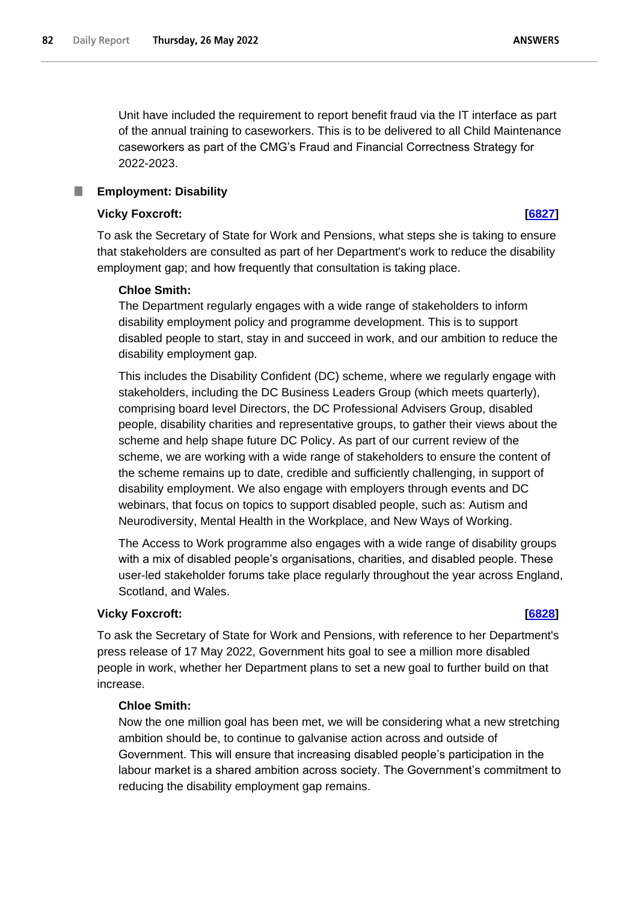Unit have included the requirement to report benefit fraud via the IT interface as part of the annual training to caseworkers. This is to be delivered to all Child Maintenance caseworkers as part of the CMG's Fraud and Financial Correctness Strategy for 2022-2023.

### **Employment: Disability**

#### **Vicky Foxcroft: [\[6827\]](http://www.parliament.uk/business/publications/written-questions-answers-statements/written-question/Commons/2022-05-23/6827)**

To ask the Secretary of State for Work and Pensions, what steps she is taking to ensure that stakeholders are consulted as part of her Department's work to reduce the disability employment gap; and how frequently that consultation is taking place.

### **Chloe Smith:**

The Department regularly engages with a wide range of stakeholders to inform disability employment policy and programme development. This is to support disabled people to start, stay in and succeed in work, and our ambition to reduce the disability employment gap.

This includes the Disability Confident (DC) scheme, where we regularly engage with stakeholders, including the DC Business Leaders Group (which meets quarterly), comprising board level Directors, the DC Professional Advisers Group, disabled people, disability charities and representative groups, to gather their views about the scheme and help shape future DC Policy. As part of our current review of the scheme, we are working with a wide range of stakeholders to ensure the content of the scheme remains up to date, credible and sufficiently challenging, in support of disability employment. We also engage with employers through events and DC webinars, that focus on topics to support disabled people, such as: Autism and Neurodiversity, Mental Health in the Workplace, and New Ways of Working.

The Access to Work programme also engages with a wide range of disability groups with a mix of disabled people's organisations, charities, and disabled people. These user-led stakeholder forums take place regularly throughout the year across England, Scotland, and Wales.

#### **Vicky Foxcroft: [\[6828\]](http://www.parliament.uk/business/publications/written-questions-answers-statements/written-question/Commons/2022-05-23/6828)**

To ask the Secretary of State for Work and Pensions, with reference to her Department's press release of 17 May 2022, Government hits goal to see a million more disabled people in work, whether her Department plans to set a new goal to further build on that increase.

### **Chloe Smith:**

Now the one million goal has been met, we will be considering what a new stretching ambition should be, to continue to galvanise action across and outside of Government. This will ensure that increasing disabled people's participation in the labour market is a shared ambition across society. The Government's commitment to reducing the disability employment gap remains.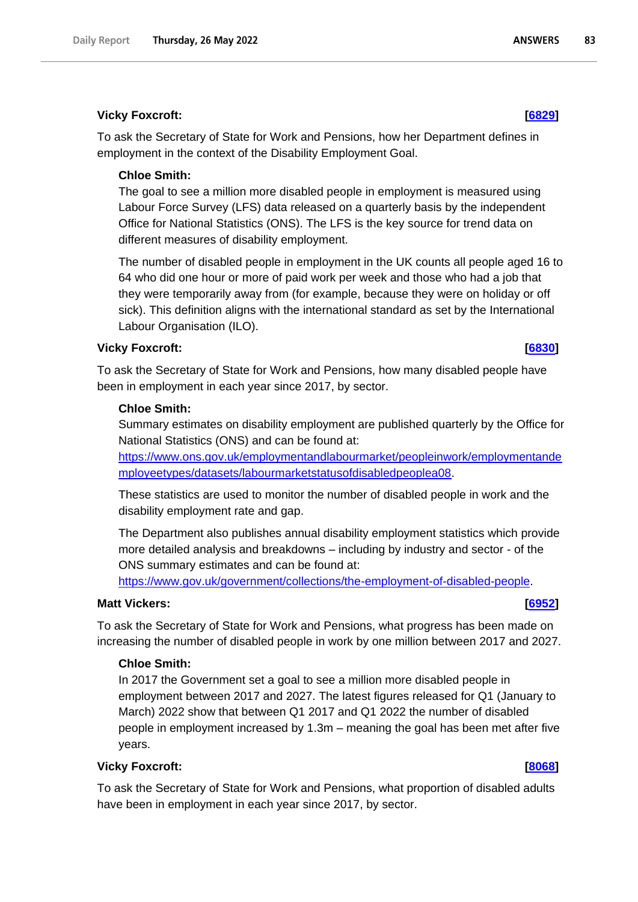### **Vicky Foxcroft: [\[6829\]](http://www.parliament.uk/business/publications/written-questions-answers-statements/written-question/Commons/2022-05-23/6829)**

To ask the Secretary of State for Work and Pensions, how her Department defines in employment in the context of the Disability Employment Goal.

### **Chloe Smith:**

The goal to see a million more disabled people in employment is measured using Labour Force Survey (LFS) data released on a quarterly basis by the independent Office for National Statistics (ONS). The LFS is the key source for trend data on different measures of disability employment.

The number of disabled people in employment in the UK counts all people aged 16 to 64 who did one hour or more of paid work per week and those who had a job that they were temporarily away from (for example, because they were on holiday or off sick). This definition aligns with the international standard as set by the International Labour Organisation (ILO).

### **Vicky Foxcroft: [\[6830\]](http://www.parliament.uk/business/publications/written-questions-answers-statements/written-question/Commons/2022-05-23/6830)**

To ask the Secretary of State for Work and Pensions, how many disabled people have been in employment in each year since 2017, by sector.

### **Chloe Smith:**

Summary estimates on disability employment are published quarterly by the Office for National Statistics (ONS) and can be found at:

https://www.ons.gov.uk/employmentandlabourmarket/peopleinwork/employmentande mployeetypes/datasets/labourmarketstatusofdisabledpeoplea08.

These statistics are used to monitor the number of disabled people in work and the disability employment rate and gap.

The Department also publishes annual disability employment statistics which provide more detailed analysis and breakdowns – including by industry and sector - of the ONS summary estimates and can be found at:

[https://www.gov.uk/government/collections/the-employment-of-disabled-people.](https://www.gov.uk/government/collections/the-employment-of-disabled-people)

## **Matt Vickers: [\[6952\]](http://www.parliament.uk/business/publications/written-questions-answers-statements/written-question/Commons/2022-05-23/6952)**

To ask the Secretary of State for Work and Pensions, what progress has been made on increasing the number of disabled people in work by one million between 2017 and 2027.

### **Chloe Smith:**

In 2017 the Government set a goal to see a million more disabled people in employment between 2017 and 2027. The latest figures released for Q1 (January to March) 2022 show that between Q1 2017 and Q1 2022 the number of disabled people in employment increased by 1.3m – meaning the goal has been met after five years.

### **Vicky Foxcroft: [\[8068\]](http://www.parliament.uk/business/publications/written-questions-answers-statements/written-question/Commons/2022-05-24/8068)**

To ask the Secretary of State for Work and Pensions, what proportion of disabled adults have been in employment in each year since 2017, by sector.

83

**ANSWERS**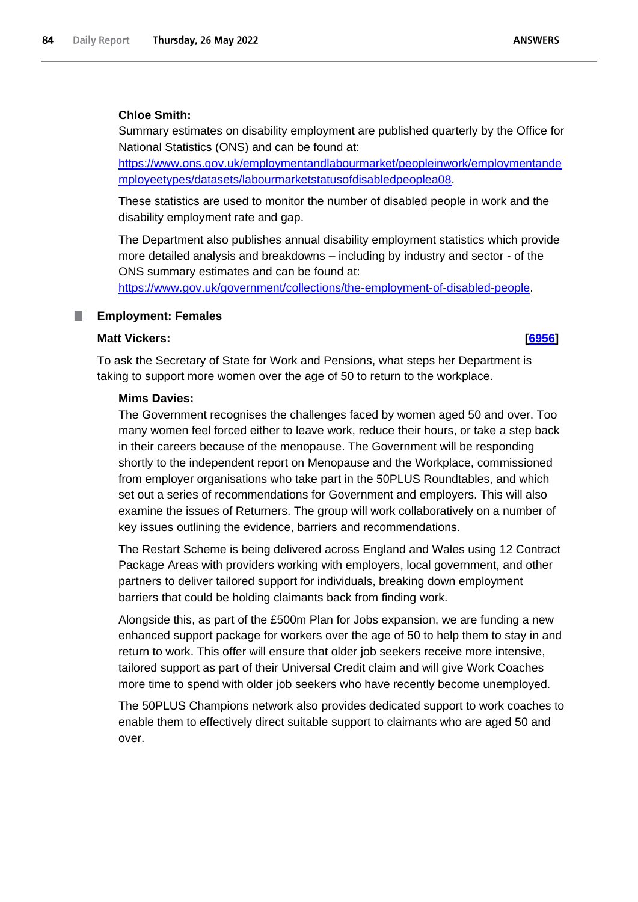### **Chloe Smith:**

Summary estimates on disability employment are published quarterly by the Office for National Statistics (ONS) and can be found at:

https://www.ons.gov.uk/employmentandlabourmarket/peopleinwork/employmentande mployeetypes/datasets/labourmarketstatusofdisabledpeoplea08.

These statistics are used to monitor the number of disabled people in work and the disability employment rate and gap.

The Department also publishes annual disability employment statistics which provide more detailed analysis and breakdowns – including by industry and sector - of the ONS summary estimates and can be found at:

[https://www.gov.uk/government/collections/the-employment-of-disabled-people.](https://www.gov.uk/government/collections/the-employment-of-disabled-people)

#### **Employment: Females** L.

### **Matt Vickers: [\[6956\]](http://www.parliament.uk/business/publications/written-questions-answers-statements/written-question/Commons/2022-05-23/6956)**

To ask the Secretary of State for Work and Pensions, what steps her Department is taking to support more women over the age of 50 to return to the workplace.

#### **Mims Davies:**

The Government recognises the challenges faced by women aged 50 and over. Too many women feel forced either to leave work, reduce their hours, or take a step back in their careers because of the menopause. The Government will be responding shortly to the independent report on Menopause and the Workplace, commissioned from employer organisations who take part in the 50PLUS Roundtables, and which set out a series of recommendations for Government and employers. This will also examine the issues of Returners. The group will work collaboratively on a number of key issues outlining the evidence, barriers and recommendations.

The Restart Scheme is being delivered across England and Wales using 12 Contract Package Areas with providers working with employers, local government, and other partners to deliver tailored support for individuals, breaking down employment barriers that could be holding claimants back from finding work.

Alongside this, as part of the £500m Plan for Jobs expansion, we are funding a new enhanced support package for workers over the age of 50 to help them to stay in and return to work. This offer will ensure that older job seekers receive more intensive, tailored support as part of their Universal Credit claim and will give Work Coaches more time to spend with older job seekers who have recently become unemployed.

The 50PLUS Champions network also provides dedicated support to work coaches to enable them to effectively direct suitable support to claimants who are aged 50 and over.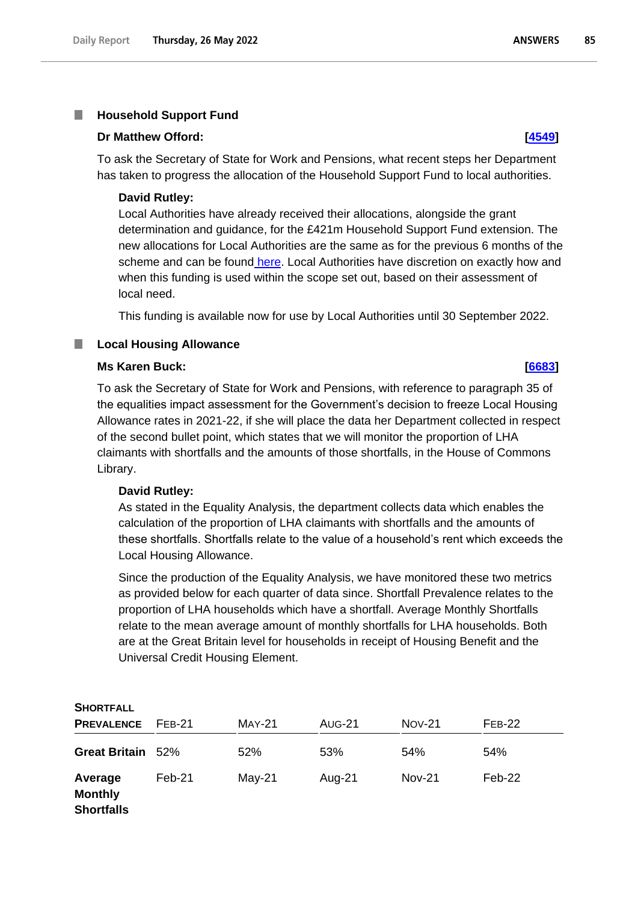#### T. **Household Support Fund**

#### **Dr Matthew Offord: [\[4549\]](http://www.parliament.uk/business/publications/written-questions-answers-statements/written-question/Commons/2022-05-18/4549)**

To ask the Secretary of State for Work and Pensions, what recent steps her Department has taken to progress the allocation of the Household Support Fund to local authorities.

#### **David Rutley:**

Local Authorities have already received their allocations, alongside the grant determination and guidance, for the £421m Household Support Fund extension. The new allocations for Local Authorities are the same as for the previous 6 months of the scheme and can be found [here.](https://www.gov.uk/government/publications/household-support-fund-guidance-for-local-councils/household-support-fund-grant-determination-2021-no-315787#annex-a-household-support-fund-grant-final-funding-allocations-per-county-councils-and-unitary-authorities-for-the-period-1-april-to-30-september-2022) Local Authorities have discretion on exactly how and when this funding is used within the scope set out, based on their assessment of local need.

This funding is available now for use by Local Authorities until 30 September 2022.

#### П **Local Housing Allowance**

#### **Ms Karen Buck: [\[6683\]](http://www.parliament.uk/business/publications/written-questions-answers-statements/written-question/Commons/2022-05-23/6683)**

To ask the Secretary of State for Work and Pensions, with reference to paragraph 35 of the equalities impact assessment for the Government's decision to freeze Local Housing Allowance rates in 2021-22, if she will place the data her Department collected in respect of the second bullet point, which states that we will monitor the proportion of LHA claimants with shortfalls and the amounts of those shortfalls, in the House of Commons Library.

#### **David Rutley:**

As stated in the Equality Analysis, the department collects data which enables the calculation of the proportion of LHA claimants with shortfalls and the amounts of these shortfalls. Shortfalls relate to the value of a household's rent which exceeds the Local Housing Allowance.

Since the production of the Equality Analysis, we have monitored these two metrics as provided below for each quarter of data since. Shortfall Prevalence relates to the proportion of LHA households which have a shortfall. Average Monthly Shortfalls relate to the mean average amount of monthly shortfalls for LHA households. Both are at the Great Britain level for households in receipt of Housing Benefit and the Universal Credit Housing Element.

| <b>SHORTFALL</b>                               |          |               |               |               |          |
|------------------------------------------------|----------|---------------|---------------|---------------|----------|
| <b>PREVALENCE</b>                              | $FFB-21$ | <b>MAY-21</b> | <b>AUG-21</b> | $Nov-21$      | $FFB-22$ |
| <b>Great Britain</b>                           | 52%      | 52%           | 53%           | 54%           | 54%      |
| Average<br><b>Monthly</b><br><b>Shortfalls</b> | Feb-21   | $May-21$      | Aug-21        | <b>Nov-21</b> | Feb-22   |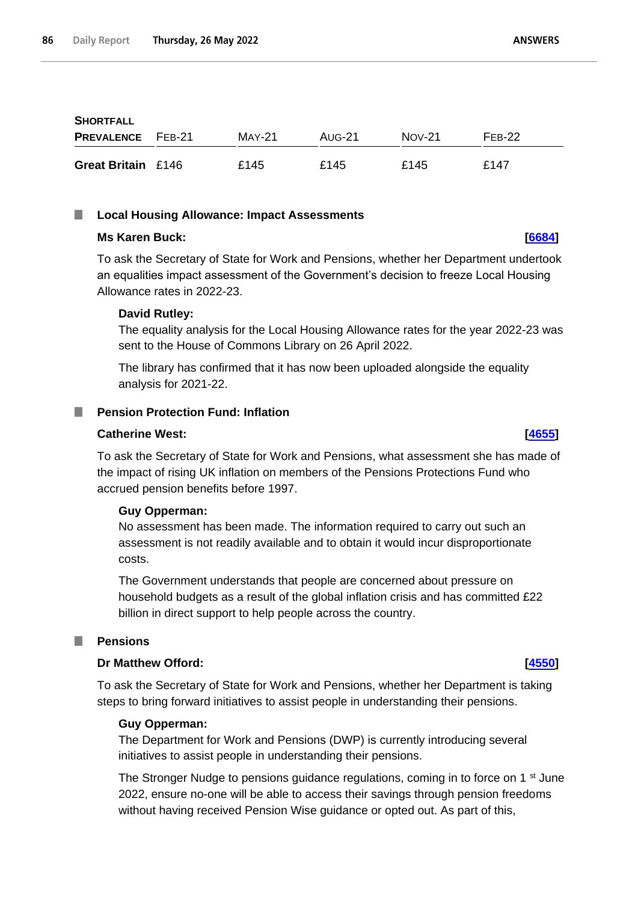| <b>SHORTFALL</b>          |        |        |          |          |
|---------------------------|--------|--------|----------|----------|
| <b>PREVALENCE</b> FEB-21  | MAY-21 | AUG-21 | $Nov-21$ | $FFR-22$ |
| <b>Great Britain £146</b> | £145   | £145   | £145     | £147     |

#### $\mathbb{R}^n$ **Local Housing Allowance: Impact Assessments**

#### **Ms Karen Buck: [\[6684\]](http://www.parliament.uk/business/publications/written-questions-answers-statements/written-question/Commons/2022-05-23/6684)**

To ask the Secretary of State for Work and Pensions, whether her Department undertook an equalities impact assessment of the Government's decision to freeze Local Housing Allowance rates in 2022-23.

### **David Rutley:**

The equality analysis for the Local Housing Allowance rates for the year 2022-23 was sent to the House of Commons Library on 26 April 2022.

The library has confirmed that it has now been uploaded alongside the equality analysis for 2021-22.

### **Pension Protection Fund: Inflation**

### **Catherine West: [\[4655\]](http://www.parliament.uk/business/publications/written-questions-answers-statements/written-question/Commons/2022-05-18/4655)**

To ask the Secretary of State for Work and Pensions, what assessment she has made of the impact of rising UK inflation on members of the Pensions Protections Fund who accrued pension benefits before 1997.

### **Guy Opperman:**

No assessment has been made. The information required to carry out such an assessment is not readily available and to obtain it would incur disproportionate costs.

The Government understands that people are concerned about pressure on household budgets as a result of the global inflation crisis and has committed £22 billion in direct support to help people across the country.

### **Pensions**

### **Dr Matthew Offord: [\[4550\]](http://www.parliament.uk/business/publications/written-questions-answers-statements/written-question/Commons/2022-05-18/4550)**

To ask the Secretary of State for Work and Pensions, whether her Department is taking steps to bring forward initiatives to assist people in understanding their pensions.

### **Guy Opperman:**

The Department for Work and Pensions (DWP) is currently introducing several initiatives to assist people in understanding their pensions.

The Stronger Nudge to pensions guidance regulations, coming in to force on 1<sup>st</sup> June 2022, ensure no-one will be able to access their savings through pension freedoms without having received Pension Wise guidance or opted out. As part of this,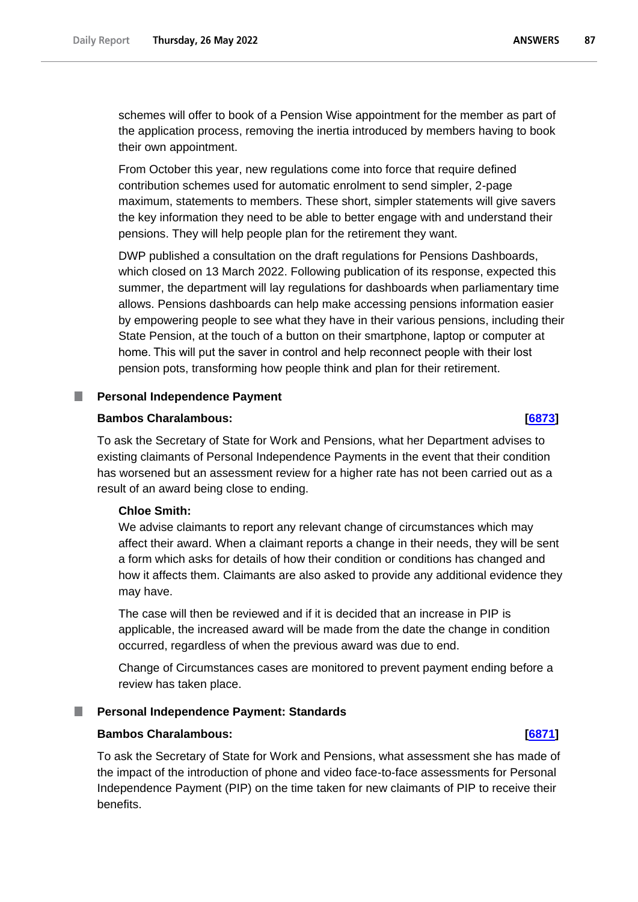schemes will offer to book of a Pension Wise appointment for the member as part of the application process, removing the inertia introduced by members having to book their own appointment.

From October this year, new regulations come into force that require defined contribution schemes used for automatic enrolment to send simpler, 2-page maximum, statements to members. These short, simpler statements will give savers the key information they need to be able to better engage with and understand their pensions. They will help people plan for the retirement they want.

DWP published a consultation on the draft regulations for Pensions Dashboards, which closed on 13 March 2022. Following publication of its response, expected this summer, the department will lay regulations for dashboards when parliamentary time allows. Pensions dashboards can help make accessing pensions information easier by empowering people to see what they have in their various pensions, including their State Pension, at the touch of a button on their smartphone, laptop or computer at home. This will put the saver in control and help reconnect people with their lost pension pots, transforming how people think and plan for their retirement.

#### **Personal Independence Payment**

### **Bambos Charalambous: [\[6873\]](http://www.parliament.uk/business/publications/written-questions-answers-statements/written-question/Commons/2022-05-23/6873)**

To ask the Secretary of State for Work and Pensions, what her Department advises to existing claimants of Personal Independence Payments in the event that their condition has worsened but an assessment review for a higher rate has not been carried out as a result of an award being close to ending.

### **Chloe Smith:**

We advise claimants to report any relevant change of circumstances which may affect their award. When a claimant reports a change in their needs, they will be sent a form which asks for details of how their condition or conditions has changed and how it affects them. Claimants are also asked to provide any additional evidence they may have.

The case will then be reviewed and if it is decided that an increase in PIP is applicable, the increased award will be made from the date the change in condition occurred, regardless of when the previous award was due to end.

Change of Circumstances cases are monitored to prevent payment ending before a review has taken place.

#### **Personal Independence Payment: Standards**

### **Bambos Charalambous: [\[6871\]](http://www.parliament.uk/business/publications/written-questions-answers-statements/written-question/Commons/2022-05-23/6871)**

To ask the Secretary of State for Work and Pensions, what assessment she has made of the impact of the introduction of phone and video face-to-face assessments for Personal Independence Payment (PIP) on the time taken for new claimants of PIP to receive their benefits.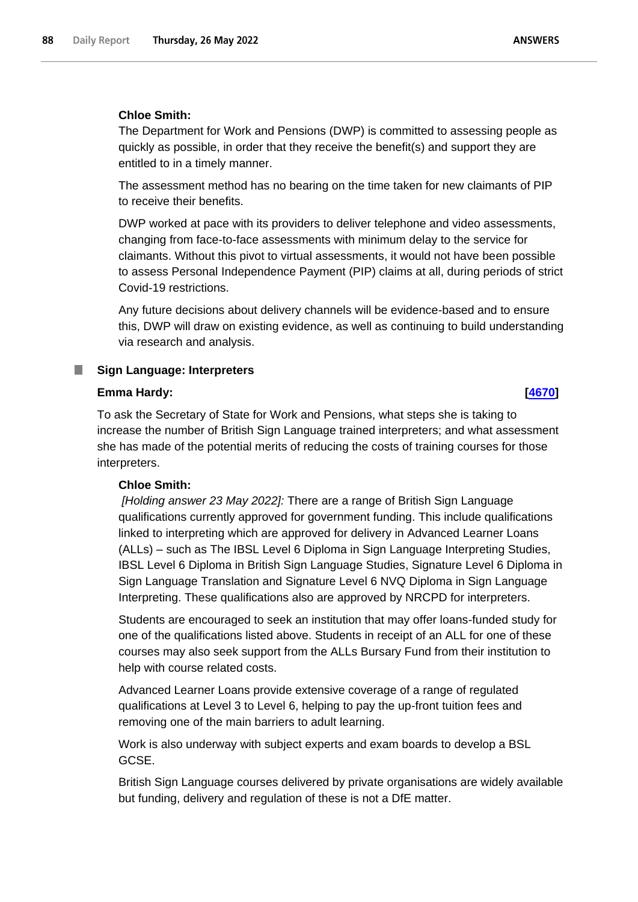### **Chloe Smith:**

The Department for Work and Pensions (DWP) is committed to assessing people as quickly as possible, in order that they receive the benefit(s) and support they are entitled to in a timely manner.

The assessment method has no bearing on the time taken for new claimants of PIP to receive their benefits.

DWP worked at pace with its providers to deliver telephone and video assessments, changing from face-to-face assessments with minimum delay to the service for claimants. Without this pivot to virtual assessments, it would not have been possible to assess Personal Independence Payment (PIP) claims at all, during periods of strict Covid-19 restrictions.

Any future decisions about delivery channels will be evidence-based and to ensure this, DWP will draw on existing evidence, as well as continuing to build understanding via research and analysis.

#### **Sign Language: Interpreters**

### **Emma Hardy: [\[4670\]](http://www.parliament.uk/business/publications/written-questions-answers-statements/written-question/Commons/2022-05-18/4670)**

П

To ask the Secretary of State for Work and Pensions, what steps she is taking to increase the number of British Sign Language trained interpreters; and what assessment she has made of the potential merits of reducing the costs of training courses for those interpreters.

#### **Chloe Smith:**

*[Holding answer 23 May 2022]:* There are a range of British Sign Language qualifications currently approved for government funding. This include qualifications linked to interpreting which are approved for delivery in Advanced Learner Loans (ALLs) – such as The IBSL Level 6 Diploma in Sign Language Interpreting Studies, IBSL Level 6 Diploma in British Sign Language Studies, Signature Level 6 Diploma in Sign Language Translation and Signature Level 6 NVQ Diploma in Sign Language Interpreting. These qualifications also are approved by NRCPD for interpreters.

Students are encouraged to seek an institution that may offer loans-funded study for one of the qualifications listed above. Students in receipt of an ALL for one of these courses may also seek support from the ALLs Bursary Fund from their institution to help with course related costs.

Advanced Learner Loans provide extensive coverage of a range of regulated qualifications at Level 3 to Level 6, helping to pay the up-front tuition fees and removing one of the main barriers to adult learning.

Work is also underway with subject experts and exam boards to develop a BSL GCSE.

British Sign Language courses delivered by private organisations are widely available but funding, delivery and regulation of these is not a DfE matter.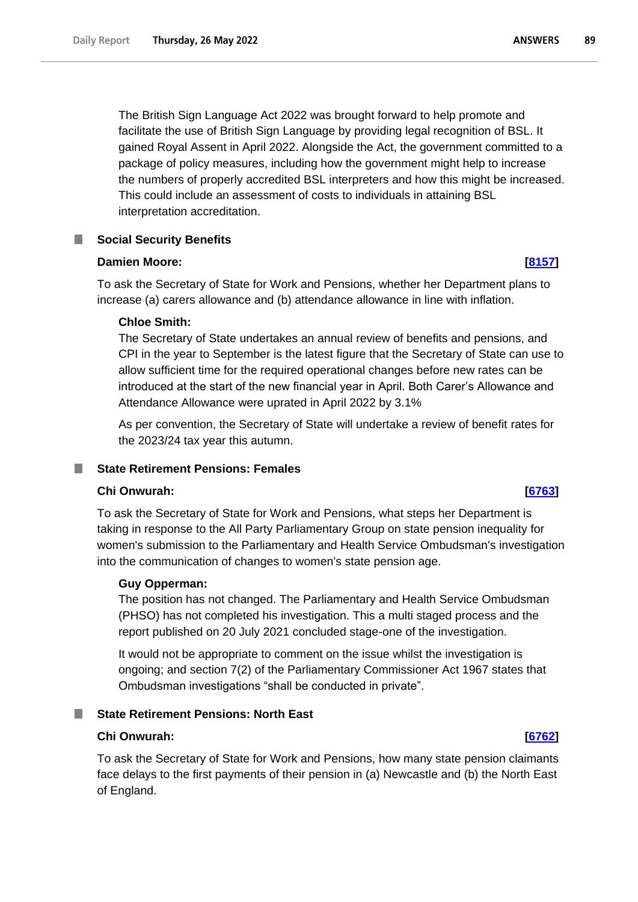The British Sign Language Act 2022 was brought forward to help promote and facilitate the use of British Sign Language by providing legal recognition of BSL. It gained Royal Assent in April 2022. Alongside the Act, the government committed to a package of policy measures, including how the government might help to increase

the numbers of properly accredited BSL interpreters and how this might be increased. This could include an assessment of costs to individuals in attaining BSL interpretation accreditation.

# **Social Security Benefits**

### **Damien Moore: [\[8157\]](http://www.parliament.uk/business/publications/written-questions-answers-statements/written-question/Commons/2022-05-24/8157)**

To ask the Secretary of State for Work and Pensions, whether her Department plans to increase (a) carers allowance and (b) attendance allowance in line with inflation.

# **Chloe Smith:**

The Secretary of State undertakes an annual review of benefits and pensions, and CPI in the year to September is the latest figure that the Secretary of State can use to allow sufficient time for the required operational changes before new rates can be introduced at the start of the new financial year in April. Both Carer's Allowance and Attendance Allowance were uprated in April 2022 by 3.1%

As per convention, the Secretary of State will undertake a review of benefit rates for the 2023/24 tax year this autumn.

# **State Retirement Pensions: Females**

# **Chi Onwurah: [\[6763\]](http://www.parliament.uk/business/publications/written-questions-answers-statements/written-question/Commons/2022-05-23/6763)**

To ask the Secretary of State for Work and Pensions, what steps her Department is taking in response to the All Party Parliamentary Group on state pension inequality for women's submission to the Parliamentary and Health Service Ombudsman's investigation into the communication of changes to women's state pension age.

# **Guy Opperman:**

The position has not changed. The Parliamentary and Health Service Ombudsman (PHSO) has not completed his investigation. This a multi staged process and the report published on 20 July 2021 concluded stage-one of the investigation.

It would not be appropriate to comment on the issue whilst the investigation is ongoing; and section 7(2) of the Parliamentary Commissioner Act 1967 states that Ombudsman investigations "shall be conducted in private".

# **State Retirement Pensions: North East**

### **Chi Onwurah: [\[6762\]](http://www.parliament.uk/business/publications/written-questions-answers-statements/written-question/Commons/2022-05-23/6762)**

To ask the Secretary of State for Work and Pensions, how many state pension claimants face delays to the first payments of their pension in (a) Newcastle and (b) the North East of England.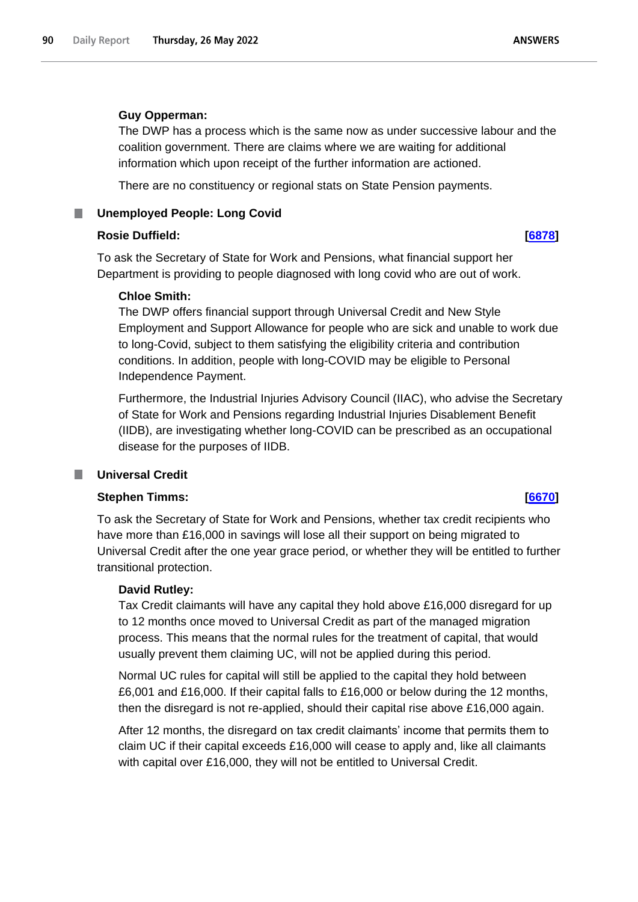#### **Guy Opperman:**

The DWP has a process which is the same now as under successive labour and the coalition government. There are claims where we are waiting for additional information which upon receipt of the further information are actioned.

There are no constituency or regional stats on State Pension payments.

**Unemployed People: Long Covid**

### **Rosie Duffield: [\[6878\]](http://www.parliament.uk/business/publications/written-questions-answers-statements/written-question/Commons/2022-05-23/6878)**

To ask the Secretary of State for Work and Pensions, what financial support her Department is providing to people diagnosed with long covid who are out of work.

### **Chloe Smith:**

The DWP offers financial support through Universal Credit and New Style Employment and Support Allowance for people who are sick and unable to work due to long-Covid, subject to them satisfying the eligibility criteria and contribution conditions. In addition, people with long-COVID may be eligible to Personal Independence Payment.

Furthermore, the Industrial Injuries Advisory Council (IIAC), who advise the Secretary of State for Work and Pensions regarding Industrial Injuries Disablement Benefit (IIDB), are investigating whether long-COVID can be prescribed as an occupational disease for the purposes of IIDB.

### **Universal Credit**

## **Stephen Timms: [\[6670\]](http://www.parliament.uk/business/publications/written-questions-answers-statements/written-question/Commons/2022-05-23/6670)**

To ask the Secretary of State for Work and Pensions, whether tax credit recipients who have more than £16,000 in savings will lose all their support on being migrated to Universal Credit after the one year grace period, or whether they will be entitled to further transitional protection.

### **David Rutley:**

Tax Credit claimants will have any capital they hold above £16,000 disregard for up to 12 months once moved to Universal Credit as part of the managed migration process. This means that the normal rules for the treatment of capital, that would usually prevent them claiming UC, will not be applied during this period.

Normal UC rules for capital will still be applied to the capital they hold between £6,001 and £16,000. If their capital falls to £16,000 or below during the 12 months, then the disregard is not re-applied, should their capital rise above £16,000 again.

After 12 months, the disregard on tax credit claimants' income that permits them to claim UC if their capital exceeds £16,000 will cease to apply and, like all claimants with capital over £16,000, they will not be entitled to Universal Credit.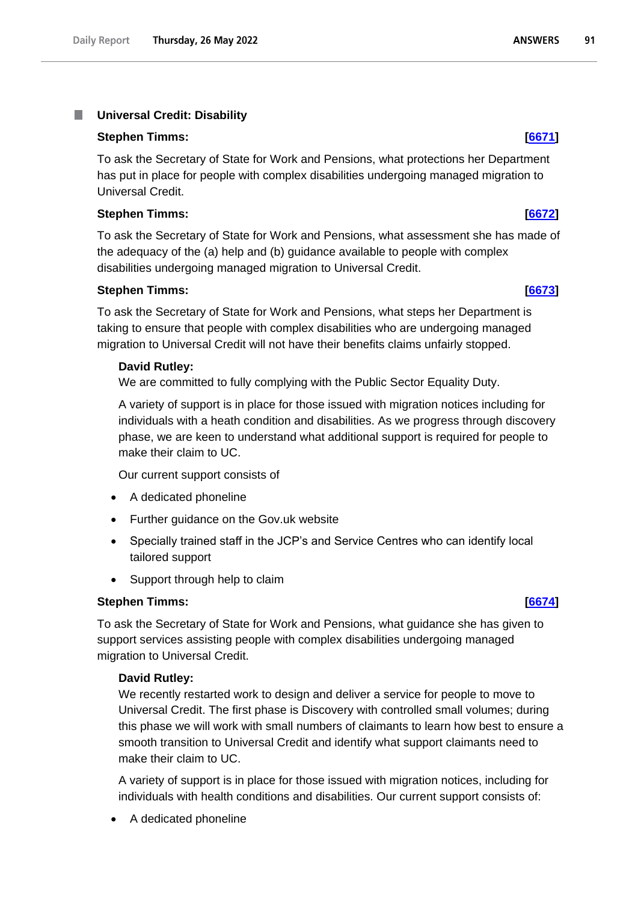#### T. **Universal Credit: Disability**

#### **Stephen Timms: [\[6671\]](http://www.parliament.uk/business/publications/written-questions-answers-statements/written-question/Commons/2022-05-23/6671)**

To ask the Secretary of State for Work and Pensions, what protections her Department has put in place for people with complex disabilities undergoing managed migration to Universal Credit.

### **Stephen Timms: [\[6672\]](http://www.parliament.uk/business/publications/written-questions-answers-statements/written-question/Commons/2022-05-23/6672)**

To ask the Secretary of State for Work and Pensions, what assessment she has made of the adequacy of the (a) help and (b) guidance available to people with complex disabilities undergoing managed migration to Universal Credit.

### **Stephen Timms: [\[6673\]](http://www.parliament.uk/business/publications/written-questions-answers-statements/written-question/Commons/2022-05-23/6673)**

To ask the Secretary of State for Work and Pensions, what steps her Department is taking to ensure that people with complex disabilities who are undergoing managed migration to Universal Credit will not have their benefits claims unfairly stopped.

#### **David Rutley:**

We are committed to fully complying with the Public Sector Equality Duty.

A variety of support is in place for those issued with migration notices including for individuals with a heath condition and disabilities. As we progress through discovery phase, we are keen to understand what additional support is required for people to make their claim to UC.

Our current support consists of

- A dedicated phoneline
- Further guidance on the Gov.uk website
- Specially trained staff in the JCP's and Service Centres who can identify local tailored support
- Support through help to claim

### **Stephen Timms: [\[6674\]](http://www.parliament.uk/business/publications/written-questions-answers-statements/written-question/Commons/2022-05-23/6674)**

To ask the Secretary of State for Work and Pensions, what guidance she has given to support services assisting people with complex disabilities undergoing managed migration to Universal Credit.

### **David Rutley:**

We recently restarted work to design and deliver a service for people to move to Universal Credit. The first phase is Discovery with controlled small volumes; during this phase we will work with small numbers of claimants to learn how best to ensure a smooth transition to Universal Credit and identify what support claimants need to make their claim to UC.

A variety of support is in place for those issued with migration notices, including for individuals with health conditions and disabilities. Our current support consists of:

• A dedicated phoneline

#### **ANSWERS** 91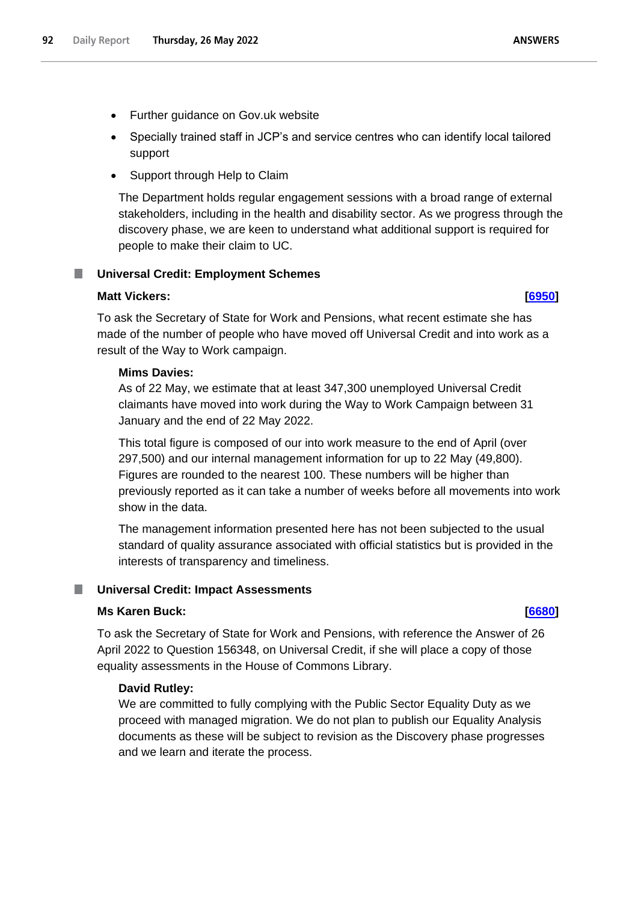- Specially trained staff in JCP's and service centres who can identify local tailored support
- Support through Help to Claim

The Department holds regular engagement sessions with a broad range of external stakeholders, including in the health and disability sector. As we progress through the discovery phase, we are keen to understand what additional support is required for people to make their claim to UC.

# **Universal Credit: Employment Schemes**

### **Matt Vickers: [\[6950\]](http://www.parliament.uk/business/publications/written-questions-answers-statements/written-question/Commons/2022-05-23/6950)**

To ask the Secretary of State for Work and Pensions, what recent estimate she has made of the number of people who have moved off Universal Credit and into work as a result of the Way to Work campaign.

# **Mims Davies:**

As of 22 May, we estimate that at least 347,300 unemployed Universal Credit claimants have moved into work during the Way to Work Campaign between 31 January and the end of 22 May 2022.

This total figure is composed of our into work measure to the end of April (over 297,500) and our internal management information for up to 22 May (49,800). Figures are rounded to the nearest 100. These numbers will be higher than previously reported as it can take a number of weeks before all movements into work show in the data.

The management information presented here has not been subjected to the usual standard of quality assurance associated with official statistics but is provided in the interests of transparency and timeliness.

# **Universal Credit: Impact Assessments**

### **Ms Karen Buck: [\[6680\]](http://www.parliament.uk/business/publications/written-questions-answers-statements/written-question/Commons/2022-05-23/6680)**

To ask the Secretary of State for Work and Pensions, with reference the Answer of 26 April 2022 to Question 156348, on Universal Credit, if she will place a copy of those equality assessments in the House of Commons Library.

# **David Rutley:**

We are committed to fully complying with the Public Sector Equality Duty as we proceed with managed migration. We do not plan to publish our Equality Analysis documents as these will be subject to revision as the Discovery phase progresses and we learn and iterate the process.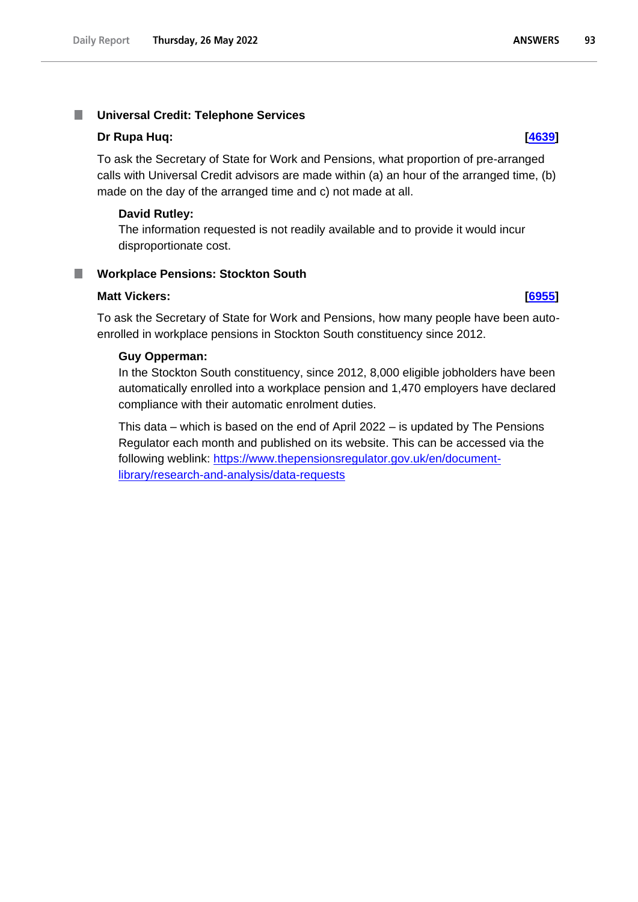#### **Universal Credit: Telephone Services** T.

#### **Dr Rupa Huq: [\[4639\]](http://www.parliament.uk/business/publications/written-questions-answers-statements/written-question/Commons/2022-05-18/4639)**

To ask the Secretary of State for Work and Pensions, what proportion of pre-arranged calls with Universal Credit advisors are made within (a) an hour of the arranged time, (b) made on the day of the arranged time and c) not made at all.

### **David Rutley:**

The information requested is not readily available and to provide it would incur disproportionate cost.

#### **Workplace Pensions: Stockton South** ш

#### **Matt Vickers: [\[6955\]](http://www.parliament.uk/business/publications/written-questions-answers-statements/written-question/Commons/2022-05-23/6955)**

To ask the Secretary of State for Work and Pensions, how many people have been autoenrolled in workplace pensions in Stockton South constituency since 2012.

#### **Guy Opperman:**

In the Stockton South constituency, since 2012, 8,000 eligible jobholders have been automatically enrolled into a workplace pension and 1,470 employers have declared compliance with their automatic enrolment duties.

This data – which is based on the end of April 2022 – is updated by The Pensions Regulator each month and published on its website. This can be accessed via the following weblink: [https://www.thepensionsregulator.gov.uk/en/document](https://www.thepensionsregulator.gov.uk/en/document-library/research-and-analysis/data-requests)[library/research-and-analysis/data-requests](https://www.thepensionsregulator.gov.uk/en/document-library/research-and-analysis/data-requests)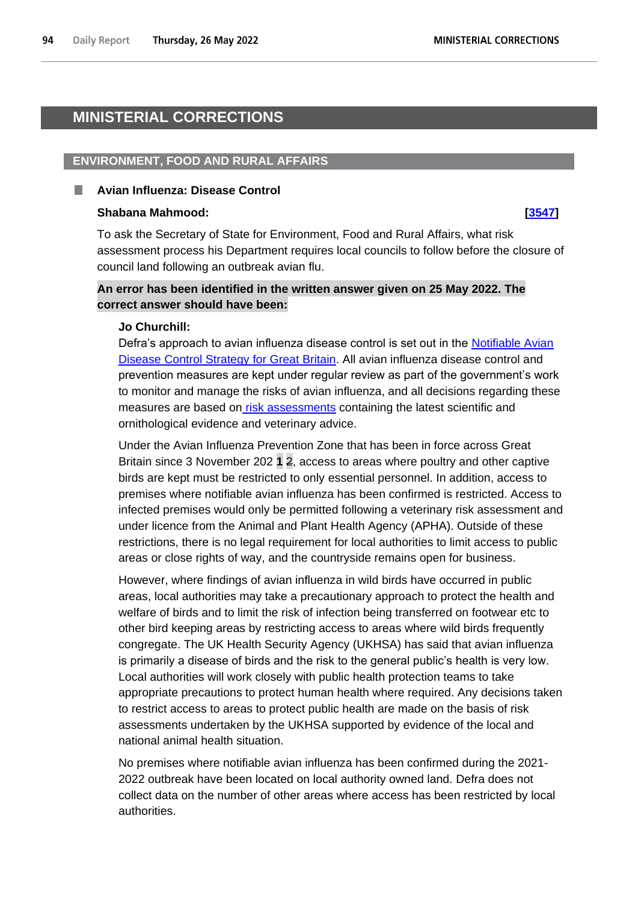# **MINISTERIAL CORRECTIONS**

#### **ENVIRONMENT, FOOD AND RURAL AFFAIRS**

#### **Avian Influenza: Disease Control**

#### **Shabana Mahmood: [\[3547\]](http://www.parliament.uk/business/publications/written-questions-answers-statements/written-question/Commons/2022-05-17/3547)**

To ask the Secretary of State for Environment, Food and Rural Affairs, what risk assessment process his Department requires local councils to follow before the closure of council land following an outbreak avian flu.

# **An error has been identified in the written answer given on 25 May 2022. The correct answer should have been:**

#### **Jo Churchill:**

Defra's approach to avian influenza disease control is set out in the [Notifiable Avian](https://www.gov.uk/government/publications/notifiable-avian-disease-control-strategy)  [Disease Control Strategy for Great Britain.](https://www.gov.uk/government/publications/notifiable-avian-disease-control-strategy) All avian influenza disease control and prevention measures are kept under regular review as part of the government's work to monitor and manage the risks of avian influenza, and all decisions regarding these measures are based on [risk assessments](https://www.gov.uk/government/publications/avian-influenza-bird-flu-in-europe) containing the latest scientific and ornithological evidence and veterinary advice.

Under the Avian Influenza Prevention Zone that has been in force across Great Britain since 3 November 202 **1** 2, access to areas where poultry and other captive birds are kept must be restricted to only essential personnel. In addition, access to premises where notifiable avian influenza has been confirmed is restricted. Access to infected premises would only be permitted following a veterinary risk assessment and under licence from the Animal and Plant Health Agency (APHA). Outside of these restrictions, there is no legal requirement for local authorities to limit access to public areas or close rights of way, and the countryside remains open for business.

However, where findings of avian influenza in wild birds have occurred in public areas, local authorities may take a precautionary approach to protect the health and welfare of birds and to limit the risk of infection being transferred on footwear etc to other bird keeping areas by restricting access to areas where wild birds frequently congregate. The UK Health Security Agency (UKHSA) has said that avian influenza is primarily a disease of birds and the risk to the general public's health is very low. Local authorities will work closely with public health protection teams to take appropriate precautions to protect human health where required. Any decisions taken to restrict access to areas to protect public health are made on the basis of risk assessments undertaken by the UKHSA supported by evidence of the local and national animal health situation.

No premises where notifiable avian influenza has been confirmed during the 2021- 2022 outbreak have been located on local authority owned land. Defra does not collect data on the number of other areas where access has been restricted by local authorities.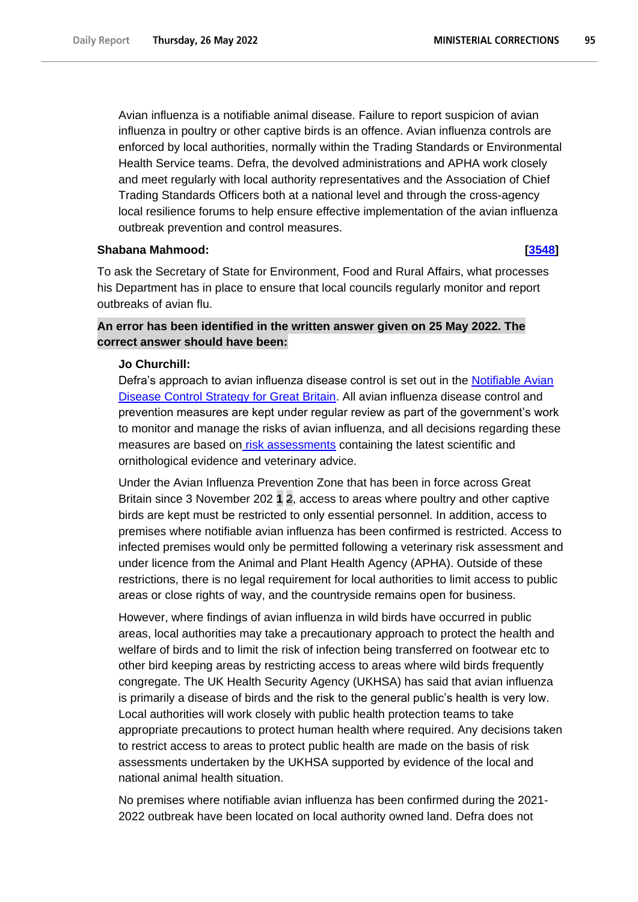Avian influenza is a notifiable animal disease. Failure to report suspicion of avian influenza in poultry or other captive birds is an offence. Avian influenza controls are enforced by local authorities, normally within the Trading Standards or Environmental Health Service teams. Defra, the devolved administrations and APHA work closely and meet regularly with local authority representatives and the Association of Chief Trading Standards Officers both at a national level and through the cross-agency local resilience forums to help ensure effective implementation of the avian influenza outbreak prevention and control measures.

#### **Shabana Mahmood: [\[3548\]](http://www.parliament.uk/business/publications/written-questions-answers-statements/written-question/Commons/2022-05-17/3548)**

To ask the Secretary of State for Environment, Food and Rural Affairs, what processes his Department has in place to ensure that local councils regularly monitor and report outbreaks of avian flu.

# **An error has been identified in the written answer given on 25 May 2022. The correct answer should have been:**

#### **Jo Churchill:**

Defra's approach to avian influenza disease control is set out in the Notifiable Avian [Disease Control Strategy for Great Britain.](https://www.gov.uk/government/publications/notifiable-avian-disease-control-strategy) All avian influenza disease control and prevention measures are kept under regular review as part of the government's work to monitor and manage the risks of avian influenza, and all decisions regarding these measures are based on [risk assessments](https://www.gov.uk/government/publications/avian-influenza-bird-flu-in-europe) containing the latest scientific and ornithological evidence and veterinary advice.

Under the Avian Influenza Prevention Zone that has been in force across Great Britain since 3 November 202 **1** 2, access to areas where poultry and other captive birds are kept must be restricted to only essential personnel. In addition, access to premises where notifiable avian influenza has been confirmed is restricted. Access to infected premises would only be permitted following a veterinary risk assessment and under licence from the Animal and Plant Health Agency (APHA). Outside of these restrictions, there is no legal requirement for local authorities to limit access to public areas or close rights of way, and the countryside remains open for business.

However, where findings of avian influenza in wild birds have occurred in public areas, local authorities may take a precautionary approach to protect the health and welfare of birds and to limit the risk of infection being transferred on footwear etc to other bird keeping areas by restricting access to areas where wild birds frequently congregate. The UK Health Security Agency (UKHSA) has said that avian influenza is primarily a disease of birds and the risk to the general public's health is very low. Local authorities will work closely with public health protection teams to take appropriate precautions to protect human health where required. Any decisions taken to restrict access to areas to protect public health are made on the basis of risk assessments undertaken by the UKHSA supported by evidence of the local and national animal health situation.

No premises where notifiable avian influenza has been confirmed during the 2021- 2022 outbreak have been located on local authority owned land. Defra does not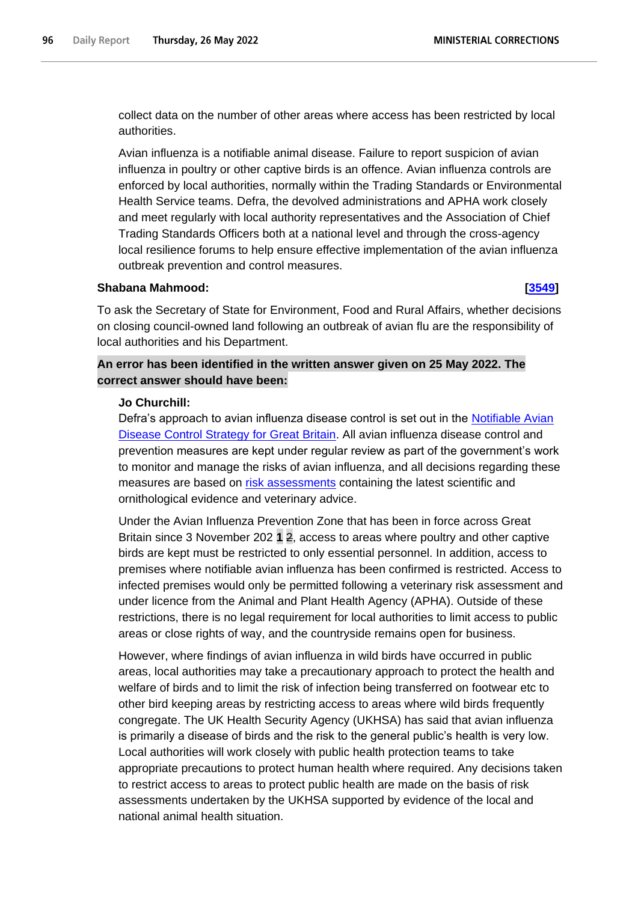collect data on the number of other areas where access has been restricted by local authorities.

Avian influenza is a notifiable animal disease. Failure to report suspicion of avian influenza in poultry or other captive birds is an offence. Avian influenza controls are enforced by local authorities, normally within the Trading Standards or Environmental Health Service teams. Defra, the devolved administrations and APHA work closely and meet regularly with local authority representatives and the Association of Chief Trading Standards Officers both at a national level and through the cross-agency local resilience forums to help ensure effective implementation of the avian influenza outbreak prevention and control measures.

#### **Shabana Mahmood: [\[3549\]](http://www.parliament.uk/business/publications/written-questions-answers-statements/written-question/Commons/2022-05-17/3549)**

To ask the Secretary of State for Environment, Food and Rural Affairs, whether decisions on closing council-owned land following an outbreak of avian flu are the responsibility of local authorities and his Department.

# **An error has been identified in the written answer given on 25 May 2022. The correct answer should have been:**

#### **Jo Churchill:**

Defra's approach to avian influenza disease control is set out in the Notifiable Avian [Disease Control Strategy for Great Britain.](https://www.gov.uk/government/publications/notifiable-avian-disease-control-strategy) All avian influenza disease control and prevention measures are kept under regular review as part of the government's work to monitor and manage the risks of avian influenza, and all decisions regarding these measures are based on [risk assessments](https://www.gov.uk/government/publications/avian-influenza-bird-flu-in-europe) containing the latest scientific and ornithological evidence and veterinary advice.

Under the Avian Influenza Prevention Zone that has been in force across Great Britain since 3 November 202 **1** 2, access to areas where poultry and other captive birds are kept must be restricted to only essential personnel. In addition, access to premises where notifiable avian influenza has been confirmed is restricted. Access to infected premises would only be permitted following a veterinary risk assessment and under licence from the Animal and Plant Health Agency (APHA). Outside of these restrictions, there is no legal requirement for local authorities to limit access to public areas or close rights of way, and the countryside remains open for business.

However, where findings of avian influenza in wild birds have occurred in public areas, local authorities may take a precautionary approach to protect the health and welfare of birds and to limit the risk of infection being transferred on footwear etc to other bird keeping areas by restricting access to areas where wild birds frequently congregate. The UK Health Security Agency (UKHSA) has said that avian influenza is primarily a disease of birds and the risk to the general public's health is very low. Local authorities will work closely with public health protection teams to take appropriate precautions to protect human health where required. Any decisions taken to restrict access to areas to protect public health are made on the basis of risk assessments undertaken by the UKHSA supported by evidence of the local and national animal health situation.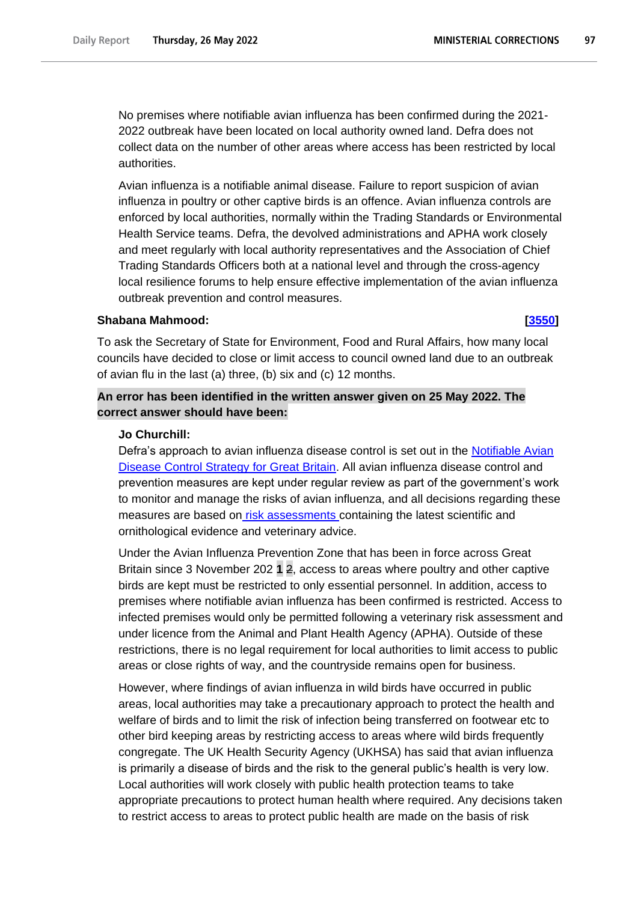**MINISTERIAL CORRECTIONS** 

97

No premises where notifiable avian influenza has been confirmed during the 2021- 2022 outbreak have been located on local authority owned land. Defra does not collect data on the number of other areas where access has been restricted by local authorities.

Avian influenza is a notifiable animal disease. Failure to report suspicion of avian influenza in poultry or other captive birds is an offence. Avian influenza controls are enforced by local authorities, normally within the Trading Standards or Environmental Health Service teams. Defra, the devolved administrations and APHA work closely and meet regularly with local authority representatives and the Association of Chief Trading Standards Officers both at a national level and through the cross-agency local resilience forums to help ensure effective implementation of the avian influenza outbreak prevention and control measures.

### **Shabana Mahmood: [\[3550\]](http://www.parliament.uk/business/publications/written-questions-answers-statements/written-question/Commons/2022-05-17/3550)**

To ask the Secretary of State for Environment, Food and Rural Affairs, how many local councils have decided to close or limit access to council owned land due to an outbreak of avian flu in the last (a) three, (b) six and (c) 12 months.

# **An error has been identified in the written answer given on 25 May 2022. The correct answer should have been:**

### **Jo Churchill:**

Defra's approach to avian influenza disease control is set out in the Notifiable Avian [Disease Control Strategy for Great Britain.](https://www.gov.uk/government/publications/notifiable-avian-disease-control-strategy) All avian influenza disease control and prevention measures are kept under regular review as part of the government's work to monitor and manage the risks of avian influenza, and all decisions regarding these measures are based on [risk assessments](https://www.gov.uk/government/publications/avian-influenza-bird-flu-in-europe) containing the latest scientific and ornithological evidence and veterinary advice.

Under the Avian Influenza Prevention Zone that has been in force across Great Britain since 3 November 202 **1** 2, access to areas where poultry and other captive birds are kept must be restricted to only essential personnel. In addition, access to premises where notifiable avian influenza has been confirmed is restricted. Access to infected premises would only be permitted following a veterinary risk assessment and under licence from the Animal and Plant Health Agency (APHA). Outside of these restrictions, there is no legal requirement for local authorities to limit access to public areas or close rights of way, and the countryside remains open for business.

However, where findings of avian influenza in wild birds have occurred in public areas, local authorities may take a precautionary approach to protect the health and welfare of birds and to limit the risk of infection being transferred on footwear etc to other bird keeping areas by restricting access to areas where wild birds frequently congregate. The UK Health Security Agency (UKHSA) has said that avian influenza is primarily a disease of birds and the risk to the general public's health is very low. Local authorities will work closely with public health protection teams to take appropriate precautions to protect human health where required. Any decisions taken to restrict access to areas to protect public health are made on the basis of risk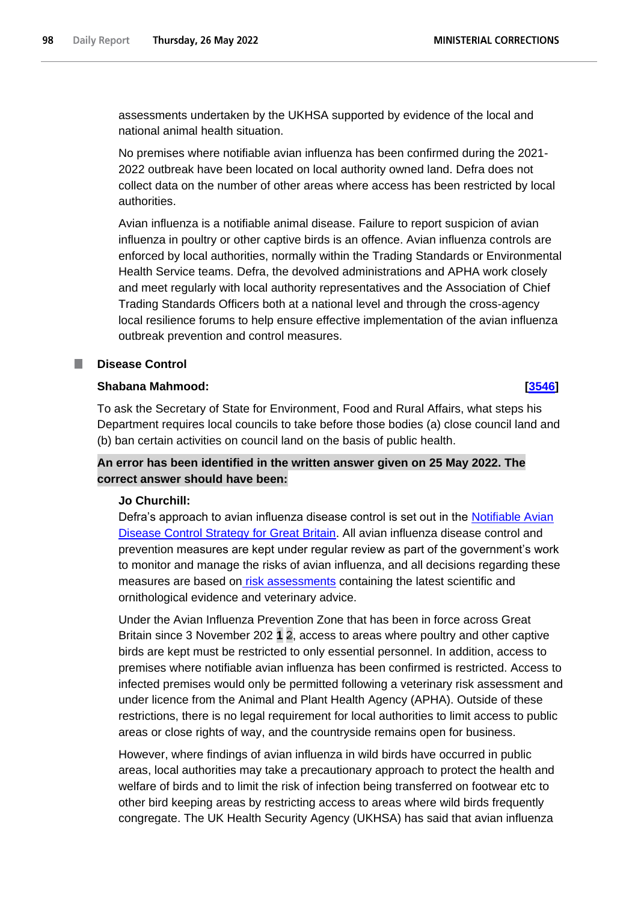assessments undertaken by the UKHSA supported by evidence of the local and national animal health situation.

No premises where notifiable avian influenza has been confirmed during the 2021- 2022 outbreak have been located on local authority owned land. Defra does not collect data on the number of other areas where access has been restricted by local authorities.

Avian influenza is a notifiable animal disease. Failure to report suspicion of avian influenza in poultry or other captive birds is an offence. Avian influenza controls are enforced by local authorities, normally within the Trading Standards or Environmental Health Service teams. Defra, the devolved administrations and APHA work closely and meet regularly with local authority representatives and the Association of Chief Trading Standards Officers both at a national level and through the cross-agency local resilience forums to help ensure effective implementation of the avian influenza outbreak prevention and control measures.

# **Disease Control**

### **Shabana Mahmood: [\[3546\]](http://www.parliament.uk/business/publications/written-questions-answers-statements/written-question/Commons/2022-05-17/3546)**

To ask the Secretary of State for Environment, Food and Rural Affairs, what steps his Department requires local councils to take before those bodies (a) close council land and (b) ban certain activities on council land on the basis of public health.

# **An error has been identified in the written answer given on 25 May 2022. The correct answer should have been:**

# **Jo Churchill:**

Defra's approach to avian influenza disease control is set out in the Notifiable Avian [Disease Control Strategy for Great Britain.](https://www.gov.uk/government/publications/notifiable-avian-disease-control-strategy) All avian influenza disease control and prevention measures are kept under regular review as part of the government's work to monitor and manage the risks of avian influenza, and all decisions regarding these measures are based on [risk assessments](https://www.gov.uk/government/publications/avian-influenza-bird-flu-in-europe) containing the latest scientific and ornithological evidence and veterinary advice.

Under the Avian Influenza Prevention Zone that has been in force across Great Britain since 3 November 202 **1** 2, access to areas where poultry and other captive birds are kept must be restricted to only essential personnel. In addition, access to premises where notifiable avian influenza has been confirmed is restricted. Access to infected premises would only be permitted following a veterinary risk assessment and under licence from the Animal and Plant Health Agency (APHA). Outside of these restrictions, there is no legal requirement for local authorities to limit access to public areas or close rights of way, and the countryside remains open for business.

However, where findings of avian influenza in wild birds have occurred in public areas, local authorities may take a precautionary approach to protect the health and welfare of birds and to limit the risk of infection being transferred on footwear etc to other bird keeping areas by restricting access to areas where wild birds frequently congregate. The UK Health Security Agency (UKHSA) has said that avian influenza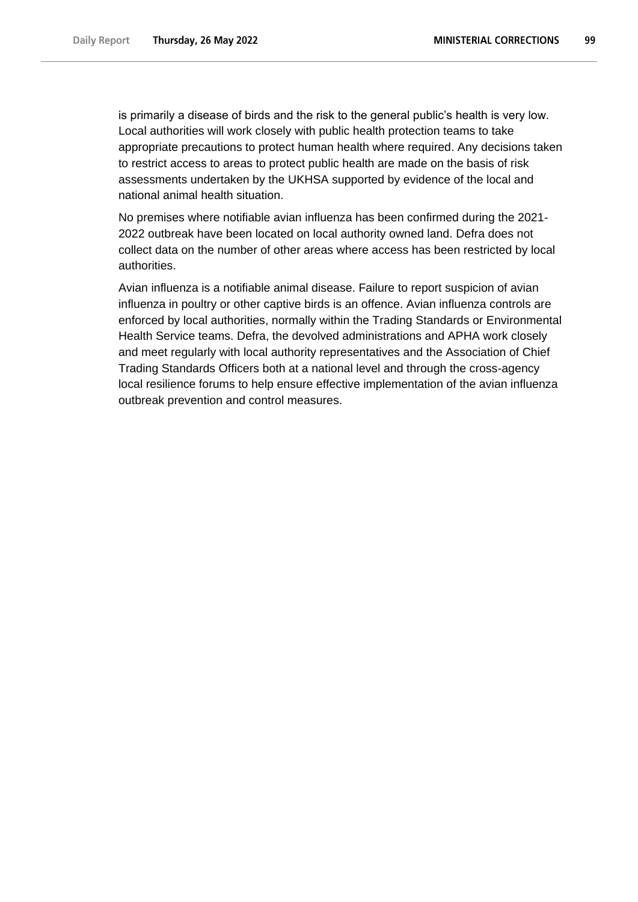is primarily a disease of birds and the risk to the general public's health is very low. Local authorities will work closely with public health protection teams to take appropriate precautions to protect human health where required. Any decisions taken to restrict access to areas to protect public health are made on the basis of risk assessments undertaken by the UKHSA supported by evidence of the local and national animal health situation.

No premises where notifiable avian influenza has been confirmed during the 2021- 2022 outbreak have been located on local authority owned land. Defra does not collect data on the number of other areas where access has been restricted by local authorities.

Avian influenza is a notifiable animal disease. Failure to report suspicion of avian influenza in poultry or other captive birds is an offence. Avian influenza controls are enforced by local authorities, normally within the Trading Standards or Environmental Health Service teams. Defra, the devolved administrations and APHA work closely and meet regularly with local authority representatives and the Association of Chief Trading Standards Officers both at a national level and through the cross-agency local resilience forums to help ensure effective implementation of the avian influenza outbreak prevention and control measures.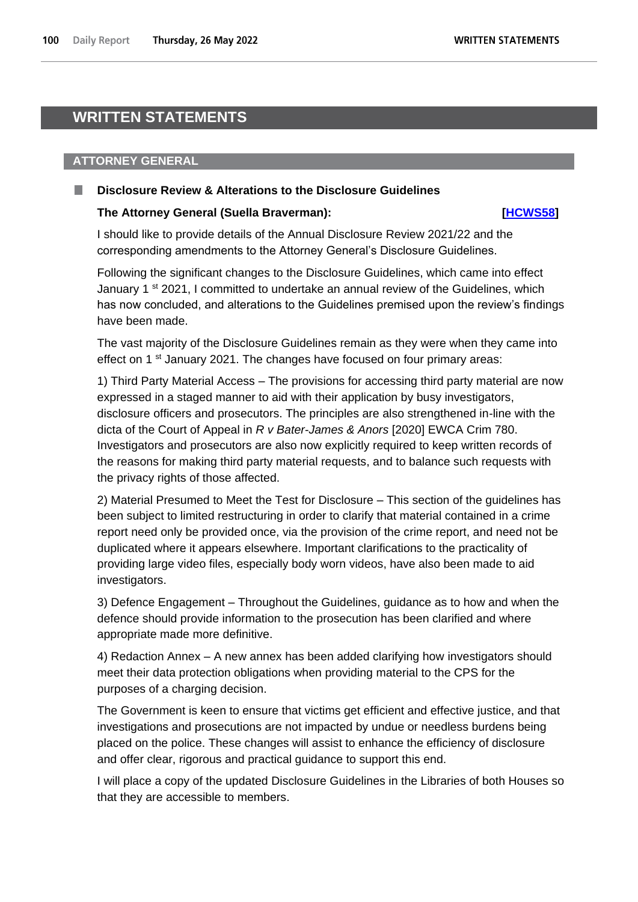# **WRITTEN STATEMENTS**

# **ATTORNEY GENERAL**

### **Disclosure Review & Alterations to the Disclosure Guidelines**

### **The Attorney General (Suella Braverman): [\[HCWS58\]](http://www.parliament.uk/business/publications/written-questions-answers-statements/written-statement/Commons/2022-05-26/HCWS58/)**

I should like to provide details of the Annual Disclosure Review 2021/22 and the corresponding amendments to the Attorney General's Disclosure Guidelines.

Following the significant changes to the Disclosure Guidelines, which came into effect January 1<sup>st</sup> 2021, I committed to undertake an annual review of the Guidelines, which has now concluded, and alterations to the Guidelines premised upon the review's findings have been made.

The vast majority of the Disclosure Guidelines remain as they were when they came into effect on 1<sup>st</sup> January 2021. The changes have focused on four primary areas:

1) Third Party Material Access – The provisions for accessing third party material are now expressed in a staged manner to aid with their application by busy investigators, disclosure officers and prosecutors. The principles are also strengthened in-line with the dicta of the Court of Appeal in *R v Bater-James & Anors* [2020] EWCA Crim 780. Investigators and prosecutors are also now explicitly required to keep written records of the reasons for making third party material requests, and to balance such requests with the privacy rights of those affected.

2) Material Presumed to Meet the Test for Disclosure – This section of the guidelines has been subject to limited restructuring in order to clarify that material contained in a crime report need only be provided once, via the provision of the crime report, and need not be duplicated where it appears elsewhere. Important clarifications to the practicality of providing large video files, especially body worn videos, have also been made to aid investigators.

3) Defence Engagement – Throughout the Guidelines, guidance as to how and when the defence should provide information to the prosecution has been clarified and where appropriate made more definitive.

4) Redaction Annex – A new annex has been added clarifying how investigators should meet their data protection obligations when providing material to the CPS for the purposes of a charging decision.

The Government is keen to ensure that victims get efficient and effective justice, and that investigations and prosecutions are not impacted by undue or needless burdens being placed on the police. These changes will assist to enhance the efficiency of disclosure and offer clear, rigorous and practical guidance to support this end.

I will place a copy of the updated Disclosure Guidelines in the Libraries of both Houses so that they are accessible to members.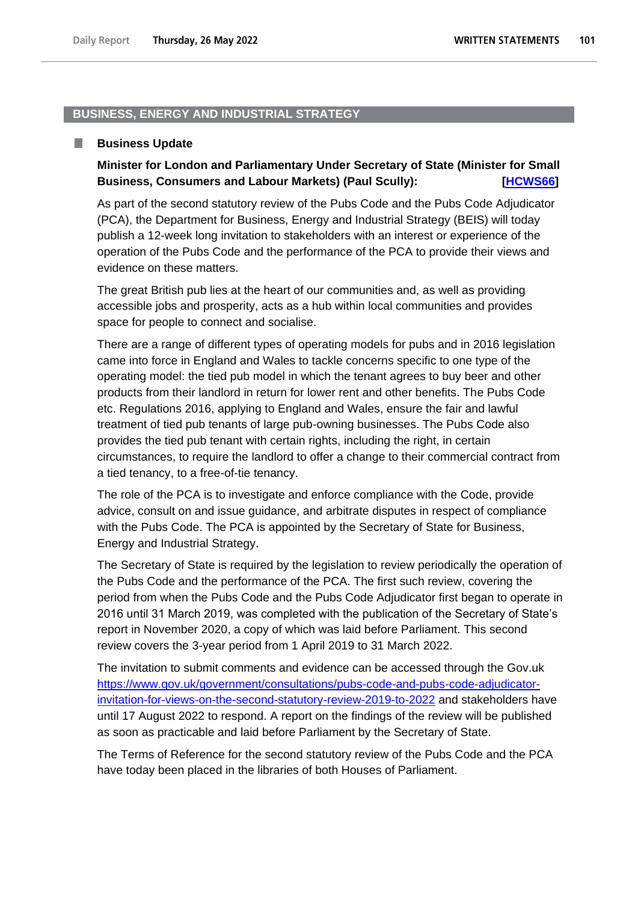### **BUSINESS, ENERGY AND INDUSTRIAL STRATEGY**

#### . **Business Update**

# **Minister for London and Parliamentary Under Secretary of State (Minister for Small Business, Consumers and Labour Markets) (Paul Scully): [\[HCWS66\]](http://www.parliament.uk/business/publications/written-questions-answers-statements/written-statement/Commons/2022-05-26/HCWS66/)**

As part of the second statutory review of the Pubs Code and the Pubs Code Adjudicator (PCA), the Department for Business, Energy and Industrial Strategy (BEIS) will today publish a 12-week long invitation to stakeholders with an interest or experience of the operation of the Pubs Code and the performance of the PCA to provide their views and evidence on these matters.

The great British pub lies at the heart of our communities and, as well as providing accessible jobs and prosperity, acts as a hub within local communities and provides space for people to connect and socialise.

There are a range of different types of operating models for pubs and in 2016 legislation came into force in England and Wales to tackle concerns specific to one type of the operating model: the tied pub model in which the tenant agrees to buy beer and other products from their landlord in return for lower rent and other benefits. The Pubs Code etc. Regulations 2016, applying to England and Wales, ensure the fair and lawful treatment of tied pub tenants of large pub-owning businesses. The Pubs Code also provides the tied pub tenant with certain rights, including the right, in certain circumstances, to require the landlord to offer a change to their commercial contract from a tied tenancy, to a free-of-tie tenancy.

The role of the PCA is to investigate and enforce compliance with the Code, provide advice, consult on and issue guidance, and arbitrate disputes in respect of compliance with the Pubs Code. The PCA is appointed by the Secretary of State for Business, Energy and Industrial Strategy.

The Secretary of State is required by the legislation to review periodically the operation of the Pubs Code and the performance of the PCA. The first such review, covering the period from when the Pubs Code and the Pubs Code Adjudicator first began to operate in 2016 until 31 March 2019, was completed with the publication of the Secretary of State's report in November 2020, a copy of which was laid before Parliament. This second review covers the 3-year period from 1 April 2019 to 31 March 2022.

The invitation to submit comments and evidence can be accessed through the Gov.uk [https://www.gov.uk/government/consultations/pubs-code-and-pubs-code-adjudicator](https://www.gov.uk/government/consultations/pubs-code-and-pubs-code-adjudicator-invitation-for-views-on-the-second-statutory-review-2019-to-2022)[invitation-for-views-on-the-second-statutory-review-2019-to-2022](https://www.gov.uk/government/consultations/pubs-code-and-pubs-code-adjudicator-invitation-for-views-on-the-second-statutory-review-2019-to-2022) and stakeholders have until 17 August 2022 to respond. A report on the findings of the review will be published as soon as practicable and laid before Parliament by the Secretary of State.

The Terms of Reference for the second statutory review of the Pubs Code and the PCA have today been placed in the libraries of both Houses of Parliament.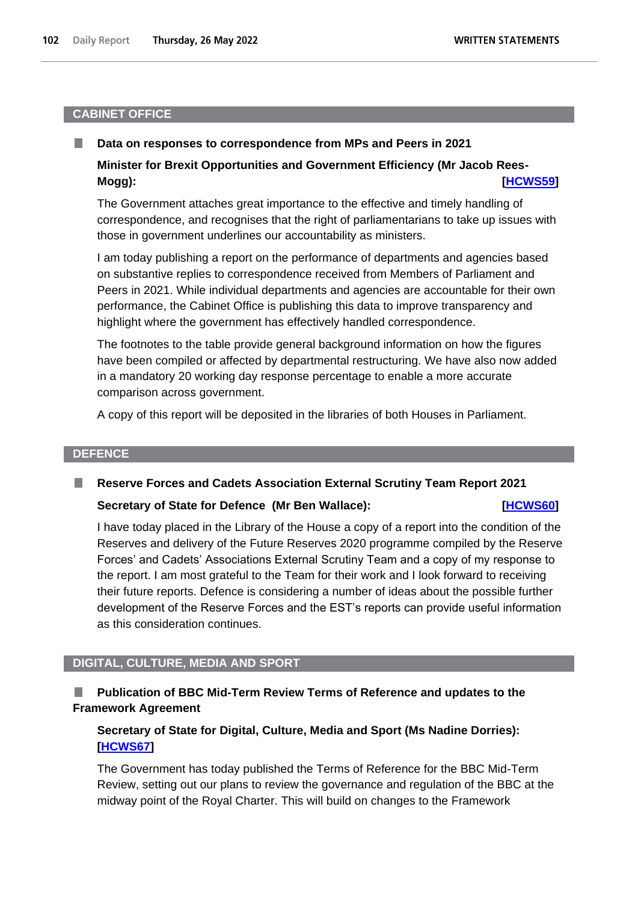### **CABINET OFFICE**

#### **Data on responses to correspondence from MPs and Peers in 2021** .

# **Minister for Brexit Opportunities and Government Efficiency (Mr Jacob Rees-Mogg): [\[HCWS59\]](http://www.parliament.uk/business/publications/written-questions-answers-statements/written-statement/Commons/2022-05-26/HCWS59/)**

The Government attaches great importance to the effective and timely handling of correspondence, and recognises that the right of parliamentarians to take up issues with those in government underlines our accountability as ministers.

I am today publishing a report on the performance of departments and agencies based on substantive replies to correspondence received from Members of Parliament and Peers in 2021. While individual departments and agencies are accountable for their own performance, the Cabinet Office is publishing this data to improve transparency and highlight where the government has effectively handled correspondence.

The footnotes to the table provide general background information on how the figures have been compiled or affected by departmental restructuring. We have also now added in a mandatory 20 working day response percentage to enable a more accurate comparison across government.

A copy of this report will be deposited in the libraries of both Houses in Parliament.

### **DEFENCE**

#### ш **Reserve Forces and Cadets Association External Scrutiny Team Report 2021**

### **Secretary of State for Defence (Mr Ben Wallace): [\[HCWS60\]](http://www.parliament.uk/business/publications/written-questions-answers-statements/written-statement/Commons/2022-05-26/HCWS60/)**

I have today placed in the Library of the House a copy of a report into the condition of the Reserves and delivery of the Future Reserves 2020 programme compiled by the Reserve Forces' and Cadets' Associations External Scrutiny Team and a copy of my response to the report. I am most grateful to the Team for their work and I look forward to receiving their future reports. Defence is considering a number of ideas about the possible further development of the Reserve Forces and the EST's reports can provide useful information as this consideration continues.

### **DIGITAL, CULTURE, MEDIA AND SPORT**

# **Publication of BBC Mid-Term Review Terms of Reference and updates to the Framework Agreement**

# **Secretary of State for Digital, Culture, Media and Sport (Ms Nadine Dorries): [\[HCWS67\]](http://www.parliament.uk/business/publications/written-questions-answers-statements/written-statement/Commons/2022-05-26/HCWS67/)**

The Government has today published the Terms of Reference for the BBC Mid-Term Review, setting out our plans to review the governance and regulation of the BBC at the midway point of the Royal Charter. This will build on changes to the Framework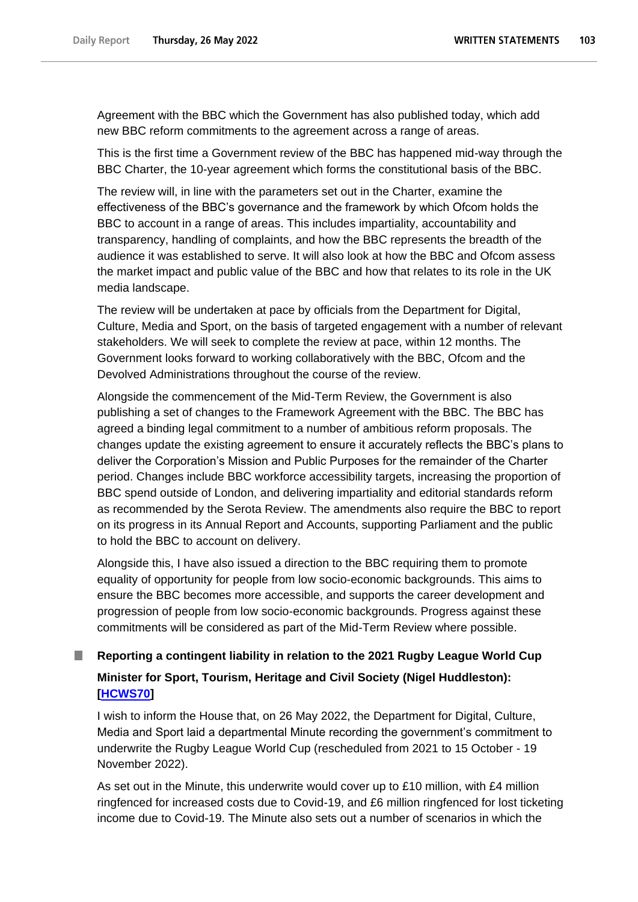Agreement with the BBC which the Government has also published today, which add new BBC reform commitments to the agreement across a range of areas.

This is the first time a Government review of the BBC has happened mid-way through the BBC Charter, the 10-year agreement which forms the constitutional basis of the BBC.

The review will, in line with the parameters set out in the Charter, examine the effectiveness of the BBC's governance and the framework by which Ofcom holds the BBC to account in a range of areas. This includes impartiality, accountability and transparency, handling of complaints, and how the BBC represents the breadth of the audience it was established to serve. It will also look at how the BBC and Ofcom assess the market impact and public value of the BBC and how that relates to its role in the UK media landscape.

The review will be undertaken at pace by officials from the Department for Digital, Culture, Media and Sport, on the basis of targeted engagement with a number of relevant stakeholders. We will seek to complete the review at pace, within 12 months. The Government looks forward to working collaboratively with the BBC, Ofcom and the Devolved Administrations throughout the course of the review.

Alongside the commencement of the Mid-Term Review, the Government is also publishing a set of changes to the Framework Agreement with the BBC. The BBC has agreed a binding legal commitment to a number of ambitious reform proposals. The changes update the existing agreement to ensure it accurately reflects the BBC's plans to deliver the Corporation's Mission and Public Purposes for the remainder of the Charter period. Changes include BBC workforce accessibility targets, increasing the proportion of BBC spend outside of London, and delivering impartiality and editorial standards reform as recommended by the Serota Review. The amendments also require the BBC to report on its progress in its Annual Report and Accounts, supporting Parliament and the public to hold the BBC to account on delivery.

Alongside this, I have also issued a direction to the BBC requiring them to promote equality of opportunity for people from low socio-economic backgrounds. This aims to ensure the BBC becomes more accessible, and supports the career development and progression of people from low socio-economic backgrounds. Progress against these commitments will be considered as part of the Mid-Term Review where possible.

# **Reporting a contingent liability in relation to the 2021 Rugby League World Cup Minister for Sport, Tourism, Heritage and Civil Society (Nigel Huddleston): [\[HCWS70\]](http://www.parliament.uk/business/publications/written-questions-answers-statements/written-statement/Commons/2022-05-26/HCWS70/)**

I wish to inform the House that, on 26 May 2022, the Department for Digital, Culture, Media and Sport laid a departmental Minute recording the government's commitment to underwrite the Rugby League World Cup (rescheduled from 2021 to 15 October - 19 November 2022).

As set out in the Minute, this underwrite would cover up to £10 million, with £4 million ringfenced for increased costs due to Covid-19, and £6 million ringfenced for lost ticketing income due to Covid-19. The Minute also sets out a number of scenarios in which the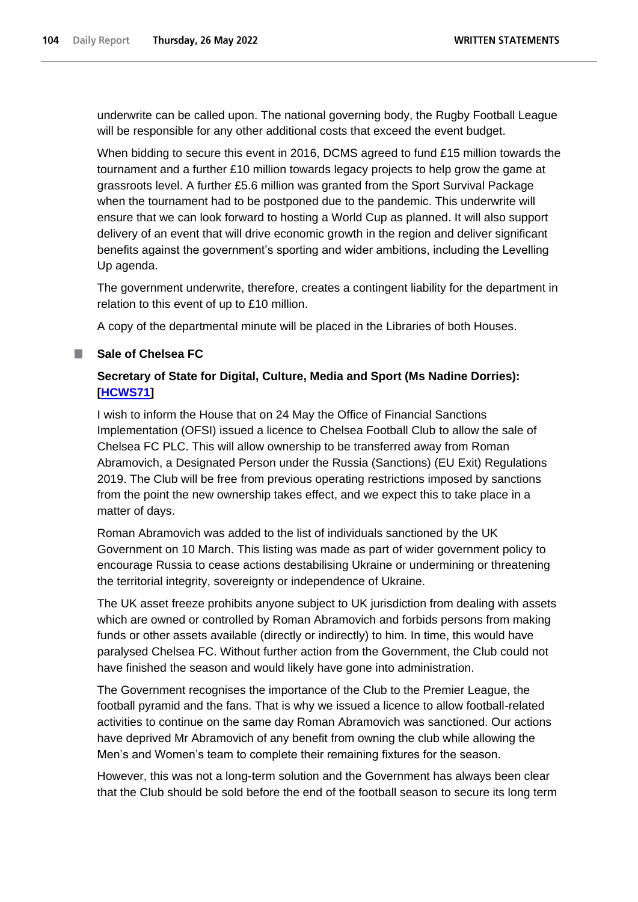underwrite can be called upon. The national governing body, the Rugby Football League will be responsible for any other additional costs that exceed the event budget.

When bidding to secure this event in 2016, DCMS agreed to fund £15 million towards the tournament and a further £10 million towards legacy projects to help grow the game at grassroots level. A further £5.6 million was granted from the Sport Survival Package when the tournament had to be postponed due to the pandemic. This underwrite will ensure that we can look forward to hosting a World Cup as planned. It will also support delivery of an event that will drive economic growth in the region and deliver significant benefits against the government's sporting and wider ambitions, including the Levelling Up agenda.

The government underwrite, therefore, creates a contingent liability for the department in relation to this event of up to £10 million.

A copy of the departmental minute will be placed in the Libraries of both Houses.

# **Sale of Chelsea FC**

# **Secretary of State for Digital, Culture, Media and Sport (Ms Nadine Dorries): [\[HCWS71\]](http://www.parliament.uk/business/publications/written-questions-answers-statements/written-statement/Commons/2022-05-26/HCWS71/)**

I wish to inform the House that on 24 May the Office of Financial Sanctions Implementation (OFSI) issued a licence to Chelsea Football Club to allow the sale of Chelsea FC PLC. This will allow ownership to be transferred away from Roman Abramovich, a Designated Person under the Russia (Sanctions) (EU Exit) Regulations 2019. The Club will be free from previous operating restrictions imposed by sanctions from the point the new ownership takes effect, and we expect this to take place in a matter of days.

Roman Abramovich was added to the list of individuals sanctioned by the UK Government on 10 March. This listing was made as part of wider government policy to encourage Russia to cease actions destabilising Ukraine or undermining or threatening the territorial integrity, sovereignty or independence of Ukraine.

The UK asset freeze prohibits anyone subject to UK jurisdiction from dealing with assets which are owned or controlled by Roman Abramovich and forbids persons from making funds or other assets available (directly or indirectly) to him. In time, this would have paralysed Chelsea FC. Without further action from the Government, the Club could not have finished the season and would likely have gone into administration.

The Government recognises the importance of the Club to the Premier League, the football pyramid and the fans. That is why we issued a licence to allow football-related activities to continue on the same day Roman Abramovich was sanctioned. Our actions have deprived Mr Abramovich of any benefit from owning the club while allowing the Men's and Women's team to complete their remaining fixtures for the season.

However, this was not a long-term solution and the Government has always been clear that the Club should be sold before the end of the football season to secure its long term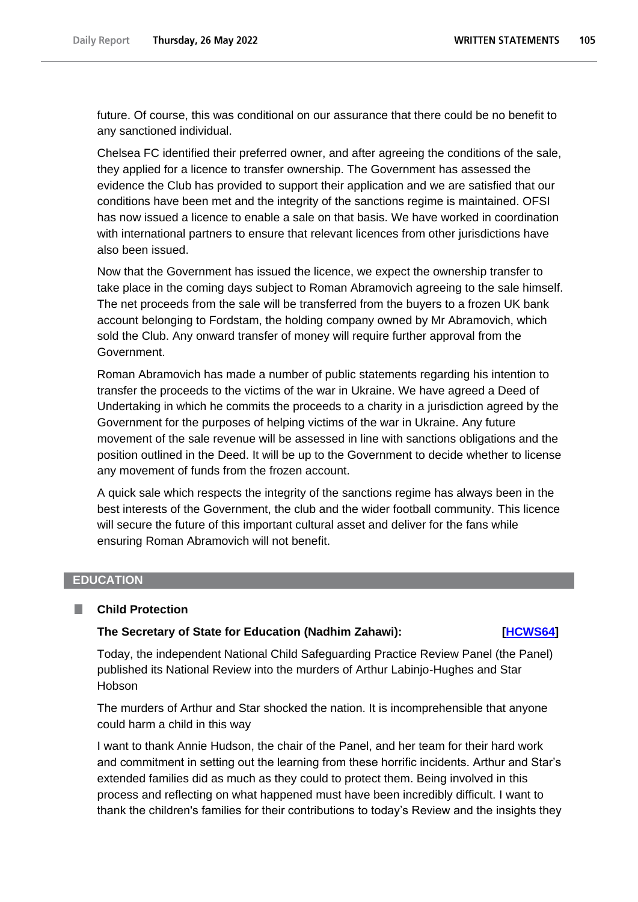future. Of course, this was conditional on our assurance that there could be no benefit to any sanctioned individual.

Chelsea FC identified their preferred owner, and after agreeing the conditions of the sale, they applied for a licence to transfer ownership. The Government has assessed the evidence the Club has provided to support their application and we are satisfied that our conditions have been met and the integrity of the sanctions regime is maintained. OFSI has now issued a licence to enable a sale on that basis. We have worked in coordination with international partners to ensure that relevant licences from other jurisdictions have also been issued.

Now that the Government has issued the licence, we expect the ownership transfer to take place in the coming days subject to Roman Abramovich agreeing to the sale himself. The net proceeds from the sale will be transferred from the buyers to a frozen UK bank account belonging to Fordstam, the holding company owned by Mr Abramovich, which sold the Club. Any onward transfer of money will require further approval from the Government.

Roman Abramovich has made a number of public statements regarding his intention to transfer the proceeds to the victims of the war in Ukraine. We have agreed a Deed of Undertaking in which he commits the proceeds to a charity in a jurisdiction agreed by the Government for the purposes of helping victims of the war in Ukraine. Any future movement of the sale revenue will be assessed in line with sanctions obligations and the position outlined in the Deed. It will be up to the Government to decide whether to license any movement of funds from the frozen account.

A quick sale which respects the integrity of the sanctions regime has always been in the best interests of the Government, the club and the wider football community. This licence will secure the future of this important cultural asset and deliver for the fans while ensuring Roman Abramovich will not benefit.

#### **EDUCATION**

#### **Child Protection** L.

#### **The Secretary of State for Education (Nadhim Zahawi): [\[HCWS64\]](http://www.parliament.uk/business/publications/written-questions-answers-statements/written-statement/Commons/2022-05-26/HCWS64/)**

Today, the independent National Child Safeguarding Practice Review Panel (the Panel) published its National Review into the murders of Arthur Labinjo-Hughes and Star **Hobson** 

The murders of Arthur and Star shocked the nation. It is incomprehensible that anyone could harm a child in this way

I want to thank Annie Hudson, the chair of the Panel, and her team for their hard work and commitment in setting out the learning from these horrific incidents. Arthur and Star's extended families did as much as they could to protect them. Being involved in this process and reflecting on what happened must have been incredibly difficult. I want to thank the children's families for their contributions to today's Review and the insights they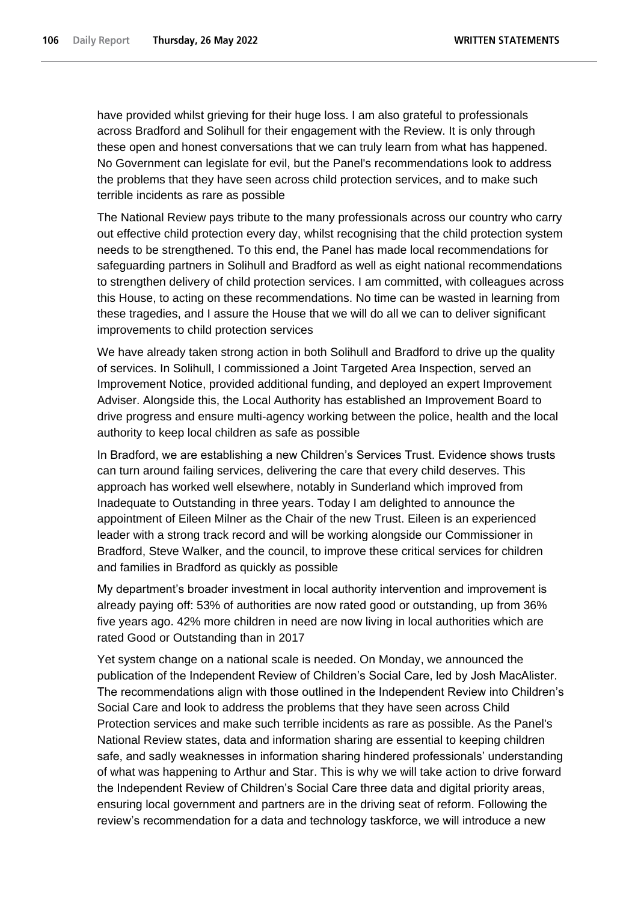have provided whilst grieving for their huge loss. I am also grateful to professionals across Bradford and Solihull for their engagement with the Review. It is only through these open and honest conversations that we can truly learn from what has happened. No Government can legislate for evil, but the Panel's recommendations look to address the problems that they have seen across child protection services, and to make such terrible incidents as rare as possible

The National Review pays tribute to the many professionals across our country who carry out effective child protection every day, whilst recognising that the child protection system needs to be strengthened. To this end, the Panel has made local recommendations for safeguarding partners in Solihull and Bradford as well as eight national recommendations to strengthen delivery of child protection services. I am committed, with colleagues across this House, to acting on these recommendations. No time can be wasted in learning from these tragedies, and I assure the House that we will do all we can to deliver significant improvements to child protection services

We have already taken strong action in both Solihull and Bradford to drive up the quality of services. In Solihull, I commissioned a Joint Targeted Area Inspection, served an Improvement Notice, provided additional funding, and deployed an expert Improvement Adviser. Alongside this, the Local Authority has established an Improvement Board to drive progress and ensure multi-agency working between the police, health and the local authority to keep local children as safe as possible

In Bradford, we are establishing a new Children's Services Trust. Evidence shows trusts can turn around failing services, delivering the care that every child deserves. This approach has worked well elsewhere, notably in Sunderland which improved from Inadequate to Outstanding in three years. Today I am delighted to announce the appointment of Eileen Milner as the Chair of the new Trust. Eileen is an experienced leader with a strong track record and will be working alongside our Commissioner in Bradford, Steve Walker, and the council, to improve these critical services for children and families in Bradford as quickly as possible

My department's broader investment in local authority intervention and improvement is already paying off: 53% of authorities are now rated good or outstanding, up from 36% five years ago. 42% more children in need are now living in local authorities which are rated Good or Outstanding than in 2017

Yet system change on a national scale is needed. On Monday, we announced the publication of the Independent Review of Children's Social Care, led by Josh MacAlister. The recommendations align with those outlined in the Independent Review into Children's Social Care and look to address the problems that they have seen across Child Protection services and make such terrible incidents as rare as possible. As the Panel's National Review states, data and information sharing are essential to keeping children safe, and sadly weaknesses in information sharing hindered professionals' understanding of what was happening to Arthur and Star. This is why we will take action to drive forward the Independent Review of Children's Social Care three data and digital priority areas, ensuring local government and partners are in the driving seat of reform. Following the review's recommendation for a data and technology taskforce, we will introduce a new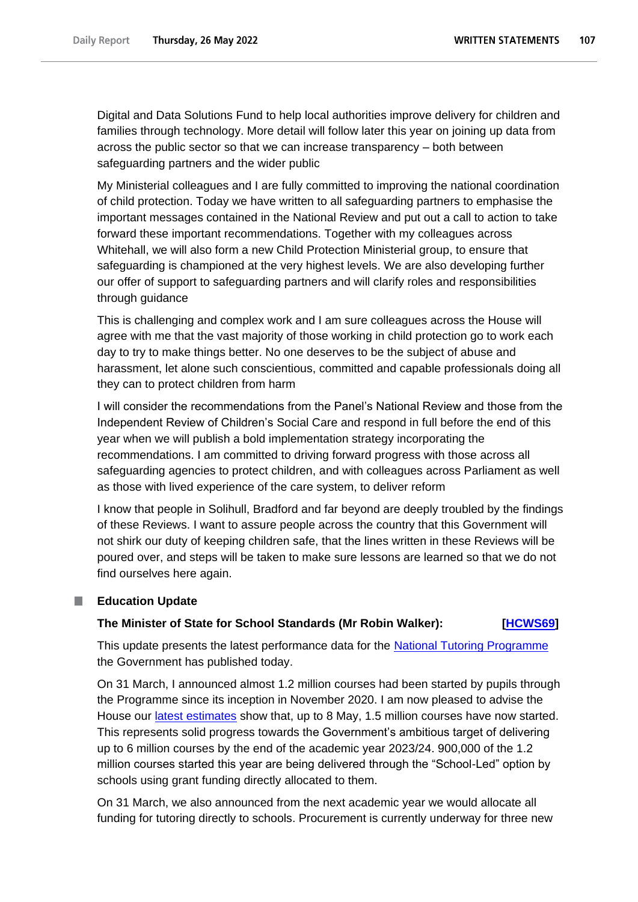Digital and Data Solutions Fund to help local authorities improve delivery for children and families through technology. More detail will follow later this year on joining up data from across the public sector so that we can increase transparency – both between safeguarding partners and the wider public

My Ministerial colleagues and I are fully committed to improving the national coordination of child protection. Today we have written to all safeguarding partners to emphasise the important messages contained in the National Review and put out a call to action to take forward these important recommendations. Together with my colleagues across Whitehall, we will also form a new Child Protection Ministerial group, to ensure that safeguarding is championed at the very highest levels. We are also developing further our offer of support to safeguarding partners and will clarify roles and responsibilities through guidance

This is challenging and complex work and I am sure colleagues across the House will agree with me that the vast majority of those working in child protection go to work each day to try to make things better. No one deserves to be the subject of abuse and harassment, let alone such conscientious, committed and capable professionals doing all they can to protect children from harm

I will consider the recommendations from the Panel's National Review and those from the Independent Review of Children's Social Care and respond in full before the end of this year when we will publish a bold implementation strategy incorporating the recommendations. I am committed to driving forward progress with those across all safeguarding agencies to protect children, and with colleagues across Parliament as well as those with lived experience of the care system, to deliver reform

I know that people in Solihull, Bradford and far beyond are deeply troubled by the findings of these Reviews. I want to assure people across the country that this Government will not shirk our duty of keeping children safe, that the lines written in these Reviews will be poured over, and steps will be taken to make sure lessons are learned so that we do not find ourselves here again.

### **Education Update**

### **The Minister of State for School Standards (Mr Robin Walker): [\[HCWS69\]](http://www.parliament.uk/business/publications/written-questions-answers-statements/written-statement/Commons/2022-05-26/HCWS69/)**

This update presents the latest performance data for the [National Tutoring Programme](https://www.gov.uk/government/publications/national-tutoring-programme-ntp) the Government has published today.

On 31 March, I announced almost 1.2 million courses had been started by pupils through the Programme since its inception in November 2020. I am now pleased to advise the House our [latest estimates](https://explore-education-statistics.service.gov.uk/find-statistics/national-tutoring-programme) show that, up to 8 May, 1.5 million courses have now started. This represents solid progress towards the Government's ambitious target of delivering up to 6 million courses by the end of the academic year 2023/24. 900,000 of the 1.2 million courses started this year are being delivered through the "School-Led" option by schools using grant funding directly allocated to them.

On 31 March, we also announced from the next academic year we would allocate all funding for tutoring directly to schools. Procurement is currently underway for three new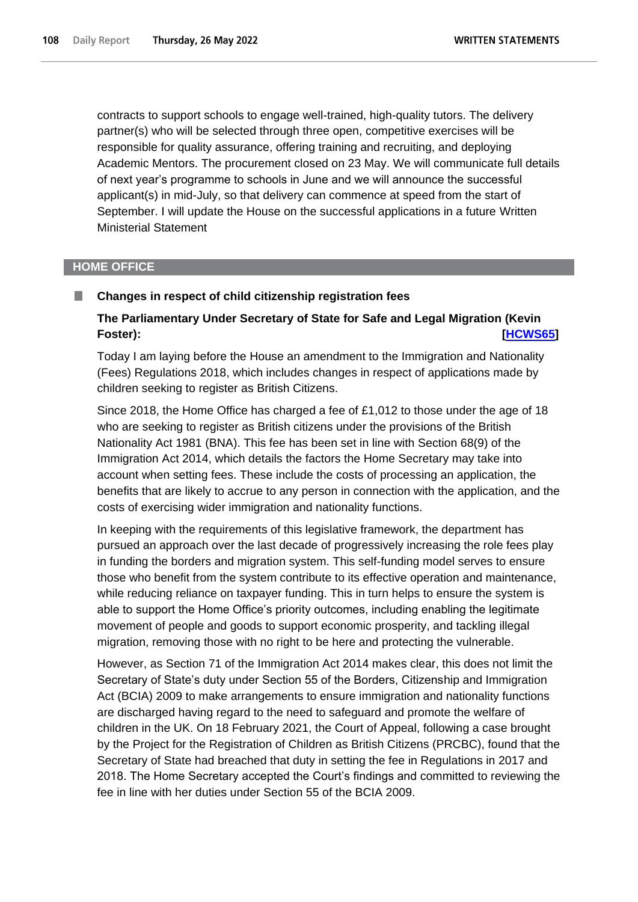contracts to support schools to engage well-trained, high-quality tutors. The delivery partner(s) who will be selected through three open, competitive exercises will be responsible for quality assurance, offering training and recruiting, and deploying Academic Mentors. The procurement closed on 23 May. We will communicate full details of next year's programme to schools in June and we will announce the successful applicant(s) in mid-July, so that delivery can commence at speed from the start of September. I will update the House on the successful applications in a future Written Ministerial Statement

### **HOME OFFICE**

ш

#### **Changes in respect of child citizenship registration fees**

# **The Parliamentary Under Secretary of State for Safe and Legal Migration (Kevin Foster): [\[HCWS65\]](http://www.parliament.uk/business/publications/written-questions-answers-statements/written-statement/Commons/2022-05-26/HCWS65/)**

Today I am laying before the House an amendment to the Immigration and Nationality (Fees) Regulations 2018, which includes changes in respect of applications made by children seeking to register as British Citizens.

Since 2018, the Home Office has charged a fee of £1,012 to those under the age of 18 who are seeking to register as British citizens under the provisions of the British Nationality Act 1981 (BNA). This fee has been set in line with Section 68(9) of the Immigration Act 2014, which details the factors the Home Secretary may take into account when setting fees. These include the costs of processing an application, the benefits that are likely to accrue to any person in connection with the application, and the costs of exercising wider immigration and nationality functions.

In keeping with the requirements of this legislative framework, the department has pursued an approach over the last decade of progressively increasing the role fees play in funding the borders and migration system. This self-funding model serves to ensure those who benefit from the system contribute to its effective operation and maintenance, while reducing reliance on taxpayer funding. This in turn helps to ensure the system is able to support the Home Office's priority outcomes, including enabling the legitimate movement of people and goods to support economic prosperity, and tackling illegal migration, removing those with no right to be here and protecting the vulnerable.

However, as Section 71 of the Immigration Act 2014 makes clear, this does not limit the Secretary of State's duty under Section 55 of the Borders, Citizenship and Immigration Act (BCIA) 2009 to make arrangements to ensure immigration and nationality functions are discharged having regard to the need to safeguard and promote the welfare of children in the UK. On 18 February 2021, the Court of Appeal, following a case brought by the Project for the Registration of Children as British Citizens (PRCBC), found that the Secretary of State had breached that duty in setting the fee in Regulations in 2017 and 2018. The Home Secretary accepted the Court's findings and committed to reviewing the fee in line with her duties under Section 55 of the BCIA 2009.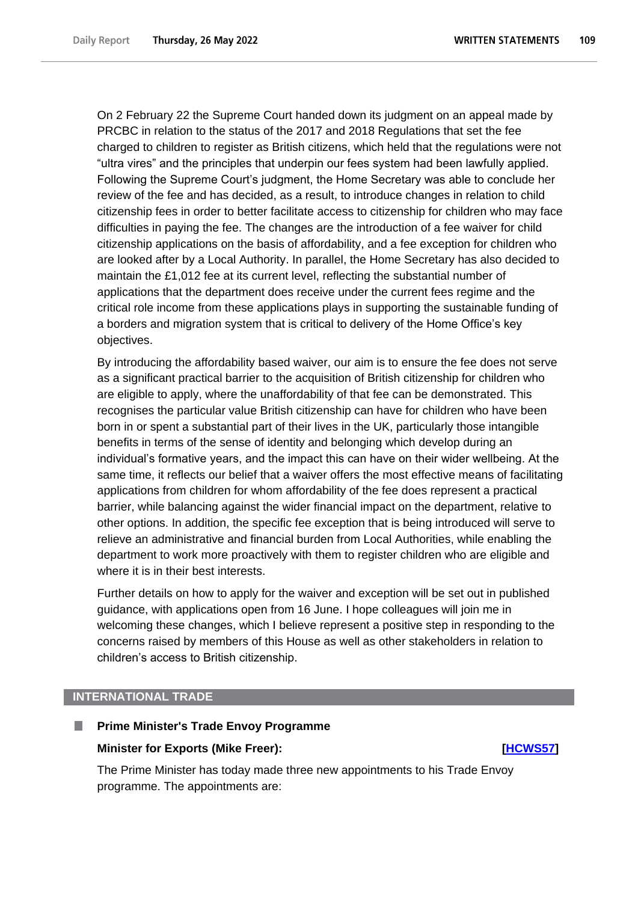On 2 February 22 the Supreme Court handed down its judgment on an appeal made by PRCBC in relation to the status of the 2017 and 2018 Regulations that set the fee charged to children to register as British citizens, which held that the regulations were not "ultra vires" and the principles that underpin our fees system had been lawfully applied. Following the Supreme Court's judgment, the Home Secretary was able to conclude her review of the fee and has decided, as a result, to introduce changes in relation to child citizenship fees in order to better facilitate access to citizenship for children who may face difficulties in paying the fee. The changes are the introduction of a fee waiver for child citizenship applications on the basis of affordability, and a fee exception for children who are looked after by a Local Authority. In parallel, the Home Secretary has also decided to maintain the £1,012 fee at its current level, reflecting the substantial number of applications that the department does receive under the current fees regime and the critical role income from these applications plays in supporting the sustainable funding of a borders and migration system that is critical to delivery of the Home Office's key objectives.

By introducing the affordability based waiver, our aim is to ensure the fee does not serve as a significant practical barrier to the acquisition of British citizenship for children who are eligible to apply, where the unaffordability of that fee can be demonstrated. This recognises the particular value British citizenship can have for children who have been born in or spent a substantial part of their lives in the UK, particularly those intangible benefits in terms of the sense of identity and belonging which develop during an individual's formative years, and the impact this can have on their wider wellbeing. At the same time, it reflects our belief that a waiver offers the most effective means of facilitating applications from children for whom affordability of the fee does represent a practical barrier, while balancing against the wider financial impact on the department, relative to other options. In addition, the specific fee exception that is being introduced will serve to relieve an administrative and financial burden from Local Authorities, while enabling the department to work more proactively with them to register children who are eligible and where it is in their best interests.

Further details on how to apply for the waiver and exception will be set out in published guidance, with applications open from 16 June. I hope colleagues will join me in welcoming these changes, which I believe represent a positive step in responding to the concerns raised by members of this House as well as other stakeholders in relation to children's access to British citizenship.

### **INTERNATIONAL TRADE**

#### **Prime Minister's Trade Envoy Programme**

#### **Minister for Exports (Mike Freer): [\[HCWS57\]](http://www.parliament.uk/business/publications/written-questions-answers-statements/written-statement/Commons/2022-05-26/HCWS57/)**

The Prime Minister has today made three new appointments to his Trade Envoy programme. The appointments are: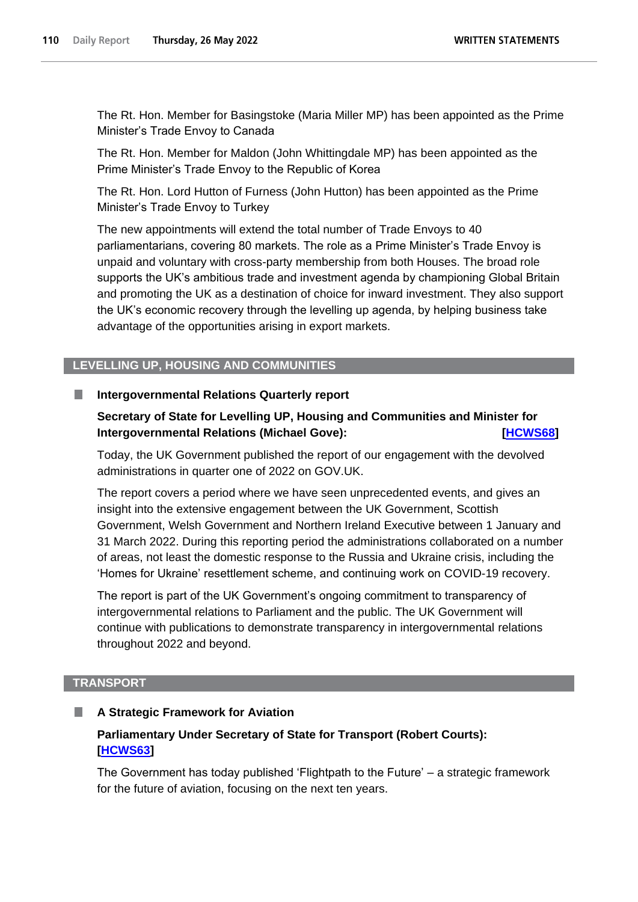The Rt. Hon. Member for Basingstoke (Maria Miller MP) has been appointed as the Prime Minister's Trade Envoy to Canada

The Rt. Hon. Member for Maldon (John Whittingdale MP) has been appointed as the Prime Minister's Trade Envoy to the Republic of Korea

The Rt. Hon. Lord Hutton of Furness (John Hutton) has been appointed as the Prime Minister's Trade Envoy to Turkey

The new appointments will extend the total number of Trade Envoys to 40 parliamentarians, covering 80 markets. The role as a Prime Minister's Trade Envoy is unpaid and voluntary with cross-party membership from both Houses. The broad role supports the UK's ambitious trade and investment agenda by championing Global Britain and promoting the UK as a destination of choice for inward investment. They also support the UK's economic recovery through the levelling up agenda, by helping business take advantage of the opportunities arising in export markets.

# **LEVELLING UP, HOUSING AND COMMUNITIES**

#### **Intergovernmental Relations Quarterly report** T.

# **Secretary of State for Levelling UP, Housing and Communities and Minister for Intergovernmental Relations (Michael Gove): [\[HCWS68\]](http://www.parliament.uk/business/publications/written-questions-answers-statements/written-statement/Commons/2022-05-26/HCWS68/)**

Today, the UK Government published the report of our engagement with the devolved administrations in quarter one of 2022 on GOV.UK.

The report covers a period where we have seen unprecedented events, and gives an insight into the extensive engagement between the UK Government, Scottish Government, Welsh Government and Northern Ireland Executive between 1 January and 31 March 2022. During this reporting period the administrations collaborated on a number of areas, not least the domestic response to the Russia and Ukraine crisis, including the 'Homes for Ukraine' resettlement scheme, and continuing work on COVID-19 recovery.

The report is part of the UK Government's ongoing commitment to transparency of intergovernmental relations to Parliament and the public. The UK Government will continue with publications to demonstrate transparency in intergovernmental relations throughout 2022 and beyond.

### **TRANSPORT**

### **A Strategic Framework for Aviation**

# **Parliamentary Under Secretary of State for Transport (Robert Courts): [\[HCWS63\]](http://www.parliament.uk/business/publications/written-questions-answers-statements/written-statement/Commons/2022-05-26/HCWS63/)**

The Government has today published 'Flightpath to the Future' – a strategic framework for the future of aviation, focusing on the next ten years.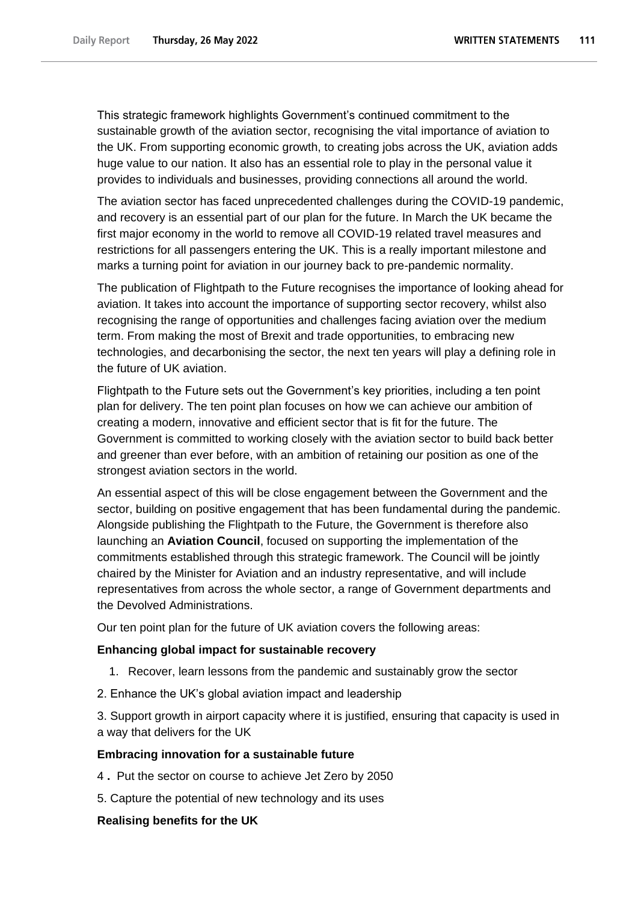This strategic framework highlights Government's continued commitment to the sustainable growth of the aviation sector, recognising the vital importance of aviation to the UK. From supporting economic growth, to creating jobs across the UK, aviation adds huge value to our nation. It also has an essential role to play in the personal value it provides to individuals and businesses, providing connections all around the world.

The aviation sector has faced unprecedented challenges during the COVID-19 pandemic, and recovery is an essential part of our plan for the future. In March the UK became the first major economy in the world to remove all COVID-19 related travel measures and restrictions for all passengers entering the UK. This is a really important milestone and marks a turning point for aviation in our journey back to pre-pandemic normality.

The publication of Flightpath to the Future recognises the importance of looking ahead for aviation. It takes into account the importance of supporting sector recovery, whilst also recognising the range of opportunities and challenges facing aviation over the medium term. From making the most of Brexit and trade opportunities, to embracing new technologies, and decarbonising the sector, the next ten years will play a defining role in the future of UK aviation.

Flightpath to the Future sets out the Government's key priorities, including a ten point plan for delivery. The ten point plan focuses on how we can achieve our ambition of creating a modern, innovative and efficient sector that is fit for the future. The Government is committed to working closely with the aviation sector to build back better and greener than ever before, with an ambition of retaining our position as one of the strongest aviation sectors in the world.

An essential aspect of this will be close engagement between the Government and the sector, building on positive engagement that has been fundamental during the pandemic. Alongside publishing the Flightpath to the Future, the Government is therefore also launching an **Aviation Council**, focused on supporting the implementation of the commitments established through this strategic framework. The Council will be jointly chaired by the Minister for Aviation and an industry representative, and will include representatives from across the whole sector, a range of Government departments and the Devolved Administrations.

Our ten point plan for the future of UK aviation covers the following areas:

### **Enhancing global impact for sustainable recovery**

- 1. Recover, learn lessons from the pandemic and sustainably grow the sector
- 2. Enhance the UK's global aviation impact and leadership

3. Support growth in airport capacity where it is justified, ensuring that capacity is used in a way that delivers for the UK

# **Embracing innovation for a sustainable future**

- 4 **.** Put the sector on course to achieve Jet Zero by 2050
- 5. Capture the potential of new technology and its uses

# **Realising benefits for the UK**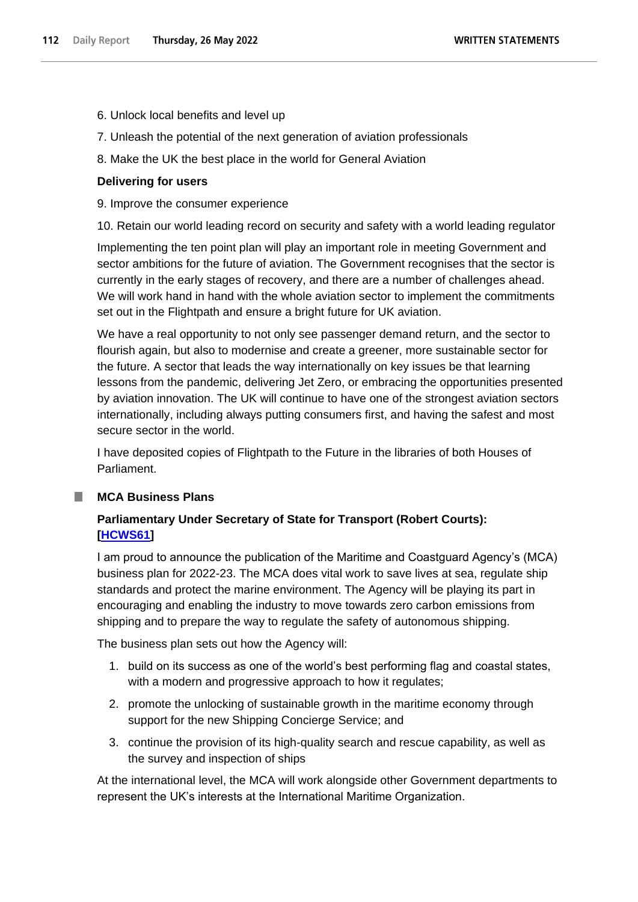- 6. Unlock local benefits and level up
- 7. Unleash the potential of the next generation of aviation professionals
- 8. Make the UK the best place in the world for General Aviation

# **Delivering for users**

- 9. Improve the consumer experience
- 10. Retain our world leading record on security and safety with a world leading regulator

Implementing the ten point plan will play an important role in meeting Government and sector ambitions for the future of aviation. The Government recognises that the sector is currently in the early stages of recovery, and there are a number of challenges ahead. We will work hand in hand with the whole aviation sector to implement the commitments set out in the Flightpath and ensure a bright future for UK aviation.

We have a real opportunity to not only see passenger demand return, and the sector to flourish again, but also to modernise and create a greener, more sustainable sector for the future. A sector that leads the way internationally on key issues be that learning lessons from the pandemic, delivering Jet Zero, or embracing the opportunities presented by aviation innovation. The UK will continue to have one of the strongest aviation sectors internationally, including always putting consumers first, and having the safest and most secure sector in the world.

I have deposited copies of Flightpath to the Future in the libraries of both Houses of Parliament.

# **MCA Business Plans**

# **Parliamentary Under Secretary of State for Transport (Robert Courts): [\[HCWS61\]](http://www.parliament.uk/business/publications/written-questions-answers-statements/written-statement/Commons/2022-05-26/HCWS61/)**

I am proud to announce the publication of the Maritime and Coastguard Agency's (MCA) business plan for 2022-23. The MCA does vital work to save lives at sea, regulate ship standards and protect the marine environment. The Agency will be playing its part in encouraging and enabling the industry to move towards zero carbon emissions from shipping and to prepare the way to regulate the safety of autonomous shipping.

The business plan sets out how the Agency will:

- 1. build on its success as one of the world's best performing flag and coastal states, with a modern and progressive approach to how it regulates;
- 2. promote the unlocking of sustainable growth in the maritime economy through support for the new Shipping Concierge Service; and
- 3. continue the provision of its high-quality search and rescue capability, as well as the survey and inspection of ships

At the international level, the MCA will work alongside other Government departments to represent the UK's interests at the International Maritime Organization.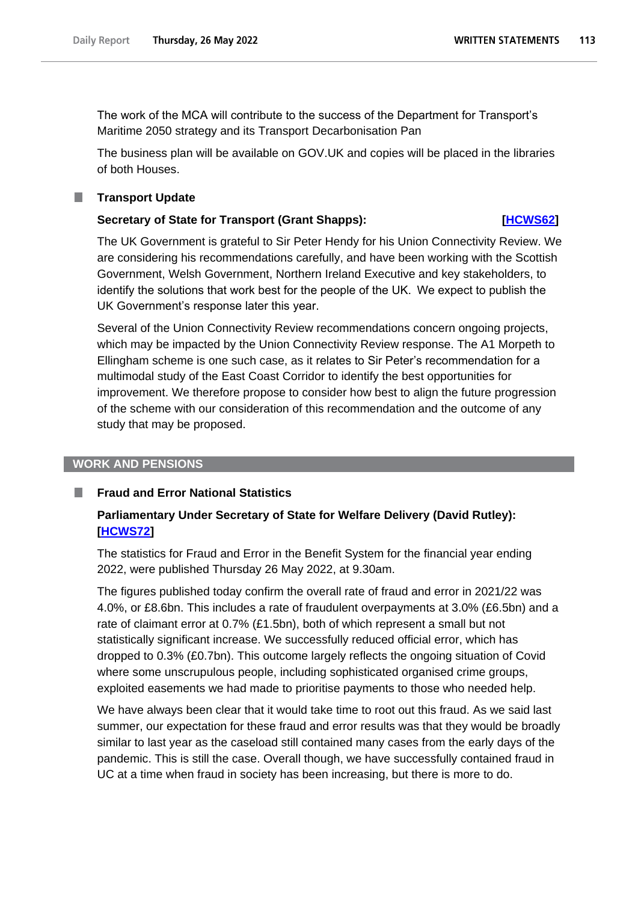The work of the MCA will contribute to the success of the Department for Transport's Maritime 2050 strategy and its Transport Decarbonisation Pan

The business plan will be available on GOV.UK and copies will be placed in the libraries of both Houses.

#### **Transport Update**

.

#### **Secretary of State for Transport (Grant Shapps): [\[HCWS62\]](http://www.parliament.uk/business/publications/written-questions-answers-statements/written-statement/Commons/2022-05-26/HCWS62/)**

The UK Government is grateful to Sir Peter Hendy for his Union Connectivity Review. We are considering his recommendations carefully, and have been working with the Scottish Government, Welsh Government, Northern Ireland Executive and key stakeholders, to identify the solutions that work best for the people of the UK.  We expect to publish the UK Government's response later this year.

Several of the Union Connectivity Review recommendations concern ongoing projects, which may be impacted by the Union Connectivity Review response. The A1 Morpeth to Ellingham scheme is one such case, as it relates to Sir Peter's recommendation for a multimodal study of the East Coast Corridor to identify the best opportunities for improvement. We therefore propose to consider how best to align the future progression of the scheme with our consideration of this recommendation and the outcome of any study that may be proposed.

## **WORK AND PENSIONS**

#### **Fraud and Error National Statistics**

# **Parliamentary Under Secretary of State for Welfare Delivery (David Rutley): [\[HCWS72\]](http://www.parliament.uk/business/publications/written-questions-answers-statements/written-statement/Commons/2022-05-26/HCWS72/)**

The statistics for Fraud and Error in the Benefit System for the financial year ending 2022, were published Thursday 26 May 2022, at 9.30am.

The figures published today confirm the overall rate of fraud and error in 2021/22 was 4.0%, or £8.6bn. This includes a rate of fraudulent overpayments at 3.0% (£6.5bn) and a rate of claimant error at 0.7% (£1.5bn), both of which represent a small but not statistically significant increase. We successfully reduced official error, which has dropped to 0.3% (£0.7bn). This outcome largely reflects the ongoing situation of Covid where some unscrupulous people, including sophisticated organised crime groups, exploited easements we had made to prioritise payments to those who needed help.

We have always been clear that it would take time to root out this fraud. As we said last summer, our expectation for these fraud and error results was that they would be broadly similar to last year as the caseload still contained many cases from the early days of the pandemic. This is still the case. Overall though, we have successfully contained fraud in UC at a time when fraud in society has been increasing, but there is more to do.